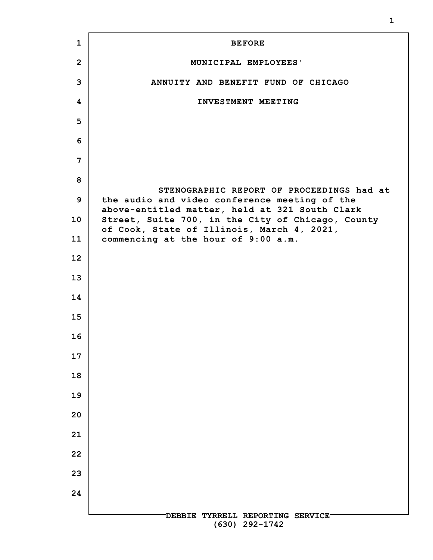| $\mathbf{1}$      | <b>BEFORE</b>                                                                                   |
|-------------------|-------------------------------------------------------------------------------------------------|
| $\overline{2}$    | MUNICIPAL EMPLOYEES'                                                                            |
| 3                 | ANNUITY AND BENEFIT FUND OF CHICAGO                                                             |
| 4                 | INVESTMENT MEETING                                                                              |
| 5                 |                                                                                                 |
| 6                 |                                                                                                 |
| 7                 |                                                                                                 |
| 8                 | STENOGRAPHIC REPORT OF PROCEEDINGS had at                                                       |
| 9                 | the audio and video conference meeting of the<br>above-entitled matter, held at 321 South Clark |
| 10                | Street, Suite 700, in the City of Chicago, County<br>of Cook, State of Illinois, March 4, 2021, |
| 11                | commencing at the hour of 9:00 a.m.                                                             |
| $12 \overline{ }$ |                                                                                                 |
| 13                |                                                                                                 |
| 14                |                                                                                                 |
| 15                |                                                                                                 |
| 16                |                                                                                                 |
| 17                |                                                                                                 |
| 18                |                                                                                                 |
| 19                |                                                                                                 |
| 20                |                                                                                                 |
| 21                |                                                                                                 |
| 22                |                                                                                                 |
| 23                |                                                                                                 |
| 24                |                                                                                                 |
|                   | DEBBIE TYRRELL REPORTING SERVICE<br>$(630)$ 292-1742                                            |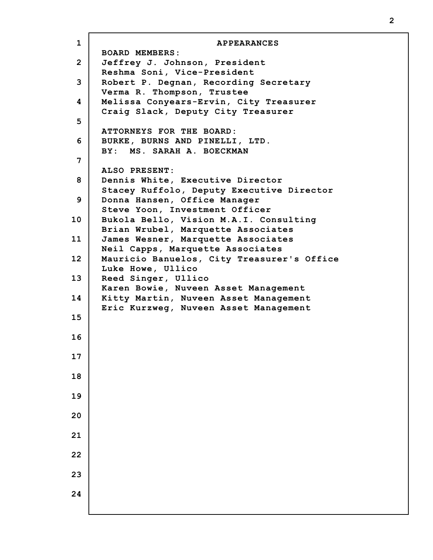| $\mathbf{1}$   | <b>APPEARANCES</b>                                                       |
|----------------|--------------------------------------------------------------------------|
| $\overline{2}$ | <b>BOARD MEMBERS:</b><br>Jeffrey J. Johnson, President                   |
|                | Reshma Soni, Vice-President                                              |
| 3              | Robert P. Degnan, Recording Secretary                                    |
| 4              | Verma R. Thompson, Trustee<br>Melissa Conyears-Ervin, City Treasurer     |
|                | Craig Slack, Deputy City Treasurer                                       |
| 5              | ATTORNEYS FOR THE BOARD:                                                 |
| 6              | BURKE, BURNS AND PINELLI, LTD.                                           |
|                | BY: MS. SARAH A. BOECKMAN                                                |
| 7              | ALSO PRESENT:                                                            |
| 8              | Dennis White, Executive Director                                         |
|                | Stacey Ruffolo, Deputy Executive Director                                |
| 9              | Donna Hansen, Office Manager<br>Steve Yoon, Investment Officer           |
| 10             | Bukola Bello, Vision M.A.I. Consulting                                   |
| 11             | Brian Wrubel, Marquette Associates<br>James Wesner, Marquette Associates |
|                | Neil Capps, Marquette Associates                                         |
| 12             | Mauricio Banuelos, City Treasurer's Office                               |
| 13             | Luke Howe, Ullico<br>Reed Singer, Ullico                                 |
|                | Karen Bowie, Nuveen Asset Management                                     |
| 14             | Kitty Martin, Nuveen Asset Management                                    |
| 15             | Eric Kurzweg, Nuveen Asset Management                                    |
|                |                                                                          |
| 16             |                                                                          |
| 17             |                                                                          |
|                |                                                                          |
| 18             |                                                                          |
| 19             |                                                                          |
| 20             |                                                                          |
|                |                                                                          |
| 21             |                                                                          |
| 22             |                                                                          |
|                |                                                                          |
| 23             |                                                                          |
| 24             |                                                                          |
|                |                                                                          |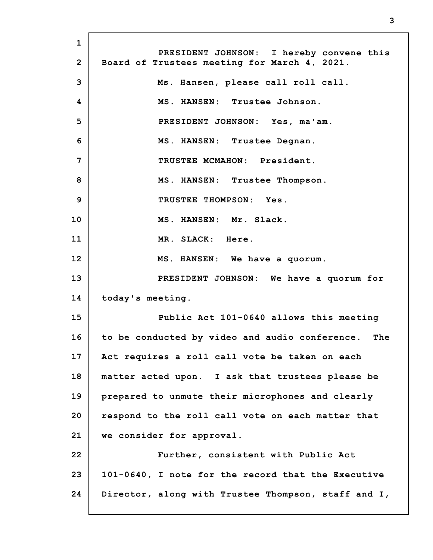**1 2 3 4 5 6 7 8 9 10 11 12 13 14 15 16 17 18 19 20 21 22 23 24 PRESIDENT JOHNSON: I hereby convene this Board of Trustees meeting for March 4, 2021. Ms. Hansen, please call roll call. MS. HANSEN: Trustee Johnson. PRESIDENT JOHNSON: Yes, ma'am. MS. HANSEN: Trustee Degnan. TRUSTEE MCMAHON: President. MS. HANSEN: Trustee Thompson. TRUSTEE THOMPSON: Yes. MS. HANSEN: Mr. Slack. MR. SLACK: Here. MS. HANSEN: We have a quorum. PRESIDENT JOHNSON: We have a quorum for today's meeting. Public Act 101-0640 allows this meeting to be conducted by video and audio conference. The Act requires a roll call vote be taken on each matter acted upon. I ask that trustees please be prepared to unmute their microphones and clearly respond to the roll call vote on each matter that we consider for approval. Further, consistent with Public Act 101-0640, I note for the record that the Executive Director, along with Trustee Thompson, staff and I,**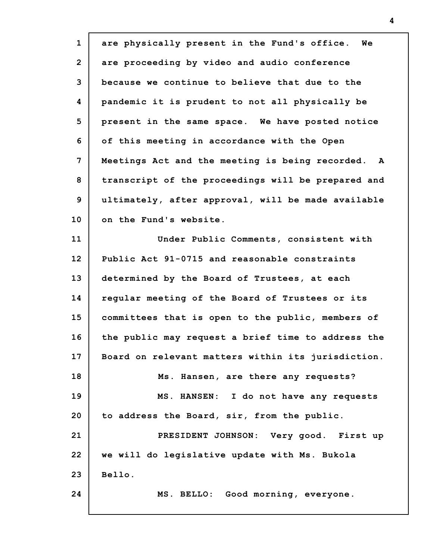| $\mathbf{1}$   | are physically present in the Fund's office.<br>Wе |
|----------------|----------------------------------------------------|
| $\overline{2}$ | are proceeding by video and audio conference       |
| 3              | because we continue to believe that due to the     |
| 4              | pandemic it is prudent to not all physically be    |
| 5              | present in the same space. We have posted notice   |
| 6              | of this meeting in accordance with the Open        |
| 7              | Meetings Act and the meeting is being recorded. A  |
| 8              | transcript of the proceedings will be prepared and |
| 9              | ultimately, after approval, will be made available |
| 10             | on the Fund's website.                             |
| 11             | Under Public Comments, consistent with             |
| 12             | Public Act 91-0715 and reasonable constraints      |
| 13             | determined by the Board of Trustees, at each       |
| 14             | regular meeting of the Board of Trustees or its    |
| 15             | committees that is open to the public, members of  |
| 16             | the public may request a brief time to address the |
| 17             | Board on relevant matters within its jurisdiction. |
| 18             | Ms. Hansen, are there any requests?                |
| 19             | MS. HANSEN: I do not have any requests             |
| 20             | to address the Board, sir, from the public.        |
| 21             | PRESIDENT JOHNSON: Very good. First up             |
| 22             | we will do legislative update with Ms. Bukola      |
| 23             | Bello.                                             |
| 24             | MS. BELLO: Good morning, everyone.                 |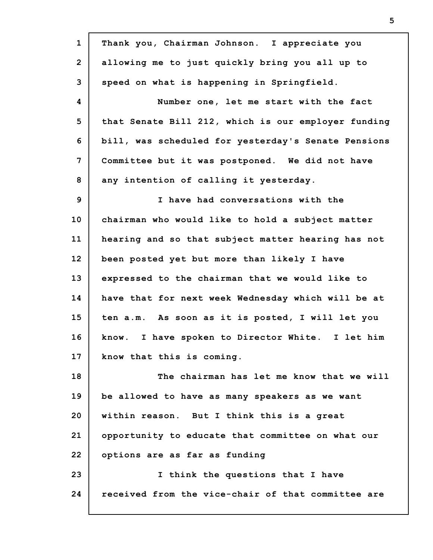| $\mathbf{1}$   | Thank you, Chairman Johnson. I appreciate you       |
|----------------|-----------------------------------------------------|
| $\overline{2}$ | allowing me to just quickly bring you all up to     |
| 3              | speed on what is happening in Springfield.          |
| 4              | Number one, let me start with the fact              |
| 5              | that Senate Bill 212, which is our employer funding |
| 6              | bill, was scheduled for yesterday's Senate Pensions |
| $\overline{7}$ | Committee but it was postponed. We did not have     |
| 8              | any intention of calling it yesterday.              |
| 9              | I have had conversations with the                   |
| 10             | chairman who would like to hold a subject matter    |
| 11             | hearing and so that subject matter hearing has not  |
| 12             | been posted yet but more than likely I have         |
| 13             | expressed to the chairman that we would like to     |
| 14             | have that for next week Wednesday which will be at  |
| 15             | ten a.m. As soon as it is posted, I will let you    |
| 16             | know. I have spoken to Director White. I let him    |
| 17             | know that this is coming.                           |
| 18             | The chairman has let me know that we will           |
| 19             | be allowed to have as many speakers as we want      |
| 20             | within reason. But I think this is a great          |
| 21             | opportunity to educate that committee on what our   |
| 22             | options are as far as funding                       |
| 23             | I think the questions that I have                   |
| 24             | received from the vice-chair of that committee are  |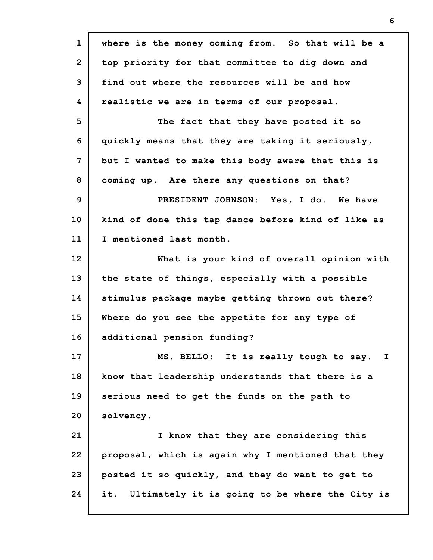**1 2 3 4 5 6 7 8 9 10 11 12 13 14 15 16 17 18 19 20 21 22 23 24 where is the money coming from. So that will be a top priority for that committee to dig down and find out where the resources will be and how realistic we are in terms of our proposal. The fact that they have posted it so quickly means that they are taking it seriously, but I wanted to make this body aware that this is coming up. Are there any questions on that? PRESIDENT JOHNSON: Yes, I do. We have kind of done this tap dance before kind of like as I mentioned last month. What is your kind of overall opinion with the state of things, especially with a possible stimulus package maybe getting thrown out there? Where do you see the appetite for any type of additional pension funding? MS. BELLO: It is really tough to say. I know that leadership understands that there is a serious need to get the funds on the path to solvency. I know that they are considering this proposal, which is again why I mentioned that they posted it so quickly, and they do want to get to it. Ultimately it is going to be where the City is**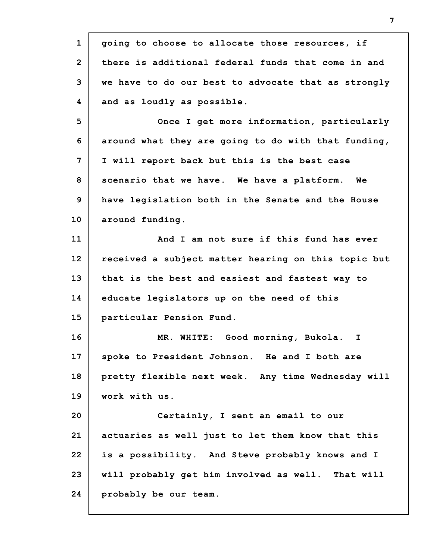| $\mathbf{1}$   | going to choose to allocate those resources, if     |
|----------------|-----------------------------------------------------|
| $\overline{2}$ | there is additional federal funds that come in and  |
| 3              | we have to do our best to advocate that as strongly |
| 4              | and as loudly as possible.                          |
| 5              | Once I get more information, particularly           |
| 6              | around what they are going to do with that funding, |
| 7              | I will report back but this is the best case        |
| 8              | scenario that we have. We have a platform. We       |
| 9              | have legislation both in the Senate and the House   |
| 10             | around funding.                                     |
| 11             | And I am not sure if this fund has ever             |
| 12             | received a subject matter hearing on this topic but |
| 13             | that is the best and easiest and fastest way to     |
| 14             | educate legislators up on the need of this          |
| 15             | particular Pension Fund.                            |
| 16             | MR. WHITE: Good morning, Bukola.<br>I.              |
| 17             | spoke to President Johnson. He and I both are       |
| 18             | pretty flexible next week. Any time Wednesday will  |
| 19             | work with us.                                       |
| 20             | Certainly, I sent an email to our                   |
| 21             | actuaries as well just to let them know that this   |
| 22             | is a possibility. And Steve probably knows and I    |
| 23             | will probably get him involved as well. That will   |
| 24             | probably be our team.                               |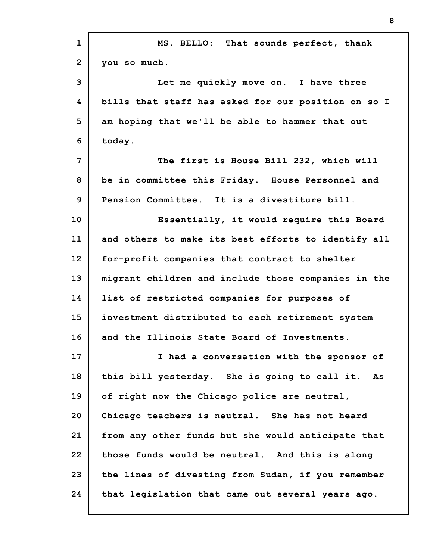| $\mathbf{1}$   | MS. BELLO: That sounds perfect, thank               |
|----------------|-----------------------------------------------------|
| $\overline{2}$ | you so much.                                        |
| 3              | Let me quickly move on. I have three                |
| 4              | bills that staff has asked for our position on so I |
| 5              | am hoping that we'll be able to hammer that out     |
| 6              | today.                                              |
| 7              | The first is House Bill 232, which will             |
| 8              | be in committee this Friday. House Personnel and    |
| 9              | Pension Committee. It is a divestiture bill.        |
| 10             | Essentially, it would require this Board            |
| 11             | and others to make its best efforts to identify all |
| 12             | for-profit companies that contract to shelter       |
| 13             | migrant children and include those companies in the |
| 14             | list of restricted companies for purposes of        |
| 15             | investment distributed to each retirement system    |
| 16             | and the Illinois State Board of Investments.        |
| 17             | I had a conversation with the sponsor of            |
| 18             | this bill yesterday. She is going to call it.<br>As |
| 19             | of right now the Chicago police are neutral,        |
| 20             | Chicago teachers is neutral. She has not heard      |
| 21             | from any other funds but she would anticipate that  |
| 22             | those funds would be neutral. And this is along     |
| 23             | the lines of divesting from Sudan, if you remember  |
| 24             | that legislation that came out several years ago.   |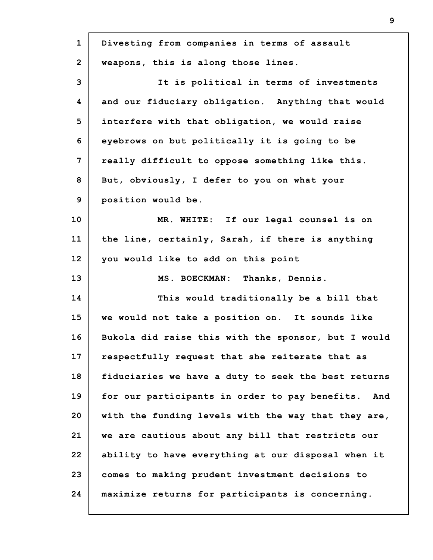| $\mathbf{1}$   | Divesting from companies in terms of assault          |
|----------------|-------------------------------------------------------|
| $\overline{2}$ | weapons, this is along those lines.                   |
| 3              | It is political in terms of investments               |
| 4              | and our fiduciary obligation. Anything that would     |
| 5              | interfere with that obligation, we would raise        |
| 6              | eyebrows on but politically it is going to be         |
| 7              | really difficult to oppose something like this.       |
| 8              | But, obviously, I defer to you on what your           |
| 9              | position would be.                                    |
| 10             | MR. WHITE: If our legal counsel is on                 |
| 11             | the line, certainly, Sarah, if there is anything      |
| 12             | you would like to add on this point                   |
| 13             | MS. BOECKMAN: Thanks, Dennis.                         |
| 14             | This would traditionally be a bill that               |
| 15             | we would not take a position on. It sounds like       |
| 16             | Bukola did raise this with the sponsor, but I would   |
| 17             | respectfully request that she reiterate that as       |
| 18             | fiduciaries we have a duty to seek the best returns   |
| 19             | for our participants in order to pay benefits.<br>And |
| 20             | with the funding levels with the way that they are,   |
| 21             | we are cautious about any bill that restricts our     |
| 22             | ability to have everything at our disposal when it    |
| 23             | comes to making prudent investment decisions to       |
| 24             | maximize returns for participants is concerning.      |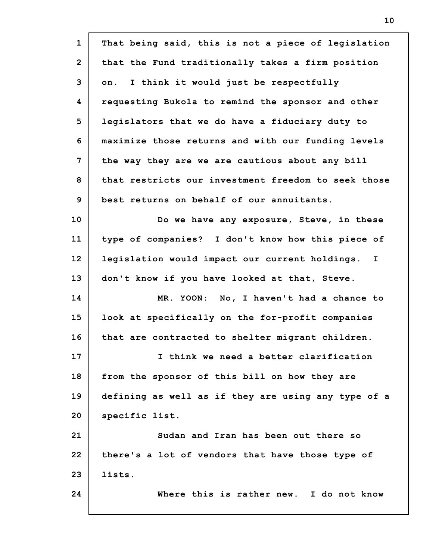| $\mathbf{1}$   | That being said, this is not a piece of legislation |
|----------------|-----------------------------------------------------|
| $\overline{2}$ | that the Fund traditionally takes a firm position   |
| 3              | I think it would just be respectfully<br>on.        |
| 4              | requesting Bukola to remind the sponsor and other   |
| 5              | legislators that we do have a fiduciary duty to     |
| 6              | maximize those returns and with our funding levels  |
| 7              | the way they are we are cautious about any bill     |
| 8              | that restricts our investment freedom to seek those |
| 9              | best returns on behalf of our annuitants.           |
| 10             | Do we have any exposure, Steve, in these            |
| 11             | type of companies? I don't know how this piece of   |
| 12             | legislation would impact our current holdings. I    |
| 13             | don't know if you have looked at that, Steve.       |
| 14             | MR. YOON: No, I haven't had a chance to             |
| 15             | look at specifically on the for-profit companies    |
| 16             | that are contracted to shelter migrant children.    |
| 17             | I think we need a better clarification              |
| 18             | from the sponsor of this bill on how they are       |
| 19             | defining as well as if they are using any type of a |
| 20             | specific list.                                      |
| 21             | Sudan and Iran has been out there so                |
| 22             | there's a lot of vendors that have those type of    |
| 23             | lists.                                              |
| 24             | Where this is rather new. I do not know             |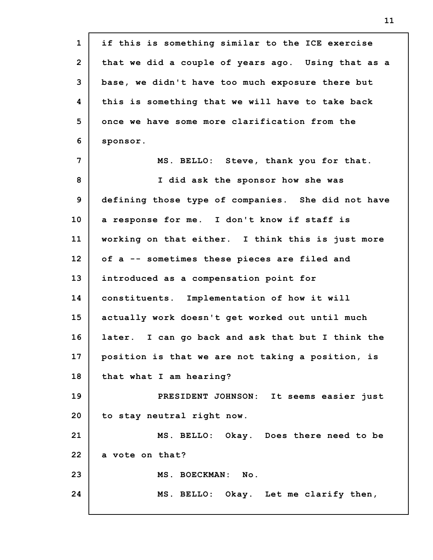| $\mathbf{1}$   | if this is something similar to the ICE exercise   |
|----------------|----------------------------------------------------|
| $\overline{2}$ | that we did a couple of years ago. Using that as a |
| 3              | base, we didn't have too much exposure there but   |
| 4              | this is something that we will have to take back   |
| 5              | once we have some more clarification from the      |
| 6              | sponsor.                                           |
| 7              | MS. BELLO: Steve, thank you for that.              |
| 8              | I did ask the sponsor how she was                  |
| 9              | defining those type of companies. She did not have |
| 10             | a response for me. I don't know if staff is        |
| 11             | working on that either. I think this is just more  |
| 12             | of a -- sometimes these pieces are filed and       |
| 13             | introduced as a compensation point for             |
| 14             | constituents. Implementation of how it will        |
| 15             | actually work doesn't get worked out until much    |
| 16             | later. I can go back and ask that but I think the  |
| 17             | position is that we are not taking a position, is  |
| 18             | that what I am hearing?                            |
| 19             | PRESIDENT JOHNSON: It seems easier just            |
| 20             | to stay neutral right now.                         |
| 21             | MS. BELLO: Okay. Does there need to be             |
| 22             | a vote on that?                                    |
| 23             | MS. BOECKMAN: No.                                  |
| 24             | MS. BELLO: Okay. Let me clarify then,              |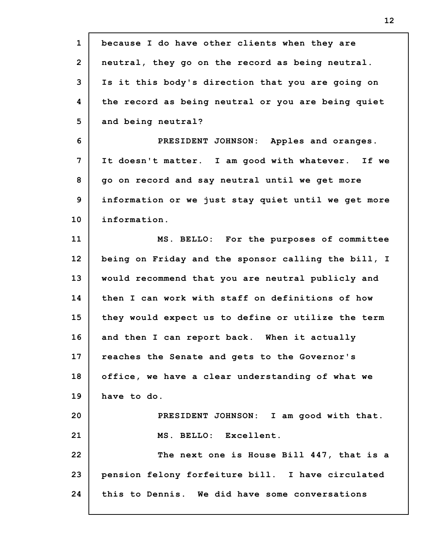| $\mathbf{1}$    | because I do have other clients when they are       |
|-----------------|-----------------------------------------------------|
| $\overline{2}$  | neutral, they go on the record as being neutral.    |
| 3               | Is it this body's direction that you are going on   |
| 4               | the record as being neutral or you are being quiet  |
| 5               | and being neutral?                                  |
| 6               | PRESIDENT JOHNSON: Apples and oranges.              |
| 7               | It doesn't matter. I am good with whatever. If we   |
| 8               | go on record and say neutral until we get more      |
| 9               | information or we just stay quiet until we get more |
| 10 <sub>1</sub> | information.                                        |
| 11              | MS. BELLO: For the purposes of committee            |
| 12              | being on Friday and the sponsor calling the bill, I |
| 13              | would recommend that you are neutral publicly and   |
| 14              | then I can work with staff on definitions of how    |
| 15              | they would expect us to define or utilize the term  |
| 16              | and then I can report back. When it actually        |
| 17              | reaches the Senate and gets to the Governor's       |
| 18              | office, we have a clear understanding of what we    |
| 19              | have to do.                                         |
| 20              | PRESIDENT JOHNSON: I am good with that.             |
| 21              | MS. BELLO: Excellent.                               |
| 22              | The next one is House Bill 447, that is a           |
| 23              | pension felony forfeiture bill. I have circulated   |
| 24              | this to Dennis. We did have some conversations      |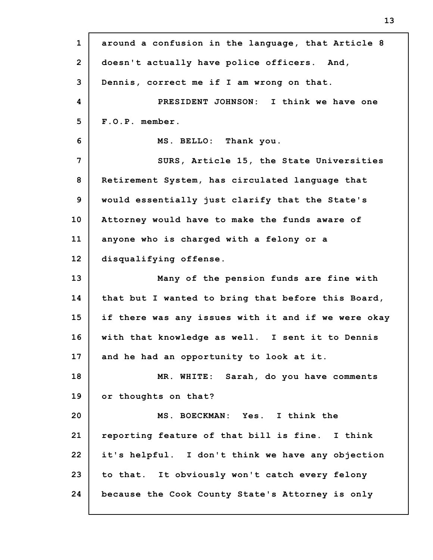| $\mathbf{1}$    | around a confusion in the language, that Article 8  |
|-----------------|-----------------------------------------------------|
| $\overline{2}$  | doesn't actually have police officers. And,         |
| 3               | Dennis, correct me if I am wrong on that.           |
| 4               | PRESIDENT JOHNSON: I think we have one              |
| 5               | F.O.P. member.                                      |
| 6               | MS. BELLO: Thank you.                               |
| 7               | SURS, Article 15, the State Universities            |
| 8               | Retirement System, has circulated language that     |
| 9               | would essentially just clarify that the State's     |
| 10 <sub>1</sub> | Attorney would have to make the funds aware of      |
| 11              | anyone who is charged with a felony or a            |
| 12              | disqualifying offense.                              |
|                 |                                                     |
| 13              | Many of the pension funds are fine with             |
| 14              | that but I wanted to bring that before this Board,  |
| 15              | if there was any issues with it and if we were okay |
| 16              | with that knowledge as well. I sent it to Dennis    |
| 17              | and he had an opportunity to look at it.            |
| 18              | MR. WHITE: Sarah, do you have comments              |
| 19              | or thoughts on that?                                |
| 20              | MS. BOECKMAN: Yes. I think the                      |
| 21              | reporting feature of that bill is fine. I think     |
| 22              | it's helpful. I don't think we have any objection   |
| 23              | to that. It obviously won't catch every felony      |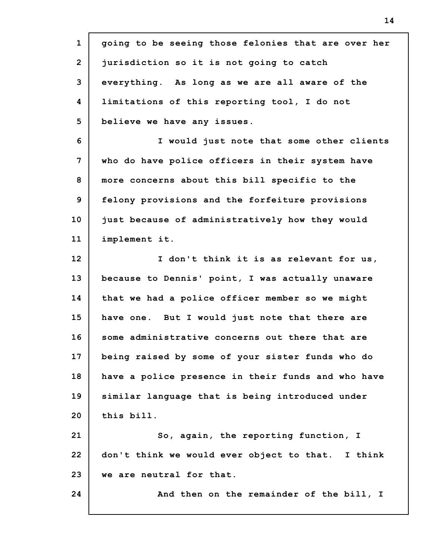**1 2 3 4 5 6 7 8 9 10 11 12 13 14 15 16 17 18 19 20 21 22 23 24 going to be seeing those felonies that are over her jurisdiction so it is not going to catch everything. As long as we are all aware of the limitations of this reporting tool, I do not believe we have any issues. I would just note that some other clients who do have police officers in their system have more concerns about this bill specific to the felony provisions and the forfeiture provisions just because of administratively how they would implement it. I don't think it is as relevant for us, because to Dennis' point, I was actually unaware that we had a police officer member so we might have one. But I would just note that there are some administrative concerns out there that are being raised by some of your sister funds who do have a police presence in their funds and who have similar language that is being introduced under this bill. So, again, the reporting function, I don't think we would ever object to that. I think we are neutral for that. And then on the remainder of the bill, I**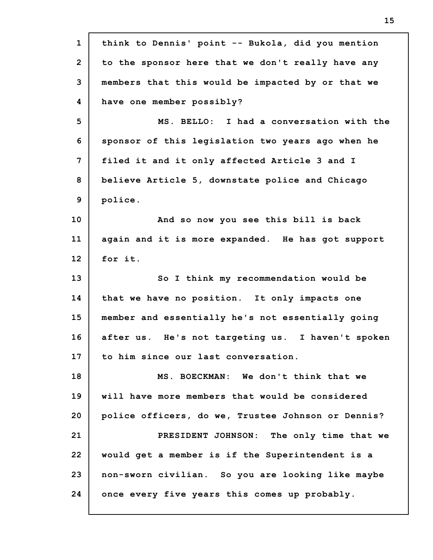| $\mathbf{1}$    | think to Dennis' point -- Bukola, did you mention  |
|-----------------|----------------------------------------------------|
| $\overline{2}$  | to the sponsor here that we don't really have any  |
| 3               | members that this would be impacted by or that we  |
| 4               | have one member possibly?                          |
| 5               | MS. BELLO: I had a conversation with the           |
| 6               | sponsor of this legislation two years ago when he  |
| 7               | filed it and it only affected Article 3 and I      |
| 8               | believe Article 5, downstate police and Chicago    |
| 9               | police.                                            |
| 10 <sub>1</sub> | And so now you see this bill is back               |
| 11              | again and it is more expanded. He has got support  |
| 12              | for it.                                            |
|                 |                                                    |
| 13              | So I think my recommendation would be              |
| 14              | that we have no position. It only impacts one      |
| 15              | member and essentially he's not essentially going  |
| 16              | after us. He's not targeting us. I haven't spoken  |
| 17              | to him since our last conversation.                |
| 18              | MS. BOECKMAN: We don't think that we               |
| 19              | will have more members that would be considered    |
| 20              | police officers, do we, Trustee Johnson or Dennis? |
| 21              | PRESIDENT JOHNSON: The only time that we           |
| 22              | would get a member is if the Superintendent is a   |
| 23              | non-sworn civilian. So you are looking like maybe  |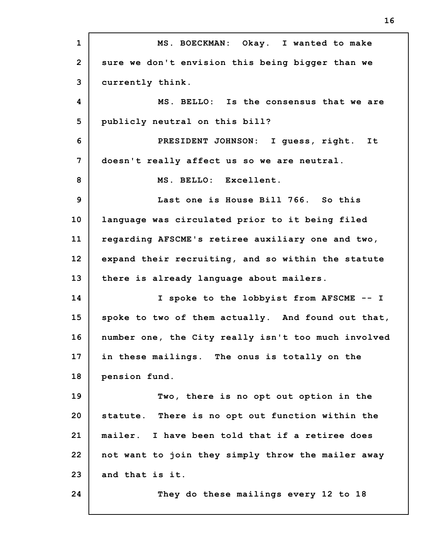**1 2 3 4 5 6 7 8 9 10 11 12 13 14 15 16 17 18 19 20 21 22 23 24 MS. BOECKMAN: Okay. I wanted to make sure we don't envision this being bigger than we currently think. MS. BELLO: Is the consensus that we are publicly neutral on this bill? PRESIDENT JOHNSON: I guess, right. It doesn't really affect us so we are neutral. MS. BELLO: Excellent. Last one is House Bill 766. So this language was circulated prior to it being filed regarding AFSCME's retiree auxiliary one and two, expand their recruiting, and so within the statute there is already language about mailers. I spoke to the lobbyist from AFSCME -- I spoke to two of them actually. And found out that, number one, the City really isn't too much involved in these mailings. The onus is totally on the pension fund. Two, there is no opt out option in the statute. There is no opt out function within the mailer. I have been told that if a retiree does not want to join they simply throw the mailer away and that is it. They do these mailings every 12 to 18**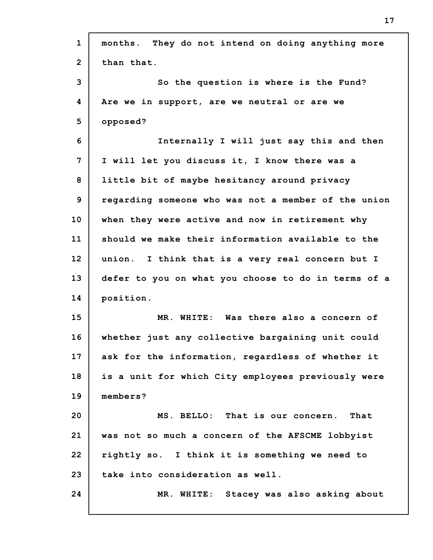| $\mathbf{1}$   | months. They do not intend on doing anything more   |
|----------------|-----------------------------------------------------|
| $\overline{2}$ | than that.                                          |
| 3              | So the question is where is the Fund?               |
| 4              | Are we in support, are we neutral or are we         |
| 5              | opposed?                                            |
| 6              | Internally I will just say this and then            |
| 7              | I will let you discuss it, I know there was a       |
| 8              | little bit of maybe hesitancy around privacy        |
| 9              | regarding someone who was not a member of the union |
| 10             | when they were active and now in retirement why     |
| 11             | should we make their information available to the   |
| 12             | union. I think that is a very real concern but I    |
| 13             | defer to you on what you choose to do in terms of a |
| 14             | position.                                           |
| 15             | MR. WHITE: Was there also a concern of              |
| 16             | whether just any collective bargaining unit could   |
| 17             | ask for the information, regardless of whether it   |
| 18             | is a unit for which City employees previously were  |
| 19             | members?                                            |
| 20             | MS. BELLO: That is our concern.<br>That             |
| 21             | was not so much a concern of the AFSCME lobbyist    |
| 22             | rightly so. I think it is something we need to      |
| 23             | take into consideration as well.                    |
| 24             | MR. WHITE: Stacey was also asking about             |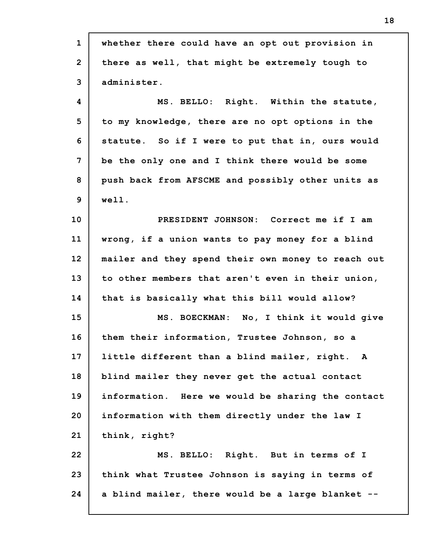| $\mathbf{1}$   | whether there could have an opt out provision in   |
|----------------|----------------------------------------------------|
| $\overline{2}$ | there as well, that might be extremely tough to    |
| 3              | administer.                                        |
| 4              | MS. BELLO: Right. Within the statute,              |
| 5              | to my knowledge, there are no opt options in the   |
| 6              | statute. So if I were to put that in, ours would   |
| 7              | be the only one and I think there would be some    |
| 8              | push back from AFSCME and possibly other units as  |
| $\mathbf{9}$   | well.                                              |
| 10             | PRESIDENT JOHNSON: Correct me if I am              |
| 11             | wrong, if a union wants to pay money for a blind   |
| 12             | mailer and they spend their own money to reach out |
| 13             | to other members that aren't even in their union,  |
| 14             | that is basically what this bill would allow?      |
| 15             | MS. BOECKMAN: No, I think it would give            |
| 16             | them their information, Trustee Johnson, so a      |
| 17             | little different than a blind mailer, right. A     |
| 18             | blind mailer they never get the actual contact     |
| 19             | information. Here we would be sharing the contact  |
| 20             | information with them directly under the law I     |
| 21             | think, right?                                      |
| 22             | MS. BELLO: Right. But in terms of I                |
| 23             | think what Trustee Johnson is saying in terms of   |
|                |                                                    |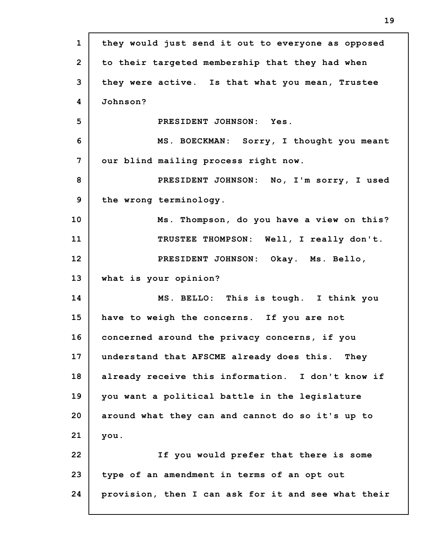| $\mathbf{1}$   | they would just send it out to everyone as opposed  |
|----------------|-----------------------------------------------------|
| $\overline{2}$ | to their targeted membership that they had when     |
| 3              | they were active. Is that what you mean, Trustee    |
| 4              | Johnson?                                            |
| 5              | PRESIDENT JOHNSON: Yes.                             |
| 6              | MS. BOECKMAN: Sorry, I thought you meant            |
| 7              | our blind mailing process right now.                |
| 8              | PRESIDENT JOHNSON: No, I'm sorry, I used            |
| 9              | the wrong terminology.                              |
| 10             | Ms. Thompson, do you have a view on this?           |
| 11             | TRUSTEE THOMPSON: Well, I really don't.             |
| 12             | PRESIDENT JOHNSON: Okay. Ms. Bello,                 |
| 13             | what is your opinion?                               |
| 14             | MS. BELLO: This is tough. I think you               |
| 15             | have to weigh the concerns. If you are not          |
| 16             | concerned around the privacy concerns, if you       |
| 17             | understand that AFSCME already does this.<br>They   |
| 18             | already receive this information. I don't know if   |
| 19             | you want a political battle in the legislature      |
| 20             | around what they can and cannot do so it's up to    |
| 21             | you.                                                |
| 22             | If you would prefer that there is some              |
| 23             | type of an amendment in terms of an opt out         |
| 24             | provision, then I can ask for it and see what their |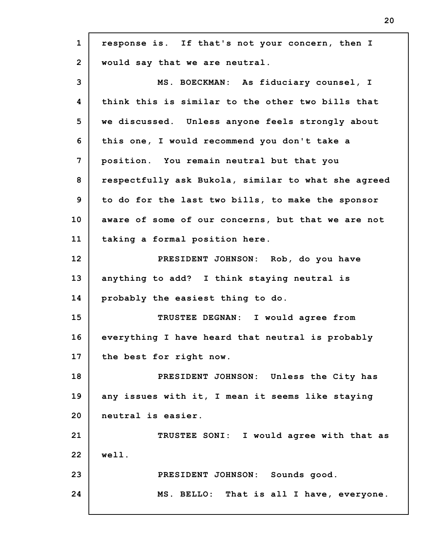| $\mathbf{1}$   | response is. If that's not your concern, then I     |
|----------------|-----------------------------------------------------|
| $\overline{2}$ | would say that we are neutral.                      |
| 3              | MS. BOECKMAN: As fiduciary counsel, I               |
| 4              | think this is similar to the other two bills that   |
| 5              | we discussed. Unless anyone feels strongly about    |
| 6              | this one, I would recommend you don't take a        |
| $\overline{7}$ | position. You remain neutral but that you           |
| 8              | respectfully ask Bukola, similar to what she agreed |
| 9              | to do for the last two bills, to make the sponsor   |
| 10             | aware of some of our concerns, but that we are not  |
| 11             | taking a formal position here.                      |
| 12             | PRESIDENT JOHNSON: Rob, do you have                 |
| 13             | anything to add? I think staying neutral is         |
| 14             | probably the easiest thing to do.                   |
| 15             | TRUSTEE DEGNAN: I would agree from                  |
| 16             | everything I have heard that neutral is probably    |
| 17             | the best for right now.                             |
| 18             | PRESIDENT JOHNSON: Unless the City has              |
| 19             | any issues with it, I mean it seems like staying    |
| 20             | neutral is easier.                                  |
| 21             | TRUSTEE SONI: I would agree with that as            |
| 22             | well.                                               |
| 23             | PRESIDENT JOHNSON: Sounds good.                     |
| 24             | MS. BELLO: That is all I have, everyone.            |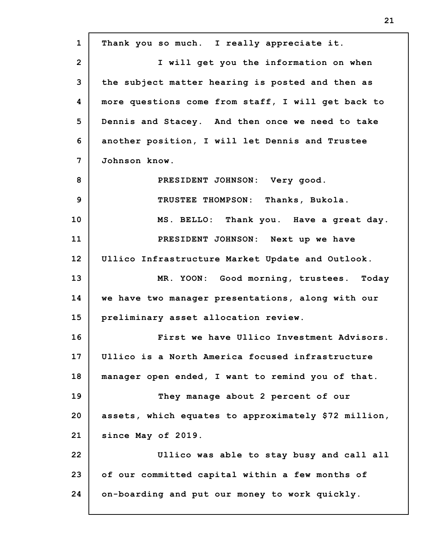**1 2 3 4 5 6 7 8 9 10 11 12 13 14 15 16 17 18 19 20 21 22 23 24 Thank you so much. I really appreciate it. I will get you the information on when the subject matter hearing is posted and then as more questions come from staff, I will get back to Dennis and Stacey. And then once we need to take another position, I will let Dennis and Trustee Johnson know. PRESIDENT JOHNSON: Very good. TRUSTEE THOMPSON: Thanks, Bukola. MS. BELLO: Thank you. Have a great day. PRESIDENT JOHNSON: Next up we have Ullico Infrastructure Market Update and Outlook. MR. YOON: Good morning, trustees. Today we have two manager presentations, along with our preliminary asset allocation review. First we have Ullico Investment Advisors. Ullico is a North America focused infrastructure manager open ended, I want to remind you of that. They manage about 2 percent of our assets, which equates to approximately \$72 million, since May of 2019. Ullico was able to stay busy and call all of our committed capital within a few months of on-boarding and put our money to work quickly.**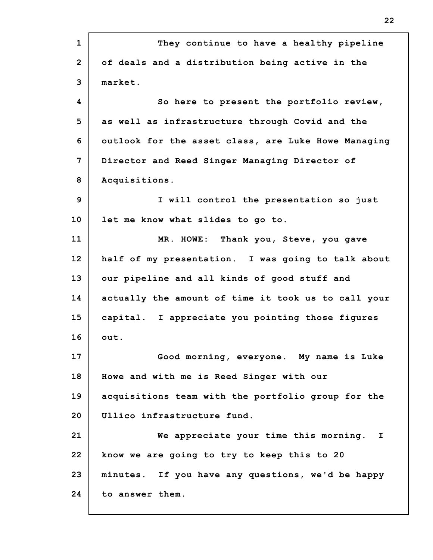| $\mathbf{1}$   | They continue to have a healthy pipeline            |
|----------------|-----------------------------------------------------|
| $\overline{2}$ | of deals and a distribution being active in the     |
| 3              | market.                                             |
| 4              | So here to present the portfolio review,            |
| 5              | as well as infrastructure through Covid and the     |
| 6              | outlook for the asset class, are Luke Howe Managing |
| 7              | Director and Reed Singer Managing Director of       |
| 8              | Acquisitions.                                       |
| 9              | I will control the presentation so just             |
| 10             | let me know what slides to go to.                   |
| 11             | MR. HOWE: Thank you, Steve, you gave                |
| 12             | half of my presentation. I was going to talk about  |
| 13             | our pipeline and all kinds of good stuff and        |
| 14             | actually the amount of time it took us to call your |
| 15             | capital. I appreciate you pointing those figures    |
| 16             | out.                                                |
| 17             | Good morning, everyone. My name is Luke             |
| 18             | Howe and with me is Reed Singer with our            |
| 19             | acquisitions team with the portfolio group for the  |
| 20             | Ullico infrastructure fund.                         |
| 21             | We appreciate your time this morning. I             |
| 22             | know we are going to try to keep this to 20         |
| 23             | minutes. If you have any questions, we'd be happy   |
| 24             | to answer them.                                     |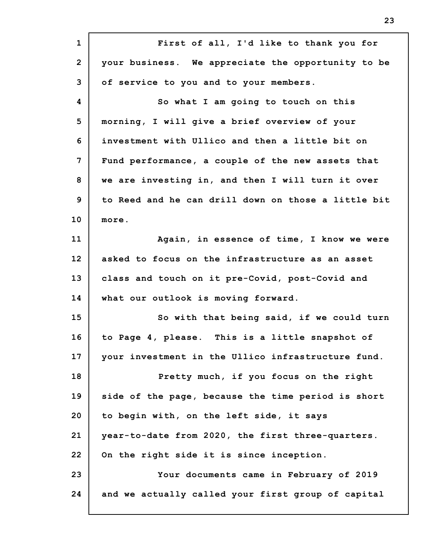**1 2 3 4 5 6 7 8 9 10 11 12 13 14 15 16 17 18 19 20 21 22 23 24 First of all, I'd like to thank you for your business. We appreciate the opportunity to be of service to you and to your members. So what I am going to touch on this morning, I will give a brief overview of your investment with Ullico and then a little bit on Fund performance, a couple of the new assets that we are investing in, and then I will turn it over to Reed and he can drill down on those a little bit more. Again, in essence of time, I know we were asked to focus on the infrastructure as an asset class and touch on it pre-Covid, post-Covid and what our outlook is moving forward. So with that being said, if we could turn to Page 4, please. This is a little snapshot of your investment in the Ullico infrastructure fund. Pretty much, if you focus on the right side of the page, because the time period is short to begin with, on the left side, it says year-to-date from 2020, the first three-quarters. On the right side it is since inception. Your documents came in February of 2019 and we actually called your first group of capital**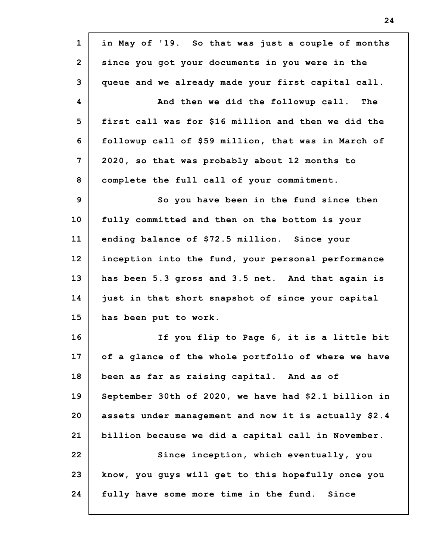| $\mathbf{1}$   | in May of '19. So that was just a couple of months   |
|----------------|------------------------------------------------------|
| $\overline{2}$ | since you got your documents in you were in the      |
| 3              | queue and we already made your first capital call.   |
| 4              | And then we did the followup call. The               |
| 5              | first call was for \$16 million and then we did the  |
| 6              | followup call of \$59 million, that was in March of  |
| 7              | 2020, so that was probably about 12 months to        |
| 8              | complete the full call of your commitment.           |
| 9              | So you have been in the fund since then              |
| 10             | fully committed and then on the bottom is your       |
| 11             | ending balance of \$72.5 million. Since your         |
| 12             | inception into the fund, your personal performance   |
| 13             | has been 5.3 gross and 3.5 net. And that again is    |
| 14             | just in that short snapshot of since your capital    |
| 15             | has been put to work.                                |
| 16             | If you flip to Page 6, it is a little bit            |
| 17             | of a glance of the whole portfolio of where we have  |
| 18             | been as far as raising capital. And as of            |
| 19             | September 30th of 2020, we have had \$2.1 billion in |
| 20             | assets under management and now it is actually \$2.4 |
| 21             | billion because we did a capital call in November.   |
| 22             | Since inception, which eventually, you               |
| 23             | know, you guys will get to this hopefully once you   |
| 24             | fully have some more time in the fund.<br>Since      |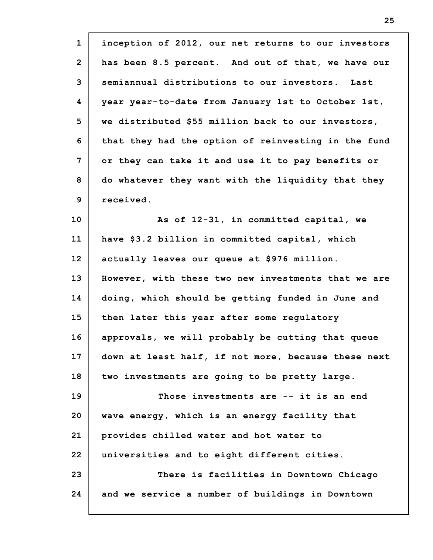| $\mathbf{1}$    | inception of 2012, our net returns to our investors |
|-----------------|-----------------------------------------------------|
| $\overline{2}$  | has been 8.5 percent. And out of that, we have our  |
| 3               | semiannual distributions to our investors. Last     |
| 4               | year year-to-date from January 1st to October 1st,  |
| 5               | we distributed \$55 million back to our investors,  |
| 6               | that they had the option of reinvesting in the fund |
| 7               | or they can take it and use it to pay benefits or   |
| 8               | do whatever they want with the liquidity that they  |
| 9               | received.                                           |
| 10 <sub>1</sub> | As of 12-31, in committed capital, we               |
| 11              | have \$3.2 billion in committed capital, which      |
| 12              | actually leaves our queue at \$976 million.         |
| 13              | However, with these two new investments that we are |
| 14              | doing, which should be getting funded in June and   |
| 15              | then later this year after some regulatory          |
| 16              | approvals, we will probably be cutting that queue   |
| 17              | down at least half, if not more, because these next |
| 18              | two investments are going to be pretty large.       |
| 19              | Those investments are -- it is an end               |
| 20              | wave energy, which is an energy facility that       |
| 21              | provides chilled water and hot water to             |
| 22              | universities and to eight different cities.         |
| 23              | There is facilities in Downtown Chicago             |
| 24              | and we service a number of buildings in Downtown    |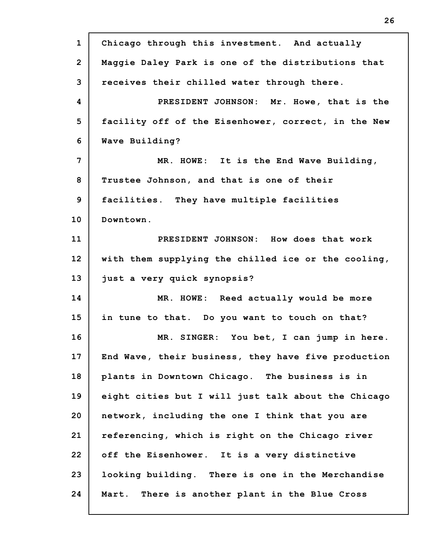| $\mathbf{1}$   | Chicago through this investment. And actually       |
|----------------|-----------------------------------------------------|
| $\overline{2}$ | Maggie Daley Park is one of the distributions that  |
| 3              | receives their chilled water through there.         |
| 4              | PRESIDENT JOHNSON: Mr. Howe, that is the            |
| 5              | facility off of the Eisenhower, correct, in the New |
| 6              | Wave Building?                                      |
| 7              | MR. HOWE: It is the End Wave Building,              |
| 8              | Trustee Johnson, and that is one of their           |
| 9              | facilities. They have multiple facilities           |
| 10             | Downtown.                                           |
| 11             | PRESIDENT JOHNSON: How does that work               |
| 12             | with them supplying the chilled ice or the cooling, |
| 13             | just a very quick synopsis?                         |
| 14             | MR. HOWE: Reed actually would be more               |
| 15             | in tune to that. Do you want to touch on that?      |
| 16             | MR. SINGER: You bet, I can jump in here.            |
| 17             | End Wave, their business, they have five production |
| 18             | plants in Downtown Chicago. The business is in      |
| 19             | eight cities but I will just talk about the Chicago |
| 20             | network, including the one I think that you are     |
| 21             | referencing, which is right on the Chicago river    |
| 22             | off the Eisenhower. It is a very distinctive        |
| 23             | looking building. There is one in the Merchandise   |
| 24             | There is another plant in the Blue Cross<br>Mart.   |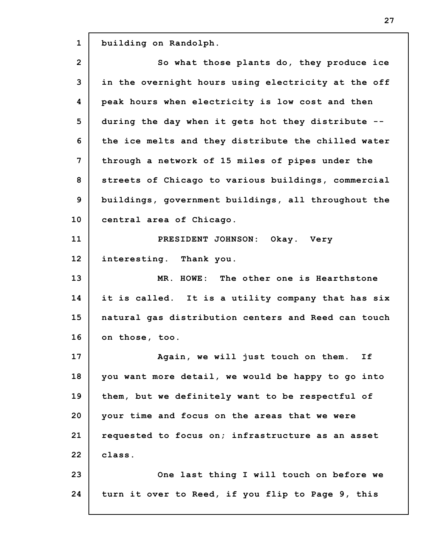| $\mathbf{1}$ | building on Randolph.                               |
|--------------|-----------------------------------------------------|
| $\mathbf{2}$ | So what those plants do, they produce ice           |
| 3            | in the overnight hours using electricity at the off |
| 4            | peak hours when electricity is low cost and then    |
| 5            | during the day when it gets hot they distribute --  |
| 6            | the ice melts and they distribute the chilled water |
| 7            | through a network of 15 miles of pipes under the    |
| 8            | streets of Chicago to various buildings, commercial |
| $\mathbf{9}$ | buildings, government buildings, all throughout the |
| 10           | central area of Chicago.                            |
| 11           | PRESIDENT JOHNSON: Okay. Very                       |
| 12           | interesting. Thank you.                             |
| 13           | MR. HOWE: The other one is Hearthstone              |
| 14           | it is called. It is a utility company that has six  |
| 15           | natural gas distribution centers and Reed can touch |
| 16           |                                                     |
|              | on those, too.                                      |
| 17           | Again, we will just touch on them.<br>If            |
| 18           | you want more detail, we would be happy to go into  |
| 19           | them, but we definitely want to be respectful of    |
| 20           | your time and focus on the areas that we were       |
| 21           | requested to focus on; infrastructure as an asset   |
| 22           | class.                                              |
| 23           | One last thing I will touch on before we            |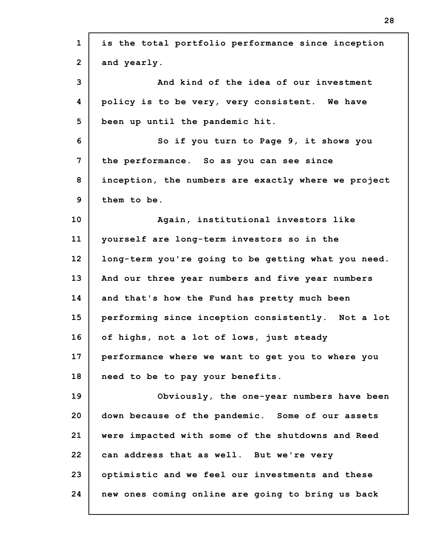| $\mathbf{1}$   | is the total portfolio performance since inception  |
|----------------|-----------------------------------------------------|
| $\overline{2}$ | and yearly.                                         |
| 3              | And kind of the idea of our investment              |
| 4              | policy is to be very, very consistent. We have      |
| 5              | been up until the pandemic hit.                     |
| 6              | So if you turn to Page 9, it shows you              |
| $\overline{7}$ | the performance. So as you can see since            |
| 8              | inception, the numbers are exactly where we project |
| 9              | them to be.                                         |
| 10             | Again, institutional investors like                 |
| 11             | yourself are long-term investors so in the          |
| 12             | long-term you're going to be getting what you need. |
| 13             | And our three year numbers and five year numbers    |
| 14             | and that's how the Fund has pretty much been        |
| 15             | performing since inception consistently. Not a lot  |
| 16             | of highs, not a lot of lows, just steady            |
| 17             | performance where we want to get you to where you   |
| 18             | need to be to pay your benefits.                    |
| 19             | Obviously, the one-year numbers have been           |
| 20             | down because of the pandemic. Some of our assets    |
| 21             | were impacted with some of the shutdowns and Reed   |
| 22             | can address that as well. But we're very            |
| 23             | optimistic and we feel our investments and these    |
| 24             | new ones coming online are going to bring us back   |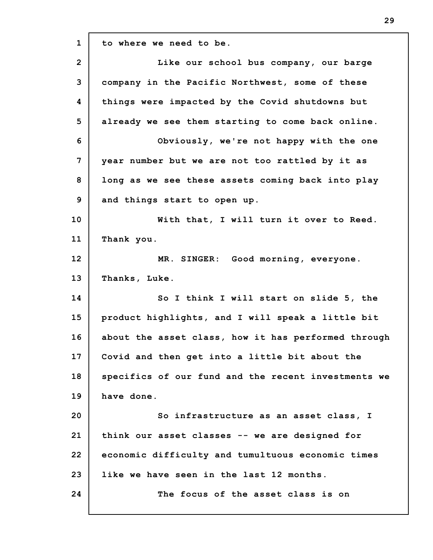**1 2 3 4 5 6 7 8 9 10 11 12 13 14 15 16 17 18 19 20 21 22 23 24 to where we need to be. Like our school bus company, our barge company in the Pacific Northwest, some of these things were impacted by the Covid shutdowns but already we see them starting to come back online. Obviously, we're not happy with the one year number but we are not too rattled by it as long as we see these assets coming back into play and things start to open up. With that, I will turn it over to Reed. Thank you. MR. SINGER: Good morning, everyone. Thanks, Luke. So I think I will start on slide 5, the product highlights, and I will speak a little bit about the asset class, how it has performed through Covid and then get into a little bit about the specifics of our fund and the recent investments we have done. So infrastructure as an asset class, I think our asset classes -- we are designed for economic difficulty and tumultuous economic times like we have seen in the last 12 months. The focus of the asset class is on**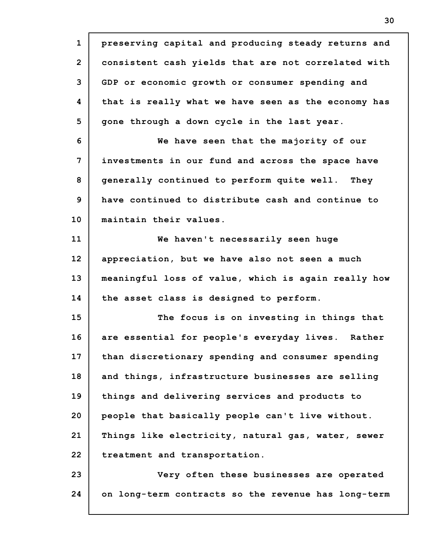**1 2 3 4 5 6 7 8 9 10 11 12 13 14 15 16 17 18 19 20 21 22 23 24 preserving capital and producing steady returns and consistent cash yields that are not correlated with GDP or economic growth or consumer spending and that is really what we have seen as the economy has gone through a down cycle in the last year. We have seen that the majority of our investments in our fund and across the space have generally continued to perform quite well. They have continued to distribute cash and continue to maintain their values. We haven't necessarily seen huge appreciation, but we have also not seen a much meaningful loss of value, which is again really how the asset class is designed to perform. The focus is on investing in things that are essential for people's everyday lives. Rather than discretionary spending and consumer spending and things, infrastructure businesses are selling things and delivering services and products to people that basically people can't live without. Things like electricity, natural gas, water, sewer treatment and transportation. Very often these businesses are operated on long-term contracts so the revenue has long-term**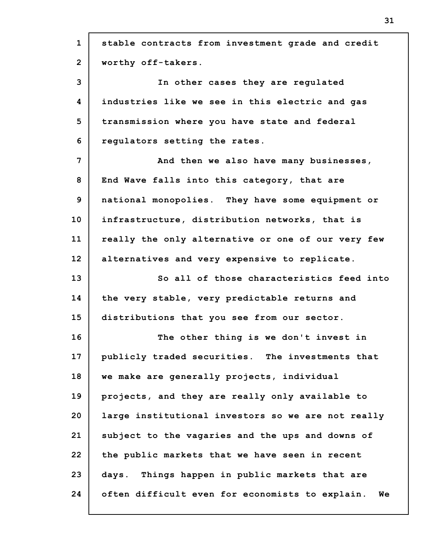| $\mathbf{1}$ | stable contracts from investment grade and credit  |
|--------------|----------------------------------------------------|
| $\mathbf{2}$ | worthy off-takers.                                 |
| 3            | In other cases they are regulated                  |
| 4            | industries like we see in this electric and gas    |
| 5            | transmission where you have state and federal      |
| 6            | regulators setting the rates.                      |
| 7            | And then we also have many businesses,             |
| 8            | End Wave falls into this category, that are        |
| 9            | national monopolies. They have some equipment or   |
| 10           | infrastructure, distribution networks, that is     |
| 11           | really the only alternative or one of our very few |
| 12           | alternatives and very expensive to replicate.      |
| 13           | So all of those characteristics feed into          |
| 14           | the very stable, very predictable returns and      |
| 15           | distributions that you see from our sector.        |
| 16           | The other thing is we don't invest in              |
| 17           | publicly traded securities. The investments that   |
| 18           | we make are generally projects, individual         |
| 19           | projects, and they are really only available to    |
| 20           | large institutional investors so we are not really |
| 21           | subject to the vagaries and the ups and downs of   |
| 22           | the public markets that we have seen in recent     |
| 23           | days. Things happen in public markets that are     |
| 24           |                                                    |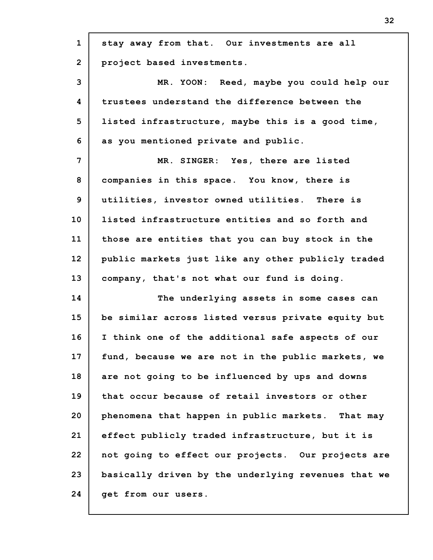| $\mathbf{1}$   | stay away from that. Our investments are all        |
|----------------|-----------------------------------------------------|
| $\overline{2}$ | project based investments.                          |
| 3              | MR. YOON: Reed, maybe you could help our            |
| 4              | trustees understand the difference between the      |
| 5              | listed infrastructure, maybe this is a good time,   |
| 6              | as you mentioned private and public.                |
| $\overline{7}$ | MR. SINGER: Yes, there are listed                   |
| 8              | companies in this space. You know, there is         |
| 9              | utilities, investor owned utilities. There is       |
| 10             | listed infrastructure entities and so forth and     |
| 11             | those are entities that you can buy stock in the    |
| 12             | public markets just like any other publicly traded  |
| 13             | company, that's not what our fund is doing.         |
| 14             | The underlying assets in some cases can             |
| 15             | be similar across listed versus private equity but  |
| 16             | I think one of the additional safe aspects of our   |
| 17             | fund, because we are not in the public markets, we  |
| 18             | are not going to be influenced by ups and downs     |
| 19             | that occur because of retail investors or other     |
| 20             | phenomena that happen in public markets. That may   |
| 21             | effect publicly traded infrastructure, but it is    |
| 22             | not going to effect our projects. Our projects are  |
| 23             | basically driven by the underlying revenues that we |
| 24             | get from our users.                                 |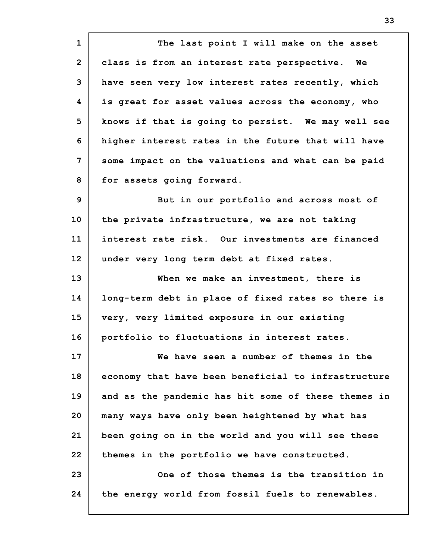**1 2 3 4 5 6 7 8 9 10 11 12 13 14 15 16 17 18 19 20 21 22 23 24 The last point I will make on the asset class is from an interest rate perspective. We have seen very low interest rates recently, which is great for asset values across the economy, who knows if that is going to persist. We may well see higher interest rates in the future that will have some impact on the valuations and what can be paid for assets going forward. But in our portfolio and across most of the private infrastructure, we are not taking interest rate risk. Our investments are financed under very long term debt at fixed rates. When we make an investment, there is long-term debt in place of fixed rates so there is very, very limited exposure in our existing portfolio to fluctuations in interest rates. We have seen a number of themes in the economy that have been beneficial to infrastructure and as the pandemic has hit some of these themes in many ways have only been heightened by what has been going on in the world and you will see these themes in the portfolio we have constructed. One of those themes is the transition in the energy world from fossil fuels to renewables.**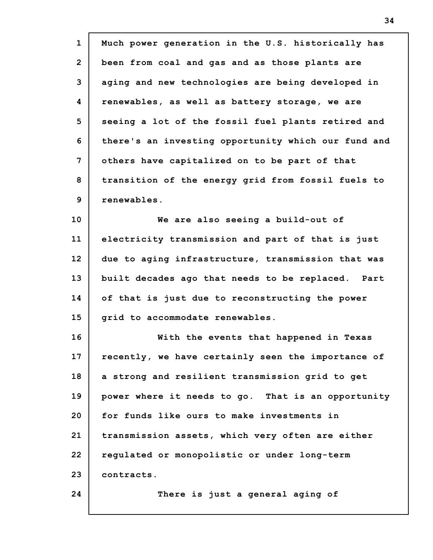| $\mathbf{1}$    | Much power generation in the U.S. historically has  |
|-----------------|-----------------------------------------------------|
| $\overline{2}$  | been from coal and gas and as those plants are      |
| 3               | aging and new technologies are being developed in   |
| 4               | renewables, as well as battery storage, we are      |
| 5               | seeing a lot of the fossil fuel plants retired and  |
| 6               | there's an investing opportunity which our fund and |
| 7               | others have capitalized on to be part of that       |
| 8               | transition of the energy grid from fossil fuels to  |
| 9               | renewables.                                         |
| 10              | We are also seeing a build-out of                   |
| 11              | electricity transmission and part of that is just   |
| 12 <sup>2</sup> | due to aging infrastructure, transmission that was  |
| 13              | built decades ago that needs to be replaced. Part   |
| 14              | of that is just due to reconstructing the power     |
| 15              | grid to accommodate renewables.                     |
| 16              | With the events that happened in Texas              |
| 17              | recently, we have certainly seen the importance of  |
| 18              | a strong and resilient transmission grid to get     |
| 19              | power where it needs to go. That is an opportunity  |
| 20              | for funds like ours to make investments in          |
| 21              | transmission assets, which very often are either    |
| 22              | regulated or monopolistic or under long-term        |
| 23              | contracts.                                          |
| 24              | There is just a general aging of                    |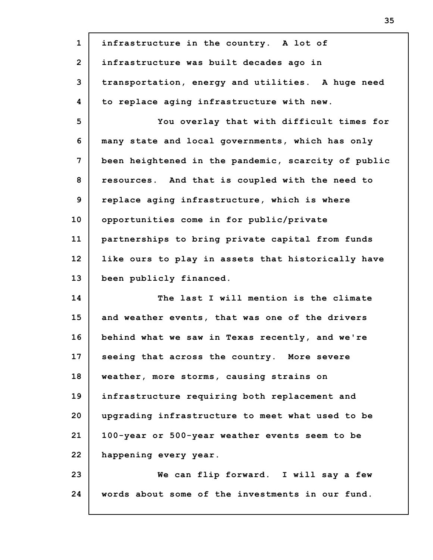| $\mathbf{1}$   | infrastructure in the country. A lot of             |
|----------------|-----------------------------------------------------|
| $\overline{2}$ | infrastructure was built decades ago in             |
| 3              | transportation, energy and utilities. A huge need   |
| 4              | to replace aging infrastructure with new.           |
| 5              | You overlay that with difficult times for           |
| 6              | many state and local governments, which has only    |
| 7              | been heightened in the pandemic, scarcity of public |
| 8              | resources. And that is coupled with the need to     |
| 9              | replace aging infrastructure, which is where        |
| 10             | opportunities come in for public/private            |
| 11             | partnerships to bring private capital from funds    |
| 12             | like ours to play in assets that historically have  |
| 13             | been publicly financed.                             |
| 14             | The last I will mention is the climate              |
| 15             | and weather events, that was one of the drivers     |
| 16             | behind what we saw in Texas recently, and we're     |
| 17             | seeing that across the country. More severe         |
| 18             | weather, more storms, causing strains on            |
| 19             | infrastructure requiring both replacement and       |
| 20             | upgrading infrastructure to meet what used to be    |
| 21             | 100-year or 500-year weather events seem to be      |
| 22             | happening every year.                               |
| 23             | We can flip forward. I will say a few               |
| 24             | words about some of the investments in our fund.    |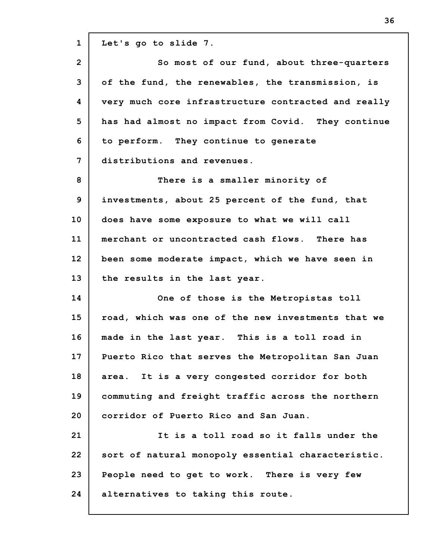**1 2 3 4 5 6 7 8 9 10 11 12 13 14 15 16 17 18 19 20 21 22 23 24 Let's go to slide 7. So most of our fund, about three-quarters of the fund, the renewables, the transmission, is very much core infrastructure contracted and really has had almost no impact from Covid. They continue to perform. They continue to generate distributions and revenues. There is a smaller minority of investments, about 25 percent of the fund, that does have some exposure to what we will call merchant or uncontracted cash flows. There has been some moderate impact, which we have seen in the results in the last year. One of those is the Metropistas toll road, which was one of the new investments that we made in the last year. This is a toll road in Puerto Rico that serves the Metropolitan San Juan area. It is a very congested corridor for both commuting and freight traffic across the northern corridor of Puerto Rico and San Juan. It is a toll road so it falls under the sort of natural monopoly essential characteristic. People need to get to work. There is very few alternatives to taking this route.**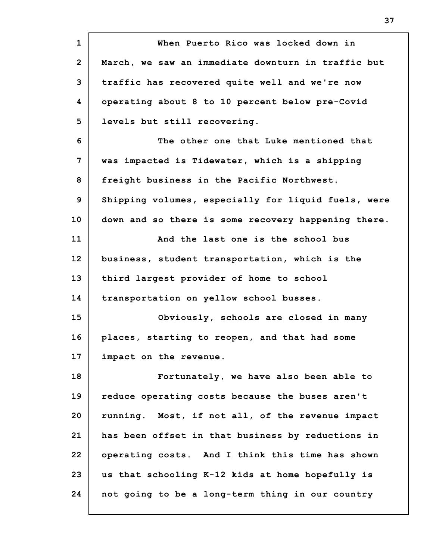**1 2 3 4 5 6 7 8 9 10 11 12 13 14 15 16 17 18 19 20 21 22 23 24 When Puerto Rico was locked down in March, we saw an immediate downturn in traffic but traffic has recovered quite well and we're now operating about 8 to 10 percent below pre-Covid levels but still recovering. The other one that Luke mentioned that was impacted is Tidewater, which is a shipping freight business in the Pacific Northwest. Shipping volumes, especially for liquid fuels, were down and so there is some recovery happening there. And the last one is the school bus business, student transportation, which is the third largest provider of home to school transportation on yellow school busses. Obviously, schools are closed in many places, starting to reopen, and that had some impact on the revenue. Fortunately, we have also been able to reduce operating costs because the buses aren't running. Most, if not all, of the revenue impact has been offset in that business by reductions in operating costs. And I think this time has shown us that schooling K-12 kids at home hopefully is not going to be a long-term thing in our country**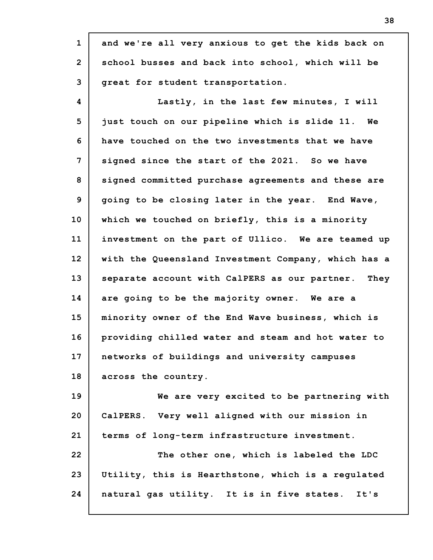**1 2 3 4 5 6 7 8 9 10 11 12 13 14 15 16 17 18 19 20 21 22 23 24 and we're all very anxious to get the kids back on school busses and back into school, which will be great for student transportation. Lastly, in the last few minutes, I will just touch on our pipeline which is slide 11. We have touched on the two investments that we have signed since the start of the 2021. So we have signed committed purchase agreements and these are going to be closing later in the year. End Wave, which we touched on briefly, this is a minority investment on the part of Ullico. We are teamed up with the Queensland Investment Company, which has a separate account with CalPERS as our partner. They are going to be the majority owner. We are a minority owner of the End Wave business, which is providing chilled water and steam and hot water to networks of buildings and university campuses across the country. We are very excited to be partnering with CalPERS. Very well aligned with our mission in terms of long-term infrastructure investment. The other one, which is labeled the LDC Utility, this is Hearthstone, which is a regulated natural gas utility. It is in five states. It's**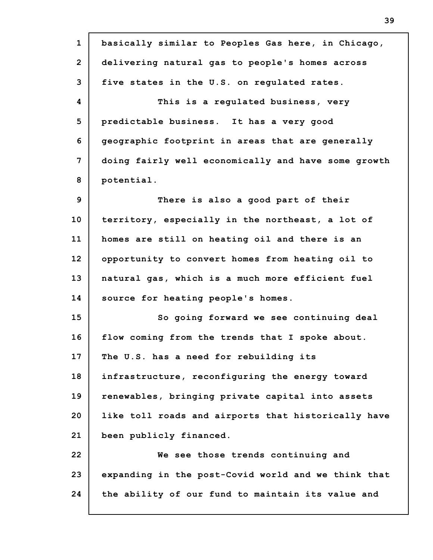**1 2 3 4 5 6 7 8 9 10 11 12 13 14 15 16 17 18 19 20 21 22 23 24 basically similar to Peoples Gas here, in Chicago, delivering natural gas to people's homes across five states in the U.S. on regulated rates. This is a regulated business, very predictable business. It has a very good geographic footprint in areas that are generally doing fairly well economically and have some growth potential. There is also a good part of their territory, especially in the northeast, a lot of homes are still on heating oil and there is an opportunity to convert homes from heating oil to natural gas, which is a much more efficient fuel source for heating people's homes. So going forward we see continuing deal flow coming from the trends that I spoke about. The U.S. has a need for rebuilding its infrastructure, reconfiguring the energy toward renewables, bringing private capital into assets like toll roads and airports that historically have been publicly financed. We see those trends continuing and expanding in the post-Covid world and we think that the ability of our fund to maintain its value and**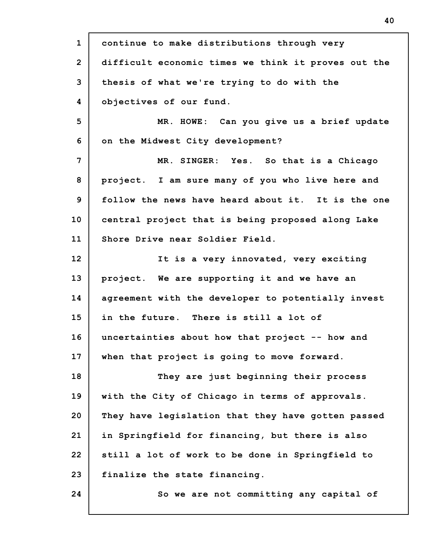**1 2 3 4 5 6 7 8 9 10 11 12 13 14 15 16 17 18 19 20 21 22 23 24 continue to make distributions through very difficult economic times we think it proves out the thesis of what we're trying to do with the objectives of our fund. MR. HOWE: Can you give us a brief update on the Midwest City development? MR. SINGER: Yes. So that is a Chicago project. I am sure many of you who live here and follow the news have heard about it. It is the one central project that is being proposed along Lake Shore Drive near Soldier Field. It is a very innovated, very exciting project. We are supporting it and we have an agreement with the developer to potentially invest in the future. There is still a lot of uncertainties about how that project -- how and when that project is going to move forward. They are just beginning their process with the City of Chicago in terms of approvals. They have legislation that they have gotten passed in Springfield for financing, but there is also still a lot of work to be done in Springfield to finalize the state financing. So we are not committing any capital of**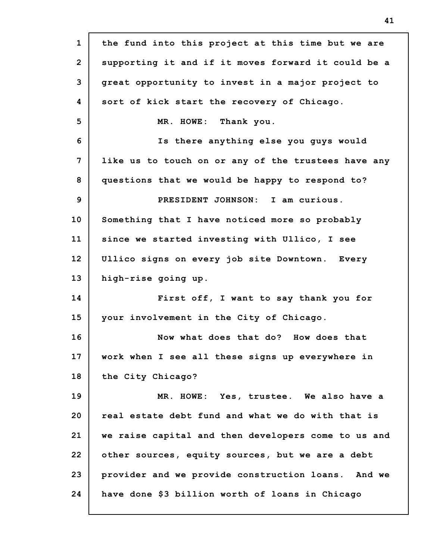| $\mathbf{1}$   | the fund into this project at this time but we are  |
|----------------|-----------------------------------------------------|
| $\overline{2}$ | supporting it and if it moves forward it could be a |
| 3              | great opportunity to invest in a major project to   |
| 4              | sort of kick start the recovery of Chicago.         |
| 5              | MR. HOWE: Thank you.                                |
| 6              | Is there anything else you guys would               |
| 7              | like us to touch on or any of the trustees have any |
| 8              | questions that we would be happy to respond to?     |
| 9              | PRESIDENT JOHNSON: I am curious.                    |
| 10             | Something that I have noticed more so probably      |
| 11             | since we started investing with Ullico, I see       |
| 12             | Ullico signs on every job site Downtown. Every      |
| 13             | high-rise going up.                                 |
| 14             | First off, I want to say thank you for              |
| 15             | your involvement in the City of Chicago.            |
| 16             | Now what does that do? How does that                |
| 17             | work when I see all these signs up everywhere in    |
| 18             | the City Chicago?                                   |
| 19             | MR. HOWE: Yes, trustee. We also have a              |
| 20             | real estate debt fund and what we do with that is   |
| 21             | we raise capital and then developers come to us and |
| 22             | other sources, equity sources, but we are a debt    |
| 23             | provider and we provide construction loans. And we  |
| 24             | have done \$3 billion worth of loans in Chicago     |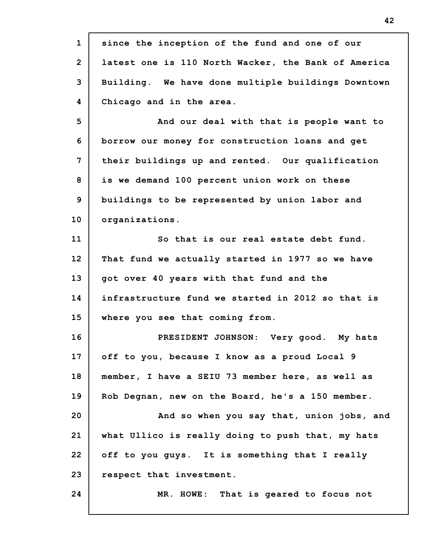| $\mathbf{1}$   | since the inception of the fund and one of our      |
|----------------|-----------------------------------------------------|
| $\overline{2}$ | latest one is 110 North Wacker, the Bank of America |
| 3              | Building. We have done multiple buildings Downtown  |
| 4              | Chicago and in the area.                            |
| 5              | And our deal with that is people want to            |
| 6              | borrow our money for construction loans and get     |
| 7              | their buildings up and rented. Our qualification    |
| 8              | is we demand 100 percent union work on these        |
| 9              | buildings to be represented by union labor and      |
| 10             | organizations.                                      |
| 11             | So that is our real estate debt fund.               |
| 12             | That fund we actually started in 1977 so we have    |
| 13             | got over 40 years with that fund and the            |
| 14             | infrastructure fund we started in 2012 so that is   |
| 15             | where you see that coming from.                     |
| 16             | PRESIDENT JOHNSON: Very good. My hats               |
| 17             | off to you, because I know as a proud Local 9       |
| 18             | member, I have a SEIU 73 member here, as well as    |
| 19             | Rob Degnan, new on the Board, he's a 150 member.    |
| 20             | And so when you say that, union jobs, and           |
| 21             | what Ullico is really doing to push that, my hats   |
| 22             | off to you guys. It is something that I really      |
| 23             | respect that investment.                            |
| 24             | MR. HOWE: That is geared to focus not               |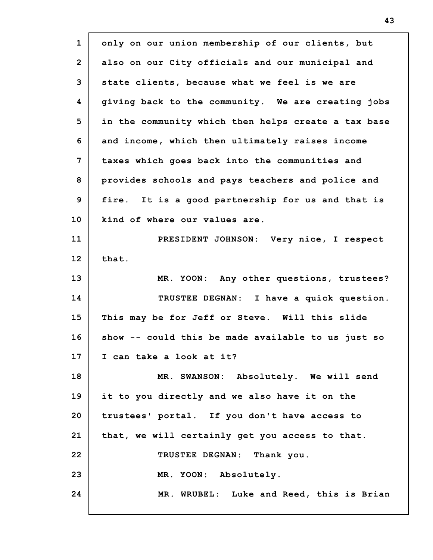| $\mathbf{1}$   | only on our union membership of our clients, but    |
|----------------|-----------------------------------------------------|
| $\overline{2}$ | also on our City officials and our municipal and    |
| 3              | state clients, because what we feel is we are       |
| 4              | giving back to the community. We are creating jobs  |
| 5              | in the community which then helps create a tax base |
| 6              | and income, which then ultimately raises income     |
| 7              | taxes which goes back into the communities and      |
| 8              | provides schools and pays teachers and police and   |
| 9              | fire. It is a good partnership for us and that is   |
| 10             | kind of where our values are.                       |
| 11             | PRESIDENT JOHNSON: Very nice, I respect             |
| 12             | that.                                               |
| 13             | MR. YOON: Any other questions, trustees?            |
| 14             | TRUSTEE DEGNAN: I have a quick question.            |
| 15             | This may be for Jeff or Steve. Will this slide      |
| 16             | show -- could this be made available to us just so  |
| 17             | I can take a look at it?                            |
| 18             | MR. SWANSON: Absolutely. We will send               |
| 19             | it to you directly and we also have it on the       |
| 20             | trustees' portal. If you don't have access to       |
| 21             | that, we will certainly get you access to that.     |
| 22             | TRUSTEE DEGNAN: Thank you.                          |
| 23             | MR. YOON: Absolutely.                               |
| 24             | MR. WRUBEL: Luke and Reed, this is Brian            |
|                |                                                     |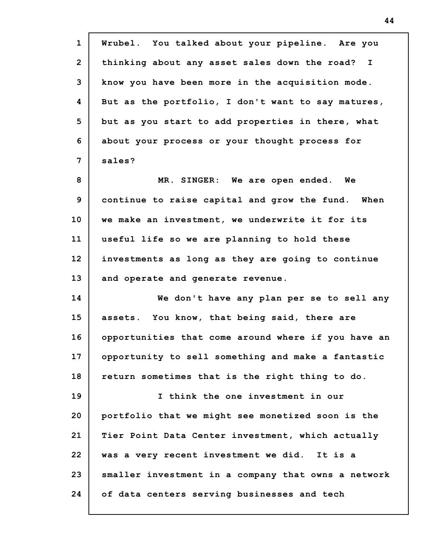| $\mathbf{1}$   | Wrubel. You talked about your pipeline. Are you               |
|----------------|---------------------------------------------------------------|
| $\overline{2}$ | thinking about any asset sales down the road?<br>$\mathbf{I}$ |
| 3              | know you have been more in the acquisition mode.              |
| 4              | But as the portfolio, I don't want to say matures,            |
| 5              | but as you start to add properties in there, what             |
| 6              | about your process or your thought process for                |
| 7              | sales?                                                        |
| 8              | MR. SINGER: We are open ended. We                             |
| 9              | continue to raise capital and grow the fund. When             |
| 10             | we make an investment, we underwrite it for its               |
| 11             | useful life so we are planning to hold these                  |
| 12             | investments as long as they are going to continue             |
| 13             | and operate and generate revenue.                             |
| 14             | We don't have any plan per se to sell any                     |
| 15             | assets. You know, that being said, there are                  |
| 16             | opportunities that come around where if you have an           |
| 17             | opportunity to sell something and make a fantastic            |
| 18             | return sometimes that is the right thing to do.               |
| 19             | I think the one investment in our                             |
| 20             | portfolio that we might see monetized soon is the             |
| 21             | Tier Point Data Center investment, which actually             |
| 22             | was a very recent investment we did. It is a                  |
| 23             | smaller investment in a company that owns a network           |
| 24             | of data centers serving businesses and tech                   |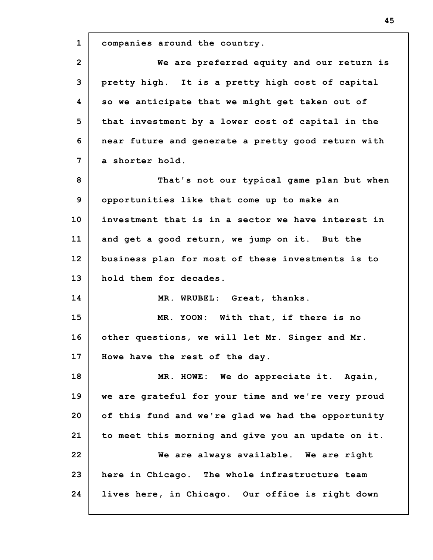**1 2 3 4 5 6 7 8 9 10 11 12 13 14 15 16 17 18 19 20 21 22 23 24 companies around the country. We are preferred equity and our return is pretty high. It is a pretty high cost of capital so we anticipate that we might get taken out of that investment by a lower cost of capital in the near future and generate a pretty good return with a shorter hold. That's not our typical game plan but when opportunities like that come up to make an investment that is in a sector we have interest in and get a good return, we jump on it. But the business plan for most of these investments is to hold them for decades. MR. WRUBEL: Great, thanks. MR. YOON: With that, if there is no other questions, we will let Mr. Singer and Mr. Howe have the rest of the day. MR. HOWE: We do appreciate it. Again, we are grateful for your time and we're very proud of this fund and we're glad we had the opportunity to meet this morning and give you an update on it. We are always available. We are right here in Chicago. The whole infrastructure team lives here, in Chicago. Our office is right down**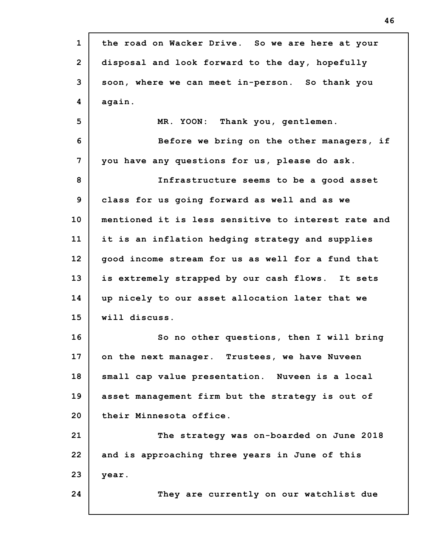| $\mathbf{1}$    | the road on Wacker Drive. So we are here at your    |
|-----------------|-----------------------------------------------------|
| $\overline{2}$  | disposal and look forward to the day, hopefully     |
| 3               | soon, where we can meet in-person. So thank you     |
| 4               | again.                                              |
| 5               | MR. YOON: Thank you, gentlemen.                     |
| 6               | Before we bring on the other managers, if           |
| 7               | you have any questions for us, please do ask.       |
| 8               | Infrastructure seems to be a good asset             |
| 9               | class for us going forward as well and as we        |
| 10 <sub>1</sub> | mentioned it is less sensitive to interest rate and |
| 11              | it is an inflation hedging strategy and supplies    |
| 12              | good income stream for us as well for a fund that   |
| 13              | is extremely strapped by our cash flows. It sets    |
| 14              | up nicely to our asset allocation later that we     |
| 15              | will discuss.                                       |
| 16              | So no other questions, then I will bring            |
| 17              | on the next manager. Trustees, we have Nuveen       |
| 18              | small cap value presentation. Nuveen is a local     |
| 19              | asset management firm but the strategy is out of    |
| 20              | their Minnesota office.                             |
| 21              | The strategy was on-boarded on June 2018            |
| 22              | and is approaching three years in June of this      |
| 23              | year.                                               |
| 24              | They are currently on our watchlist due             |
|                 |                                                     |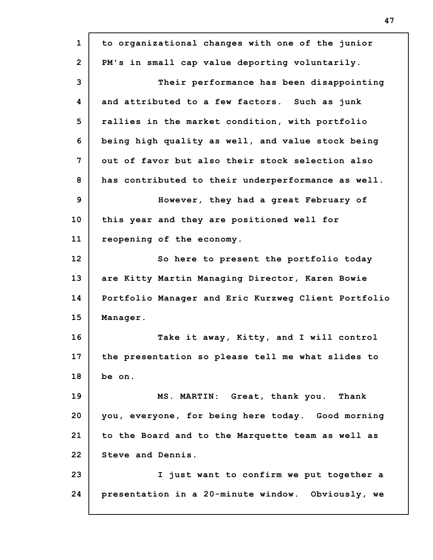**1 2 3 4 5 6 7 8 9 10 11 12 13 14 15 16 17 18 19 20 21 22 23 24 to organizational changes with one of the junior PM's in small cap value deporting voluntarily. Their performance has been disappointing and attributed to a few factors. Such as junk rallies in the market condition, with portfolio being high quality as well, and value stock being out of favor but also their stock selection also has contributed to their underperformance as well. However, they had a great February of this year and they are positioned well for reopening of the economy. So here to present the portfolio today are Kitty Martin Managing Director, Karen Bowie Portfolio Manager and Eric Kurzweg Client Portfolio Manager. Take it away, Kitty, and I will control the presentation so please tell me what slides to be on. MS. MARTIN: Great, thank you. Thank you, everyone, for being here today. Good morning to the Board and to the Marquette team as well as Steve and Dennis. I just want to confirm we put together a presentation in a 20-minute window. Obviously, we**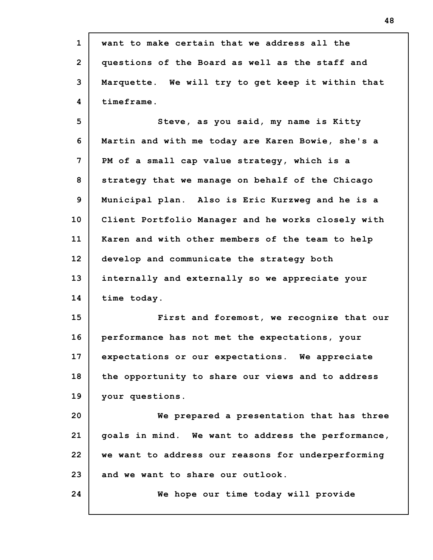**1 2 3 4 5 6 7 8 9 10 11 12 13 14 15 16 17 18 19 20 21 22 23 24 want to make certain that we address all the questions of the Board as well as the staff and Marquette. We will try to get keep it within that timeframe. Steve, as you said, my name is Kitty Martin and with me today are Karen Bowie, she's a PM of a small cap value strategy, which is a strategy that we manage on behalf of the Chicago Municipal plan. Also is Eric Kurzweg and he is a Client Portfolio Manager and he works closely with Karen and with other members of the team to help develop and communicate the strategy both internally and externally so we appreciate your time today. First and foremost, we recognize that our performance has not met the expectations, your expectations or our expectations. We appreciate the opportunity to share our views and to address your questions. We prepared a presentation that has three goals in mind. We want to address the performance, we want to address our reasons for underperforming and we want to share our outlook. We hope our time today will provide**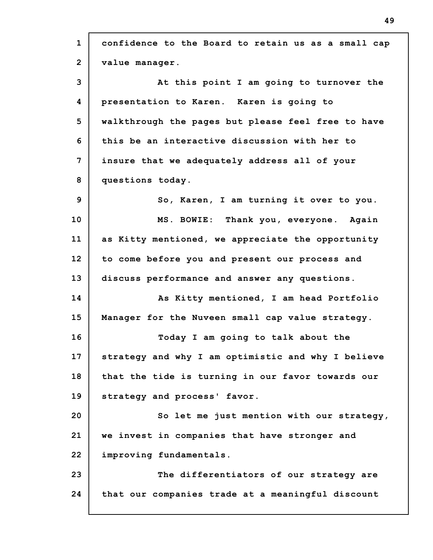**1 2 3 4 5 6 7 8 9 10 11 12 13 14 15 16 17 18 19 20 21 22 23 24 confidence to the Board to retain us as a small cap value manager. At this point I am going to turnover the presentation to Karen. Karen is going to walkthrough the pages but please feel free to have this be an interactive discussion with her to insure that we adequately address all of your questions today. So, Karen, I am turning it over to you. MS. BOWIE: Thank you, everyone. Again as Kitty mentioned, we appreciate the opportunity to come before you and present our process and discuss performance and answer any questions. As Kitty mentioned, I am head Portfolio Manager for the Nuveen small cap value strategy. Today I am going to talk about the strategy and why I am optimistic and why I believe that the tide is turning in our favor towards our strategy and process' favor. So let me just mention with our strategy, we invest in companies that have stronger and improving fundamentals. The differentiators of our strategy are that our companies trade at a meaningful discount**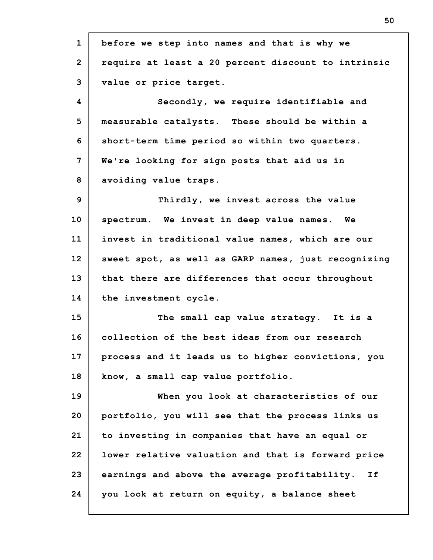**1 2 3 4 5 6 7 8 9 10 11 12 13 14 15 16 17 18 19 20 21 22 23 24 before we step into names and that is why we require at least a 20 percent discount to intrinsic value or price target. Secondly, we require identifiable and measurable catalysts. These should be within a short-term time period so within two quarters. We're looking for sign posts that aid us in avoiding value traps. Thirdly, we invest across the value spectrum. We invest in deep value names. We invest in traditional value names, which are our sweet spot, as well as GARP names, just recognizing that there are differences that occur throughout the investment cycle. The small cap value strategy. It is a collection of the best ideas from our research process and it leads us to higher convictions, you know, a small cap value portfolio. When you look at characteristics of our portfolio, you will see that the process links us to investing in companies that have an equal or lower relative valuation and that is forward price earnings and above the average profitability. If you look at return on equity, a balance sheet**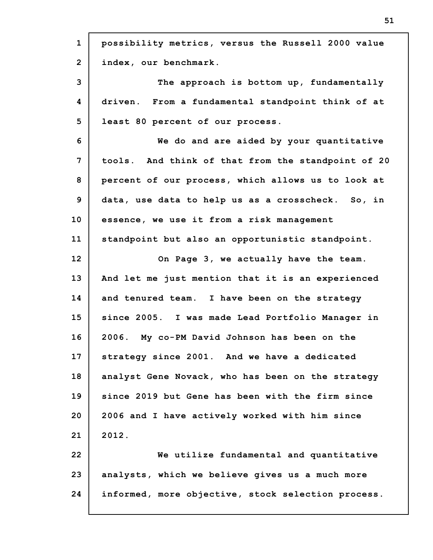| $\mathbf 1$    | possibility metrics, versus the Russell 2000 value |
|----------------|----------------------------------------------------|
| $\overline{2}$ | index, our benchmark.                              |
| 3              | The approach is bottom up, fundamentally           |
| 4              | driven. From a fundamental standpoint think of at  |
| 5              | least 80 percent of our process.                   |
| 6              | We do and are aided by your quantitative           |
| $\overline{7}$ | tools. And think of that from the standpoint of 20 |
| 8              | percent of our process, which allows us to look at |
| 9              | data, use data to help us as a crosscheck. So, in  |
| 10             | essence, we use it from a risk management          |
| 11             | standpoint but also an opportunistic standpoint.   |
| 12             | On Page 3, we actually have the team.              |
| 13             | And let me just mention that it is an experienced  |
| 14             | and tenured team. I have been on the strategy      |
| 15             | since 2005. I was made Lead Portfolio Manager in   |
| 16             | 2006. My co-PM David Johnson has been on the       |
| 17             | strategy since 2001. And we have a dedicated       |
| 18             | analyst Gene Novack, who has been on the strategy  |
| 19             | since 2019 but Gene has been with the firm since   |
| 20             | 2006 and I have actively worked with him since     |
| 21             | 2012.                                              |
| 22             | We utilize fundamental and quantitative            |
| 23             | analysts, which we believe gives us a much more    |
| 24             | informed, more objective, stock selection process. |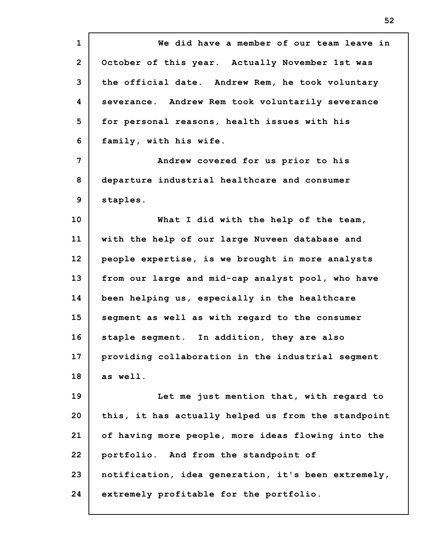**1 2 3 4 5 6 7 8 9 10 11 12 13 14 15 16 17 18 19 20 21 22 23 24 We did have a member of our team leave in October of this year. Actually November 1st was the official date. Andrew Rem, he took voluntary severance. Andrew Rem took voluntarily severance for personal reasons, health issues with his family, with his wife. Andrew covered for us prior to his departure industrial healthcare and consumer staples. What I did with the help of the team, with the help of our large Nuveen database and people expertise, is we brought in more analysts from our large and mid-cap analyst pool, who have been helping us, especially in the healthcare segment as well as with regard to the consumer staple segment. In addition, they are also providing collaboration in the industrial segment as well. Let me just mention that, with regard to this, it has actually helped us from the standpoint of having more people, more ideas flowing into the portfolio. And from the standpoint of notification, idea generation, it's been extremely, extremely profitable for the portfolio.**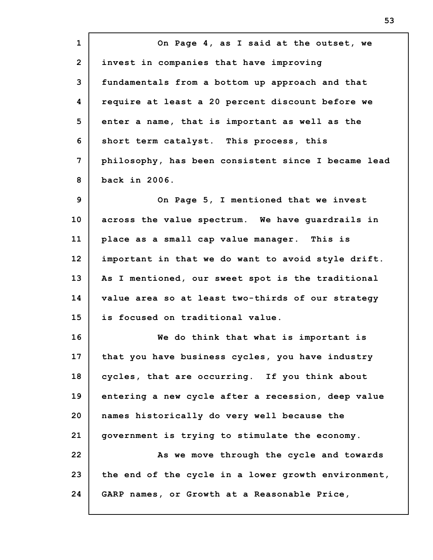**1 2 3 4 5 6 7 8 9 10 11 12 13 14 15 16 17 18 19 20 21 22 23 24 On Page 4, as I said at the outset, we invest in companies that have improving fundamentals from a bottom up approach and that require at least a 20 percent discount before we enter a name, that is important as well as the short term catalyst. This process, this philosophy, has been consistent since I became lead back in 2006. On Page 5, I mentioned that we invest across the value spectrum. We have guardrails in place as a small cap value manager. This is important in that we do want to avoid style drift. As I mentioned, our sweet spot is the traditional value area so at least two-thirds of our strategy is focused on traditional value. We do think that what is important is that you have business cycles, you have industry cycles, that are occurring. If you think about entering a new cycle after a recession, deep value names historically do very well because the government is trying to stimulate the economy. As we move through the cycle and towards the end of the cycle in a lower growth environment, GARP names, or Growth at a Reasonable Price,**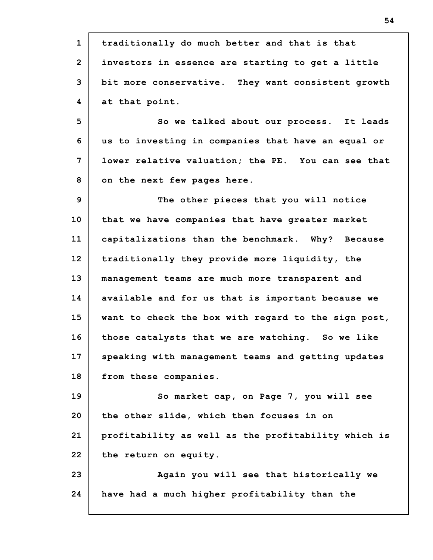**1 2 3 4 5 6 7 8 9 10 11 12 13 14 15 16 17 18 19 20 21 22 23 24 traditionally do much better and that is that investors in essence are starting to get a little bit more conservative. They want consistent growth at that point. So we talked about our process. It leads us to investing in companies that have an equal or lower relative valuation; the PE. You can see that on the next few pages here. The other pieces that you will notice that we have companies that have greater market capitalizations than the benchmark. Why? Because traditionally they provide more liquidity, the management teams are much more transparent and available and for us that is important because we want to check the box with regard to the sign post, those catalysts that we are watching. So we like speaking with management teams and getting updates from these companies. So market cap, on Page 7, you will see the other slide, which then focuses in on profitability as well as the profitability which is the return on equity. Again you will see that historically we have had a much higher profitability than the**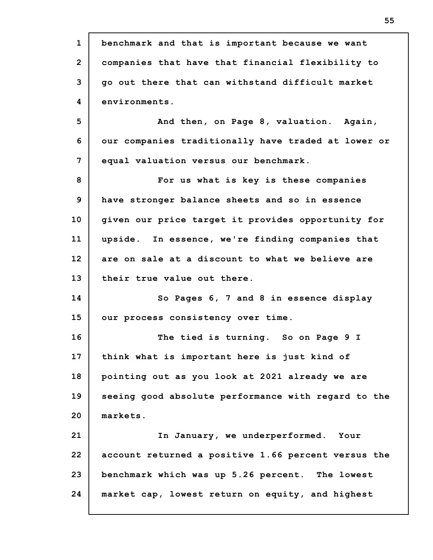| $\mathbf{1}$   | benchmark and that is important because we want     |
|----------------|-----------------------------------------------------|
| $\overline{2}$ | companies that have that financial flexibility to   |
| 3              | go out there that can withstand difficult market    |
| 4              | environments.                                       |
| 5              | And then, on Page 8, valuation. Again,              |
| 6              | our companies traditionally have traded at lower or |
| 7              | equal valuation versus our benchmark.               |
| 8              | For us what is key is these companies               |
| 9              | have stronger balance sheets and so in essence      |
| 10             | given our price target it provides opportunity for  |
| 11             | upside. In essence, we're finding companies that    |
| 12             | are on sale at a discount to what we believe are    |
| 13             | their true value out there.                         |
| 14             | So Pages 6, 7 and 8 in essence display              |
| 15             | our process consistency over time.                  |
| 16             | The tied is turning. So on Page 9 I                 |
| 17             | think what is important here is just kind of        |
| 18             | pointing out as you look at 2021 already we are     |
| 19             | seeing good absolute performance with regard to the |
| 20             | markets.                                            |
| 21             | In January, we underperformed. Your                 |
| 22             | account returned a positive 1.66 percent versus the |
| 23             | benchmark which was up 5.26 percent. The lowest     |
|                |                                                     |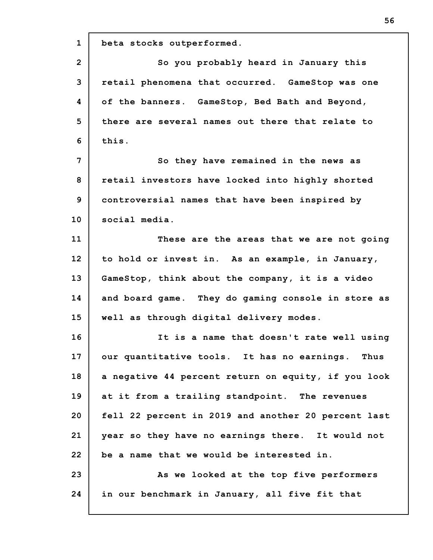**1 2 3 4 5 6 7 8 9 10 11 12 13 14 15 16 17 18 19 20 21 22 23 24 beta stocks outperformed. So you probably heard in January this retail phenomena that occurred. GameStop was one of the banners. GameStop, Bed Bath and Beyond, there are several names out there that relate to this. So they have remained in the news as retail investors have locked into highly shorted controversial names that have been inspired by social media. These are the areas that we are not going to hold or invest in. As an example, in January, GameStop, think about the company, it is a video and board game. They do gaming console in store as well as through digital delivery modes. It is a name that doesn't rate well using our quantitative tools. It has no earnings. Thus a negative 44 percent return on equity, if you look at it from a trailing standpoint. The revenues fell 22 percent in 2019 and another 20 percent last year so they have no earnings there. It would not be a name that we would be interested in. As we looked at the top five performers in our benchmark in January, all five fit that**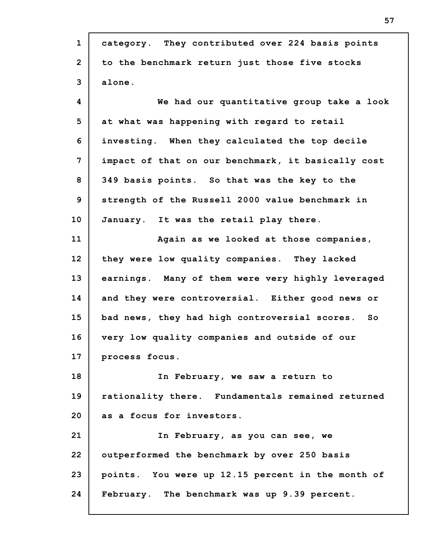| $\mathbf{1}$    | category. They contributed over 224 basis points   |
|-----------------|----------------------------------------------------|
| $\overline{2}$  | to the benchmark return just those five stocks     |
| 3               | alone.                                             |
| 4               | We had our quantitative group take a look          |
| 5               | at what was happening with regard to retail        |
| 6               | investing. When they calculated the top decile     |
| 7               | impact of that on our benchmark, it basically cost |
| 8               | 349 basis points. So that was the key to the       |
| 9               | strength of the Russell 2000 value benchmark in    |
| 10 <sub>1</sub> | January. It was the retail play there.             |
| 11              | Again as we looked at those companies,             |
| 12 <sub>2</sub> | they were low quality companies. They lacked       |
| 13              | earnings. Many of them were very highly leveraged  |
| 14              | and they were controversial. Either good news or   |
| 15              | bad news, they had high controversial scores. So   |
| 16              | very low quality companies and outside of our      |
| 17              | process focus.                                     |
| 18              | In February, we saw a return to                    |
| 19              | rationality there. Fundamentals remained returned  |
| 20              | as a focus for investors.                          |
| 21              | In February, as you can see, we                    |
| 22              | outperformed the benchmark by over 250 basis       |
| 23              | points. You were up 12.15 percent in the month of  |
| 24              | February. The benchmark was up 9.39 percent.       |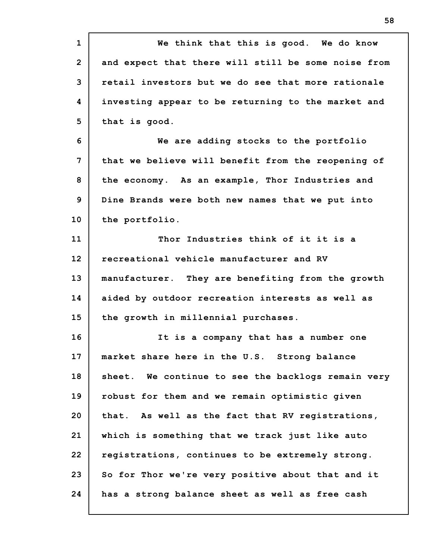| $\mathbf{1}$    | We think that this is good. We do know                |
|-----------------|-------------------------------------------------------|
| $\overline{2}$  | and expect that there will still be some noise from   |
| 3               | retail investors but we do see that more rationale    |
| 4               | investing appear to be returning to the market and    |
| 5               | that is good.                                         |
| 6               | We are adding stocks to the portfolio                 |
| 7               | that we believe will benefit from the reopening of    |
| 8               | the economy. As an example, Thor Industries and       |
| 9               | Dine Brands were both new names that we put into      |
| 10 <sub>1</sub> | the portfolio.                                        |
| 11              | Thor Industries think of it it is a                   |
| 12              | recreational vehicle manufacturer and RV              |
| 13              | manufacturer. They are benefiting from the growth     |
| 14              | aided by outdoor recreation interests as well as      |
| 15              | the growth in millennial purchases.                   |
| 16              | It is a company that has a number one                 |
| 17              | market share here in the U.S. Strong balance          |
| 18              | We continue to see the backlogs remain very<br>sheet. |
| 19              | robust for them and we remain optimistic given        |
| 20              | that. As well as the fact that RV registrations,      |
| 21              | which is something that we track just like auto       |
| 22              | registrations, continues to be extremely strong.      |
| 23              | So for Thor we're very positive about that and it     |
| 24              | has a strong balance sheet as well as free cash       |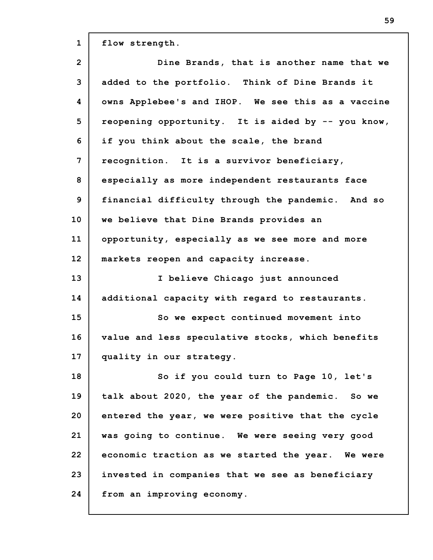**1 2 3 4 5 6 7 8 9 10 11 12 13 14 15 16 17 18 19 20 21 22 23 24 flow strength. Dine Brands, that is another name that we added to the portfolio. Think of Dine Brands it owns Applebee's and IHOP. We see this as a vaccine reopening opportunity. It is aided by -- you know, if you think about the scale, the brand recognition. It is a survivor beneficiary, especially as more independent restaurants face financial difficulty through the pandemic. And so we believe that Dine Brands provides an opportunity, especially as we see more and more markets reopen and capacity increase. I believe Chicago just announced additional capacity with regard to restaurants. So we expect continued movement into value and less speculative stocks, which benefits quality in our strategy. So if you could turn to Page 10, let's talk about 2020, the year of the pandemic. So we entered the year, we were positive that the cycle was going to continue. We were seeing very good economic traction as we started the year. We were invested in companies that we see as beneficiary from an improving economy.**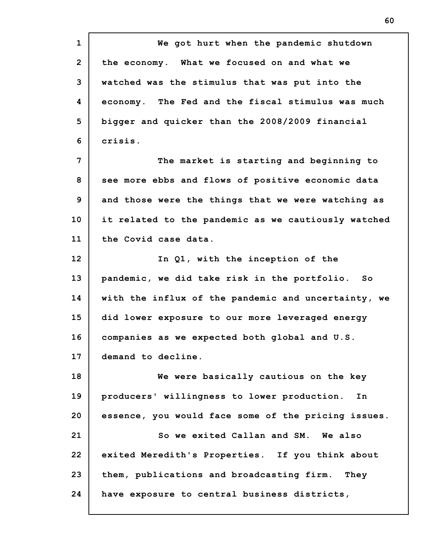**1 2 3 4 5 6 7 8 9 10 11 12 13 14 15 16 17 18 19 20 21 22 23 24 We got hurt when the pandemic shutdown the economy. What we focused on and what we watched was the stimulus that was put into the economy. The Fed and the fiscal stimulus was much bigger and quicker than the 2008/2009 financial crisis. The market is starting and beginning to see more ebbs and flows of positive economic data and those were the things that we were watching as it related to the pandemic as we cautiously watched the Covid case data. In Q1, with the inception of the pandemic, we did take risk in the portfolio. So with the influx of the pandemic and uncertainty, we did lower exposure to our more leveraged energy companies as we expected both global and U.S. demand to decline. We were basically cautious on the key producers' willingness to lower production. In essence, you would face some of the pricing issues. So we exited Callan and SM. We also exited Meredith's Properties. If you think about them, publications and broadcasting firm. They have exposure to central business districts,**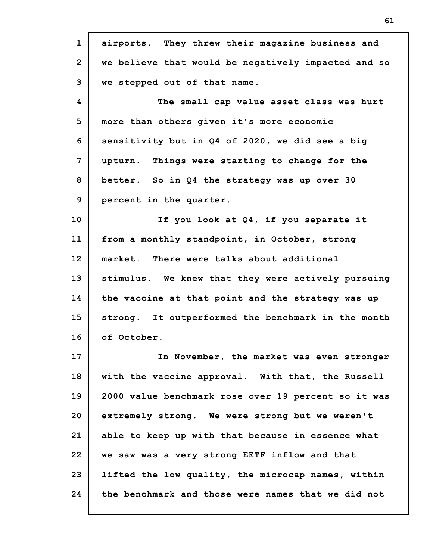**1 2 3 4 5 6 7 8 9 10 11 12 13 14 15 16 17 18 19 20 21 22 23 24 airports. They threw their magazine business and we believe that would be negatively impacted and so we stepped out of that name. The small cap value asset class was hurt more than others given it's more economic sensitivity but in Q4 of 2020, we did see a big upturn. Things were starting to change for the better. So in Q4 the strategy was up over 30 percent in the quarter. If you look at Q4, if you separate it from a monthly standpoint, in October, strong market. There were talks about additional stimulus. We knew that they were actively pursuing the vaccine at that point and the strategy was up strong. It outperformed the benchmark in the month of October. In November, the market was even stronger with the vaccine approval. With that, the Russell 2000 value benchmark rose over 19 percent so it was extremely strong. We were strong but we weren't able to keep up with that because in essence what we saw was a very strong EETF inflow and that lifted the low quality, the microcap names, within the benchmark and those were names that we did not**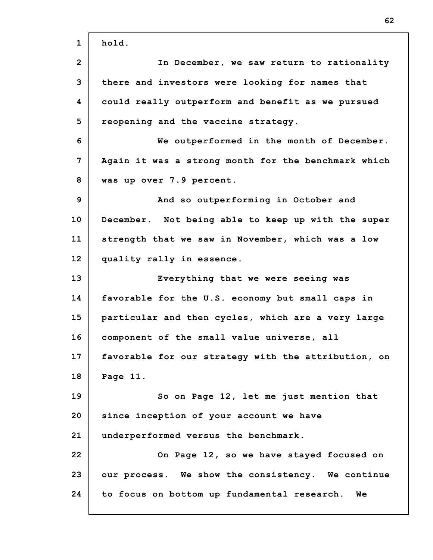**1 2 3 4 5 6 7 8 9 10 11 12 13 14 15 16 17 18 19 20 21 22 23 24 hold. In December, we saw return to rationality there and investors were looking for names that could really outperform and benefit as we pursued reopening and the vaccine strategy. We outperformed in the month of December. Again it was a strong month for the benchmark which was up over 7.9 percent. And so outperforming in October and December. Not being able to keep up with the super strength that we saw in November, which was a low quality rally in essence. Everything that we were seeing was favorable for the U.S. economy but small caps in particular and then cycles, which are a very large component of the small value universe, all favorable for our strategy with the attribution, on Page 11. So on Page 12, let me just mention that since inception of your account we have underperformed versus the benchmark. On Page 12, so we have stayed focused on our process. We show the consistency. We continue to focus on bottom up fundamental research. We**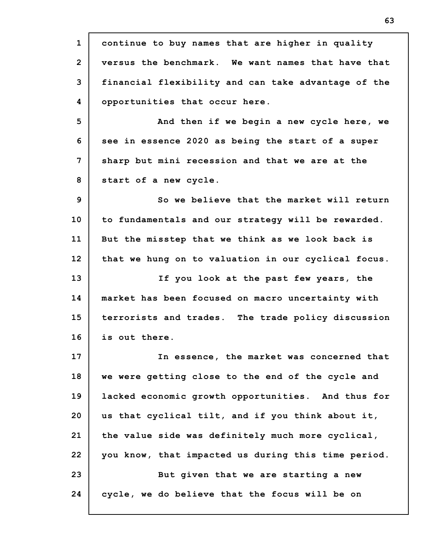**1 2 3 4 5 6 7 8 9 10 11 12 13 14 15 16 17 18 19 20 21 22 23 24 continue to buy names that are higher in quality versus the benchmark. We want names that have that financial flexibility and can take advantage of the opportunities that occur here. And then if we begin a new cycle here, we see in essence 2020 as being the start of a super sharp but mini recession and that we are at the start of a new cycle. So we believe that the market will return to fundamentals and our strategy will be rewarded. But the misstep that we think as we look back is that we hung on to valuation in our cyclical focus. If you look at the past few years, the market has been focused on macro uncertainty with terrorists and trades. The trade policy discussion is out there. In essence, the market was concerned that we were getting close to the end of the cycle and lacked economic growth opportunities. And thus for us that cyclical tilt, and if you think about it, the value side was definitely much more cyclical, you know, that impacted us during this time period. But given that we are starting a new cycle, we do believe that the focus will be on**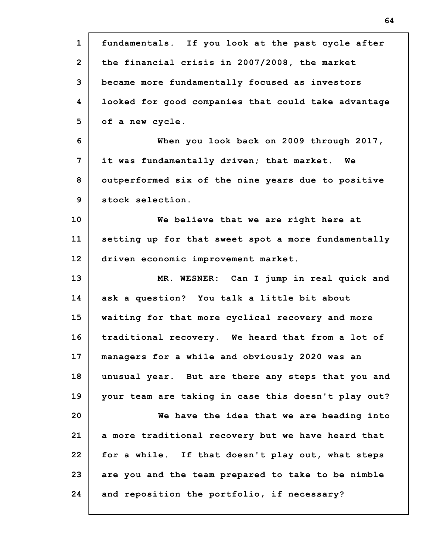| $\mathbf{1}$   | fundamentals. If you look at the past cycle after   |
|----------------|-----------------------------------------------------|
| $\overline{2}$ | the financial crisis in 2007/2008, the market       |
| 3              | became more fundamentally focused as investors      |
| 4              | looked for good companies that could take advantage |
| 5              | of a new cycle.                                     |
| 6              | When you look back on 2009 through 2017,            |
| 7              | it was fundamentally driven; that market. We        |
| 8              | outperformed six of the nine years due to positive  |
| 9              | stock selection.                                    |
| 10             | We believe that we are right here at                |
| 11             | setting up for that sweet spot a more fundamentally |
| 12             | driven economic improvement market.                 |
|                |                                                     |
| 13             | MR. WESNER: Can I jump in real quick and            |
| 14             | ask a question? You talk a little bit about         |
| 15             | waiting for that more cyclical recovery and more    |
| 16             | traditional recovery. We heard that from a lot of   |
| 17             | managers for a while and obviously 2020 was an      |
| 18             | unusual year. But are there any steps that you and  |
| 19             | your team are taking in case this doesn't play out? |
| 20             | We have the idea that we are heading into           |
| 21             | a more traditional recovery but we have heard that  |
| 22             | for a while. If that doesn't play out, what steps   |
| 23             | are you and the team prepared to take to be nimble  |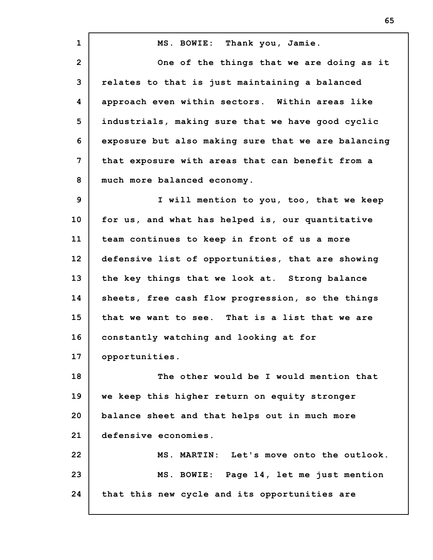**1 2 3 4 5 6 7 8 9 10 11 12 13 14 15 16 17 18 19 20 21 22 23 24 MS. BOWIE: Thank you, Jamie. One of the things that we are doing as it relates to that is just maintaining a balanced approach even within sectors. Within areas like industrials, making sure that we have good cyclic exposure but also making sure that we are balancing that exposure with areas that can benefit from a much more balanced economy. I will mention to you, too, that we keep for us, and what has helped is, our quantitative team continues to keep in front of us a more defensive list of opportunities, that are showing the key things that we look at. Strong balance sheets, free cash flow progression, so the things that we want to see. That is a list that we are constantly watching and looking at for opportunities. The other would be I would mention that we keep this higher return on equity stronger balance sheet and that helps out in much more defensive economies. MS. MARTIN: Let's move onto the outlook. MS. BOWIE: Page 14, let me just mention that this new cycle and its opportunities are**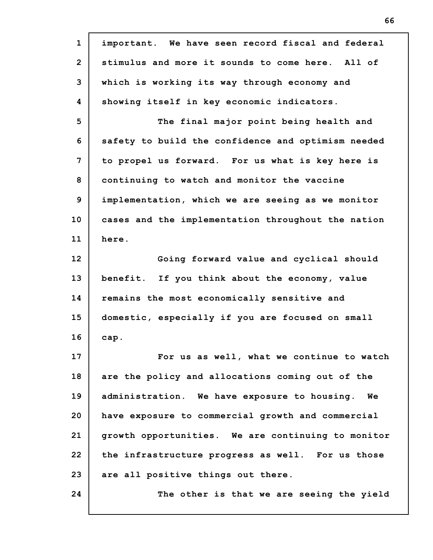| $\mathbf{1}$   | important. We have seen record fiscal and federal  |
|----------------|----------------------------------------------------|
| $\overline{2}$ | stimulus and more it sounds to come here. All of   |
| 3              | which is working its way through economy and       |
| 4              | showing itself in key economic indicators.         |
| 5              | The final major point being health and             |
| 6              | safety to build the confidence and optimism needed |
| 7              | to propel us forward. For us what is key here is   |
| 8              | continuing to watch and monitor the vaccine        |
| 9              | implementation, which we are seeing as we monitor  |
| 10             | cases and the implementation throughout the nation |
| 11             | here.                                              |
| 12             | Going forward value and cyclical should            |
| 13             | benefit. If you think about the economy, value     |
| 14             | remains the most economically sensitive and        |
| 15             | domestic, especially if you are focused on small   |
| 16             | cap.                                               |
| 17             | For us as well, what we continue to watch          |
| 18             | are the policy and allocations coming out of the   |
| 19             | administration. We have exposure to housing.<br>We |
| 20             | have exposure to commercial growth and commercial  |
| 21             | growth opportunities. We are continuing to monitor |
| 22             | the infrastructure progress as well. For us those  |
| 23             | are all positive things out there.                 |
| 24             | The other is that we are seeing the yield          |
|                |                                                    |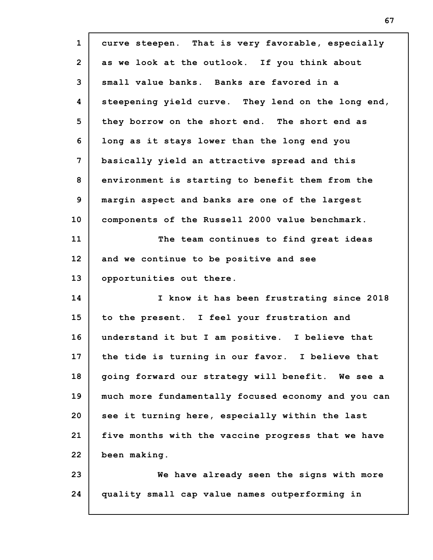| $\mathbf{1}$   | curve steepen. That is very favorable, especially   |
|----------------|-----------------------------------------------------|
| $\overline{2}$ | as we look at the outlook. If you think about       |
| 3              | small value banks. Banks are favored in a           |
| 4              | steepening yield curve. They lend on the long end,  |
| 5              | they borrow on the short end. The short end as      |
| 6              | long as it stays lower than the long end you        |
| 7              | basically yield an attractive spread and this       |
| 8              | environment is starting to benefit them from the    |
| 9              | margin aspect and banks are one of the largest      |
| 10             | components of the Russell 2000 value benchmark.     |
| 11             | The team continues to find great ideas              |
| 12             | and we continue to be positive and see              |
| 13             | opportunities out there.                            |
| 14             | I know it has been frustrating since 2018           |
| 15             | to the present. I feel your frustration and         |
| 16             | understand it but I am positive. I believe that     |
| 17             | the tide is turning in our favor. I believe that    |
| 18             | going forward our strategy will benefit. We see a   |
| 19             | much more fundamentally focused economy and you can |
| 20             | see it turning here, especially within the last     |
| 21             | five months with the vaccine progress that we have  |
| 22             | been making.                                        |
| 23             | We have already seen the signs with more            |
| 24             | quality small cap value names outperforming in      |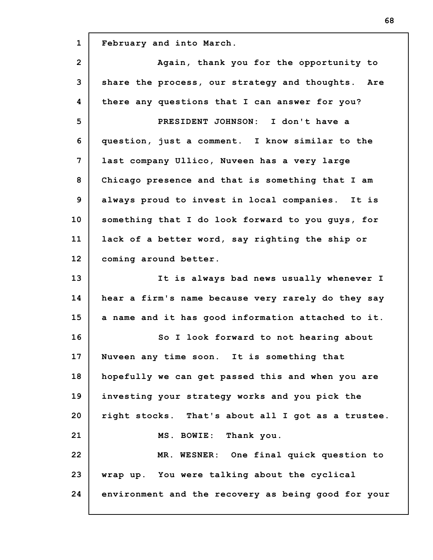**1 2 3 4 5 6 7 8 9 10 11 12 13 14 15 16 17 18 19 20 21 22 23 24 February and into March. Again, thank you for the opportunity to share the process, our strategy and thoughts. Are there any questions that I can answer for you? PRESIDENT JOHNSON: I don't have a question, just a comment. I know similar to the last company Ullico, Nuveen has a very large Chicago presence and that is something that I am always proud to invest in local companies. It is something that I do look forward to you guys, for lack of a better word, say righting the ship or coming around better. It is always bad news usually whenever I hear a firm's name because very rarely do they say a name and it has good information attached to it. So I look forward to not hearing about Nuveen any time soon. It is something that hopefully we can get passed this and when you are investing your strategy works and you pick the right stocks. That's about all I got as a trustee. MS. BOWIE: Thank you. MR. WESNER: One final quick question to wrap up. You were talking about the cyclical environment and the recovery as being good for your**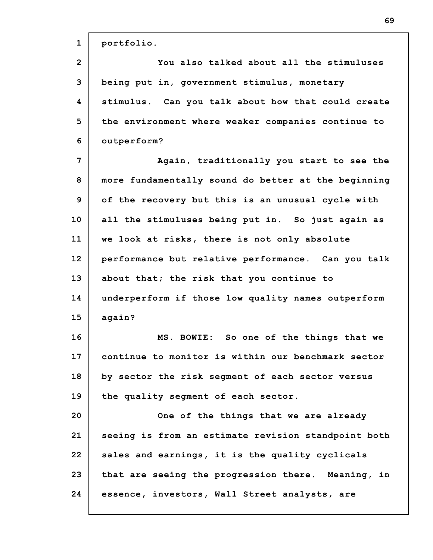| $\mathbf{1}$   | portfolio.                                          |
|----------------|-----------------------------------------------------|
| $\overline{2}$ | You also talked about all the stimuluses            |
| 3              | being put in, government stimulus, monetary         |
| 4              | stimulus. Can you talk about how that could create  |
| 5              | the environment where weaker companies continue to  |
| 6              | outperform?                                         |
| 7              | Again, traditionally you start to see the           |
| 8              | more fundamentally sound do better at the beginning |
| 9              | of the recovery but this is an unusual cycle with   |
| 10             | all the stimuluses being put in. So just again as   |
| 11             | we look at risks, there is not only absolute        |
| 12             | performance but relative performance. Can you talk  |
| 13             | about that; the risk that you continue to           |
| 14             | underperform if those low quality names outperform  |
| 15             | again?                                              |
| 16             | MS. BOWIE: So one of the things that we             |
| 17             | continue to monitor is within our benchmark sector  |
| 18             | by sector the risk seqment of each sector versus    |
| 19             | the quality segment of each sector.                 |
| 20             | One of the things that we are already               |
| 21             | seeing is from an estimate revision standpoint both |
| 22             | sales and earnings, it is the quality cyclicals     |
| 23             | that are seeing the progression there. Meaning, in  |
| 24             | essence, investors, Wall Street analysts, are       |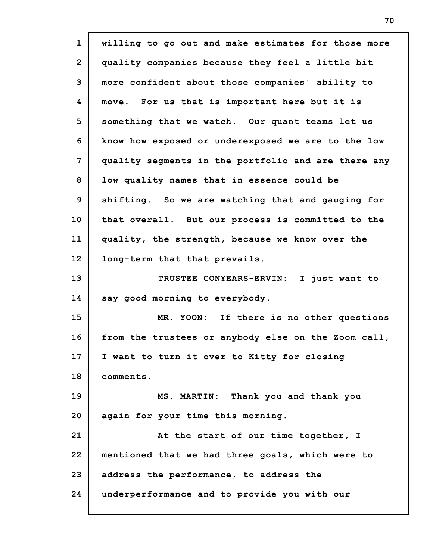**1 2 3 4 5 6 7 8 9 10 11 12 13 14 15 16 17 18 19 20 21 22 23 24 willing to go out and make estimates for those more quality companies because they feel a little bit more confident about those companies' ability to move. For us that is important here but it is something that we watch. Our quant teams let us know how exposed or underexposed we are to the low quality segments in the portfolio and are there any low quality names that in essence could be shifting. So we are watching that and gauging for that overall. But our process is committed to the quality, the strength, because we know over the long-term that that prevails. TRUSTEE CONYEARS-ERVIN: I just want to say good morning to everybody. MR. YOON: If there is no other questions from the trustees or anybody else on the Zoom call, I want to turn it over to Kitty for closing comments. MS. MARTIN: Thank you and thank you again for your time this morning. At the start of our time together, I mentioned that we had three goals, which were to address the performance, to address the underperformance and to provide you with our**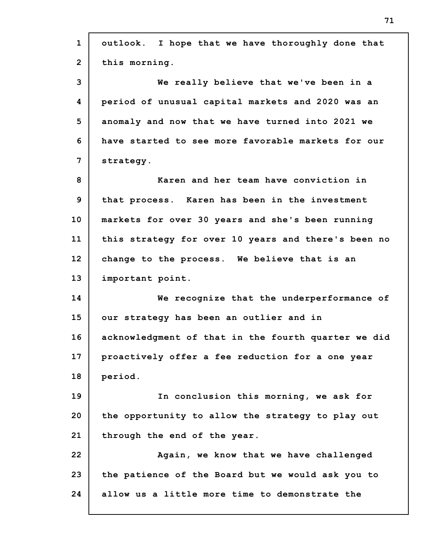| $\mathbf{1}$   | outlook. I hope that we have thoroughly done that   |
|----------------|-----------------------------------------------------|
| $\overline{2}$ | this morning.                                       |
| 3              | We really believe that we've been in a              |
| 4              | period of unusual capital markets and 2020 was an   |
| 5              | anomaly and now that we have turned into 2021 we    |
| 6              | have started to see more favorable markets for our  |
| 7              | strategy.                                           |
| 8              | Karen and her team have conviction in               |
| 9              | that process. Karen has been in the investment      |
| 10             | markets for over 30 years and she's been running    |
| 11             | this strategy for over 10 years and there's been no |
| 12             | change to the process. We believe that is an        |
| 13             | important point.                                    |
| 14             | We recognize that the underperformance of           |
| 15             | our strategy has been an outlier and in             |
| 16             | acknowledgment of that in the fourth quarter we did |
| 17             | proactively offer a fee reduction for a one year    |
| 18             | period.                                             |
| 19             | In conclusion this morning, we ask for              |
| 20             | the opportunity to allow the strategy to play out   |
| 21             | through the end of the year.                        |
| 22             | Again, we know that we have challenged              |
| 23             | the patience of the Board but we would ask you to   |
| 24             | allow us a little more time to demonstrate the      |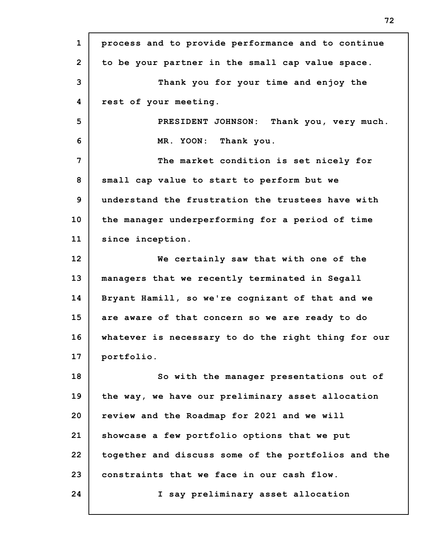| $\mathbf{1}$   | process and to provide performance and to continue  |
|----------------|-----------------------------------------------------|
| $\overline{2}$ | to be your partner in the small cap value space.    |
| 3              | Thank you for your time and enjoy the               |
| 4              | rest of your meeting.                               |
| 5              | PRESIDENT JOHNSON: Thank you, very much.            |
| 6              | MR. YOON: Thank you.                                |
| 7              | The market condition is set nicely for              |
| 8              | small cap value to start to perform but we          |
| 9              | understand the frustration the trustees have with   |
| 10             | the manager underperforming for a period of time    |
| 11             | since inception.                                    |
| 12             | We certainly saw that with one of the               |
| 13             | managers that we recently terminated in Segall      |
| 14             | Bryant Hamill, so we're cognizant of that and we    |
| 15             | are aware of that concern so we are ready to do     |
| 16             | whatever is necessary to do the right thing for our |
| 17             | portfolio.                                          |
| 18             | So with the manager presentations out of            |
| 19             | the way, we have our preliminary asset allocation   |
| 20             | review and the Roadmap for 2021 and we will         |
| 21             | showcase a few portfolio options that we put        |
| 22             | together and discuss some of the portfolios and the |
| 23             | constraints that we face in our cash flow.          |
| 24             | I say preliminary asset allocation                  |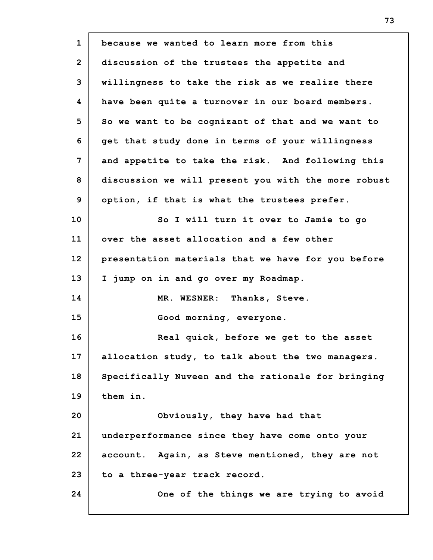| $\mathbf{1}$   | because we wanted to learn more from this           |
|----------------|-----------------------------------------------------|
| $\overline{2}$ | discussion of the trustees the appetite and         |
| 3              | willingness to take the risk as we realize there    |
| 4              | have been quite a turnover in our board members.    |
| 5              | So we want to be cognizant of that and we want to   |
| 6              | get that study done in terms of your willingness    |
| 7              | and appetite to take the risk. And following this   |
| 8              | discussion we will present you with the more robust |
| 9              | option, if that is what the trustees prefer.        |
| 10             | So I will turn it over to Jamie to go               |
| 11             | over the asset allocation and a few other           |
| 12             | presentation materials that we have for you before  |
| 13             | I jump on in and go over my Roadmap.                |
| 14             | MR. WESNER: Thanks, Steve.                          |
| 15             | Good morning, everyone.                             |
| 16             | Real quick, before we get to the asset              |
| 17             | allocation study, to talk about the two managers.   |
| 18             | Specifically Nuveen and the rationale for bringing  |
| 19             | them in.                                            |
| 20             | Obviously, they have had that                       |
| 21             | underperformance since they have come onto your     |
| 22             | account. Again, as Steve mentioned, they are not    |
| 23             | to a three-year track record.                       |
| 24             | One of the things we are trying to avoid            |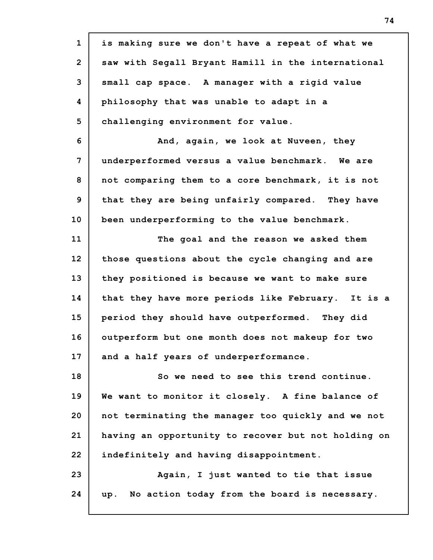**1 2 3 4 5 6 7 8 9 10 11 12 13 14 15 16 17 18 19 20 21 22 23 24 is making sure we don't have a repeat of what we saw with Segall Bryant Hamill in the international small cap space. A manager with a rigid value philosophy that was unable to adapt in a challenging environment for value. And, again, we look at Nuveen, they underperformed versus a value benchmark. We are not comparing them to a core benchmark, it is not that they are being unfairly compared. They have been underperforming to the value benchmark. The goal and the reason we asked them those questions about the cycle changing and are they positioned is because we want to make sure that they have more periods like February. It is a period they should have outperformed. They did outperform but one month does not makeup for two and a half years of underperformance. So we need to see this trend continue. We want to monitor it closely. A fine balance of not terminating the manager too quickly and we not having an opportunity to recover but not holding on indefinitely and having disappointment. Again, I just wanted to tie that issue up. No action today from the board is necessary.**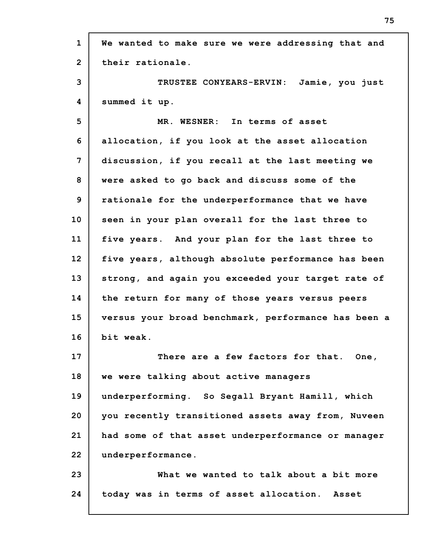**1 2 3 4 5 6 7 8 9 10 11 12 13 14 15 16 17 18 19 20 21 22 23 24 We wanted to make sure we were addressing that and their rationale. TRUSTEE CONYEARS-ERVIN: Jamie, you just summed it up. MR. WESNER: In terms of asset allocation, if you look at the asset allocation discussion, if you recall at the last meeting we were asked to go back and discuss some of the rationale for the underperformance that we have seen in your plan overall for the last three to five years. And your plan for the last three to five years, although absolute performance has been strong, and again you exceeded your target rate of the return for many of those years versus peers versus your broad benchmark, performance has been a bit weak. There are a few factors for that. One, we were talking about active managers underperforming. So Segall Bryant Hamill, which you recently transitioned assets away from, Nuveen had some of that asset underperformance or manager underperformance. What we wanted to talk about a bit more today was in terms of asset allocation. Asset**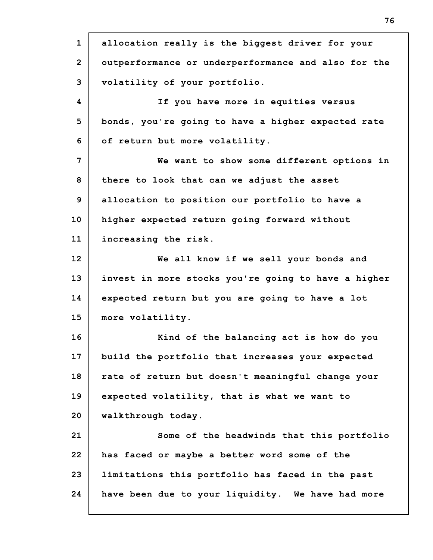**1 2 3 4 5 6 7 8 9 10 11 12 13 14 15 16 17 18 19 20 21 22 23 24 allocation really is the biggest driver for your outperformance or underperformance and also for the volatility of your portfolio. If you have more in equities versus bonds, you're going to have a higher expected rate of return but more volatility. We want to show some different options in there to look that can we adjust the asset allocation to position our portfolio to have a higher expected return going forward without increasing the risk. We all know if we sell your bonds and invest in more stocks you're going to have a higher expected return but you are going to have a lot more volatility. Kind of the balancing act is how do you build the portfolio that increases your expected rate of return but doesn't meaningful change your expected volatility, that is what we want to walkthrough today. Some of the headwinds that this portfolio has faced or maybe a better word some of the limitations this portfolio has faced in the past have been due to your liquidity. We have had more**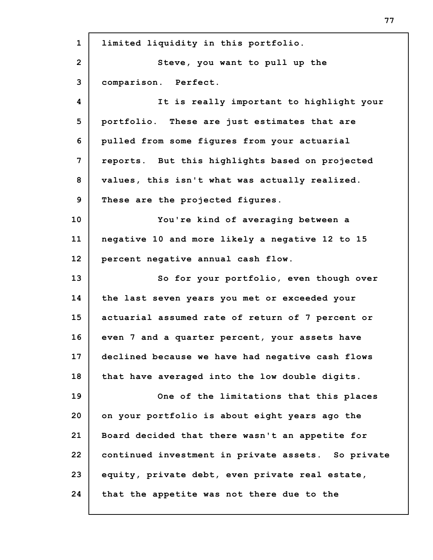| $\mathbf{1}$   | limited liquidity in this portfolio.               |
|----------------|----------------------------------------------------|
| $\overline{2}$ | Steve, you want to pull up the                     |
| 3              | comparison. Perfect.                               |
| 4              | It is really important to highlight your           |
| 5              | portfolio. These are just estimates that are       |
| 6              | pulled from some figures from your actuarial       |
| 7              | reports. But this highlights based on projected    |
| 8              | values, this isn't what was actually realized.     |
| 9              | These are the projected figures.                   |
| 10             | You're kind of averaging between a                 |
| 11             | negative 10 and more likely a negative 12 to 15    |
| 12             | percent negative annual cash flow.                 |
| 13             | So for your portfolio, even though over            |
| 14             | the last seven years you met or exceeded your      |
| 15             | actuarial assumed rate of return of 7 percent or   |
| 16             | even 7 and a quarter percent, your assets have     |
| 17             | declined because we have had negative cash flows   |
| 18             | that have averaged into the low double digits.     |
| 19             | One of the limitations that this places            |
| 20             | on your portfolio is about eight years ago the     |
| 21             | Board decided that there wasn't an appetite for    |
| 22             | continued investment in private assets. So private |
| 23             | equity, private debt, even private real estate,    |
| 24             | that the appetite was not there due to the         |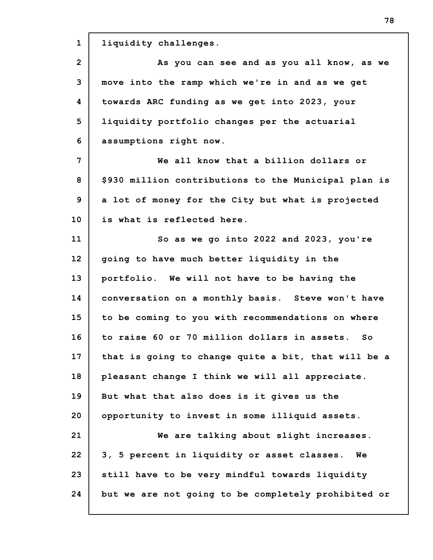**1 2 3 4 5 6 7 8 9 10 11 12 13 14 15 16 17 18 19 20 21 22 23 24 liquidity challenges. As you can see and as you all know, as we move into the ramp which we're in and as we get towards ARC funding as we get into 2023, your liquidity portfolio changes per the actuarial assumptions right now. We all know that a billion dollars or \$930 million contributions to the Municipal plan is a lot of money for the City but what is projected is what is reflected here. So as we go into 2022 and 2023, you're going to have much better liquidity in the portfolio. We will not have to be having the conversation on a monthly basis. Steve won't have to be coming to you with recommendations on where to raise 60 or 70 million dollars in assets. So that is going to change quite a bit, that will be a pleasant change I think we will all appreciate. But what that also does is it gives us the opportunity to invest in some illiquid assets. We are talking about slight increases. 3, 5 percent in liquidity or asset classes. We still have to be very mindful towards liquidity but we are not going to be completely prohibited or**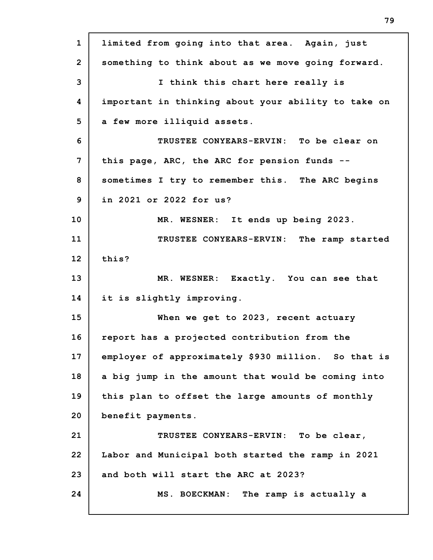| $\mathbf{1}$   | limited from going into that area. Again, just      |
|----------------|-----------------------------------------------------|
| $\overline{2}$ | something to think about as we move going forward.  |
| 3              | I think this chart here really is                   |
| 4              | important in thinking about your ability to take on |
| 5              | a few more illiquid assets.                         |
| 6              | TRUSTEE CONYEARS-ERVIN: To be clear on              |
| 7              | this page, ARC, the ARC for pension funds --        |
| 8              | sometimes I try to remember this. The ARC begins    |
| 9              | in 2021 or 2022 for us?                             |
| 10             | MR. WESNER: It ends up being 2023.                  |
| 11             | TRUSTEE CONYEARS-ERVIN: The ramp started            |
| 12             | this?                                               |
| 13             | MR. WESNER: Exactly. You can see that               |
| 14             | it is slightly improving.                           |
| 15             | When we get to 2023, recent actuary                 |
| 16             | report has a projected contribution from the        |
| 17             | employer of approximately \$930 million. So that is |
| 18             | a big jump in the amount that would be coming into  |
| 19             | this plan to offset the large amounts of monthly    |
| 20             | benefit payments.                                   |
| 21             | TRUSTEE CONYEARS-ERVIN: To be clear,                |
| 22             | Labor and Municipal both started the ramp in 2021   |
| 23             | and both will start the ARC at 2023?                |
| 24             | MS. BOECKMAN: The ramp is actually a                |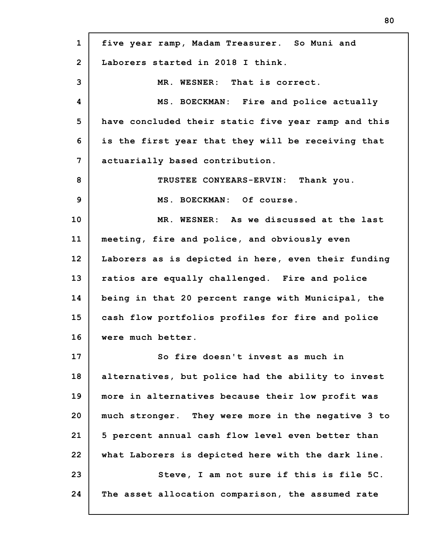| $\mathbf{1}$ | five year ramp, Madam Treasurer. So Muni and        |
|--------------|-----------------------------------------------------|
| $\mathbf{2}$ | Laborers started in 2018 I think.                   |
| 3            | MR. WESNER: That is correct.                        |
| 4            | MS. BOECKMAN: Fire and police actually              |
| 5            | have concluded their static five year ramp and this |
| 6            | is the first year that they will be receiving that  |
| 7            | actuarially based contribution.                     |
| 8            | TRUSTEE CONYEARS-ERVIN: Thank you.                  |
| 9            | MS. BOECKMAN: Of course.                            |
| 10           | MR. WESNER: As we discussed at the last             |
| 11           | meeting, fire and police, and obviously even        |
| 12           | Laborers as is depicted in here, even their funding |
| 13           | ratios are equally challenged. Fire and police      |
| 14           | being in that 20 percent range with Municipal, the  |
| 15           | cash flow portfolios profiles for fire and police   |
| 16           | were much better.                                   |
| 17           | So fire doesn't invest as much in                   |
| 18           | alternatives, but police had the ability to invest  |
| 19           | more in alternatives because their low profit was   |
| 20           | much stronger. They were more in the negative 3 to  |
| 21           | 5 percent annual cash flow level even better than   |
| 22           | what Laborers is depicted here with the dark line.  |
| 23           | Steve, I am not sure if this is file 5C.            |
| 24           | The asset allocation comparison, the assumed rate   |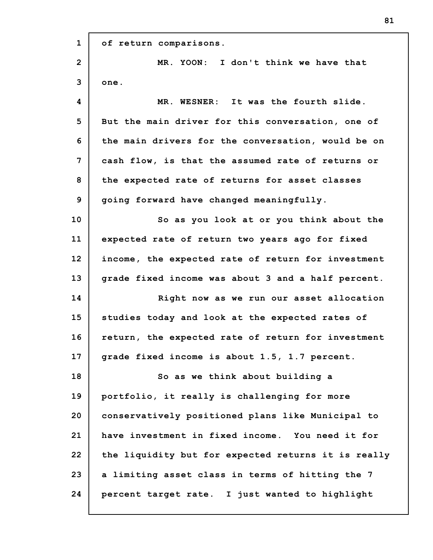| $\mathbf{1}$   | of return comparisons.                              |
|----------------|-----------------------------------------------------|
| $\overline{2}$ | MR. YOON: I don't think we have that                |
| 3              | one.                                                |
| 4              | MR. WESNER: It was the fourth slide.                |
| 5              | But the main driver for this conversation, one of   |
| 6              | the main drivers for the conversation, would be on  |
| 7              | cash flow, is that the assumed rate of returns or   |
| 8              | the expected rate of returns for asset classes      |
| 9              | going forward have changed meaningfully.            |
| 10             | So as you look at or you think about the            |
| 11             | expected rate of return two years ago for fixed     |
| 12             | income, the expected rate of return for investment  |
| 13             | grade fixed income was about 3 and a half percent.  |
| 14             | Right now as we run our asset allocation            |
| 15             | studies today and look at the expected rates of     |
| 16             | return, the expected rate of return for investment  |
| 17             | grade fixed income is about 1.5, 1.7 percent.       |
| 18             | So as we think about building a                     |
| 19             | portfolio, it really is challenging for more        |
| 20             | conservatively positioned plans like Municipal to   |
| 21             | have investment in fixed income. You need it for    |
| 22             | the liquidity but for expected returns it is really |
| 23             | a limiting asset class in terms of hitting the 7    |
| 24             | percent target rate. I just wanted to highlight     |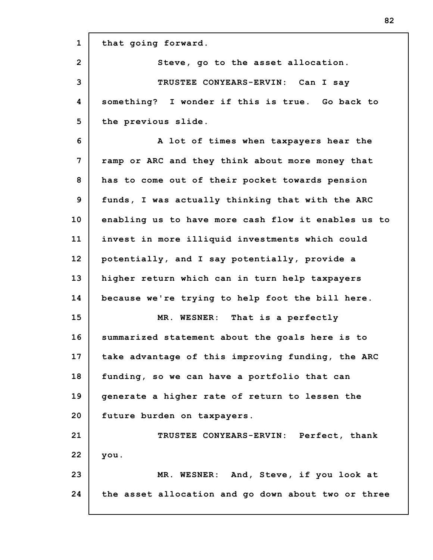| $\mathbf{1}$   | that going forward.                                 |
|----------------|-----------------------------------------------------|
| $\overline{2}$ | Steve, go to the asset allocation.                  |
| 3              | TRUSTEE CONYEARS-ERVIN: Can I say                   |
| 4              | something? I wonder if this is true. Go back to     |
| 5              | the previous slide.                                 |
| 6              | A lot of times when taxpayers hear the              |
| 7              | ramp or ARC and they think about more money that    |
| 8              | has to come out of their pocket towards pension     |
| 9              | funds, I was actually thinking that with the ARC    |
| 10             | enabling us to have more cash flow it enables us to |
| 11             | invest in more illiquid investments which could     |
| 12             | potentially, and I say potentially, provide a       |
| 13             | higher return which can in turn help taxpayers      |
| 14             | because we're trying to help foot the bill here.    |
| 15             | MR. WESNER: That is a perfectly                     |
| 16             | summarized statement about the goals here is to     |
| 17             | take advantage of this improving funding, the ARC   |
| 18             | funding, so we can have a portfolio that can        |
| 19             | generate a higher rate of return to lessen the      |
| 20             | future burden on taxpayers.                         |
| 21             | TRUSTEE CONYEARS-ERVIN: Perfect, thank              |
| 22             | you.                                                |
| 23             | MR. WESNER: And, Steve, if you look at              |
| 24             | the asset allocation and go down about two or three |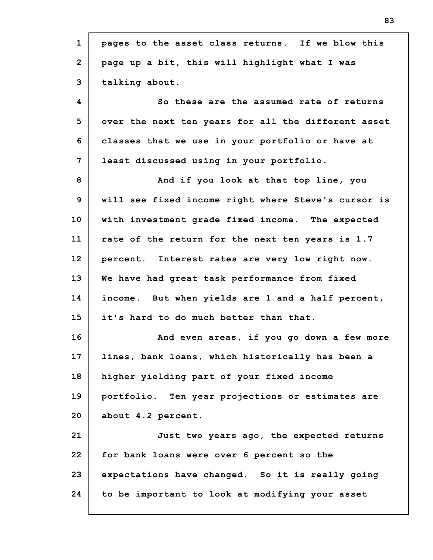| $\mathbf{1}$   | pages to the asset class returns. If we blow this   |
|----------------|-----------------------------------------------------|
| $\overline{2}$ | page up a bit, this will highlight what I was       |
| 3              | talking about.                                      |
| 4              | So these are the assumed rate of returns            |
| 5              | over the next ten years for all the different asset |
| 6              | classes that we use in your portfolio or have at    |
| 7              | least discussed using in your portfolio.            |
| 8              | And if you look at that top line, you               |
| 9              | will see fixed income right where Steve's cursor is |
| 10             | with investment grade fixed income. The expected    |
| 11             | rate of the return for the next ten years is 1.7    |
| 12             | percent. Interest rates are very low right now.     |
| 13             | We have had great task performance from fixed       |
| 14             | income. But when yields are 1 and a half percent,   |
| 15             | it's hard to do much better than that.              |
| 16             | And even areas, if you go down a few more           |
| 17             | lines, bank loans, which historically has been a    |
| 18             | higher yielding part of your fixed income           |
| 19             | portfolio. Ten year projections or estimates are    |
| 20             | about 4.2 percent.                                  |
| 21             | Just two years ago, the expected returns            |
| 22             | for bank loans were over 6 percent so the           |
| 23             | expectations have changed. So it is really going    |
| 24             | to be important to look at modifying your asset     |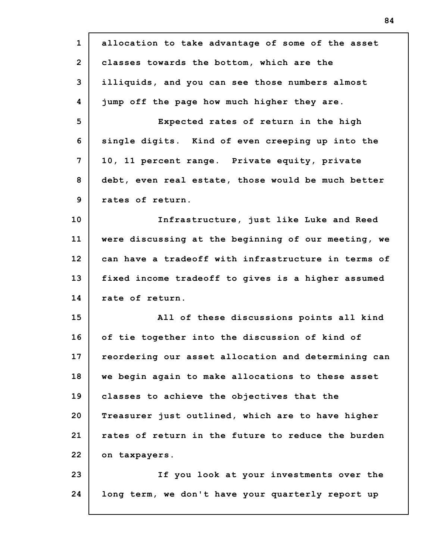| $\mathbf{1}$   | allocation to take advantage of some of the asset   |
|----------------|-----------------------------------------------------|
| $\overline{2}$ | classes towards the bottom, which are the           |
| 3              | illiquids, and you can see those numbers almost     |
| 4              | jump off the page how much higher they are.         |
| 5              | Expected rates of return in the high                |
| 6              | single digits. Kind of even creeping up into the    |
| $\overline{7}$ | 10, 11 percent range. Private equity, private       |
| 8              | debt, even real estate, those would be much better  |
| 9              | rates of return.                                    |
| 10             | Infrastructure, just like Luke and Reed             |
| 11             | were discussing at the beginning of our meeting, we |
| 12             | can have a tradeoff with infrastructure in terms of |
| 13             | fixed income tradeoff to gives is a higher assumed  |
| 14             | rate of return.                                     |
| 15             | All of these discussions points all kind            |
| 16             | of tie together into the discussion of kind of      |
| 17             | reordering our asset allocation and determining can |
| 18             | we begin again to make allocations to these asset   |
| 19             | classes to achieve the objectives that the          |
| 20             | Treasurer just outlined, which are to have higher   |
| 21             | rates of return in the future to reduce the burden  |
| 22             | on taxpayers.                                       |
| 23             | If you look at your investments over the            |
| 24             | long term, we don't have your quarterly report up   |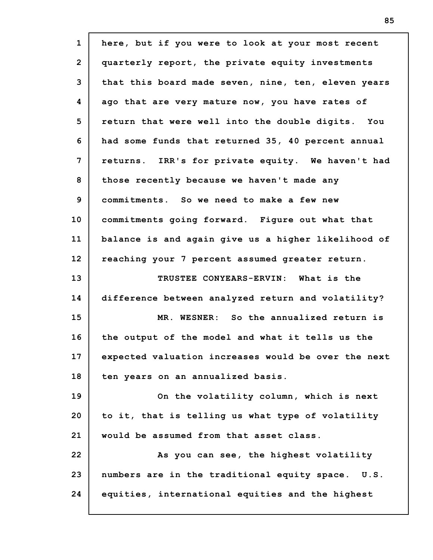| here, but if you were to look at your most recent   |
|-----------------------------------------------------|
| quarterly report, the private equity investments    |
| that this board made seven, nine, ten, eleven years |
| ago that are very mature now, you have rates of     |
| return that were well into the double digits. You   |
| had some funds that returned 35, 40 percent annual  |
| returns. IRR's for private equity. We haven't had   |
| those recently because we haven't made any          |
| commitments. So we need to make a few new           |
| commitments going forward. Figure out what that     |
| balance is and again give us a higher likelihood of |
| reaching your 7 percent assumed greater return.     |
| TRUSTEE CONYEARS-ERVIN: What is the                 |
| difference between analyzed return and volatility?  |
| MR. WESNER: So the annualized return is             |
| the output of the model and what it tells us the    |
| expected valuation increases would be over the next |
| ten years on an annualized basis.                   |
| On the volatility column, which is next             |
| to it, that is telling us what type of volatility   |
|                                                     |
| would be assumed from that asset class.             |
| As you can see, the highest volatility              |
| numbers are in the traditional equity space. U.S.   |
|                                                     |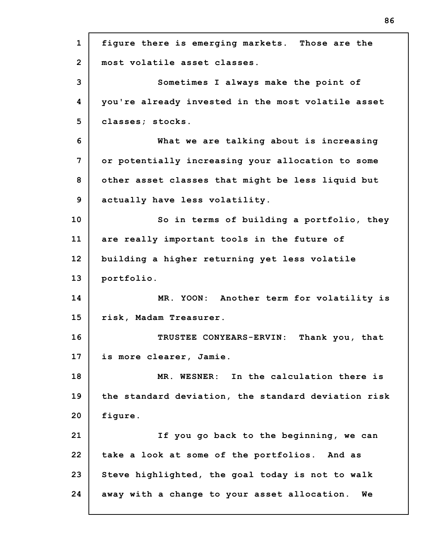| $\mathbf{1}$   | figure there is emerging markets. Those are the     |
|----------------|-----------------------------------------------------|
| $\overline{2}$ | most volatile asset classes.                        |
| 3              | Sometimes I always make the point of                |
| 4              | you're already invested in the most volatile asset  |
| 5              | classes; stocks.                                    |
| 6              | What we are talking about is increasing             |
| 7              | or potentially increasing your allocation to some   |
| 8              | other asset classes that might be less liquid but   |
| 9              | actually have less volatility.                      |
| 10             | So in terms of building a portfolio, they           |
| 11             | are really important tools in the future of         |
| 12             | building a higher returning yet less volatile       |
| 13             | portfolio.                                          |
| 14             | MR. YOON: Another term for volatility is            |
| 15             | risk, Madam Treasurer.                              |
| 16             | TRUSTEE CONYEARS-ERVIN: Thank you, that             |
| 17             | is more clearer, Jamie.                             |
| 18             | MR. WESNER: In the calculation there is             |
| 19             | the standard deviation, the standard deviation risk |
| 20             | figure.                                             |
| 21             | If you go back to the beginning, we can             |
| 22             | take a look at some of the portfolios. And as       |
| 23             | Steve highlighted, the goal today is not to walk    |
| 24             | away with a change to your asset allocation.<br>Wе  |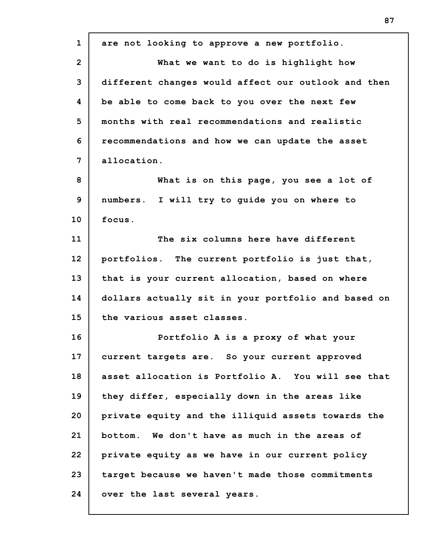| $\mathbf{1}$   | are not looking to approve a new portfolio.         |
|----------------|-----------------------------------------------------|
| $\overline{2}$ | What we want to do is highlight how                 |
| 3              | different changes would affect our outlook and then |
| 4              | be able to come back to you over the next few       |
| 5              | months with real recommendations and realistic      |
| 6              | recommendations and how we can update the asset     |
| 7              | allocation.                                         |
| 8              | What is on this page, you see a lot of              |
| 9              | numbers. I will try to guide you on where to        |
| 10             | focus.                                              |
| 11             | The six columns here have different                 |
| 12             | portfolios. The current portfolio is just that,     |
| 13             | that is your current allocation, based on where     |
| 14             | dollars actually sit in your portfolio and based on |
| 15             | the various asset classes.                          |
| 16             | Portfolio A is a proxy of what your                 |
| 17             | current targets are. So your current approved       |
| 18             | asset allocation is Portfolio A. You will see that  |
| 19             | they differ, especially down in the areas like      |
| 20             | private equity and the illiquid assets towards the  |
| 21             | bottom. We don't have as much in the areas of       |
| 22             | private equity as we have in our current policy     |
| 23             | target because we haven't made those commitments    |
| 24             | over the last several years.                        |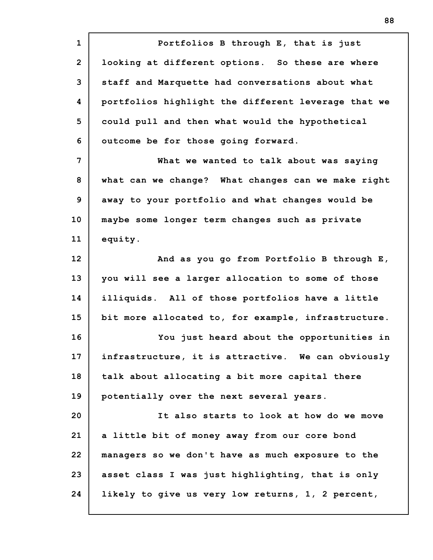**1 2 3 4 5 6 7 8 9 10 11 12 13 14 15 16 17 18 19 20 21 22 23 24 Portfolios B through E, that is just looking at different options. So these are where staff and Marquette had conversations about what portfolios highlight the different leverage that we could pull and then what would the hypothetical outcome be for those going forward. What we wanted to talk about was saying what can we change? What changes can we make right away to your portfolio and what changes would be maybe some longer term changes such as private equity. And as you go from Portfolio B through E, you will see a larger allocation to some of those illiquids. All of those portfolios have a little bit more allocated to, for example, infrastructure. You just heard about the opportunities in infrastructure, it is attractive. We can obviously talk about allocating a bit more capital there potentially over the next several years. It also starts to look at how do we move a little bit of money away from our core bond managers so we don't have as much exposure to the asset class I was just highlighting, that is only likely to give us very low returns, 1, 2 percent,**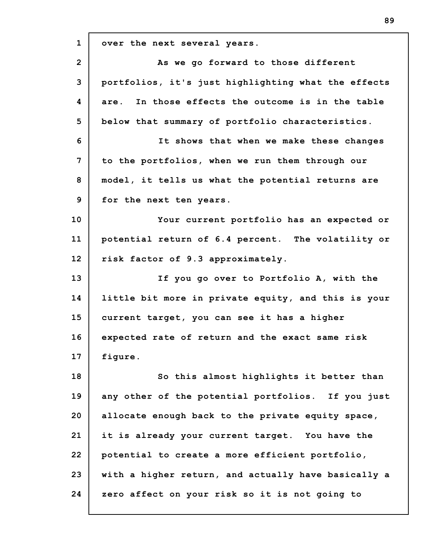**1 2 3 4 5 6 7 8 9 10 11 12 13 14 15 16 17 18 19 20 21 22 23 24 over the next several years. As we go forward to those different portfolios, it's just highlighting what the effects are. In those effects the outcome is in the table below that summary of portfolio characteristics. It shows that when we make these changes to the portfolios, when we run them through our model, it tells us what the potential returns are for the next ten years. Your current portfolio has an expected or potential return of 6.4 percent. The volatility or risk factor of 9.3 approximately. If you go over to Portfolio A, with the little bit more in private equity, and this is your current target, you can see it has a higher expected rate of return and the exact same risk figure. So this almost highlights it better than any other of the potential portfolios. If you just allocate enough back to the private equity space, it is already your current target. You have the potential to create a more efficient portfolio, with a higher return, and actually have basically a zero affect on your risk so it is not going to**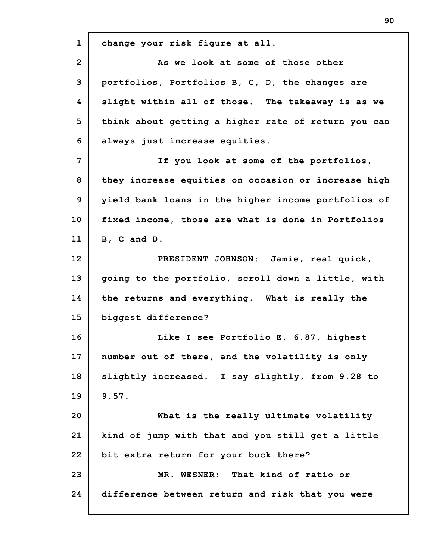**1 2 3 4 5 6 7 8 9 10 11 12 13 14 15 16 17 18 19 20 21 22 23 24 change your risk figure at all. As we look at some of those other portfolios, Portfolios B, C, D, the changes are slight within all of those. The takeaway is as we think about getting a higher rate of return you can always just increase equities. If you look at some of the portfolios, they increase equities on occasion or increase high yield bank loans in the higher income portfolios of fixed income, those are what is done in Portfolios B, C and D. PRESIDENT JOHNSON: Jamie, real quick, going to the portfolio, scroll down a little, with the returns and everything. What is really the biggest difference? Like I see Portfolio E, 6.87, highest number out of there, and the volatility is only slightly increased. I say slightly, from 9.28 to 9.57. What is the really ultimate volatility kind of jump with that and you still get a little bit extra return for your buck there? MR. WESNER: That kind of ratio or difference between return and risk that you were**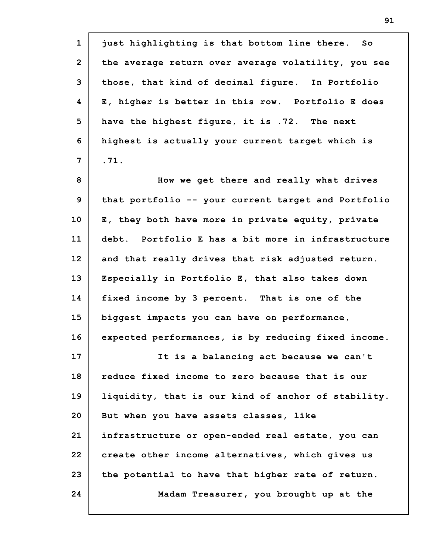| $\mathbf{1}$   | just highlighting is that bottom line there. So     |
|----------------|-----------------------------------------------------|
| $\overline{2}$ | the average return over average volatility, you see |
| 3              | those, that kind of decimal figure. In Portfolio    |
| 4              | E, higher is better in this row. Portfolio E does   |
| 5              | have the highest figure, it is .72. The next        |
| 6              | highest is actually your current target which is    |
| $7\phantom{.}$ | .71.                                                |
| 8              | How we get there and really what drives             |
| 9              | that portfolio -- your current target and Portfolio |
| 10             | E, they both have more in private equity, private   |
| 11             | debt. Portfolio E has a bit more in infrastructure  |
| 12             | and that really drives that risk adjusted return.   |
| 13             | Especially in Portfolio E, that also takes down     |
| 14             | fixed income by 3 percent. That is one of the       |
| 15             | biggest impacts you can have on performance,        |
| 16             | expected performances, is by reducing fixed income. |
| 17             | It is a balancing act because we can't              |
| 18             | reduce fixed income to zero because that is our     |
| 19             | liquidity, that is our kind of anchor of stability. |
| 20             | But when you have assets classes, like              |
| 21             | infrastructure or open-ended real estate, you can   |
| 22             | create other income alternatives, which gives us    |
| 23             | the potential to have that higher rate of return.   |
| 24             | Madam Treasurer, you brought up at the              |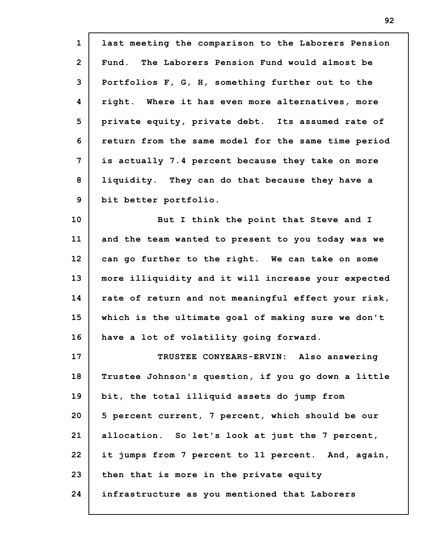| $\mathbf{1}$   | last meeting the comparison to the Laborers Pension |
|----------------|-----------------------------------------------------|
| $\overline{2}$ | Fund. The Laborers Pension Fund would almost be     |
| 3              | Portfolios F, G, H, something further out to the    |
| 4              | right. Where it has even more alternatives, more    |
| 5              | private equity, private debt. Its assumed rate of   |
| 6              | return from the same model for the same time period |
| 7              | is actually 7.4 percent because they take on more   |
| 8              | liquidity. They can do that because they have a     |
| 9              | bit better portfolio.                               |
| 10             | But I think the point that Steve and I              |
| 11             | and the team wanted to present to you today was we  |
| 12             | can go further to the right. We can take on some    |
| 13             | more illiquidity and it will increase your expected |
| 14             | rate of return and not meaningful effect your risk, |
| 15             | which is the ultimate goal of making sure we don't  |
| 16             | have a lot of volatility going forward.             |
| 17             | TRUSTEE CONYEARS-ERVIN: Also answering              |
| 18             | Trustee Johnson's question, if you go down a little |
| 19             | bit, the total illiquid assets do jump from         |
| 20             | 5 percent current, 7 percent, which should be our   |
| 21             | allocation. So let's look at just the 7 percent,    |
| 22             | it jumps from 7 percent to 11 percent. And, again,  |
| 23             | then that is more in the private equity             |
| 24             | infrastructure as you mentioned that Laborers       |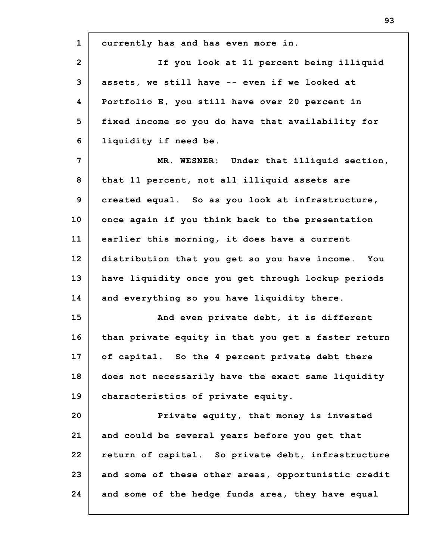**1 2 3 4 5 6 7 8 9 10 11 12 13 14 15 16 17 18 19 20 21 22 23 24 currently has and has even more in. If you look at 11 percent being illiquid assets, we still have -- even if we looked at Portfolio E, you still have over 20 percent in fixed income so you do have that availability for liquidity if need be. MR. WESNER: Under that illiquid section, that 11 percent, not all illiquid assets are created equal. So as you look at infrastructure, once again if you think back to the presentation earlier this morning, it does have a current distribution that you get so you have income. You have liquidity once you get through lockup periods and everything so you have liquidity there. And even private debt, it is different than private equity in that you get a faster return of capital. So the 4 percent private debt there does not necessarily have the exact same liquidity characteristics of private equity. Private equity, that money is invested and could be several years before you get that return of capital. So private debt, infrastructure and some of these other areas, opportunistic credit and some of the hedge funds area, they have equal**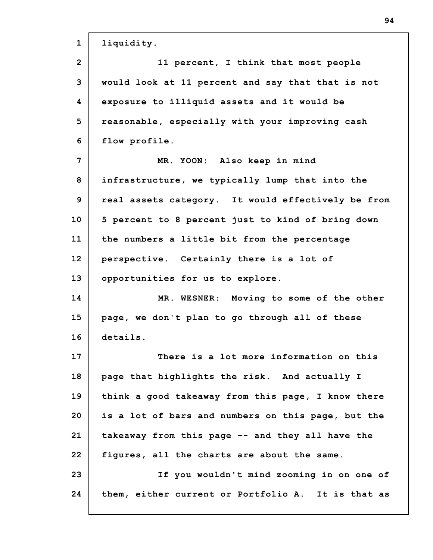| $\mathbf{1}$   | liquidity.                                         |
|----------------|----------------------------------------------------|
| $\overline{2}$ | 11 percent, I think that most people               |
| 3              | would look at 11 percent and say that that is not  |
| 4              | exposure to illiquid assets and it would be        |
| 5              | reasonable, especially with your improving cash    |
| 6              | flow profile.                                      |
| 7              | MR. YOON: Also keep in mind                        |
| 8              | infrastructure, we typically lump that into the    |
| 9              | real assets category. It would effectively be from |
| 10             | 5 percent to 8 percent just to kind of bring down  |
| 11             | the numbers a little bit from the percentage       |
| 12             | perspective. Certainly there is a lot of           |
| 13             | opportunities for us to explore.                   |
| 14             | MR. WESNER: Moving to some of the other            |
| 15             | page, we don't plan to go through all of these     |
| 16             | details.                                           |
| 17             | There is a lot more information on this            |
| 18             | page that highlights the risk. And actually I      |
| 19             | think a good takeaway from this page, I know there |
| 20             | is a lot of bars and numbers on this page, but the |
| 21             | takeaway from this page -- and they all have the   |
| 22             | figures, all the charts are about the same.        |
| 23             | If you wouldn't mind zooming in on one of          |
| 24             | them, either current or Portfolio A. It is that as |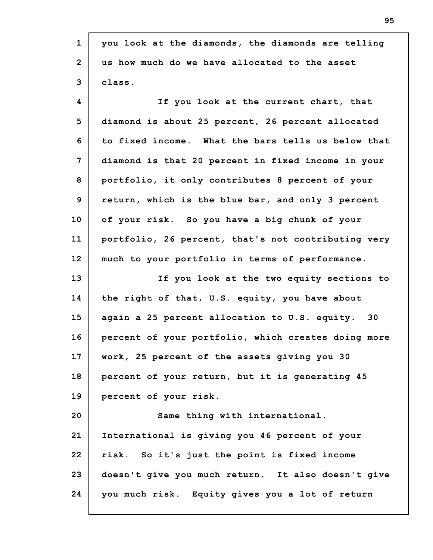| $\mathbf{1}$   | you look at the diamonds, the diamonds are telling  |
|----------------|-----------------------------------------------------|
| $\overline{2}$ | us how much do we have allocated to the asset       |
| 3              | class.                                              |
| 4              | If you look at the current chart, that              |
| 5              | diamond is about 25 percent, 26 percent allocated   |
| 6              | to fixed income. What the bars tells us below that  |
| $\overline{7}$ | diamond is that 20 percent in fixed income in your  |
| 8              | portfolio, it only contributes 8 percent of your    |
| 9              | return, which is the blue bar, and only 3 percent   |
| 10             | of your risk. So you have a big chunk of your       |
| 11             | portfolio, 26 percent, that's not contributing very |
| 12             | much to your portfolio in terms of performance.     |
| 13             | If you look at the two equity sections to           |
| 14             | the right of that, U.S. equity, you have about      |
| 15             | again a 25 percent allocation to U.S. equity. 30    |
| 16             | percent of your portfolio, which creates doing more |
| 17             | work, 25 percent of the assets giving you 30        |
| 18             | percent of your return, but it is generating 45     |
| 19             | percent of your risk.                               |
| 20             | Same thing with international.                      |
| 21             | International is giving you 46 percent of your      |
| 22             | risk. So it's just the point is fixed income        |
| 23             | doesn't give you much return. It also doesn't give  |
| 24             | you much risk. Equity gives you a lot of return     |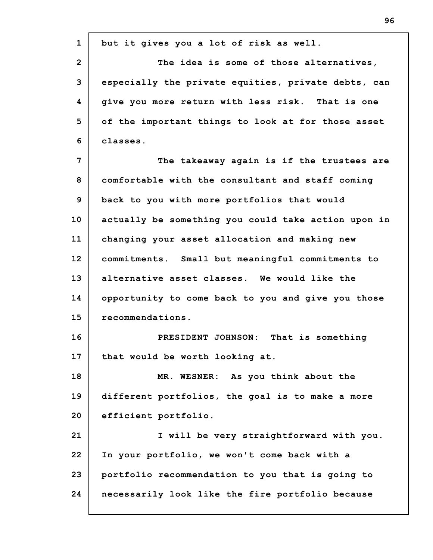| $\mathbf{1}$   | but it gives you a lot of risk as well.             |
|----------------|-----------------------------------------------------|
| $\overline{2}$ | The idea is some of those alternatives,             |
| 3              | especially the private equities, private debts, can |
| 4              | give you more return with less risk. That is one    |
| 5              | of the important things to look at for those asset  |
| 6              | classes.                                            |
| 7              | The takeaway again is if the trustees are           |
| 8              | comfortable with the consultant and staff coming    |
| 9              | back to you with more portfolios that would         |
| 10             | actually be something you could take action upon in |
| 11             | changing your asset allocation and making new       |
| 12             | commitments. Small but meaningful commitments to    |
| 13             | alternative asset classes. We would like the        |
| 14             | opportunity to come back to you and give you those  |
| 15             | recommendations.                                    |
| 16             | PRESIDENT JOHNSON:<br>That is something             |
| 17             | that would be worth looking at.                     |
| 18             | MR. WESNER: As you think about the                  |
| 19             | different portfolios, the goal is to make a more    |
| 20             | efficient portfolio.                                |
| 21             | I will be very straightforward with you.            |
| 22             | In your portfolio, we won't come back with a        |
| 23             | portfolio recommendation to you that is going to    |
| 24             | necessarily look like the fire portfolio because    |
|                |                                                     |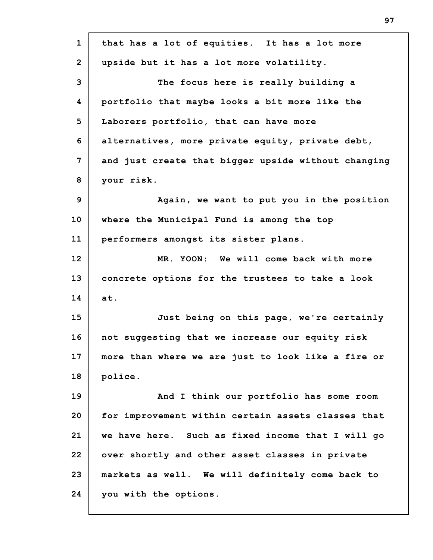| $\mathbf{1}$   | that has a lot of equities. It has a lot more       |
|----------------|-----------------------------------------------------|
| $\overline{2}$ | upside but it has a lot more volatility.            |
| 3              | The focus here is really building a                 |
| 4              | portfolio that maybe looks a bit more like the      |
| 5              | Laborers portfolio, that can have more              |
| 6              | alternatives, more private equity, private debt,    |
| $\overline{7}$ | and just create that bigger upside without changing |
| 8              | your risk.                                          |
| 9              | Again, we want to put you in the position           |
| 10             | where the Municipal Fund is among the top           |
| 11             | performers amongst its sister plans.                |
| 12             | MR. YOON: We will come back with more               |
| 13             | concrete options for the trustees to take a look    |
| 14             | at.                                                 |
| 15             | Just being on this page, we're certainly            |
| 16             | not suggesting that we increase our equity risk     |
| 17             | more than where we are just to look like a fire or  |
| 18             | police.                                             |
| 19             | And I think our portfolio has some room             |
| 20             | for improvement within certain assets classes that  |
| 21             | we have here. Such as fixed income that I will go   |
| 22             | over shortly and other asset classes in private     |
| 23             | markets as well. We will definitely come back to    |
| 24             | you with the options.                               |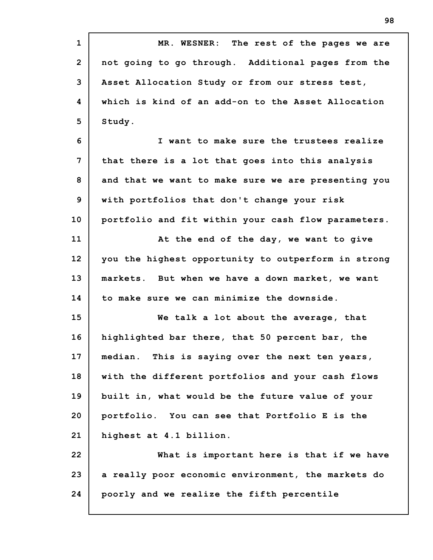**1 2 3 4 5 6 7 8 9 10 11 12 13 14 15 16 17 18 19 20 21 22 23 24 MR. WESNER: The rest of the pages we are not going to go through. Additional pages from the Asset Allocation Study or from our stress test, which is kind of an add-on to the Asset Allocation Study. I want to make sure the trustees realize that there is a lot that goes into this analysis and that we want to make sure we are presenting you with portfolios that don't change your risk portfolio and fit within your cash flow parameters. At the end of the day, we want to give you the highest opportunity to outperform in strong markets. But when we have a down market, we want to make sure we can minimize the downside. We talk a lot about the average, that highlighted bar there, that 50 percent bar, the median. This is saying over the next ten years, with the different portfolios and your cash flows built in, what would be the future value of your portfolio. You can see that Portfolio E is the highest at 4.1 billion. What is important here is that if we have a really poor economic environment, the markets do poorly and we realize the fifth percentile**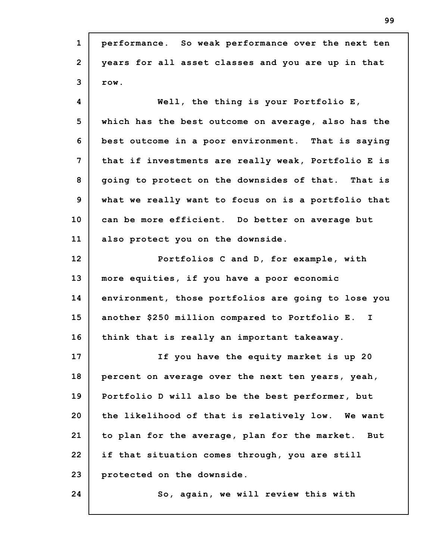| $\mathbf{1}$   | performance. So weak performance over the next ten  |
|----------------|-----------------------------------------------------|
| $\overline{2}$ | years for all asset classes and you are up in that  |
| 3              | row.                                                |
| 4              | Well, the thing is your Portfolio $E_t$             |
| 5              | which has the best outcome on average, also has the |
| 6              | best outcome in a poor environment. That is saying  |
| $\overline{7}$ | that if investments are really weak, Portfolio E is |
| 8              | going to protect on the downsides of that. That is  |
| 9              | what we really want to focus on is a portfolio that |
| 10             | can be more efficient. Do better on average but     |
| 11             | also protect you on the downside.                   |
| 12             | Portfolios C and D, for example, with               |
| 13             | more equities, if you have a poor economic          |
| 14             | environment, those portfolios are going to lose you |
| 15             | another \$250 million compared to Portfolio E. I    |
| 16             | think that is really an important takeaway.         |
| 17             | If you have the equity market is up 20              |
| 18             | percent on average over the next ten years, yeah,   |
| 19             | Portfolio D will also be the best performer, but    |
| 20             | the likelihood of that is relatively low. We want   |
| 21             | to plan for the average, plan for the market. But   |
| 22             | if that situation comes through, you are still      |
| 23             | protected on the downside.                          |
| 24             | So, again, we will review this with                 |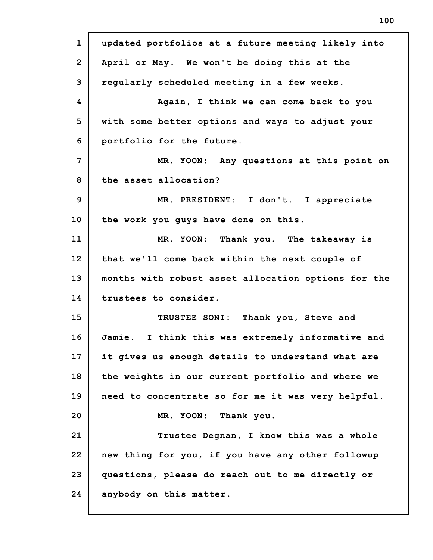**1 2 3 4 5 6 7 8 9 10 11 12 13 14 15 16 17 18 19 20 21 22 23 24 updated portfolios at a future meeting likely into April or May. We won't be doing this at the regularly scheduled meeting in a few weeks. Again, I think we can come back to you with some better options and ways to adjust your portfolio for the future. MR. YOON: Any questions at this point on the asset allocation? MR. PRESIDENT: I don't. I appreciate the work you guys have done on this. MR. YOON: Thank you. The takeaway is that we'll come back within the next couple of months with robust asset allocation options for the trustees to consider. TRUSTEE SONI: Thank you, Steve and Jamie. I think this was extremely informative and it gives us enough details to understand what are the weights in our current portfolio and where we need to concentrate so for me it was very helpful. MR. YOON: Thank you. Trustee Degnan, I know this was a whole new thing for you, if you have any other followup questions, please do reach out to me directly or anybody on this matter.**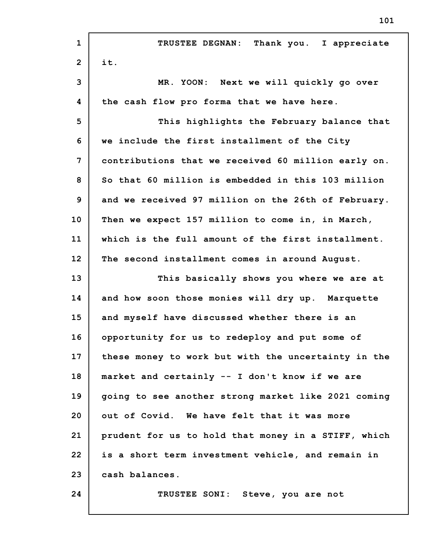| $\mathbf{1}$   | Thank you. I appreciate<br>TRUSTEE DEGNAN:          |
|----------------|-----------------------------------------------------|
| $\overline{2}$ | it.                                                 |
| 3              | MR. YOON: Next we will quickly go over              |
| 4              | the cash flow pro forma that we have here.          |
| 5              | This highlights the February balance that           |
| 6              | we include the first installment of the City        |
| 7              | contributions that we received 60 million early on. |
| 8              | So that 60 million is embedded in this 103 million  |
| 9              | and we received 97 million on the 26th of February. |
| 10             | Then we expect 157 million to come in, in March,    |
| 11             | which is the full amount of the first installment.  |
| 12             | The second installment comes in around August.      |
| 13             | This basically shows you where we are at            |
| 14             | and how soon those monies will dry up. Marquette    |
| 15             | and myself have discussed whether there is an       |
| 16             | opportunity for us to redeploy and put some of      |
| 17             | these money to work but with the uncertainty in the |
| 18             | market and certainly -- I don't know if we are      |
| 19             | going to see another strong market like 2021 coming |
| 20             | out of Covid. We have felt that it was more         |
| 21             | prudent for us to hold that money in a STIFF, which |
| 22             | is a short term investment vehicle, and remain in   |
| 23             |                                                     |
|                | cash balances.                                      |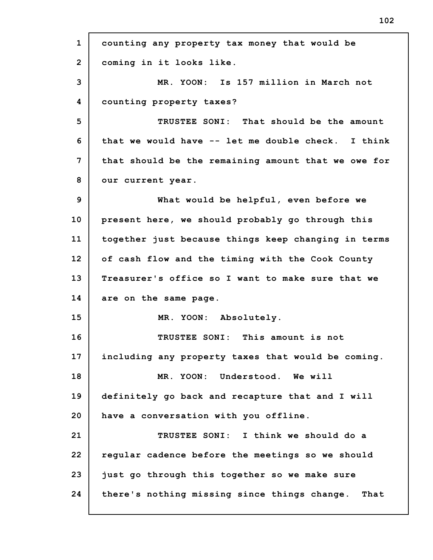**1 2 3 4 5 6 7 8 9 10 11 12 13 14 15 16 17 18 19 20 21 22 23 24 counting any property tax money that would be coming in it looks like. MR. YOON: Is 157 million in March not counting property taxes? TRUSTEE SONI: That should be the amount that we would have -- let me double check. I think that should be the remaining amount that we owe for our current year. What would be helpful, even before we present here, we should probably go through this together just because things keep changing in terms of cash flow and the timing with the Cook County Treasurer's office so I want to make sure that we are on the same page. MR. YOON: Absolutely. TRUSTEE SONI: This amount is not including any property taxes that would be coming. MR. YOON: Understood. We will definitely go back and recapture that and I will have a conversation with you offline. TRUSTEE SONI: I think we should do a regular cadence before the meetings so we should just go through this together so we make sure there's nothing missing since things change. That**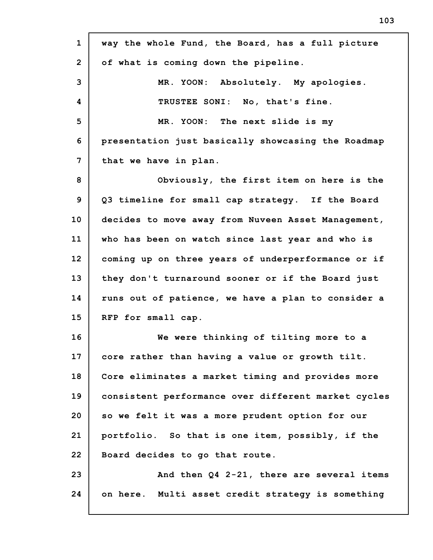| $\mathbf{1}$   | way the whole Fund, the Board, has a full picture   |
|----------------|-----------------------------------------------------|
| $\overline{2}$ | of what is coming down the pipeline.                |
| 3              | MR. YOON: Absolutely. My apologies.                 |
| 4              | TRUSTEE SONI: No, that's fine.                      |
| 5              | MR. YOON: The next slide is my                      |
| 6              | presentation just basically showcasing the Roadmap  |
| 7              | that we have in plan.                               |
| 8              | Obviously, the first item on here is the            |
| 9              | Q3 timeline for small cap strategy. If the Board    |
| 10             | decides to move away from Nuveen Asset Management,  |
| 11             | who has been on watch since last year and who is    |
| 12             | coming up on three years of underperformance or if  |
| 13             | they don't turnaround sooner or if the Board just   |
| 14             | runs out of patience, we have a plan to consider a  |
| 15             | RFP for small cap.                                  |
| 16             | We were thinking of tilting more to a               |
| 17             | core rather than having a value or growth tilt.     |
| 18             | Core eliminates a market timing and provides more   |
| 19             | consistent performance over different market cycles |
| 20             | so we felt it was a more prudent option for our     |
| 21             | portfolio. So that is one item, possibly, if the    |
| 22             | Board decides to go that route.                     |
| 23             | And then Q4 2-21, there are several items           |
| 24             | on here. Multi asset credit strategy is something   |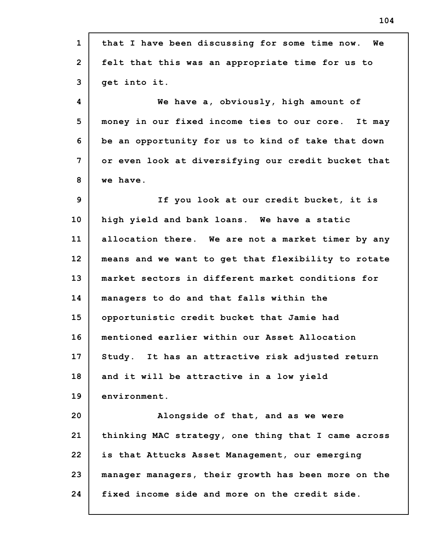| $\mathbf{1}$   | that I have been discussing for some time now. We   |
|----------------|-----------------------------------------------------|
| $\overline{2}$ | felt that this was an appropriate time for us to    |
| 3              | get into it.                                        |
| 4              | We have a, obviously, high amount of                |
| 5              | money in our fixed income ties to our core. It may  |
| 6              | be an opportunity for us to kind of take that down  |
| 7              | or even look at diversifying our credit bucket that |
| 8              | we have.                                            |
| 9              | If you look at our credit bucket, it is             |
| 10             | high yield and bank loans. We have a static         |
| 11             | allocation there. We are not a market timer by any  |
| 12             | means and we want to get that flexibility to rotate |
| 13             | market sectors in different market conditions for   |
| 14             | managers to do and that falls within the            |
| 15             | opportunistic credit bucket that Jamie had          |
| 16             | mentioned earlier within our Asset Allocation       |
| 17             | Study. It has an attractive risk adjusted return    |
| 18             | and it will be attractive in a low yield            |
| 19             | environment.                                        |
| 20             | Alongside of that, and as we were                   |
| 21             | thinking MAC strategy, one thing that I came across |
| 22             | is that Attucks Asset Management, our emerging      |
| 23             | manager managers, their growth has been more on the |
| 24             | fixed income side and more on the credit side.      |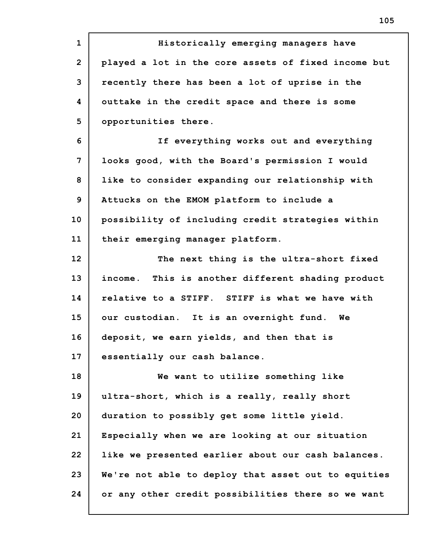**1 2 3 4 5 6 7 8 9 10 11 12 13 14 15 16 17 18 19 20 21 22 23 24 Historically emerging managers have played a lot in the core assets of fixed income but recently there has been a lot of uprise in the outtake in the credit space and there is some opportunities there. If everything works out and everything looks good, with the Board's permission I would like to consider expanding our relationship with Attucks on the EMOM platform to include a possibility of including credit strategies within their emerging manager platform. The next thing is the ultra-short fixed income. This is another different shading product relative to a STIFF. STIFF is what we have with our custodian. It is an overnight fund. We deposit, we earn yields, and then that is essentially our cash balance. We want to utilize something like ultra-short, which is a really, really short duration to possibly get some little yield. Especially when we are looking at our situation like we presented earlier about our cash balances. We're not able to deploy that asset out to equities or any other credit possibilities there so we want**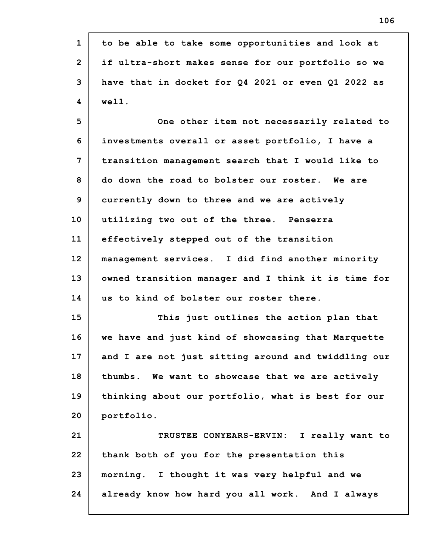| $\mathbf{1}$   | to be able to take some opportunities and look at   |
|----------------|-----------------------------------------------------|
| $\overline{2}$ | if ultra-short makes sense for our portfolio so we  |
| 3              | have that in docket for Q4 2021 or even Q1 2022 as  |
| 4              | well.                                               |
| 5              | One other item not necessarily related to           |
| 6              | investments overall or asset portfolio, I have a    |
| 7              | transition management search that I would like to   |
| 8              | do down the road to bolster our roster. We are      |
| 9              | currently down to three and we are actively         |
| 10             | utilizing two out of the three. Penserra            |
| 11             | effectively stepped out of the transition           |
| 12             | management services. I did find another minority    |
| 13             | owned transition manager and I think it is time for |
| 14             | us to kind of bolster our roster there.             |
| 15             | This just outlines the action plan that             |
| 16             | we have and just kind of showcasing that Marquette  |
| 17             | and I are not just sitting around and twiddling our |
| 18             | thumbs. We want to showcase that we are actively    |
| 19             | thinking about our portfolio, what is best for our  |
| 20             | portfolio.                                          |
| 21             | TRUSTEE CONYEARS-ERVIN: I really want to            |
| 22             | thank both of you for the presentation this         |
| 23             | morning. I thought it was very helpful and we       |
| 24             | already know how hard you all work. And I always    |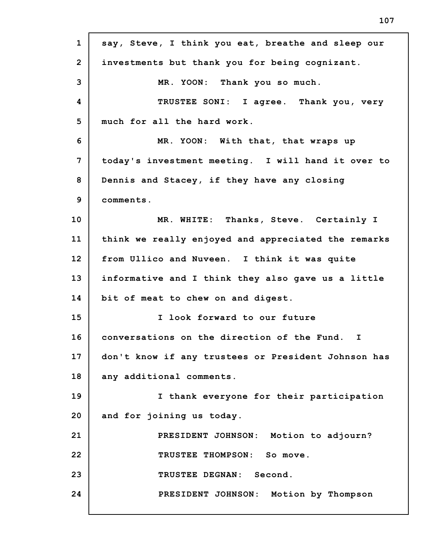| $\mathbf{1}$   | say, Steve, I think you eat, breathe and sleep our  |
|----------------|-----------------------------------------------------|
| $\overline{2}$ | investments but thank you for being cognizant.      |
| 3              | MR. YOON: Thank you so much.                        |
| 4              | TRUSTEE SONI: I agree. Thank you, very              |
| 5              | much for all the hard work.                         |
| 6              | MR. YOON: With that, that wraps up                  |
| 7              | today's investment meeting. I will hand it over to  |
| 8              | Dennis and Stacey, if they have any closing         |
| 9              | comments.                                           |
| 10             | MR. WHITE: Thanks, Steve. Certainly I               |
| 11             | think we really enjoyed and appreciated the remarks |
| 12             | from Ullico and Nuveen. I think it was quite        |
| 13             | informative and I think they also gave us a little  |
| 14             | bit of meat to chew on and digest.                  |
| 15             | I look forward to our future                        |
| 16             | conversations on the direction of the Fund. I       |
| 17             | don't know if any trustees or President Johnson has |
| 18             | any additional comments.                            |
| 19             | I thank everyone for their participation            |
| 20             | and for joining us today.                           |
| 21             | PRESIDENT JOHNSON: Motion to adjourn?               |
| 22             | TRUSTEE THOMPSON: So move.                          |
| 23             | TRUSTEE DEGNAN: Second.                             |
| 24             | PRESIDENT JOHNSON: Motion by Thompson               |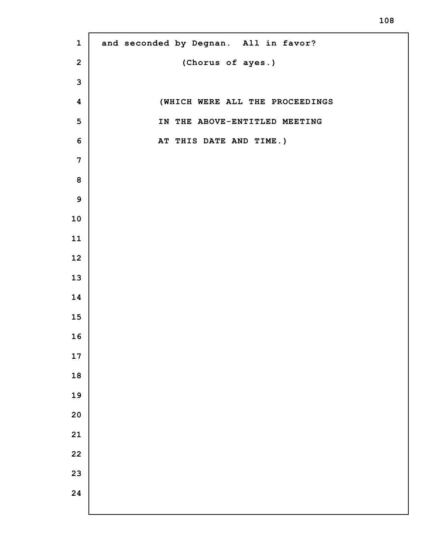**and seconded by Degnan. All in favor? (Chorus of ayes.) (WHICH WERE ALL THE PROCEEDINGS IN THE ABOVE-ENTITLED MEETING AT THIS DATE AND TIME.)**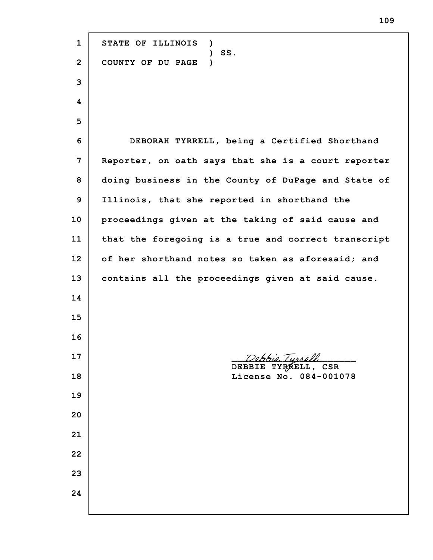**STATE OF ILLINOIS ) ) SS. COUNTY OF DU PAGE ) DEBORAH TYRRELL, being a Certified Shorthand Reporter, on oath says that she is a court reporter doing business in the County of DuPage and State of Illinois, that she reported in shorthand the proceedings given at the taking of said cause and that the foregoing is a true and correct transcript of her shorthand notes so taken as aforesaid; and contains all the proceedings given at said cause.** robbio Turrell **DEBBIE TYRRELL, CSR License No. 084-001078**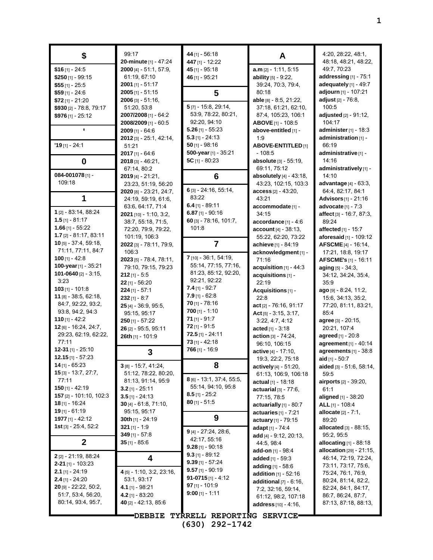| \$                                              | 99:17                                          | 44 [1] - 56:18                      | A                                         | 4:20, 28:22, 48:1,                               |
|-------------------------------------------------|------------------------------------------------|-------------------------------------|-------------------------------------------|--------------------------------------------------|
|                                                 | 20-minute [1] - 47:24                          | 447 [1] - 12:22                     |                                           | 48:18, 48:21, 48:22,                             |
| $$16$ [1] - 24:5                                | $2000$ [4] - 51:1, 57:9,                       | 45 [1] - 95:18                      | a.m [2] - 1:11, 5:15                      | 49:7, 70:23                                      |
| \$250 $[1]$ - 99:15                             | 61:19, 67:10<br><b>2001</b> [1] - 51:17        | 46 [1] - 95:21                      | <b>ability</b> $[5] - 9:22$ ,             | addressing [1] - 75:1<br>adequately [1] - 49:7   |
| $$55$ [1] - 25:5                                | $2005$ [1] - 51:15                             | 5                                   | 39:24, 70:3, 79:4,<br>80:18               | adjourn [1] - 107:21                             |
| $$59$ [1] - 24:6<br>\$72 [1] - 21:20            | $2006$ [3] - 51:16,                            |                                     | able [8] - 8:5, 21:22,                    | adjust [2] - 76:8,                               |
| \$930 [2] - 78:8, 79:17                         | 51:20, 53:8                                    | $5$ [7] - 15:8, 29:14,              | 37:18, 61:21, 62:10,                      | 100:5                                            |
| \$976 $[1] - 25:12$                             | 2007/2008 [1] - 64:2                           | 53:9, 78:22, 80:21,                 | 87:4, 105:23, 106:1                       | adjusted [2] - 91:12,                            |
|                                                 | 2008/2009 [1] - 60:5                           | 92:20, 94:10                        | ABOVE [1] - 108:5                         | 104:17                                           |
|                                                 | $2009$ [1] - 64:6                              | $5.26$ [1] - 55:23                  | above-entitled [1] -                      | administer [1] - 18:3                            |
|                                                 | 2012 [3] - 25:1, 42:14,                        | $5.3$ [1] - 24:13                   | 1:9                                       | administration [1] -                             |
| $'19$ [1] - 24:1                                | 51:21                                          | $50$ [1] - 98:16                    | <b>ABOVE-ENTITLED</b> [1]                 | 66:19                                            |
|                                                 | $2017$ [1] - 64:6                              | 500-year [1] - 35:21                | $-108:5$                                  | administrative [1] -                             |
| $\bf{0}$                                        | $2018$ [3] - 46:21,                            | 5C $[1] - 80:23$                    | <b>absolute</b> [3] - 55:19,              | 14:16                                            |
|                                                 | 67:14, 80:2                                    |                                     | 69:11, 75:12                              | administratively [1] -                           |
| 084-001078[1] -                                 | $2019$ [4] - 21:21,                            | 6                                   | absolutely $[4] - 43.18$ ,                | 14:10                                            |
| 109:18                                          | 23:23, 51:19, 56:20                            | 6 [3] - 24:16, 55:14,               | 43:23, 102:15, 103:3                      | advantage [4] - 63:3,                            |
|                                                 | 2020 [8] - 23:21, 24:7,                        | 83:22                               | $\arcces$ $[2] - 43:20,$                  | 64:4, 82:17, 84:1                                |
| 1                                               | 24:19, 59:19, 61:6,                            | $6.4$ [1] - 89:11                   | 43:21                                     | Advisors [1] - 21:16                             |
| 1 [2] - 83:14, 88:24                            | 63.6, 64.17, 71.4                              | 6.87 $[1]$ - 90:16                  | accommodate [1] -<br>34:15                | advocate $[1] - 7:3$<br>affect [3] - 16:7, 87:3, |
| $1.5$ [1] - 81:17                               | $2021$ [10] - 1:10, 3:2,<br>38:7, 55:18, 71:5, | 60 [3] - 78:16, 101:7,              | accordance [1] - 4:6                      | 89:24                                            |
| $1.66$ [1] - 55:22                              | 72:20, 79:9, 79:22,                            | 101:8                               | $account [4] - 38:13,$                    | affected [1] - 15:7                              |
| 1.7 $[2] - 81:17, 83:11$                        | 101:19, 106:3                                  |                                     | 55:22, 62:20, 73:22                       | aforesaid [1] - 109:12                           |
| <b>10</b> [5] - 37:4, 59:18,                    | 2022 [3] - 78:11, 79:9,                        | $\overline{7}$                      | achieve [1] - 84:19                       | <b>AFSCME</b> [4] - 16:14,                       |
| 71:11, 77:11, 84:7                              | 106:3                                          |                                     | acknowledgment [1] -                      | 17:21, 18:8, 19:17                               |
| 100 $[1] - 42.8$                                | $2023$ [5] - 78:4, 78:11,                      | 7 [10] - 36:1, 54:19,               | 71:16                                     | AFSCME's [1] - 16:11                             |
| 100-year [1] - 35:21                            | 79:10, 79:15, 79:23                            | 55:14, 77:15, 77:16,                | acquisition $[1]$ - 44:3                  | aging $[5] - 34.3$ ,                             |
| 101-0640 $[2] - 3:15$                           | $212$ [1] - 5:5                                | 81:23, 85:12, 92:20,                | acquisitions [1] -                        | 34:12, 34:24, 35:4,                              |
| 3:23                                            | 22 [1] - 56:20                                 | 92:21, 92:22                        | 22:19                                     | 35:9                                             |
| $103$ [1] - 101:8                               | $224$ [1] - 57:1                               | $7.4$ [1] - 92:7                    | Acquisitions [1] -                        | <b>ago</b> թ. - 8:24, 11:2,                      |
| 11 [8] - 38:5, 62:18,                           | $232$ [1] - 8:7                                | $7.9$ [1] - 62:8                    | 22:8                                      | 15:6, 34:13, 35:2,                               |
| 84:7, 92:22, 93:2,                              | $25$ [4] - 36.9, 95:5,                         | $70$ [1] - 78:16                    | act [2] - 76:16, 91:17                    | 77:20, 81:11, 83:21,                             |
| 93.8, 94.2, 94.3                                | 95:15, 95:17                                   | $700$ [1] - 1:10<br>$71$ [1] - 91:7 | Act $[5] - 3:15, 3:17,$                   | 85.4                                             |
| 110 $[1] - 42:2$                                | $250$ [1] - 57:22                              | $72$ [1] - 91:5                     | 3:22, 4:7, 4:12                           | agree [3] - 20:15,                               |
| $12$ [6] - 16:24, 24:7,<br>29:23, 62:19, 62:22, | 26 [2] - 95:5, 95:11                           | $72.5$ [1] - 24:11                  | acted [1] - 3:18                          | 20:21, 107:4                                     |
| 77:11                                           | 26th [1] - 101:9                               | $73$ [1] - 42:18                    | action [3] - 74:24,                       | agreed [1] - 20:8                                |
| $12-31$ [1] - 25:10                             |                                                | $766$ [1] - 16:9                    | 96:10, 106:15                             | agreement [1] - 40:14                            |
| <b>12.15</b> [1] - 57:23                        | 3                                              |                                     | active [4] - 17:10,<br>19:3, 22:2, 75:18  | agreements $[1]$ - $38:8$<br>aid $[1] - 50:7$    |
| $14$ [1] - 65:23                                | $3$ [8] - 15:7, 41:24,                         | 8                                   | actively [4] - 51:20,                     | aided [3] - 51:6, 58:14,                         |
| $15$ [3] - 13:7, 27:7,                          | 51:12, 78:22, 80:20,                           |                                     | 61:13, 106.9, 106:18                      | 59:5                                             |
| 77:11                                           | 81:13, 91:14, 95.9                             | 8 [6] - 13:1, 37:4, 55:5,           | actual $[1] - 18:18$                      | <b>airports</b> $[2] - 39:20$ ,                  |
| <b>150</b> [1] - 42:19                          | $3.2$ [1] - 25:11                              | 55:14, 94:10, 95:8                  | actuarial $[3] - 77.6$ .                  | 61:1                                             |
| 157 [2] - 101:10, 102:3                         | $3.5$ [1] - 24:13                              | $8.5$ [1] - 25:2                    | 77:15, 78:5                               | aligned [1] - 38:20                              |
| <b>18</b> [1] - 16:24                           | 30 [4] - 61:8, 71:10,                          | $80$ [1] - 51:5                     | actuarially $[1]$ - 80:7                  | ALL $[1] - 108.4$                                |
| <b>19</b> [1] - 61:19                           | 95:15, 95:17                                   |                                     | <b>actuaries</b> $[1] - 7:21$             | <b>allocate</b> $[2] - 7:1$ ,                    |
| 1977 [1] - 42:12                                | 30th $[1]$ - 24:19                             | 9                                   | actuary $[1]$ - 79:15                     | 89:20                                            |
| <b>1st</b> [3] - $25:4$ , $52:2$                | 321 $[1] - 1.9$                                | $9$ [4] - 27:24, 28:6,              | adapt [1] - 74:4                          | <b>allocated</b> $[3] - 88:15$ ,                 |
|                                                 | 349 $[1] - 57.8$                               | 42:17, 55:16                        | add $[4] - 9.12, 20.13,$                  | 95:2, 95:5                                       |
| $\mathbf{2}$                                    | $35$ [1] - 85:6                                | $9.28$ [1] - 90:18                  | 44.5, 98.4                                | allocating $[1]$ - 88:18                         |
| $2$ [2] - 21:19, 88:24                          |                                                | $9.3$ [1] - 89:12                   | add-on [1] - 98:4                         | <b>allocation</b> [29] - 21:15,                  |
| $2 - 21$ [1] - 103:23                           | 4                                              | $9.39$ [1] - 57:24                  | <b>added</b> $[1] - 59.3$                 | 46:14, 72:19, 72:24,                             |
| $2.1$ [1] - 24:19                               | 4 [5] - 1:10, 3:2, 23:16,                      | $9.57$ [1] - 90:19                  | adding $[1] - 58.6$                       | 73:11, 73:17, 75:6,                              |
| $2.4$ [1] - 24:20                               | 53:1, 93:17                                    | 91-0715 $[1] - 4.12$                | addition [1] - 52:16                      | 75:24, 76:1, 76:9,<br>80.24, 81.14, 82.2,        |
| 20 [9] - 22:22, 50:2,                           | 4.1 $[1] - 98.21$                              | $97$ [1] - 101:9                    | additional $[7] - 6.16$ ,                 | 82:24, 84:1, 84:17,                              |
| 51:7, 53:4, 56:20,                              | 4.2 $[1] - 83:20$                              | $9:00$ [1] - 1:11                   | 7:2, 32:16, 59:14,<br>61:12, 98:2, 107:18 | 86:7, 86:24, 87:7,                               |
| 80:14, 93:4, 95:7,                              | 40 [2] - 42:13, 85:6                           |                                     | <b>address</b> $[10] - 4.16$ ,            | 87:13, 87:18, 88:13,                             |
|                                                 |                                                |                                     |                                           |                                                  |
|                                                 |                                                | DEBBIE TYRRELL REPORTING SERVICE    |                                           |                                                  |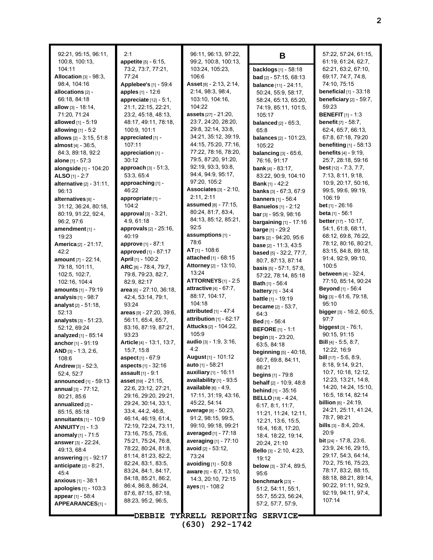92:21, 95:15, 96:11, 100:8, 100:13, 104:11 **Allocation** [3] - 98:3, 98:4, 104:16 **allocations** [2] - 66:18, 84:18 **allow** [3] - 18:14, 71:20, 71:24 **allowed** [1] - 5:19 **allowing** [1] - 5:2 **allows** [2] - 3:15, 51:8 **almost** [4] - 36:5, 84:3, 89:18, 92:2 **alone** [1] - 57:3 **alongside** [1] - 104:20 **ALSO** [1] - 2:7 **alternative** [2] - 31:11, 96:13 **alternatives** [8] - 31:12, 36:24, 80:18, 80:19, 91:22, 92:4, 96:2, 97:6 **amendment** [1] - 19:23 **America** [2] - 21:17, 42:2 **amount** [7] - 22:14, 79:18, 101:11, 102:5, 102:7, 102:16, 104:4 **amounts** [1] - 79:19 **analysis** [1] - 98:7 **analyst** [2] - 51:18, 52:13 **analysts** [3] - 51:23, 52:12, 69:24 **analyzed** [1] - 85:14 **anchor**[1] - 91:19 **AND** [3] - 1:3, 2:6, 108:6 **Andrew** [3] - 52:3, 52:4, 52:7 **announced** [1] - 59:13 **annual** [3] - 77:12, 80:21, 85:6 **annualized** [2] - 85:15, 85:18 **annuitants** [1] - 10:9 **ANNUITY**[1] - 1:3 **anomaly** [1] - 71:5 **answer**[3] - 22:24, 49:13, 68:4 **answering** [1] - 92:17 **anticipate** [2] - 8:21, 45:4 **anxious** [1] - 38:1 **apologies** [1] - 103:3 **appear**[1] - 58:4 **APPEARANCES**[1] - 2:1

**appetite** [5] - 6:15, 73:2, 73:7, 77:21, 77:24 **Applebee's** [1] - 59:4 **apples** [1] - 12:6 **appreciate** [12] - 5:1, 21:1, 22:15, 22:21, 23:2, 45:18, 48:13, 48:17, 49:11, 78:18, 100:9, 101:1 **appreciated** [1] - 107:11 **appreciation** [1] - 30:12 **approach** [3] - 51:3, 53:3, 65:4 **approaching** [1] - 46:22 **appropriate** [1] -  $104.2$ **approval** [3] - 3:21, 4:9, 61:18 **approvals** [2] - 25:16, 40:19 **approve** [1] - 87:1 **approved** [1] - 87:17 **April** [1] - 100:2 **ARC** [8] - 78:4, 79:7, 79:8, 79:23, 82:7, 82:9, 82:17 **area** [6] - 27:10, 36:18, 42:4, 53:14, 79:1, 93:24 **areas** [9] - 27:20, 39:6, 56:11, 65:4, 65:7, 83:16, 87:19, 87:21, 93:23 **Article** [4] - 13:1, 13:7, 15:7, 15:8 **aspect** [1] - 67:9 **aspects** [1] - 32:16 **assault** [1] - 9:1 **asset** [59] - 21:15, 22:6, 23:12, 27:21, 29:16, 29:20, 29:21, 29:24, 30:14, 33:1, 33:4, 44:2, 46:8, 46:14, 46:19, 61:4, 72:19, 72:24, 73:11, 73:16, 75:5, 75:6, 75:21, 75:24, 76:8, 78:22, 80:24, 81:8, 81:14, 81:23, 82:2, 82:24, 83:1, 83:5, 83:24, 84:1, 84:17, 84:18, 85:21, 86:2, 86:4, 86:8, 86:24, 87:6, 87:15, 87:18, 88:23, 95:2, 96:5,

96:11, 96:13, 97:22, 99:2, 100:8, 100:13, 103:24, 105:23, 106:6 **Asset**[8] - 2:13, 2:14, 2:14, 98:3, 98:4, 103:10, 104:16, 104:22 **assets** [27] - 21:20, 23:7, 24:20, 28:20, 29:8, 32:14, 33:8, 34:21, 35:12, 39:19, 44:15, 75:20, 77:16, 77:22, 78:16, 78:20, 79:5, 87:20, 91:20, 92:19, 93:3, 93:8, 94:4, 94:9, 95:17, 97:20, 105:2 **Associates** [3] - 2:10, 2:11, 2:11 **assumed** [8] - 77:15, 80:24, 81:7, 83:4, 84:13, 85:12, 85:21, 92:5 **assumptions** [1] - 78:6 **AT** [1] - 108:6 **attached** [1] - 68:15 **Attorney**[2] - 13:10, 13:24 **ATTORNEYS**[1] - 2:5 **attractive** [4] - 67:7, 88:17, 104:17, 104:18 **attributed** [1] - 47:4 **attribution** [1] - 62:17 **Attucks** [2] - 104:22, 105:9 **audio** [3] - 1:9, 3:16,  $4.2$ **August** [1] - 101:12 **auto** [1] - 58:21 **auxiliary** [1] - 16:11 **availability** [1] - 93:5 **available** [6] - 4:9, 17:11, 31:19, 43:16, 45:22, 54:14 **average** [8] - 50:23, 91:2, 98:15, 99:5, 99:10, 99:18, 99:21 **averaged** [1] - 77:18 **averaging** [1] - 77:10 **avoid** [2] - 53:12, 73:24 **avoiding** [1] - 50:8 **aware** [5] - 6:7, 13:10, 14:3, 20:10, 72:15 **ayes** [1] - 108:2

**B backlogs** [1] - 58:18 **bad** [2] - 57:15, 68:13 **balance** [11] - 24:11, 50:24, 55:9, 58:17, 58:24, 65:13, 65:20, 74:19, 85:11, 101:5, 105:17 **balanced** [2] - 65:3, 65:8 **balances** [2] - 101:23, 105:22 **balancing** [3] - 65:6, 76:16, 91:17 **bank** [4] - 83:17, 83:22, 90:9, 104:10 **Bank** [1] - 42:2 **banks** [3] - 67:3, 67:9 **banners** [1] - 56:4 **Banuelos** [1] - 2:12 **bar**[3] - 95:9, 98:16 **bargaining** [1] - 17:16 **barge** [1] - 29:2 **bars** [2] - 94:20, 95:6 **base** [2] - 11:3, 43:5 **based** [5] - 32:2, 77:7, 80:7, 87:13, 87:14 **basis** [5] - 57:1, 57:8, 57:22, 78:14, 85:18 **Bath** [1] - 56:4 **battery** [1] - 34:4 **battle** [1] - 19:19 **became** [2] - 53:7, 64:3 **Bed** [1] - 56:4 **BEFORE** [1] - 1:1 **begin** [3] - 23:20, 63:5, 84:18 **beginning** [5] - 40:18, 60:7, 69:8, 84:11, 86:21 **begins** [1] - 79:8 **behalf** [2] - 10:9, 48:8 **behind** [1] - 35:16 **BELLO** [18] - 4:24, 6:17, 8:1, 11:7, 11:21, 11:24, 12:11, 12:21, 13:6, 15:5, 16:4, 16:8, 17:20, 18:4, 18:22, 19:14, 20:24, 21:10 **Bello** [3] - 2:10, 4:23, 19:12 **below** [3] - 37:4, 89:5, 95:6 **benchmark** [23] - 51:2, 54:11, 55:1, 55:7, 55:23, 56:24, 57:2, 57:7, 57:9,

57:22, 57:24, 61:15, 61:19, 61:24, 62:7, 62:21, 63:2, 67:10, 69:17, 74:7, 74:8, 74:10, 75:15 **beneficial** [1] - 33:18 **beneficiary** [2] - 59:7, 59:23 **BENEFIT** [1] - 1:3 **benefit** [7] - 58:7, 62:4, 65:7, 66:13, 67:8, 67:18, 79:20 **benefiting** [1] - 58:13 **benefits** [4] - 9:19, 25:7, 28:18, 59:16 **best** [12] - 7:3, 7:7, 7:13, 8:11, 9:18, 10:9, 20:17, 50:16, 99:5, 99:6, 99:19, 106:19 **bet** [1] - 26:16 **beta** [1] - 56:1 **better**[17] - 10:17, 54:1, 61:8, 68:11, 68:12, 69:8, 76:22, 78:12, 80:16, 80:21, 83:15, 84:8, 89:18, 91:4, 92:9, 99:10, 100:5 **between** [4] - 32:4, 77:10, 85:14, 90:24 **Beyond** [1] - 56:4 **big** [3] - 61:6, 79:18, 95:10 **bigger** [3] - 16:2, 60:5, 97:7 **biggest** [3] - 76:1, 90:15, 91:15 **Bill** [4] - 5:5, 8:7, 12:22, 16:9 **bill** [17] - 5:6, 8:9, 8:18, 9:14, 9:21, 10:7, 10:18, 12:12, 12:23, 13:21, 14:8, 14:20, 14:24, 15:10, 16:5, 18:14, 82:14 **billion** [6] - 24:19, 24:21, 25:11, 41:24, 78:7, 98:21 **bills** [3] - 8:4, 20:4, 20:9 **bit** [24] - 17:8, 23:6, 23:9, 24:16, 29:15, 29:17, 54:3, 64:14, 70:2, 75:16, 75:23, 78:17, 83:2, 88:15, 88:18, 88:21, 89:14, 90:22, 91:11, 92:9, 92:19, 94:11, 97:4, 107:14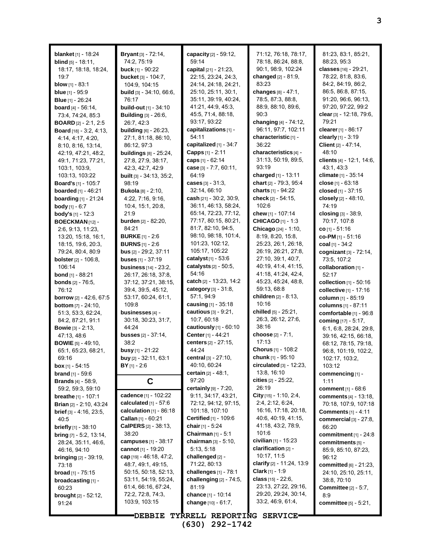| <b>blanket</b> [1] - 18:24           | Bryant [3] - 72:14,             | capacity [2] - 59:12,                             | 71:12, 76:18, 78:17,                            | 81:23, 83:1, 85:21,             |
|--------------------------------------|---------------------------------|---------------------------------------------------|-------------------------------------------------|---------------------------------|
| <b>blind</b> $[5] - 18:11$ ,         | 74:2, 75:19                     | 59:14                                             | 78:18, 86:24, 88:8,                             | 88:23, 95:3                     |
| 18:17, 18:18, 18:24,                 | <b>buck</b> $[1]$ - 90:22       | capital [21] - 21:23.                             | 90:1, 98:9, 102:24                              | classes [16] - 29:21,           |
|                                      |                                 |                                                   |                                                 |                                 |
| 19:7                                 | <b>bucket</b> [3] - 104:7,      | 22:15, 23:24, 24:3,                               | changed $[2] - 81:9$ ,                          | 78:22, 81:8, 83:6,              |
| <b>blow</b> $[1]$ - 83:1             | 104:9, 104:15                   | 24:14, 24:18, 24:21,                              | 83:23                                           | 84:2, 84:19, 86:2,              |
| <b>blue</b> $[1]$ - 95:9             | <b>build</b> [3] - 34:10, 66:6, | 25:10, 25:11, 30:1,                               | changes [8] - 47:1,                             | 86:5, 86:8, 87:15,              |
| <b>Blue</b> [1] - 26:24              | 76:17                           | 35:11, 39:19, 40:24,                              | 78:5, 87:3, 88:8,                               | 91:20, 96:6, 96:13,             |
| <b>board</b> [4] - 56:14,            | <b>build-out</b> [1] - 34:10    | 41:21, 44:9, 45:3,                                | 88:9, 88:10, 89:6,                              | 97:20, 97:22, 99:2              |
| 73:4, 74:24, 85:3                    | <b>Building</b> [3] - 26:6,     | 45.5, 71.4, 88.18,                                | 90.3                                            | clear [3] - 12:18, 79:6,        |
| <b>BOARD</b> $[2]$ - 2:1, 2:5        | 26.7, 42.3                      | 93:17, 93:22                                      | changing [4] - 74:12,                           | 79:21                           |
| <b>Board</b> [18] - $3:2, 4:13$      | <b>building</b> [6] - 26:23,    | capitalizations [1] -                             | 96:11, 97:7, 102:11                             | clearer [1] - 86:17             |
| 4:14, 4:17, 4:20,                    | 27:1, 81:18, 86:10,             | 54:11                                             | characteristic [1] -                            | clearly $[1] - 3:19$            |
|                                      |                                 | capitalized [1] - 34:7                            | 36:22                                           | Client [2] - 47:14,             |
| 8:10, 8:16, 13:14,                   | 86:12, 97:3                     |                                                   |                                                 |                                 |
| 42:19, 47:21, 48:2,                  | <b>buildings</b> [8] - 25:24,   | <b>Capps</b> $[1] - 2:11$                         | characteristics [4] -                           | 48:10                           |
| 49:1, 71:23, 77:21,                  | 27:8, 27:9, 38:17,              | caps $[1] - 62:14$                                | 31:13, 50:19, 89:5,                             | clients [4] - 12:1, 14:6,       |
| 103:1, 103:9,                        | 42:3, 42:7, 42:9                | case [3] - 7:7, 60:11,                            | 93:19                                           | 43.1, 43.3                      |
| 103:13, 103:22                       | <b>built</b> [3] - 34:13, 35:2, | 64:19                                             | charged $[1]$ - 13:11                           | climate [1] - 35:14             |
| <b>Board's</b> [1] - 105:7           | 98:19                           | <b>cases</b> $[3] - 31:3$                         | chart [2] - 79:3, 95:4                          | close $[1] - 63:18$             |
| <b>boarded</b> [1] - 46:21           | <b>Bukola [8] - 2:10,</b>       | 32:14, 66:10                                      | charts [1] - 94:22                              | closed [1] - 37:15              |
| <b>boarding</b> [1] - 21:24          | 4:22, 7:16, 9:16,               | cash $[21] - 30.2, 30.9,$                         | check [2] - 54:15,                              | closely [2] - 48:10,            |
| <b>body</b> [1] - 6:7                | 10:4, 15:1, 20:8,               | 36:11, 46:13, 58:24,                              | 102:6                                           | 74:19                           |
| <b>body's</b> $[1]$ - 12:3           | 21:9                            | 65:14, 72:23, 77:12,                              | chew [1] - 107:14                               | closing $[3] - 38.9$ ,          |
| BOECKMAN <sub>[12]</sub> -           | <b>burden</b> [2] - 82:20,      | 77:17, 80:15, 80:21,                              | <b>CHICAGO</b> [1] - 1:3                        | 70:17, 107:8                    |
|                                      | 84:21                           | 81:7, 82:10, 94:5,                                |                                                 | $CO$ [1] - 51:16                |
| 2:6, 9:13, 11:23,                    |                                 |                                                   | Chicago [24] - 1:10,                            |                                 |
| 13:20, 15:18, 16:1,                  | <b>BURKE</b> [1] - 2:6          | 98:10, 98:18, 101:4,                              | 8:19, 8:20, 15:8,                               | co-PM [1] - 51:16               |
| 18:15, 19:6, 20:3,                   | <b>BURNS</b> $[1] - 2:6$        | 101:23, 102:12,                                   | 25:23, 26:1, 26:18,                             | coal $[1] - 34:2$               |
| 79:24, 80:4, 80:9                    | bus [2] - 29:2, 37:11           | 105:17, 105:22                                    | 26:19, 26:21, 27:8,                             | cognizant $[3]$ - $72:14$ ,     |
| <b>bolster</b> $[2] - 106.8$ ,       | buses $[1] - 37:19$             | catalyst <sub>[1]</sub> - 53:6                    | 27:10, 39:1, 40:7,                              | 73:5, 107:2                     |
| 106:14                               | <b>business</b> [14] - 23:2,    | catalysts $[2] - 50.5$ ,                          | 40:19, 41:4, 41:15,                             | collaboration [1] -             |
| <b>bond</b> $[1]$ - 88:21            | 26:17, 26:18, 37:8,             | 54:16                                             | 41.18, 41.24, 42.4,                             | 52:17                           |
| <b>bonds</b> $[2] - 76:5$ ,          | 37:12, 37:21, 38:15,            | catch $[2] - 13:23, 14:2$                         | 45:23, 45:24, 48:8,                             | collection $[1]$ - 50:16        |
|                                      |                                 |                                                   |                                                 |                                 |
| 76:12                                | 39.4, 39.5, 45.12,              | category [3] - 31:8,                              | 59:13, 68:8                                     | collective [1] - 17:16          |
|                                      | 53:17, 60:24, 61:1,             | 57:1, 94:9                                        | children [2] - 8:13,                            |                                 |
| borrow [2] - 42:6, 67:5              | 109.8                           | causing $[1] - 35:18$                             | 10:16                                           | column [1] - 85:19              |
| <b>bottom</b> [7] - 24:10,           |                                 |                                                   |                                                 | columns [1] - 87:11             |
| 51:3, 53:3, 62:24,                   | businesses [4] -                | cautious [3] - 9:21,                              | chilled [5] - 25:21,                            | comfortable [1] - 96:8          |
| 84:2, 87:21, 91:1                    | 30:18, 30:23, 31:7,             | 10:7, 60:18                                       | 26:3, 26:12, 27:6,                              | coming [17] - 5:17,             |
| <b>Bowie</b> $[3] - 2:13$ ,          | 44:24                           | cautiously $[1]$ - $60:10$                        | 38:16                                           | 6:1, 6:8, 28:24, 29:8,          |
| 47:13, 48.6                          | <b>busses</b> $[2] - 37:14$ ,   | Center [1] - 44:21                                | choose [2] - 7:1,                               | 39:16, 42:15, 66:18,            |
| <b>BOWIE</b> $[5] - 49:10$ ,         | 38:2                            | centers [2] - 27:15,                              | 17:13                                           | 68:12, 78:15, 79:18,            |
| 65:1, 65:23, 68:21,                  | busy [1] - 21:22                | 44:24                                             | Chorus [1] - 108:2                              | 96:8, 101:19, 102:2,            |
| 69.16                                | buy [2] - 32:11, 63:1           | central [3] - 27:10,                              | chunk [1] - 95:10                               | 102:17, 103:2,                  |
| <b>box</b> [1] - 54:15               | $BY$ [1] - 2:6                  | 40:10, 60:24                                      | <b>circulated</b> $[3]$ - 12:23,                | 103:12                          |
| <b>brand</b> $[1]$ - 59.6            |                                 | <b>certain</b> $[2] - 48:1$ ,                     | 13:8, 16:10                                     | commencing [1] -                |
| <b>Brands</b> $[4] - 58.9$ ,         | C                               | 97:20                                             | cities $[2] - 25:22$ ,                          | 1:11                            |
| 59:2, 59:3, 59:10                    |                                 | certainly [9] - 7:20,                             | 26:19                                           | <b>comment</b> [1] - 68:6       |
| <b>breathe</b> $[1] - 107:1$         | cadence [1] - 102:22            | 9:11, 34:17, 43:21,                               | City [15] - 1:10, 2:4,                          | <b>comments</b> [4] - 13:18,    |
| <b>Brian</b> [2] - 2:10, 43:24       | calculated $[1] - 57:6$         | 72:12, 94:12, 97:15,                              | 2.4, 2.12, 6.24,                                | 70:18, 107:9, 107:18            |
| <b>brief</b> $[3] - 4.16$ , $23.5$ , | calculation $[1]$ - 86:18       | 101:18, 107:10                                    | 16:16, 17:18, 20:18,                            |                                 |
|                                      | Callan [1] - 60:21              | <b>Certified</b> $[1]$ - 109:6                    | 40 6, 40 19, 41 15,                             | <b>Comments</b> [1] - 4:11      |
| 40:5                                 |                                 |                                                   | 41:18, 43:2, 78:9,                              | commercial $[3]$ - 27:8,        |
| briefly [1] - 38:10                  | CalPERS [2] - 38:13,<br>38:20   | chair $[1] - 5.24$<br><b>Chairman</b> $[1] - 5:1$ | 101:6                                           | 66:20                           |
| <b>bring</b> $[7] - 5.2$ , 13.14,    |                                 |                                                   |                                                 | commitment $[1]$ - 24:8         |
| 28:24, 35:11, 46:6,                  | campuses $[1]$ - 38:17          | chairman $[3] - 5:10$ ,                           | civilian $[1]$ - 15:23<br>clarification $[2]$ - | commitments [5] -               |
| 46.16, 94.10                         | cannot [1] - 19:20              | 5:13, 5:18                                        |                                                 | 85.9, 85.10, 87:23,             |
| <b>bringing</b> $[2] - 39:19$ ,      | <b>cap</b> [19] - 46:18, 47:2,  | challenged [2] -                                  | 10:17, 11:5                                     | 96:12                           |
| 73:18                                | 48:7, 49:1, 49:15,              | 71:22, 80:13                                      | clarify $[2] - 11.24, 13.9$                     | committed [6] - 21:23,          |
| <b>broad</b> [1] - $75:15$           | 50:15, 50:18, 52:13,            | challenges $[1]$ - 78:1                           | <b>Clark</b> $[1] - 1:9$                        | 24:10, 25:10, 25:11,            |
| $b$ roadcasting $[1]$ -              | 53:11, 54:19, 55:24,            | challenging [2] - 74:5,                           | class $[15] - 22:6$ ,                           | 38:8, 70:10                     |
| 60:23                                | 61.4, 66.16, 67.24,             | 81:19                                             | 23:13, 27:22, 29:16,                            | Committee $[2] - 5:7$ ,         |
| <b>brought</b> [2] - 52:12,          | 72:2, 72:8, 74:3,               | chance [1] - 10:14                                | 29:20, 29:24, 30:14,                            | 8.9                             |
| 91:24                                | 103:9, 103:15                   | change $[10] - 61.7$ ,                            | 33.2, 46.9, 61.4,                               | <b>committee</b> $[5] - 5:21$ , |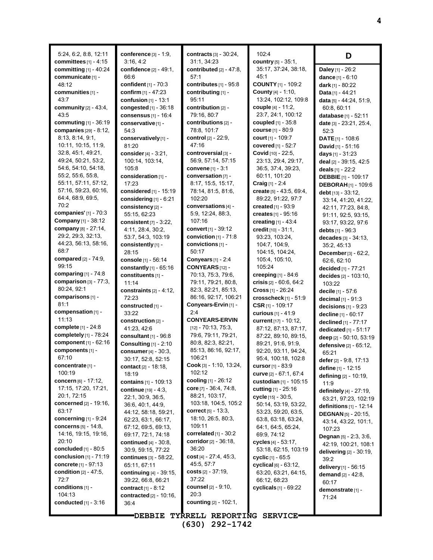5:24, 6:2, 8:8, 12:11 **committees** [1] - 4:15 **committing** [1] - 40:24 **communicate** [1] - 48:12 **communities** [1] - 43:7 **community** [2] - 43:4, 43:5 **commuting** [1] - 36:19 **companies** [29] - 8:12, 8:13, 8:14, 9:1, 10:11, 10:15, 11:9, 32:8, 45:1, 49:21, 49:24, 50:21, 53:2, 54:6, 54:10, 54:18, 55:2, 55:6, 55:8, 55:11, 57:11, 57:12, 57:16, 59:23, 60:16, 64:4, 68:9, 69:5, 70:2 **companies'** [1] - 70:3 **Company** [1] - 38:12 **company** [8] - 27:14, 29:2, 29:3, 32:13, 44:23, 56:13, 58:16, 68:7 **compared** [2] - 74:9, 99:15 **comparing** [1] - 74:8 **comparison** [3] - 77:3, 80:24, 92:1 **comparisons** [1] - 81:1 **compensation** [1] - 11:13 **complete** [1] - 24:8 **completely** [1] - 78:24 **component** [1] - 62:16 **components** [1] - 67:10 **concentrate** [1] - 100:19 **concern** [6] - 17:12, 17:15, 17:20, 17:21, 20:1, 72:15 **concerned** [2] - 19:16, 63:17 **concerning** [1] - 9:24 **concerns** [5] - 14:8, 14:16, 19:15, 19:16, 20:10 **concluded** [1] - 80:5 **conclusion** [1] - 71:19 **concrete** [1] - 97:13 **condition** [2] - 47:5, 72:7 **conditions** [1] - 104:13 **conducted** [1] - 3:16

**conference** [3] - 1:9, 3:16, 4:2 **confidence** [2] - 49:1, 66:6 **confident** [1] - 70:3 **confirm** [1] - 47:23 **confusion** [1] - 13:1 **congested** [1] - 36:18 **consensus** [1] - 16:4 **conservative**[1] - 54:3 **conservatively**[1] - 81:20 **consider**[4] - 3:21, 100:14, 103:14, 105:8 **consideration** [1] - 17:23 **considered** [1] - 15:19 **considering** [1] - 6:21 **consistency** [2] - 55:15, 62:23 **consistent** [7] - 3:22, 4:11, 28:4, 30:2, 53:7, 54:3, 103:19 **consistently** [1] - 28:15 **console** [1] - 56:14 **constantly** [1] - 65:16 **constituents** [1] - 11:14 **constraints** [2] - 4:12, 72:23 **constructed** [1] - 33:22 **construction** [2] - 41:23, 42:6 **consultant** [1] - 96:8 **Consulting** [1] - 2:10 **consumer**[4] - 30:3, 30:17, 52:8, 52:15 **contact** [2] - 18:18, 18:19 **contains** [1] - 109:13 **continue** [19] - 4:3, 22:1, 30:9, 36:5, 36:6, 40:1, 44:9, 44:12, 58:18, 59:21, 62:23, 63:1, 66:17, 67:12, 69:5, 69:13, 69:17, 72:1, 74:18 **continued** [4] - 30:8, 30:9, 59:15, 77:22 **continues** [3] - 58:22, 65:11, 67:11 **continuing** [4] - 39:15, 39:22, 66:8, 66:21 **contract** [1] - 8:12 **contracted** [2] - 10:16, 36:4

**contracts** [3] - 30:24, 31:1, 34:23 **contributed** [2] - 47:8, 57:1 **contributes** [1] - 95:8 **contributing** [1] - 95:11 **contribution** [2] - 79:16, 80:7 **contributions** [2] - 78:8, 101:7 **control** [2] - 22:9, 47:16 **controversial** [3] - 56:9, 57:14, 57:15 **convene** [1] - 3:1 **conversation** [7] - 8:17, 15:5, 15:17, 78:14, 81:5, 81:6, 102:20 **conversations** [4] - 5:9, 12:24, 88:3, 107:16 **convert** [1] - 39:12 **conviction** [1] - 71:8 **convictions** [1] - 50:17 **Conyears** [1] - 2:4 **CONYEARS**[12] - 70:13, 75:3, 79:6, 79:11, 79:21, 80:8, 82:3, 82:21, 85:13, 86:16, 92:17, 106:21 **Conyears-Ervin** [1] -  $2.4$ **CONYEARS-ERVIN** [12] - 70:13, 75:3, 79:6, 79:11, 79:21, 80:8, 82:3, 82:21, 85:13, 86:16, 92:17, 106:21 **Cook** [3] - 1:10, 13:24, 102:12 **cooling** [1] - 26:12 **core** [7] - 36:4, 74:8, 88:21, 103:17, 103:18, 104:5, 105:2 **correct** [5] - 13:3, 18:10, 26:5, 80:3, 109:11 **correlated** [1] - 30:2 **corridor**[2] - 36:18, 36:20 **cost** [4] - 27:4, 45:3, 45:5, 57:7 **costs** [2] - 37:19, 37:22 **counsel** [2] - 9:10, 20:3 **counting** [2] - 102:1,

102:4 **country** [5] - 35:1, 35:17, 37:24, 38:18,  $45.1$ **COUNTY** [1] - 109:2 **County** [4] - 1:10, 13:24, 102:12, 109:8 **couple** [4] - 11:2, 23:7, 24:1, 100:12 **coupled** [1] - 35:8 **course** [1] - 80:9 **court** [1] - 109:7 **covered** [1] - 52:7 **Covid** [10] - 22:5, 23:13, 29:4, 29:17, 36:5, 37:4, 39:23, 60:11, 101:20 **Craig** [1] - 2:4 **create** [5] - 43:5, 69:4, 89:22, 91:22, 97:7 **created** [1] - 93:9 **creates** [1] - 95:16 **creating** [1] - 43:4 **credit** [10] - 31:1, 93:23, 103:24, 104:7, 104:9, 104:15, 104:24, 105:4, 105:10, 105:24 **creeping** [1] - 84:6 **crisis** [2] - 60:6, 64:2 **Cross** [1] - 26:24 **crosscheck** [1] - 51:9 **CSR** [1] - 109:17 **curious** [1] - 41:9 **current** [17] - 10:12, 87:12, 87:13, 87:17, 87:22, 89:10, 89:15, 89:21, 91:6, 91:9, 92:20, 93:11, 94:24, 95:4, 100:18, 102:8 **cursor**[1] - 83:9 **curve** [2] - 67:1, 67:4 **custodian** [1] - 105:15 **cutting** [1] - 25:16 **cycle** [15] - 30:5, 50:14, 53:19, 53:22, 53:23, 59:20, 63:5, 63:8, 63:18, 63:24, 64:1, 64:5, 65:24, 69:9, 74:12 **cycles** [4] - 53:17, 53:18, 62:15, 103:19 **cyclic** [1] - 65:5 **cyclical** [6] - 63:12, 63:20, 63:21, 64:15, 66:12, 68:23 **cyclicals** [1] - 69:22

**D**

**Daley** [1] - 26:2 **dance** [1] - 6:10 **dark** [1] - 80:22 **Data** [1] - 44:21 **data** [5] - 44:24, 51:9, 60:8, 60:11 **database** [1] - 52:11 **date** [3] - 23:21, 25:4, 52:3 **DATE**[1] - 108:6 **David** [1] - 51:16 **days** [1] - 31:23 **deal** [2] - 39:15, 42:5 **deals** [1] - 22:2 **DEBBIE** [1] - 109:17 **DEBORAH** [1] - 109:6 **debt** [13] - 33:12, 33:14, 41:20, 41:22, 42:11, 77:23, 84:8, 91:11, 92:5, 93:15, 93:17, 93:22, 97:6 **debts** [1] - 96:3 **decades** [3] - 34:13, 35:2, 45:13 **December**[3] - 62:2, 62:6, 62:10 **decided** [1] - 77:21 **decides** [2] - 103:10, 103:22 **decile** [1] - 57:6 **decimal** [1] - 91:3 **decisions** [1] - 9:23 **decline** [1] - 60:17 **declined** [1] - 77:17 **dedicated** [1] - 51:17 **deep** [2] - 50:10, 53:19 **defensive** [2] - 65:12, 65:21 **defer**[2] - 9:8, 17:13 **define** [1] - 12:15 **defining** [2] - 10:19, 11:9 **definitely** [4] - 27:19, 63:21, 97:23, 102:19 **definitions** [1] - 12:14 **DEGNAN** [5] - 20:15, 43:14, 43:22, 101:1, 107:23 **Degnan** [5] - 2:3, 3:6, 42:19, 100:21, 108:1 **delivering** [2] - 30:19, 39:2 **delivery** [1] - 56:15 **demand** [2] - 42:8, 60:17 **demonstrate** [1] - 71:24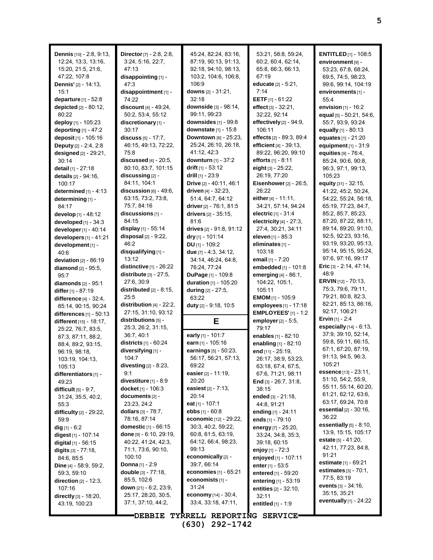| <b>Dennis</b> [10] - 2:8, 9:13,<br>12:24, 13:3, 13:16,<br>15:20, 21:5, 21:6,<br>47:22, 107:8<br>Dennis' [2] - 14:13,<br>15:1<br>departure [1] - 52:8<br>depicted [2] - 80:12,<br>80:22<br>deploy [1] - 105:23<br>deporting $[1]$ - 47:2<br><b>deposit</b> [1] - 105:16<br>Deputy [2] - 2:4, 2:8<br>designed [2] - 29:21,<br>30:14<br><b>detail</b> [1] - 27:18<br>details [2] - 94:16,<br>100:17<br>determined $[1] - 4:13$<br>determining [1] -<br>84:17<br>develop [1] - 48:12<br>developed [1] - 34:3<br>developer [1] - 40:14<br>developers $[1] - 41:21$<br>development [1] -<br>40.6<br>deviation $[2] - 86:19$<br>diamond $[2] - 95.5$ ,<br>95:7<br>diamonds $[2] - 95:1$<br>differ [1] - 87:19<br>difference [4] - 32:4,<br>85:14, 90:15, 90:24<br>differences $[1]$ - 50:13<br>different [15] - 18:17,<br>25:22, 76:7, 83:5,<br>87:3, 87:11, 88:2, | Director [7] - 2:8, 2:8,<br>3:24, 5:16, 22:7,<br>47:13<br>disappointing [1] -<br>47:3<br>disappointment [1] -<br>74:22<br>discount $[4] - 49:24$ ,<br>50:2, 53:4, 55:12<br>discretionary [1] -<br>30:17<br>discuss $[5] - 17:7$ ,<br>46:15, 49:13, 72:22,<br>75:8<br>discussed $[4]$ - $20:5$ ,<br>80.10, 83.7, 101.15<br>discussing [2] -<br>84:11, 104:1<br>discussion $[6]$ - 49:6,<br>63.15, 73.2, 73.8,<br>75:7, 84:16<br>discussions [1] -<br>84:15<br>display $[1]$ - 55:14<br>disposal $[2] - 9:22$ ,<br>46:2<br>disqualifying [1] -<br>13:12<br>distinctive $[1]$ - 26:22<br>distribute $[3]$ - 27:5,<br>27:6, 30:9<br>distributed $[2] - 8:15$ ,<br>25:5<br>distribution $[4]$ - 22:2,<br>27:15, 31:10, 93:12<br>distributions [5] -<br>25:3, 26:2, 31:15,<br>36.7, 40.1 | 45:24, 82:24, 83:16,<br>87:19, 90:13, 91:13,<br>92:18, 94:10, 98:13,<br>103:2, 104:6, 106:8,<br>106:9<br>downs [2] - 31:21,<br>32:18<br>downside [3] - 98:14,<br>99:11, 99:23<br>downsides [1] - 99:8<br>downstate [1] - 15:8<br>Downtown [6] - 25:23,<br>25:24, 26:10, 26:18,<br>41:12, 42:3<br>downturn $[1] - 37:2$<br>drift $[1] - 53:12$<br>drill $[1]$ - 23:9<br>Drive [2] - 40:11, 46:1<br>driven $[4] - 32:23$ ,<br>51:4, 64:7, 64:12<br>driver [2] - 76:1, 81:5<br>drivers $[2] - 35:15$ ,<br>81:6<br>drives [2] - 91:8, 91:12<br>dry $[1] - 101:14$<br>DU [1] - 109:2<br>due $[7] - 4.3, 34.12,$<br>34:14, 46:24, 64:8,<br>76:24, 77:24<br>DuPage [1] - 109:8<br>duration [1] - 105:20<br>during [2] - 27:5,<br>63:22<br>duty [2] - 9:18, 10:5<br>Е<br>early [1] - 101:7 | 53:21, 58:8, 59:24,<br>60.2, 60.4, 62.14,<br>65:8, 66:3, 66:13,<br>67:19<br>educate [2] - 5:21,<br>7:14<br><b>EETF</b> $[1] - 61:22$<br>effect $[3] - 32:21$ ,<br>32:22, 92:14<br>effectively [2] - 94:9,<br>106:11<br>effects [2] - 89:3, 89:4<br>efficient [4] - 39:13,<br>89:22, 96:20, 99:10<br><b>efforts</b> [1] - 8:11<br>eight $[3]$ - 25:22,<br>26:19, 77:20<br>Eisenhower [2] - 26:5,<br>26:22<br>either $[4] - 11:11$ ,<br>34:21, 57:14, 94:24<br>electric $[1] - 31.4$<br>electricity $[4]$ - 27:3,<br>27:4, 30:21, 34:11<br>eleven [1] - 85:3<br>eliminates [1] -<br>103:18<br>email [1] - 7:20<br>embedded [1] - 101:8<br>emerging [4] - 86:1,<br>104:22, 105:1,<br>105:11<br><b>EMOM</b> $[1]$ - 105:9<br>employees [1] - 17:18<br><b>EMPLOYEES'</b> $[1] - 1:2$<br>employer $[2] - 5.5$ ,<br>79:17<br>enables [1] - 82:10 | <b>ENTITLED</b> $[1]$ - 108:5<br>environment [9] -<br>53:23, 67:8, 68:24,<br>69:5, 74:5, 98:23,<br>99:6, 99:14, 104:19<br>environments [1] -<br>55:4<br>envision $[1]$ - 16:2<br>equal [5] - 50:21, 54:6,<br>55:7, 93:9, 93:24<br>equally [1] - 80:13<br>equates [1] - 21:20<br>equipment $[1] - 31:9$<br>equities $[9] - 76:4$ ,<br>85:24, 90:6, 90:8,<br>96:3, 97:1, 99:13,<br>105:23<br>equity [31] - 32:15,<br>41:22, 45:2, 50:24,<br>54:22, 55:24, 56:18,<br>65:19, 77:23, 84:7,<br>85:2, 85:7, 85:23,<br>87:20, 87:22, 88:11,<br>89:14, 89:20, 91:10,<br>92:5, 92:23, 93:16,<br>93:19, 93:20, 95:13,<br>95:14, 95:15, 95:24,<br>97:6, 97:16, 99:17<br><b>Eric</b> [3] - 2:14, 47:14,<br>48:9<br><b>ERVIN</b> [12] - 70:13,<br>75:3, 79:6, 79:11,<br>79.21, 80.8, 82.3,<br>82:21, 85:13, 86:16,<br>92:17, 106:21<br><b>Ervin</b> $[1] - 2:4$<br><b>especially</b> $[14] - 6:13$ ,<br>37:9, 39:10, 52:14, |
|-------------------------------------------------------------------------------------------------------------------------------------------------------------------------------------------------------------------------------------------------------------------------------------------------------------------------------------------------------------------------------------------------------------------------------------------------------------------------------------------------------------------------------------------------------------------------------------------------------------------------------------------------------------------------------------------------------------------------------------------------------------------------------------------------------------------------------------------------------------|------------------------------------------------------------------------------------------------------------------------------------------------------------------------------------------------------------------------------------------------------------------------------------------------------------------------------------------------------------------------------------------------------------------------------------------------------------------------------------------------------------------------------------------------------------------------------------------------------------------------------------------------------------------------------------------------------------------------------------------------------------------------------------|------------------------------------------------------------------------------------------------------------------------------------------------------------------------------------------------------------------------------------------------------------------------------------------------------------------------------------------------------------------------------------------------------------------------------------------------------------------------------------------------------------------------------------------------------------------------------------------------------------------------------------------------------------------------------------------------------------------------------------------------------------------------------------|-------------------------------------------------------------------------------------------------------------------------------------------------------------------------------------------------------------------------------------------------------------------------------------------------------------------------------------------------------------------------------------------------------------------------------------------------------------------------------------------------------------------------------------------------------------------------------------------------------------------------------------------------------------------------------------------------------------------------------------------------------------------------------------------------------------------------------------------|---------------------------------------------------------------------------------------------------------------------------------------------------------------------------------------------------------------------------------------------------------------------------------------------------------------------------------------------------------------------------------------------------------------------------------------------------------------------------------------------------------------------------------------------------------------------------------------------------------------------------------------------------------------------------------------------------------------------------------------------------------------------------------------------------------------------------------------------------------------------------------------------------------------|
| 88.4, 89.2, 93.15,                                                                                                                                                                                                                                                                                                                                                                                                                                                                                                                                                                                                                                                                                                                                                                                                                                          | <b>districts</b> $[1] - 60:24$                                                                                                                                                                                                                                                                                                                                                                                                                                                                                                                                                                                                                                                                                                                                                     | earn [1] - 105:16                                                                                                                                                                                                                                                                                                                                                                                                                                                                                                                                                                                                                                                                                                                                                                  | enabling [1] - 82:10                                                                                                                                                                                                                                                                                                                                                                                                                                                                                                                                                                                                                                                                                                                                                                                                                      | 59:8, 59:11, 66:15,                                                                                                                                                                                                                                                                                                                                                                                                                                                                                                                                                                                                                                                                                                                                                                                                                                                                                           |
| 96.19, 98.18,                                                                                                                                                                                                                                                                                                                                                                                                                                                                                                                                                                                                                                                                                                                                                                                                                                               | diversifying [1] -                                                                                                                                                                                                                                                                                                                                                                                                                                                                                                                                                                                                                                                                                                                                                                 | earnings [5] - 50:23,                                                                                                                                                                                                                                                                                                                                                                                                                                                                                                                                                                                                                                                                                                                                                              | end [11] - 25:19,                                                                                                                                                                                                                                                                                                                                                                                                                                                                                                                                                                                                                                                                                                                                                                                                                         | 67:1, 67:20, 87:19,                                                                                                                                                                                                                                                                                                                                                                                                                                                                                                                                                                                                                                                                                                                                                                                                                                                                                           |
| 103:19, 104:13,                                                                                                                                                                                                                                                                                                                                                                                                                                                                                                                                                                                                                                                                                                                                                                                                                                             | 104:7                                                                                                                                                                                                                                                                                                                                                                                                                                                                                                                                                                                                                                                                                                                                                                              | 56:17, 56:21, 57:13,                                                                                                                                                                                                                                                                                                                                                                                                                                                                                                                                                                                                                                                                                                                                                               | 26:17, 38:9, 53:23,                                                                                                                                                                                                                                                                                                                                                                                                                                                                                                                                                                                                                                                                                                                                                                                                                       | 91:13, 94:5, 96:3,                                                                                                                                                                                                                                                                                                                                                                                                                                                                                                                                                                                                                                                                                                                                                                                                                                                                                            |
| 105:13                                                                                                                                                                                                                                                                                                                                                                                                                                                                                                                                                                                                                                                                                                                                                                                                                                                      | divesting $[2]$ - 8:23,                                                                                                                                                                                                                                                                                                                                                                                                                                                                                                                                                                                                                                                                                                                                                            | 69:22                                                                                                                                                                                                                                                                                                                                                                                                                                                                                                                                                                                                                                                                                                                                                                              | 63:18, 67:4, 67:5,                                                                                                                                                                                                                                                                                                                                                                                                                                                                                                                                                                                                                                                                                                                                                                                                                        | 105:21                                                                                                                                                                                                                                                                                                                                                                                                                                                                                                                                                                                                                                                                                                                                                                                                                                                                                                        |
| differentiators [1] -                                                                                                                                                                                                                                                                                                                                                                                                                                                                                                                                                                                                                                                                                                                                                                                                                                       | 9:1                                                                                                                                                                                                                                                                                                                                                                                                                                                                                                                                                                                                                                                                                                                                                                                | easier [2] - 11:19,                                                                                                                                                                                                                                                                                                                                                                                                                                                                                                                                                                                                                                                                                                                                                                | 67:6, 71:21, 98:11                                                                                                                                                                                                                                                                                                                                                                                                                                                                                                                                                                                                                                                                                                                                                                                                                        | <b>essence</b> $[13] - 23:11,$                                                                                                                                                                                                                                                                                                                                                                                                                                                                                                                                                                                                                                                                                                                                                                                                                                                                                |
| 49:23                                                                                                                                                                                                                                                                                                                                                                                                                                                                                                                                                                                                                                                                                                                                                                                                                                                       | divestiture $[1]$ - 8:9                                                                                                                                                                                                                                                                                                                                                                                                                                                                                                                                                                                                                                                                                                                                                            | 20:20                                                                                                                                                                                                                                                                                                                                                                                                                                                                                                                                                                                                                                                                                                                                                                              | End $[3] - 26.7, 31.8,$                                                                                                                                                                                                                                                                                                                                                                                                                                                                                                                                                                                                                                                                                                                                                                                                                   | 51:10, 54:2, 55:9,                                                                                                                                                                                                                                                                                                                                                                                                                                                                                                                                                                                                                                                                                                                                                                                                                                                                                            |
| difficult $[5] - 9:7$ ,                                                                                                                                                                                                                                                                                                                                                                                                                                                                                                                                                                                                                                                                                                                                                                                                                                     | docket [1] - 106:3                                                                                                                                                                                                                                                                                                                                                                                                                                                                                                                                                                                                                                                                                                                                                                 | easiest [2] - 7:13,                                                                                                                                                                                                                                                                                                                                                                                                                                                                                                                                                                                                                                                                                                                                                                | 38:15                                                                                                                                                                                                                                                                                                                                                                                                                                                                                                                                                                                                                                                                                                                                                                                                                                     | 55:11, 55:14, 60:20,                                                                                                                                                                                                                                                                                                                                                                                                                                                                                                                                                                                                                                                                                                                                                                                                                                                                                          |
| 31:24, 35:5, 40:2,                                                                                                                                                                                                                                                                                                                                                                                                                                                                                                                                                                                                                                                                                                                                                                                                                                          | documents $[2]$ -                                                                                                                                                                                                                                                                                                                                                                                                                                                                                                                                                                                                                                                                                                                                                                  | 20:14                                                                                                                                                                                                                                                                                                                                                                                                                                                                                                                                                                                                                                                                                                                                                                              | ended $[3] - 21:18$ ,                                                                                                                                                                                                                                                                                                                                                                                                                                                                                                                                                                                                                                                                                                                                                                                                                     | 61:21, 62:12, 63:6,                                                                                                                                                                                                                                                                                                                                                                                                                                                                                                                                                                                                                                                                                                                                                                                                                                                                                           |
| 55:3                                                                                                                                                                                                                                                                                                                                                                                                                                                                                                                                                                                                                                                                                                                                                                                                                                                        | 23:23, 24:2                                                                                                                                                                                                                                                                                                                                                                                                                                                                                                                                                                                                                                                                                                                                                                        | eat $[1] - 107:1$                                                                                                                                                                                                                                                                                                                                                                                                                                                                                                                                                                                                                                                                                                                                                                  | 44.8, 91.21                                                                                                                                                                                                                                                                                                                                                                                                                                                                                                                                                                                                                                                                                                                                                                                                                               | 63:17, 69:24, 70:8                                                                                                                                                                                                                                                                                                                                                                                                                                                                                                                                                                                                                                                                                                                                                                                                                                                                                            |
| difficulty $[2] - 29:22$ ,                                                                                                                                                                                                                                                                                                                                                                                                                                                                                                                                                                                                                                                                                                                                                                                                                                  | dollars $[3] - 78.7$ ,                                                                                                                                                                                                                                                                                                                                                                                                                                                                                                                                                                                                                                                                                                                                                             | ebbs $[1] - 60.8$                                                                                                                                                                                                                                                                                                                                                                                                                                                                                                                                                                                                                                                                                                                                                                  | ending $[1] - 24:11$                                                                                                                                                                                                                                                                                                                                                                                                                                                                                                                                                                                                                                                                                                                                                                                                                      | <b>essential</b> $[2] - 30:16$ ,                                                                                                                                                                                                                                                                                                                                                                                                                                                                                                                                                                                                                                                                                                                                                                                                                                                                              |
| 59.9                                                                                                                                                                                                                                                                                                                                                                                                                                                                                                                                                                                                                                                                                                                                                                                                                                                        | 78:16, 87:14                                                                                                                                                                                                                                                                                                                                                                                                                                                                                                                                                                                                                                                                                                                                                                       | <b>economic</b> $[12] - 29:22$                                                                                                                                                                                                                                                                                                                                                                                                                                                                                                                                                                                                                                                                                                                                                     | ends $[1]$ - 79:10                                                                                                                                                                                                                                                                                                                                                                                                                                                                                                                                                                                                                                                                                                                                                                                                                        | 36:22                                                                                                                                                                                                                                                                                                                                                                                                                                                                                                                                                                                                                                                                                                                                                                                                                                                                                                         |
| <b>dig</b> [1] - 6:2                                                                                                                                                                                                                                                                                                                                                                                                                                                                                                                                                                                                                                                                                                                                                                                                                                        | <b>domestic</b> [1] - 66:15                                                                                                                                                                                                                                                                                                                                                                                                                                                                                                                                                                                                                                                                                                                                                        | 30:3, 40:2, 59:22,                                                                                                                                                                                                                                                                                                                                                                                                                                                                                                                                                                                                                                                                                                                                                                 | energy $[7] - 25:20,$                                                                                                                                                                                                                                                                                                                                                                                                                                                                                                                                                                                                                                                                                                                                                                                                                     | essentially $[5] - 8:10$ ,                                                                                                                                                                                                                                                                                                                                                                                                                                                                                                                                                                                                                                                                                                                                                                                                                                                                                    |
| digest [1] - 107:14                                                                                                                                                                                                                                                                                                                                                                                                                                                                                                                                                                                                                                                                                                                                                                                                                                         | done $[9] - 6:10, 29:19,$                                                                                                                                                                                                                                                                                                                                                                                                                                                                                                                                                                                                                                                                                                                                                          | 60.8, 61.5, 63.19,                                                                                                                                                                                                                                                                                                                                                                                                                                                                                                                                                                                                                                                                                                                                                                 | 33.24, 34.8, 35.3,                                                                                                                                                                                                                                                                                                                                                                                                                                                                                                                                                                                                                                                                                                                                                                                                                        | 13.9, 15.15, 105.17                                                                                                                                                                                                                                                                                                                                                                                                                                                                                                                                                                                                                                                                                                                                                                                                                                                                                           |
| digital $[1]$ - 56:15                                                                                                                                                                                                                                                                                                                                                                                                                                                                                                                                                                                                                                                                                                                                                                                                                                       | 40.22, 41:24, 42.3,                                                                                                                                                                                                                                                                                                                                                                                                                                                                                                                                                                                                                                                                                                                                                                | 64:12, 66:4, 98:23,                                                                                                                                                                                                                                                                                                                                                                                                                                                                                                                                                                                                                                                                                                                                                                | 39:18, 60:15                                                                                                                                                                                                                                                                                                                                                                                                                                                                                                                                                                                                                                                                                                                                                                                                                              | <b>estate</b> [5] $-41:20$ ,                                                                                                                                                                                                                                                                                                                                                                                                                                                                                                                                                                                                                                                                                                                                                                                                                                                                                  |
| digits [3] - 77:18,                                                                                                                                                                                                                                                                                                                                                                                                                                                                                                                                                                                                                                                                                                                                                                                                                                         | 71:1, 73:6, 90:10,                                                                                                                                                                                                                                                                                                                                                                                                                                                                                                                                                                                                                                                                                                                                                                 | 99:13                                                                                                                                                                                                                                                                                                                                                                                                                                                                                                                                                                                                                                                                                                                                                                              | <b>enjoy</b> [1] - 72:3                                                                                                                                                                                                                                                                                                                                                                                                                                                                                                                                                                                                                                                                                                                                                                                                                   | 42:11, 77:23, 84:8,                                                                                                                                                                                                                                                                                                                                                                                                                                                                                                                                                                                                                                                                                                                                                                                                                                                                                           |
| 84:6, 85:5                                                                                                                                                                                                                                                                                                                                                                                                                                                                                                                                                                                                                                                                                                                                                                                                                                                  | 100:10                                                                                                                                                                                                                                                                                                                                                                                                                                                                                                                                                                                                                                                                                                                                                                             | economically [2] -                                                                                                                                                                                                                                                                                                                                                                                                                                                                                                                                                                                                                                                                                                                                                                 | enjoyed [1] - 107:11                                                                                                                                                                                                                                                                                                                                                                                                                                                                                                                                                                                                                                                                                                                                                                                                                      | 91:21                                                                                                                                                                                                                                                                                                                                                                                                                                                                                                                                                                                                                                                                                                                                                                                                                                                                                                         |
| <b>Dine</b> $[4]$ - 58:9, 59:2,                                                                                                                                                                                                                                                                                                                                                                                                                                                                                                                                                                                                                                                                                                                                                                                                                             | <b>Donna</b> $[1] - 2:9$                                                                                                                                                                                                                                                                                                                                                                                                                                                                                                                                                                                                                                                                                                                                                           | 39:7, 66:14                                                                                                                                                                                                                                                                                                                                                                                                                                                                                                                                                                                                                                                                                                                                                                        | enter [1] - 53:5                                                                                                                                                                                                                                                                                                                                                                                                                                                                                                                                                                                                                                                                                                                                                                                                                          | <b>estimate</b> $[1]$ - 69:21                                                                                                                                                                                                                                                                                                                                                                                                                                                                                                                                                                                                                                                                                                                                                                                                                                                                                 |
| 59:3, 59:10                                                                                                                                                                                                                                                                                                                                                                                                                                                                                                                                                                                                                                                                                                                                                                                                                                                 | <b>double</b> $[3] - 77:18$ ,                                                                                                                                                                                                                                                                                                                                                                                                                                                                                                                                                                                                                                                                                                                                                      | economies $[1] - 65:21$                                                                                                                                                                                                                                                                                                                                                                                                                                                                                                                                                                                                                                                                                                                                                            | <b>entered</b> [1] - 59:20                                                                                                                                                                                                                                                                                                                                                                                                                                                                                                                                                                                                                                                                                                                                                                                                                | estimates $\lbrack 3\rbrack$ - 70:1,                                                                                                                                                                                                                                                                                                                                                                                                                                                                                                                                                                                                                                                                                                                                                                                                                                                                          |
| <b>direction</b> $[2] - 12:3$ ,                                                                                                                                                                                                                                                                                                                                                                                                                                                                                                                                                                                                                                                                                                                                                                                                                             | 85:5, 102:6                                                                                                                                                                                                                                                                                                                                                                                                                                                                                                                                                                                                                                                                                                                                                                        | economists [1] -                                                                                                                                                                                                                                                                                                                                                                                                                                                                                                                                                                                                                                                                                                                                                                   | entering $[1] - 53:19$                                                                                                                                                                                                                                                                                                                                                                                                                                                                                                                                                                                                                                                                                                                                                                                                                    | 77:5, 83:19                                                                                                                                                                                                                                                                                                                                                                                                                                                                                                                                                                                                                                                                                                                                                                                                                                                                                                   |
| 107:16                                                                                                                                                                                                                                                                                                                                                                                                                                                                                                                                                                                                                                                                                                                                                                                                                                                      | down [21] - 6:2, 23:9,                                                                                                                                                                                                                                                                                                                                                                                                                                                                                                                                                                                                                                                                                                                                                             | 31:24                                                                                                                                                                                                                                                                                                                                                                                                                                                                                                                                                                                                                                                                                                                                                                              | <b>entities</b> [2] - 32:10,                                                                                                                                                                                                                                                                                                                                                                                                                                                                                                                                                                                                                                                                                                                                                                                                              | <b>events</b> $[3] - 34:16$ ,                                                                                                                                                                                                                                                                                                                                                                                                                                                                                                                                                                                                                                                                                                                                                                                                                                                                                 |
| directly $[3] - 18:20$ ,                                                                                                                                                                                                                                                                                                                                                                                                                                                                                                                                                                                                                                                                                                                                                                                                                                    | 25:17, 28:20, 30:5,                                                                                                                                                                                                                                                                                                                                                                                                                                                                                                                                                                                                                                                                                                                                                                | economy $[14] - 30.4$ ,                                                                                                                                                                                                                                                                                                                                                                                                                                                                                                                                                                                                                                                                                                                                                            | 32:11                                                                                                                                                                                                                                                                                                                                                                                                                                                                                                                                                                                                                                                                                                                                                                                                                                     | 35:15, 35:21                                                                                                                                                                                                                                                                                                                                                                                                                                                                                                                                                                                                                                                                                                                                                                                                                                                                                                  |
| 43:19, 100:23                                                                                                                                                                                                                                                                                                                                                                                                                                                                                                                                                                                                                                                                                                                                                                                                                                               | 37:1, 37:10, 44:2,                                                                                                                                                                                                                                                                                                                                                                                                                                                                                                                                                                                                                                                                                                                                                                 | 33:4, 33:18, 47:11,                                                                                                                                                                                                                                                                                                                                                                                                                                                                                                                                                                                                                                                                                                                                                                | <b>entitled</b> $[1] - 1.9$                                                                                                                                                                                                                                                                                                                                                                                                                                                                                                                                                                                                                                                                                                                                                                                                               | eventually $[1]$ - 24:22                                                                                                                                                                                                                                                                                                                                                                                                                                                                                                                                                                                                                                                                                                                                                                                                                                                                                      |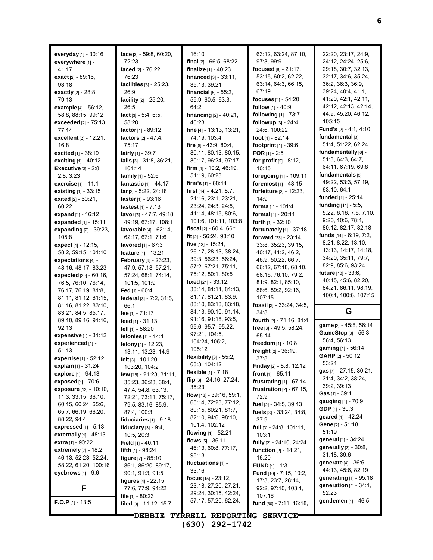| everyday $[1]$ - 30:16<br>everywhere [1] -           | face $[3] - 59.8, 60.20,$<br>72:23 | 16:10<br>final [2] - 66:5, 68:22      | 63:12, 63:24, 87:10,<br>97:3, 99:9  | 22:20, 23:17, 24:9,<br>24:12, 24:24, 25:6, |
|------------------------------------------------------|------------------------------------|---------------------------------------|-------------------------------------|--------------------------------------------|
| 41:17                                                | faced [2] - 76:22,                 | finalize $[1] - 40:23$                | focused [8] - 21:17,                | 29:18, 30:7, 32:13,                        |
| exact [2] - 89:16,                                   | 76:23                              | financed $[3] - 33:11$ ,              | 53:15, 60:2, 62:22,                 | 32.17, 34:6, 35:24,                        |
| 93:18                                                | facilities [3] - 25:23,            | 35:13, 39:21                          | 63.14, 64:3, 66:15,                 | 36.2, 36.3, 36.9,                          |
| exactly [2] - 28:8,                                  | 26:9                               | financial $[5] - 55:2$ ,              | 67:19                               | 39:24, 40:4, 41:1,                         |
| 79:13                                                | facility [2] - 25:20,              | 59.9, 60.5, 63.3,                     | focuses $[1] - 54:20$               | 41:20, 42:1, 42:11,                        |
| <b>example</b> $[4] - 56:12$ ,                       | 26:5                               | 64:2                                  | <b>follow</b> $[1] - 40.9$          | 42:12, 42:13, 42:14,                       |
| 58:8, 88:15, 99:12                                   | fact $[3] - 5.4, 6.5$ ,            | financing $[2] - 40:21$ ,             | following [1] - 73:7                | 44.9, 45.20, 46.12,                        |
| <b>exceeded</b> [2] - 75:13,                         | 58:20                              | 40:23                                 | followup $[3] - 24.4$ ,             | 105:15                                     |
| 77:14                                                | factor $[1] - 89:12$               | fine [4] - 13:13, 13:21,              | 24:6, 100:22                        | <b>Fund's</b> $[2] - 4:1, 4:10$            |
| excellent [2] - 12:21,                               | factors [2] - 47:4,                | 74:19, 103:4                          | foot [1] - 82:14                    | fundamental [3] -                          |
| 16:8                                                 | 75:17                              | fire $[8] - 43.9, 80.4$ ,             | footprint [1] - 39:6                | 51:4, 51:22, 62:24                         |
| <b>excited</b> $[1] - 38:19$                         | fairly $[1] - 39.7$                | 80:11, 80:13, 80:15,                  | FOR $[1]$ - 2:5                     | fundamentally [6] -                        |
| exciting [1] - 40:12                                 | falls [3] - 31:8, 36:21,           | 80:17, 96:24, 97:17                   | for-profit $[2] - 8:12$ ,           | 51:3, 64:3, 64:7,                          |
| Executive $[3] - 2.8$ ,                              | 104:14                             | firm $[4]$ - 10:2, 46:19,             | 10:15                               | 64:11, 67:19, 69:8                         |
| 2:8, 3:23                                            | family $[1] - 52.6$                | 51:19, 60:23                          | foregoing [1] - 109:11              | fundamentals [5] -                         |
| exercise <sup>[1]</sup> - 11:1                       | fantastic [1] - 44:17              | firm's $[1] - 68:14$                  | foremost [1] - 48:15                | 49:22, 53:3, 57:19,                        |
| existing [1] - 33:15                                 | far $[2] - 5.22$ , 24:18           | first $[14] - 4.21, 8.7$ ,            | forfeiture [2] - 12:23,             | 63:10, 64:1                                |
| exited $[2] - 60:21$ ,                               | faster $[1]$ - 93:16               | 21:16, 23:1, 23:21,                   | 14.9                                | funded [1] - 25:14                         |
| 60:22                                                | fastest $[1] - 7:13$               | 23:24, 24:3, 24:5,                    | forma [1] - 101:4                   | funding [11] - 5:5,                        |
| expand $[1] - 16:12$                                 | favor [5] - 47:7, 49:18,           | 41:14, 48:15, 80:6,                   | formal [1] - 20:11                  | 5:22, 6:16, 7:6, 7:10,                     |
| expanded [1] - 15:11                                 | 49:19, 67:17, 108:1                | 101.6, 101.11, 103.8                  | forth $[1]$ - 32:10                 | 9:20, 10:6, 78:4,                          |
| expanding [2] - 39:23,                               | favorable [4] - 62:14,             | fiscal [2] - 60:4, 66:1               | fortunately [1] - 37:18             | 80.12, 82.17, 82.18                        |
| 105:8                                                | 62.17, 67.1, 71.6                  | fit [2] - 56:24, 98:10                | forward $[23] - 23:14$ ,            | funds [14] - 6:19, 7:2,                    |
| expect $[4] - 12:15$ ,                               | favored $[1] - 67:3$               | five [13] - 15:24,                    | 33.8, 35.23, 39:15,                 | 8:21, 8:22, 13:10,                         |
| 58:2, 59:15, 101:10                                  | feature [1] - 13:21                | 26:17, 28:13, 38:24,                  | 40:17, 41:2, 46:2,                  | 13:13, 14:17, 14:18,                       |
| expectations [4] -                                   | February [9] - 23:23,              | 39.3, 56.23, 56:24,                   | 46.9, 50:22, 66:7,                  | 34:20, 35:11, 79:7,<br>82.9, 85.6, 93.24   |
| 48.16, 48.17, 83.23                                  | 47:9, 57:18, 57:21,                | 57:2, 67:21, 75:11,                   | 66:12, 67:18, 68:10,                | <b>future</b> $[10] - 33.6$ ,              |
| expected [20] - 60:16,                               | 57:24, 68:1, 74:14,                | 75:12, 80:1, 80:5                     | 68:16, 76:10, 79:2,                 | 40:15, 45:6, 82:20,                        |
|                                                      | 101:5, 101:9                       | fixed $[24] - 33.12$ ,                |                                     |                                            |
| 76:5, 76:10, 76:14,                                  |                                    |                                       | 81.9, 82.1, 85.10,                  |                                            |
| 76:17, 76:19, 81:8,                                  | Fed [1] - 60:4                     | 33:14, 81:11, 81:13,                  | 88.6, 89.2, 92.16,                  | 84:21, 86:11, 98:19,                       |
| 81:11, 81:12, 81:15,                                 | federal [3] - 7:2, 31:5,           | 81:17, 81:21, 83:9,                   | 107:15                              | 100:1, 100:6, 107:15                       |
| 81:16, 81:22, 83:10,                                 | 66:1                               | 83:10, 83:13, 83:18,                  | fossil [3] - 33:24, 34:5,           |                                            |
| 83:21, 84:5, 85:17,                                  | fee [1] - 71:17                    | 84:13, 90:10, 91:14,                  | 34:8                                | G                                          |
| 89.10, 89.16, 91.16,                                 | feed $[1] - 31:13$                 | 91:16, 91:18, 93:5,                   | <b>fourth</b> $[2] - 71.16, 81.4$   | game [2] - 45:8, 56:14                     |
| 92:13                                                | fell [1] - 56:20                   | 95:6, 95:7, 95:22,                    | free [3] - 49:5, 58:24,             | GameStop [3] - 56:3,                       |
| expensive [1] - 31:12                                | felonies [1] - 14:1                | 97:21, 104:5,                         | 65:14                               | 56:4, 56:13                                |
| experienced [1] -                                    | felony [4] - 12:23,                | 104:24, 105:2,<br>105:12              | freedom [1] - 10:8                  | gaming [1] - 56:14                         |
| 51:13                                                | 13:11, 13:23, 14:9                 |                                       | freight [2] - 36:19,                | <b>GARP</b> $[2] - 50:12$ ,                |
| expertise [1] - 52:12                                | felt $[3]$ - 101:20,               | flexibility [3] - 55:2,               | 37:8                                | 53:24                                      |
| explain $[1] - 31:24$                                | 103:20, 104:2                      | 63:3, 104:12<br>flexible $[1] - 7.18$ | <b>Friday</b> $[2] - 8.8, 12.12$    | gas [7] - 27:15, 30:21,                    |
| explore [1] - 94:13                                  | few [16] - 21:23, 31:11,           | flip [3] - 24:16, 27:24,              | front $[1] - 65:11$                 | 31:4, 34:2, 38:24,                         |
| exposed $[1] - 70.6$                                 | 35:23, 36:23, 38:4,                | 35:23                                 | frustrating $[1]$ - 67:14           | 39:2, 39:13                                |
| <b>exposure</b> [12] - 10:10,<br>11:3, 33:15, 36:10, | 47:4, 54:8, 63:13,                 | flow $[13] - 39.16, 59.1,$            | frustration $[2] - 67:15$ ,<br>72:9 | <b>Gas</b> [1] - 39:1                      |
| 60:15, 60:24, 65:6,                                  | 72:21, 73:11, 75:17,               | 65:14, 72:23, 77:12,                  |                                     | gauging [1] - 70:9                         |
| 65:7, 66:19, 66:20,                                  | 79.5, 83.16, 85.9,<br>87:4, 100:3  | 80:15, 80:21, 81:7,                   | fuel $[2] - 34:5, 39:13$            | <b>GDP</b> $[1] - 30:3$                    |
| 88:22, 94:4                                          | fiduciaries $[1]$ - 9:18           | 82:10, 94:6, 98:10,                   | fuels [3] - 33:24, 34:8,<br>37:9    | geared [1] - 42:24                         |
| <b>expressed</b> [1] - 5:13                          | fiduciary $[3] - 9.4$ ,            | 101:4, 102:12                         | full $[3] - 24.8, 101.11,$          | Gene $[2] - 51:18$ ,                       |
| externally $[1]$ - 48:13                             | 10:5, 20:3                         | flowing $[1] - 52:21$                 | 103:1                               | 51:19                                      |
| <b>extra</b> [1] - 90:22                             | <b>Field</b> [1] - 40:11           | flows $[5] - 36.11$ ,                 | fully $[2] - 24:10, 24:24$          | general [1] - 34:24                        |
| extremely $[7]$ - 18:2,                              | <b>fifth</b> $[1]$ - 98:24         | 46:13, 60:8, 77:17,                   | function [2] - 14:21,               | generally [3] - 30:8,                      |
| 46:13, 52:23, 52:24,                                 | figure [7] - 85:10,                | 98:18                                 | 16:20                               | 31:18, 39:6                                |
| 58:22, 61:20, 100:16                                 | 86:1, 86:20, 89:17,                | fluctuations $[1]$ -                  | <b>FUND</b> $[1] - 1:3$             | generate [4] - 36:6,                       |
| eyebrows $[1] - 9.6$                                 | 90.1, 91:3, 91:5                   | 33:16                                 | Fund [10] - 7:15, 10:2,             | 44:13, 45:6, 82:19                         |
|                                                      | <b>figures</b> $[4] - 22:15$ ,     | focus $[15] - 23:12,$                 | 17:3, 23:7, 28:14,                  | <b>generating</b> [1] - 95:18              |
| F                                                    | 77:6, 77:9, 94:22                  | 23:18, 27:20, 27:21,                  | 92:2, 97:10, 103:1,                 | generation $[2] - 34:1$ ,                  |
|                                                      | file $[1]$ - 80:23                 | 29:24, 30:15, 42:24,                  | 107:16                              | 52:23                                      |
| <b>F.O.P</b> $[1]$ - 13:5                            | filed [3] - 11:12, 15:7,           | 57:17, 57:20, 62:24,                  | fund [30] - 7:11, 16:18,            | gentlemen [1] - 46:5                       |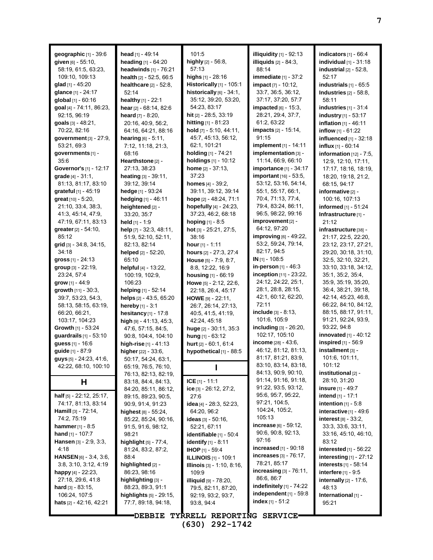| geographic [1] - 39:6<br>given [6] - 55:10,<br>58:19, 61:5, 63:23, | head [1] - 49:14<br>heading [1] - 64:20<br>headwinds $[1]$ - 76:21 | 101:5<br>highly [2] - 56:8,<br>57:13              | illiquidity $[1]$ - 92:13<br>illiquids $[2] - 84:3$ ,<br>88:14 | indicators $[1]$ - 66:4<br>individual $[1]$ - 31:18<br>industrial $[2]$ - 52:8, |
|--------------------------------------------------------------------|--------------------------------------------------------------------|---------------------------------------------------|----------------------------------------------------------------|---------------------------------------------------------------------------------|
| 109:10, 109:13                                                     | health $[2] - 52:5, 66:5$                                          | <b>highs</b> $[1]$ - 28:16                        | immediate $[1]$ - 37:2                                         | 52:17                                                                           |
| glad $[1]$ - 45:20                                                 | healthcare [2] - 52:8,                                             | Historically [1] - 105:1                          | impact [7] - 10:12,                                            | industrials $[1]$ - $65:5$                                                      |
| glance [1] - 24:17                                                 | 52:14                                                              | historically [6] - 34:1,                          | 33:7, 36:5, 36:12,                                             | Industries $[2] - 58.8$ ,                                                       |
| global [1] - 60:16                                                 | healthy [1] - 22:1                                                 | 35:12, 39:20, 53:20,                              | 37:17, 37:20, 57:7                                             | 58:11                                                                           |
| goal [4] - 74:11, 86:23,                                           | hear [2] - 68:14, 82:6                                             | 54:23, 83:17                                      | impacted [6] - 15:3,                                           | industries $[1]$ - 31:4                                                         |
| 92:15, 96:19                                                       | heard $[7] - 8:20$ ,                                               | hit $[2]$ - 28.5, 33.19                           | 28:21, 29:4, 37:7,                                             | <b>industry</b> $[1]$ - 53:17                                                   |
| <b>goals</b> $[3] - 48.21$ ,                                       | 20:16, 40:9, 56:2,                                                 | <b>hitting</b> $[1] - 81:23$                      | 61:2, 63:22                                                    | inflation [1] - 46:11                                                           |
| 70.22, 82.16                                                       | 64:16, 64:21, 88:16                                                | hold [7] - 5:10, 44:11,                           | <b>impacts</b> [2] - 15:14,                                    | inflow $[1] - 61:22$                                                            |
| government $[3] - 27:9$ ,                                          | <b>hearing</b> $[6] - 5.11$ ,                                      | 45:7, 45:13, 56:12,                               | 91:15                                                          | influenced $[1]$ - 32:18                                                        |
| 53:21, 69:3                                                        | 7:12, 11:18, 21:3,                                                 | 62:1, 101:21                                      | implement [1] - 14:11                                          | <b>influx</b> $[1] - 60:14$                                                     |
| governments [1] -                                                  | 68:16                                                              | holding $[1]$ - 74:21                             | implementation [3] -                                           | information $[12] - 7:5$ ,                                                      |
| 35.6                                                               | Hearthstone [2] -                                                  | holdings [1] - 10:12                              | 11:14, 66:9, 66:10                                             | 12.9, 12.10, 17:11,                                                             |
| Governor's [1] - 12:17<br>grade [4] - 31:1,                        | 27:13, 38:23                                                       | <b>home</b> $[2] - 37.13$ ,<br>37:23              | <b>importance</b> [1] - $34:17$<br>important [16] - 53:5,      | 17:17, 18:16, 18:19,                                                            |
| 81:13, 81:17, 83:10                                                | heating [3] - 39:11,<br>39:12, 39:14                               | <b>homes</b> $[4] - 39:2$ ,                       | 53:12, 53:16, 54:14,                                           | 18:20, 19:18, 21:2,<br>68:15, 94:17                                             |
| grateful [1] - 45:19                                               | hedge [1] - 93:24                                                  | 39:11, 39:12, 39:14                               | 55:1, 55:17, 66:1,                                             | informative [2] -                                                               |
| great [10] - 5:20,                                                 | hedging $[1] - 46:11$                                              | hope [2] - 48:24, 71:1                            | 70.4, 71.13, 77.4,                                             | 100:16, 107:13                                                                  |
| 21.10, 33.4, 38.3,                                                 | heightened [2] -                                                   | hopefully [4] - 24:23,                            | 79:4, 83:24, 86:11,                                            | informed $[1]$ - 51:24                                                          |
| 41:3, 45:14, 47:9,                                                 | 33:20, 35:7                                                        | 37:23, 46:2, 68:18                                | 96:5, 98:22, 99:16                                             | Infrastructure [1] -                                                            |
| 47:19, 67:11, 83:13                                                | held [1] - 1:9                                                     | hoping [1] - 8:5                                  | $improvement$ [2] -                                            | 21:12                                                                           |
| greater [2] - 54:10,                                               | help [7] - 32:3, 48:11,                                            | hot [3] - 25:21, 27:5,                            | 64:12, 97:20                                                   | infrastructure [38] -                                                           |
| 85:12                                                              | 51:9, 52:10, 52:11,                                                | 38:16                                             | improving $[6]$ - 49:22,                                       | 21:17, 22:5, 22:20,                                                             |
| grid [3] - 34:8, 34:15,                                            | 82:13, 82:14                                                       | hour $[1] - 1:11$                                 | 53:2, 59:24, 79:14,                                            | 23:12, 23:17, 27:21,                                                            |
| 34:18                                                              | helped $[2] - 52:20$ ,                                             | hours [2] - 27:3, 27:4                            | 82:17, 94:5                                                    | 29:20, 30:18, 31:10,                                                            |
| gross $[1] - 24:13$                                                | 65:10                                                              | <b>House</b> $[5] - 7.9, 8.7$ ,                   | IN [1] - 108:5                                                 | 32.5, 32.10, 32.21,                                                             |
| group [3] - 22:19,                                                 | helpful [4] - 13:22,                                               | 8:8, 12:22, 16:9                                  | in-person [1] - 46:3                                           | 33:10, 33:18, 34:12,                                                            |
| 23:24, 57:4                                                        | 100:19, 102:9,                                                     | housing [1] - 66:19                               | inception [11] - 23:22,                                        | 35:1, 35:2, 35:4,                                                               |
| grow $[1] - 44.9$                                                  | 106:23                                                             | Howe [5] - 2:12, 22:6,                            | 24:12, 24:22, 25:1,<br>28:1, 28:8, 28:15,                      | 35.9, 35.19, 35.20,<br>36.4, 38.21, 39.18,                                      |
| growth [11] - 30:3,<br>39:7, 53:23, 54:3,                          | helping [1] - 52:14<br>helps [2] - 43:5, 65:20                     | 22:18, 26:4, 45:17<br><b>HOWE</b> $[9] - 22:11$ , | 42:1, 60:12, 62:20,                                            | 42.14, 45:23, 46:8,                                                             |
| 58:13, 58:15, 63:19,                                               | hereby $[1] - 3:1$                                                 | 26:7, 26:14, 27:13,                               | 72:11                                                          | 66:22, 84:10, 84:12,                                                            |
| 66.20, 66.21,                                                      | hesitancy $[1]$ - 17:8                                             | 40.5, 41.5, 41.19,                                | include $[3] - 8:13$ ,                                         | 88:15, 88:17, 91:11,                                                            |
| 103:17, 104:23                                                     | high $[9] - 41:13, 45:3,$                                          | 42:24, 45:18                                      | 101:6, 105:9                                                   | 91:21, 92:24, 93:9,                                                             |
| Growth [1] - 53:24                                                 | 47:6, 57:15, 84:5,                                                 | huge [2] - 30:11, 35:3                            | including [3] - 26:20,                                         | 93:22, 94:8                                                                     |
| guardrails [1] - 53:10                                             | 90.8, 104.4, 104.10                                                | hung $[1] - 63:12$                                | 102:17, 105:10                                                 | <b>innovated</b> $[1] - 40:12$                                                  |
| <b>guess</b> $[1] - 16.6$                                          | high-rise $[1] - 41:13$                                            | hurt [2] - 60:1, 61:4                             | income $[28] - 43.6$ ,                                         | inspired [1] - 56:9                                                             |
| guide [1] - 87:9                                                   | higher [22] - 33:6,                                                | hypothetical [1] - 88:5                           | 46:12, 81:12, 81:13,                                           | installment [3] -                                                               |
| guys [5] - 24:23, 41:6,                                            | 50:17, 54:24, 63:1,                                                |                                                   | 81:17, 81:21, 83.9,                                            | 101:6, 101:11,                                                                  |
| 42:22, 68:10, 100:10                                               | 65:19, 76:5, 76:10,                                                |                                                   | 83:10, 83:14, 83:18,                                           | 101:12                                                                          |
|                                                                    | 76:13, 82:13, 82:19,                                               |                                                   | 84:13, 90:9, 90:10,<br>91:14, 91:16, 91:18,                    | institutional [2] -                                                             |
| H                                                                  | 83:18, 84:4, 84:13,                                                | ICE $[1] - 11:1$                                  | 91:22, 93:5, 93:12,                                            | 28:10, 31:20<br><b>insure</b> $[1]$ - 49:7                                      |
| half [5] - 22:12, 25:17,                                           | 84:20, 85:11, 86:12,<br>89:15, 89:23, 90:5,                        | ice $[3] - 26:12, 27:2,$<br>27:6                  | 95:6, 95:7, 95:22,                                             | <b>intend</b> [1] - 17:1                                                        |
| 74:17, 81:13, 83:14                                                | 90.9, 91.4, 91.23                                                  | idea [4] - 28:3, 52:23,                           | 97:21, 104:5,                                                  | intention $[1] - 5.8$                                                           |
| <b>Hamill</b> [3] - $72:14$ ,                                      | highest [8] - 55:24,                                               | 64:20, 96:2                                       | 104:24, 105:2,                                                 | interactive $[1] - 49.6$                                                        |
| 74:2, 75:19                                                        | 85:22, 85:24, 90:16,                                               | ideas $[3] - 50.16$ ,                             | 105:13                                                         | <b>interest</b> $[8] - 33.2$ ,                                                  |
| <b>hammer</b> $[1] - 8.5$                                          | 91:5, 91:6, 98:12,                                                 | 52:21, 67:11                                      | increase [6] - 59:12,                                          | 33.3, 33.6, 33.11,                                                              |
| <b>hand</b> $[1]$ - 107:7                                          | 98:21                                                              | identifiable $[1]$ - 50:4                         | 90:6, 90:8, 92:13,                                             | 33:16, 45:10, 46:10,                                                            |
| <b>Hansen</b> $[3] - 2:9, 3:3,$                                    | <b>highlight</b> $[5] - 77.4$ ,                                    | <b>identify</b> $[1] - 8:11$                      | 97:16                                                          | 83:12                                                                           |
| 4:18                                                               | 81.24, 83.2, 87.2,                                                 | <b>IHOP</b> [1] - 59:4                            | <b>increased</b> $[1]$ - 90:18                                 | interested $[1]$ - 56:22                                                        |
| <b>HANSEN</b> [6] - 3:4, 3:6,                                      | 88.4                                                               | <b>ILLINOIS</b> [1] - 109:1                       | increases [3] - 76:17,                                         | $interesting_{[1]} - 27:12$                                                     |
| 3.8, 3.10, 3.12, 4.19                                              | highlighted [2] -                                                  | Illinois [3] - 1:10, 8:16,                        | 78.21, 85.17                                                   | <b>interests</b> $[1]$ - 58:14                                                  |
| happy $[4] - 22.23$ ,                                              | 86.23, 98.16                                                       | 109:9                                             | increasing $[3]$ - 76:11,                                      | interfere $[1]$ - $9.5$                                                         |
| 27:18, 29.6, 41:8                                                  | highlighting [3] -                                                 | <b>illiquid</b> [9] - 78:20,                      | 86.6, 86.7<br>indefinitely $[1]$ - 74:22                       | internally [2] - 17:6,                                                          |
| <b>hard</b> $[3] - 83:15$ ,                                        | 88:23, 89:3, 91:1                                                  | 79:5, 82:11, 87:20,                               | independent $[1]$ - 59:8                                       | 48:13                                                                           |
| 106:24, 107:5<br><b>hats</b> $[2] - 42:16, 42:21$                  | highlights [5] - 29:15,<br>77:7, 89:18, 94:18,                     | 92:19, 93:2, 93:7,                                | index $[1] - 51:2$                                             | International [1] -                                                             |
|                                                                    |                                                                    | 93:8, 94:4                                        |                                                                | 95:21                                                                           |
|                                                                    | <b>"DEBBIE</b>                                                     | TYRRELL REPORTING SERVICE                         |                                                                |                                                                                 |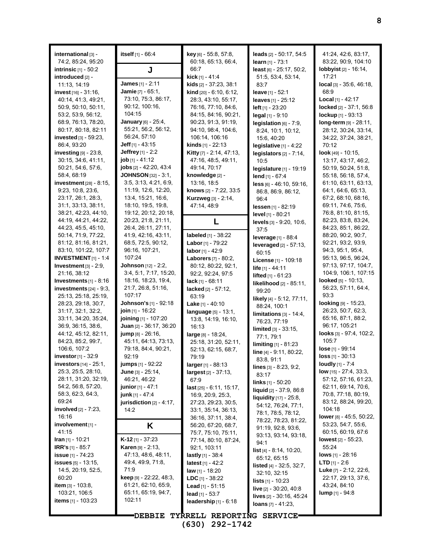| international [3] -<br>74:2, 85:24, 95:20   | <b>itself</b> $[1] - 66.4$                 | <b>key</b> [6] $-55.8$ , 57:8,<br>60:18, 65:13, 66:4, | leads $[2] - 50.17, 54.5$<br>learn $[1] - 73:1$   | 41:24, 42:6, 83:17,<br>83:22, 90:9, 104:10             |
|---------------------------------------------|--------------------------------------------|-------------------------------------------------------|---------------------------------------------------|--------------------------------------------------------|
| intrinsic $[1]$ - 50.2                      | J                                          | 66:7                                                  | least [6] - 25:17, 50:2,                          | <b>lobbyist</b> $[2] - 16:14$ ,                        |
| introduced [2] -                            |                                            | <b>kick</b> $[1] - 41.4$                              | 51:5, 53:4, 53:14,                                | 17:21                                                  |
| 11:13, 14:19                                | <b>James</b> [1] - 2:11                    | <b>kids</b> $[2] - 37:23, 38:1$                       | 83.7                                              | <b>local</b> $[3] - 35.6$ , 46:18,                     |
| <b>invest</b> $[16] - 31.16$ ,              | Jamie [7] - 65:1,<br>73:10, 75:3, 86:17,   | kind [20] - 6:10, 6:12,                               | <b>leave</b> $[1] - 52:1$                         | 68.9                                                   |
| 40.14, 41:3, 49:21,                         | 90:12, 100:16,                             | 28:3, 43:10, 55:17,                                   | leaves [1] - 25:12                                | <b>Local</b> [1] - 42:17                               |
| 50:9, 50:10, 50:11,<br>53:2, 53:9, 56:12,   | 104:15                                     | 76:16, 77:10, 84:6,<br>84:15, 84:16, 90:21,           | left $[1] - 23:20$                                | locked [2] - 37:1, 56:8<br>lockup $[1] - 93:13$        |
| 68.9, 76.13, 78.20,                         | January [6] - 25:4,                        | 90:23, 91:3, 91:19,                                   | legal $[1] - 9:10$<br>legislation $[6]$ - 7:9,    | $long-term$ [9] - 28:11,                               |
| 80:17, 80:18, 82:11                         | 55:21, 56:2, 56:12,                        | 94:10, 98:4, 104:6,                                   | 8:24, 10:1, 10:12,                                | 28:12, 30:24, 33:14,                                   |
| invested [3] - 59:23,                       | 56:24, 57:10                               | 106:14, 106:16                                        | 15:6, 40:20                                       | 34:22, 37:24, 38:21,                                   |
| 86:4, 93:20                                 | <b>Jeff</b> [1] - 43:15                    | <b>kinds</b> [1] - 22:13                              | legislative $[1] - 4:22$                          | 70:12                                                  |
| investing $[9]$ - 23:8,                     | Jeffrey [1] - 2:2                          | Kitty [7] - 2:14, 47:13,                              | legislators $[2] - 7:14$ ,                        | <b>look</b> [49] - 10:15,                              |
| 30.15, 34:6, 41:11,                         | job $[1] - 41:12$                          | 47:16, 48:5, 49:11,                                   | 10:5                                              | 13:17, 43:17, 46:2,                                    |
| 50:21, 54:6, 57:6,                          | jobs [2] - 42:20, 43:4                     | 49:14, 70:17                                          | legislature [1] - 19:19                           | 50:19, 50:24, 51:8,                                    |
| 58:4, 68:19                                 | <b>JOHNSON</b> [32] - 3:1,                 | knowledge [2] -                                       | lend [1] - 67:4                                   | 55:18, 56:18, 57:4,                                    |
| investment $[28] - 8.15$ ,                  | 3.5, 3.13, 4.21, 6.9,                      | 13:16, 18:5                                           | $less$ [6] - 46.10, 59.16,                        | 61:10, 63:11, 63:13,                                   |
| 9:23, 10:8, 23:6,                           | 11:19, 12:6, 12:20,                        | knows [2] - 7:22, 33:5                                | 86.8, 86.9, 86.12,                                | 64:1, 64:6, 65:13,                                     |
| 23:17, 26:1, 28:3,                          | 13.4, 15.21, 16.6,                         | <b>Kurzweg</b> [3] - 2:14,                            | 96:4                                              | 67:2, 68:10, 68:16,                                    |
| 31:1, 33:13, 38:11,                         | 18:10, 19:5, 19:8,                         | 47:14, 48:9                                           | lessen [1] - 82:19                                | 69:11, 74:6, 75:6,                                     |
| 38:21, 42:23, 44:10,                        | 19:12, 20:12, 20:18,                       |                                                       | level [1] - 80:21                                 | 76:8, 81:10, 81:15,                                    |
| 44:19, 44:21, 44:22,<br>44:23, 45:5, 45:10, | 20:23, 21:8, 21:11,<br>26:4, 26:11, 27:11, | L                                                     | levels [3] - 9:20, 10:6,                          | 82:23, 83:8, 83:24,<br>84:23, 85:1, 86:22,             |
| 50:14, 71:9, 77:22,                         | 41.9, 42.16, 43.11,                        | labeled $[1] - 38:22$                                 | 37:5                                              | 88:20, 90:2, 90:7,                                     |
| 81:12, 81:16, 81:21,                        | 68:5, 72:5, 90:12,                         | Labor [1] - 79:22                                     | leverage [1] - 88:4                               | 92.21, 93.2, 93.9,                                     |
| 83:10, 101:22, 107:7                        | 96:16, 107:21,                             | labor [1] - 42:9                                      | <b>leveraged</b> [2] - 57:13,                     | 94:3, 95:1, 95:4,                                      |
| <b>INVESTMENT</b> $[1]$ - 1:4               | 107:24                                     | Laborers [7] - 80:2,                                  | 60.15                                             | 95:13, 96:5, 96:24,                                    |
| Investment $[3]$ - 2:9,                     | <b>Johnson</b> [12] - 2:2,                 | 80:12, 80:22, 92:1,                                   | License [1] - 109:18<br>life [1] - 44:11          | 97:13, 97:17, 104:7,                                   |
| 21:16, 38:12                                | 3:4, 5:1, 7:17, 15:20,                     | 92:2, 92:24, 97:5                                     | <b>lifted</b> $[1] - 61:23$                       | 104:9, 106:1, 107:15                                   |
| <b>Investments</b> $[1] - 8:16$             | 18:16, 18:23, 19:4,                        | $lack [1] - 68:11$                                    | likelihood [2] - 85:11,                           | <b>looked</b> $[5] - 10.13$ ,                          |
| investments $[24] - 9:3$ ,                  | 21.7, 26.8, 51.16,                         | lacked $[2] - 57:12$ ,                                | 99:20                                             | 56:23, 57:11, 64:4,                                    |
| 25:13, 25:18, 25:19,                        | 107:17                                     | 63:19                                                 | likely [4] - 5:12, 77:11,                         | 93:3                                                   |
| 28:23, 29:18, 30:7,                         | <b>Johnson's [1] - 92:18</b>               | Lake [1] - 40:10                                      | 88:24, 100:1                                      | looking [9] - 15:23,                                   |
| 31:17, 32:1, 32:2,                          | join [1] - 16:22                           | language [5] - 13:1,                                  | $limitations 31 - 14.4,$                          | 26:23, 50:7, 62:3,                                     |
| 33:11, 34:20, 35:24,                        | joining [1] - 107:20                       | 13:8, 14:19, 16:10,                                   | 76:23, 77:19                                      | 65:16, 87:1, 88:2,                                     |
| 36.9, 36:15, 38:6,                          | Juan $[2] - 36:17, 36:20$                  | 16:13                                                 | limited [3] - 33:15,                              | 96:17, 105:21                                          |
| 44:12, 45:12, 82:11,                        | jump [8] - 26:16,                          | $large_{[8]} - 18.24,$                                | 77:1, 79:1                                        | looks [3] - 97:4, 102:2,<br>105:7                      |
| 84:23, 85:2, 99:7,<br>106:6, 107:2          | 45:11, 64:13, 73:13,                       | 25:18, 31:20, 52:11,                                  | limiting [1] - 81:23                              | lose [1] - 99:14                                       |
| <b>investor</b> [1] - 32:9                  | 79:18, 84:4, 90:21,<br>92:19               | 52:13, 62:15, 68:7,<br>79:19                          | line [4] - 9:11, 80:22,                           | $loss$ [1] - 30:13                                     |
| <b>investors</b> $[14] - 25:1$ ,            | <b>jumps</b> [1] - 92:22                   | larger [1] - 88:13                                    | 83.8, 91.1                                        | <b>loudly</b> $[1] - 7.4$                              |
| 25:3, 25:5, 28:10,                          | June $[3] - 25.14$ ,                       | largest <sub>[2]</sub> - 37:13,                       | lines [3] - 8:23, 9:2,                            | <b>low</b> $[15] - 27:4$ , 33:3,                       |
| 28:11, 31:20, 32:19,                        | 46:21, 46:22                               | 67.9                                                  | 83:17                                             | 57:12, 57:16, 61:23,                                   |
| 54:2, 56:8, 57:20,                          | <b>junior</b> [1] - 47:1                   | last $[25] - 6:11, 15:17,$                            | links [1] - 50:20                                 | 62:11, 69:14, 70:6,                                    |
| 58:3, 62:3, 64:3,                           | <b>junk</b> [1] - 47:4                     | 16:9, 20:9, 25:3,                                     | liquid [2] - 37:9, 86:8<br>liquidity [17] - 25:8, | 70:8, 77:18, 80:19,                                    |
| 69:24                                       | jurisdiction [2] - 4:17,                   | 27:23, 29:23, 30:5,                                   | 54:12, 76:24, 77:1,                               | 83:12, 88:24, 99:20,                                   |
| involved [2] - 7:23,                        | 14:2                                       | 33:1, 35:14, 36:13,                                   | 78:1, 78:5, 78:12,                                | 104:18                                                 |
| 16:16                                       |                                            | 36:16, 37:11, 38:4,                                   | 78:22, 78:23, 81:22,                              | lower [8] - 45:5, 50:22,                               |
| involvement [1] -                           | Κ                                          | 56:20, 67:20, 68:7,                                   | 91:19, 92:8, 93:6,                                | 53:23, 54:7, 55:6,                                     |
| 41:15                                       |                                            | 75:7, 75:10, 75:11,                                   | 93:13, 93:14, 93:18,                              | 60.15, 60.19, 67:6                                     |
| <b>Iran</b> [1] - 10:21                     | $K-12$ [1] - 37:23                         | 77:14, 80:10, 87:24,                                  | 94:1                                              | <b>lowest</b> $[2] - 55:23$ ,                          |
| <b>IRR's</b> [1] - 85:7                     | <b>Karen</b> [9] - $2:13$ ,                | 92:1, 103:11                                          | <b>list</b> $[4] - 8.14, 10.20,$                  | 55:24                                                  |
| <b>issue</b> [1] - 74:23                    | 47:13, 48:6, 48:11,                        | <b>lastly</b> $[1]$ - 38:4                            | 65:12, 65:15                                      | <b>lows</b> $[1] - 28.16$                              |
| <b>issues</b> $[5] - 13:15$ ,               | 49:4, 49:9, 71:8,                          | <b>latest</b> [1] - 42:2                              | <b>listed</b> $[4] - 32.5, 32.7,$                 | <b>LTD</b> $[1]$ - 2:6                                 |
| 14:5, 20:19, 52:5,<br>60:20                 | 71:9<br>keep [9] - 22:22, 48:3,            | <b>law</b> $[1]$ - 18:20                              | 32:10, 32:15                                      | <b>Luke</b> $[7] - 2:12, 22:6,$<br>22:17, 29:13, 37:6, |
| <b>item</b> $[3] - 103.8$ ,                 | 61:21, 62:10, 65:9,                        | $LDC$ [1] - 38:22                                     | <b>lists</b> $[1] - 10:23$                        | 43:24, 84:10                                           |
| 103:21, 106:5                               | 65:11, 65:19, 94:7,                        | <b>Lead</b> $[1] - 51:15$<br>lead $[1] - 53:7$        | live [2] - 30:20, 40:8                            | <b>lump</b> $[1] - 94.8$                               |
| <b>items</b> $[1]$ - 103:23                 | 102:11                                     | leadership [1] - 6:18                                 | lives [2] - 30:16, 45:24                          |                                                        |
|                                             |                                            |                                                       | <b>loans</b> $[7] - 41:23$ ,                      |                                                        |
|                                             |                                            |                                                       |                                                   |                                                        |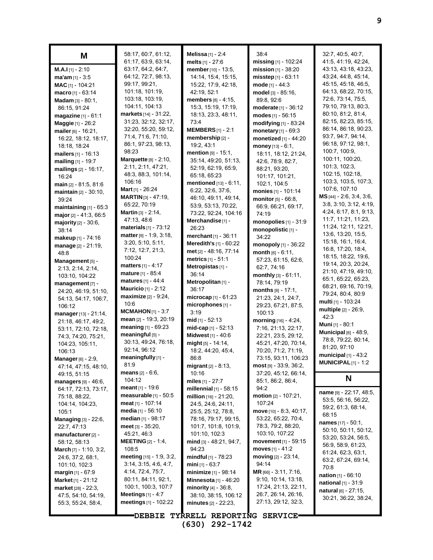| M                                           | 58:17, 60:7, 61:12,<br>61:17, 63:9, 63:14,   | Melissa $[1] - 2.4$<br>melts $[1] - 27:6$ | 38:4<br>missing [1] - 102:24                | 32:7, 40:5, 40:7,<br>41:5, 41:19, 42:24,  |
|---------------------------------------------|----------------------------------------------|-------------------------------------------|---------------------------------------------|-------------------------------------------|
| <b>M.A.I</b> [1] - 2:10                     | 63:17, 64:2, 64:7,                           | member [10] - 13:5,                       | mission $[1]$ - 38:20                       | 43:13, 43:18, 43:23,                      |
| $ma'am$ [1] - 3:5                           | 64:12, 72:7, 98:13,                          | 14:14, 15:4, 15:15,                       | misstep [1] - 63:11                         | 43.24, 44:8, 45:14,                       |
| MAC [1] - 104:21                            | 99:17, 99:21,                                | 15:22, 17:9, 42:18,                       | mode $[1] - 44:3$                           | 45:15, 45:18, 46:5,                       |
| macro $[1] - 63:14$                         | 101:18, 101:19,                              | 42:19, 52:1                               | model [3] - 85:16,                          | 64:13, 68:22, 70:15,                      |
| <b>Madam</b> $[3] - 80:1$ ,                 | 103:18, 103:19,                              | members $[8] - 4:15$ ,                    | 89.8, 92:6                                  | 72:6, 73:14, 75:5,                        |
| 86:15, 91:24                                | 104:11, 104:13                               | 15:3, 15:19, 17:19,                       | moderate [1] - 36:12                        | 79:10, 79:13, 80:3,                       |
| magazine [1] - 61:1                         | <b>markets</b> [14] - 31:22,                 | 18:13, 23:3, 48:11,                       | modes $[1] - 56:15$                         | 80:10, 81:2, 81:4,                        |
| Maggie [1] - 26:2                           | 31:23, 32:12, 32:17,                         | 73:4                                      | modifying [1] - 83:24                       | 82:15, 82:23, 85:15,                      |
| mailer [6] - 16:21,                         | 32:20, 55:20, 59:12,                         | <b>MEMBERS</b> $[1]$ - 2:1                | monetary [1] - 69:3                         | 86:14, 86:18, 90:23,                      |
| 16:22, 18:12, 18:17,                        | 71:4, 71:6, 71:10,                           | membership [2] -                          | monetized [1] - 44:20                       | 93:7, 94:7, 94:14,                        |
| 18:18, 18:24                                | 86:1, 97:23, 98:13,                          | 19:2, 43:1                                | money $[13] - 6:1$ ,                        | 96:18, 97:12, 98:1,                       |
| mailers [1] - 16:13                         | 98:23                                        | <b>mention</b> $[9] - 15:1$ ,             | 18:11, 18:12, 21:24,                        | 100:7, 100:9,                             |
| mailing $[1] - 19:7$                        | Marquette [8] - 2:10,                        | 35:14, 49:20, 51:13,                      | 42:6, 78:9, 82:7,                           | 100:11, 100:20,                           |
| mailings $[2] - 16.17$ ,                    | 2:11, 2:11, 47:21,                           | 52:19, 62:19, 65:9,                       | 88:21, 93:20,                               | 101:3, 102:3,                             |
| 16:24                                       | 48:3, 88:3, 101:14,                          | 65:18, 65:23                              | 101:17, 101:21,                             | 102:15, 102:18,                           |
| main [2] - 81:5, 81:6                       | 106:16                                       | mentioned [13] - 6:11,                    | 102:1, 104:5                                | 103:3, 103:5, 107:3,<br>107:6, 107:10     |
| maintain [2] - 30:10,                       | Mart [1] - 26:24                             | 6:22, 32:6, 37:6,                         | monies [1] - 101:14                         | $MS$ <sub>[44]</sub> - 2:6, 3:4, 3:6,     |
| 39:24                                       | MARTIN [3] - 47:19,                          | 46:10, 49:11, 49:14,                      | monitor [5] - 66:8,                         | 3.8, 3.10, 3.12, 4.19,                    |
| maintaining $[1]$ - 65:3                    | 65:22, 70:19                                 | 53:9, 53:13, 70:22,                       | 66:9, 66:21, 69:17,                         | 4:24, 6:17, 8:1, 9:13,                    |
| major $[2] - 41:3, 66:5$                    | <b>Martin</b> $[3] - 2:14$ ,                 | 73:22, 92:24, 104:16                      | 74:19                                       | 11:7, 11:21, 11:23,                       |
| majority [2] - 30:6.                        | 47:13, 48:6<br>materials $[1]$ - $73:12$     | Merchandise <sub>[1]</sub> -              | monopolies [1] - 31:9                       | 11:24, 12:11, 12:21,                      |
| 38:14                                       |                                              | 26:23                                     | monopolistic [1] -                          | 13.6, 13:20, 15:5,                        |
| makeup [1] - 74:16                          | matter [9] - 1:9, 3:18,<br>3:20, 5:10, 5:11, | merchant [1] - 36:11                      | 34:22                                       | 15:18, 16:1, 16:4,                        |
| manage [2] - 21:19,                         | 7:12, 12:7, 21:3,                            | Meredith's [1] - 60:22                    | monopoly $[1]$ - 36:22                      | 16.8, 17:20, 18.4,                        |
| 48.8                                        | 100:24                                       | met [2] - 48:16, 77:14                    | month $[6] - 6:11$ ,                        | 18:15, 18:22, 19:6,                       |
| Management [5] -                            | <b>matters</b> $[1] - 4:17$                  | metrics $[1] - 51:1$                      | 57:23, 61:15, 62:6,                         | 19:14, 20:3, 20:24,                       |
| 2:13, 2:14, 2:14,                           | <b>mature</b> [1] - 85:4                     | Metropistas <sub>[1]</sub> -<br>36:14     | 62:7, 74:16                                 | 21:10, 47:19, 49:10,                      |
| 103:10, 104:22                              | matures [1] - 44:4                           | Metropolitan [1] -                        | $\text{month}$ [3] - 61:11,                 | 65:1, 65:22, 65:23,                       |
| management [7] -                            | Mauricio [1] - 2:12                          | 36:17                                     | 78:14, 79:19                                | 68:21, 69:16, 70:19,                      |
| 24:20, 46:19, 51:10,                        | maximize [2] - 9:24,                         | microcap <sup>[1]</sup> - $61:23$         | months $[8] - 17:1$ ,<br>21:23, 24:1, 24:7, | 79:24, 80:4, 80:9                         |
| 54:13, 54:17, 106:7,                        | 10:6                                         | microphones [1] -                         | 29:23, 67:21, 87:5,                         | multi [1] - 103:24                        |
| 106:12                                      | <b>MCMAHON</b> $[1]$ - 3:7                   | 3:19                                      | 100:13                                      | <b>multiple</b> [2] - 26:9,               |
| manager [13] - 21:14,                       | mean [2] - 19:3, 20:19                       | mid $[1] - 52:13$                         | morning [16] - 4:24,                        | 42:3                                      |
| 21:18, 46:17, 49:2,                         | meaning $[1] - 69.23$                        | $mid-cap_{[1]} - 52:13$                   | 7:16, 21:13, 22:17,                         | Muni [1] - 80:1                           |
| 53:11, 72:10, 72:18,<br>74.3, 74.20, 75:21, | meaningful [5] -                             | Midwest [1] - 40:6                        | 22:21, 23:5, 29:12,                         | Municipal [6] - 48:9,                     |
| 104:23, 105:11,                             | 30:13, 49:24, 76:18,                         | might [5] - 14:14,                        | 45:21, 47:20, 70:14,                        | 78:8, 79:22, 80:14,                       |
| 106:13                                      | 92:14, 96:12                                 | 18:2, 44:20, 45:4,                        | 70:20, 71:2, 71:19,                         | 81:20, 97:10                              |
| <b>Manager</b> [6] - 2:9,                   | meaningfully [1] -                           | 86:8                                      | 73:15, 93:11, 106:23                        | municipal $[1]$ - 43:2                    |
| 47:14, 47:15, 48:10,                        | 81.9                                         | <b>migrant</b> $[2] - 8:13$ ,             | $most$ [9] - 33:9, 36:2,                    | <b>MUNICIPAL</b> $[1]$ - 1:2              |
| 49:15, 51:15                                | <b>means</b> $[2] - 6:6$ ,                   | 10:16                                     | 37:20, 45:12, 66:14,                        |                                           |
| managers $[9] - 46:6$ ,                     | 104:12                                       | miles $[1] - 27:7$                        | 85:1, 86:2, 86:4,                           | N                                         |
| 64:17, 72:13, 73:17,                        | <b>meant</b> $[1] - 19.6$                    | millennial [1] - 58:15                    | 94:2                                        |                                           |
| 75.18, 88.22,                               | measurable $[1]$ - 50:5                      | million $[16] - 21:20$ ,                  | motion $[2] - 107:21$ ,                     | name [9] - 22:17, 48:5,                   |
| 104:14, 104:23,                             | meat [1] - 107:14                            | 24:5, 24:6, 24:11,                        | 107:24                                      | 53:5, 56:16, 56:22,<br>59:2, 61:3, 68:14, |
| 105:1                                       | <b>media</b> [1] - 56:10                     | 25:5, 25:12, 78:8,                        | move [10] - 8:3, 40:17,                     | 68:15                                     |
| <b>Managing</b> $[3] - 22:6$ ,              | median $[1]$ - 98:17                         | 78:16, 79:17, 99:15,                      | 53:22, 65:22, 70:4,                         | <b>names</b> $[17] - 50:1$ ,              |
| 22:7, 47:13                                 | meet $[3] - 35.20$ ,                         | 101:7, 101:8, 101:9,                      | 78:3, 79:2, 88:20,                          | 50:10, 50:11, 50:12,                      |
| manufacturer <sub>[2]</sub> -               | 45:21, 46:3                                  | 101:10, 102:3                             | 103:10, 107:22                              | 53:20, 53:24, 56:5,                       |
| 58:12, 58:13                                | <b>MEETING</b> $[2] - 1.4$ ,                 | mind [3] - 48.21, 94:7,                   | movement $[1]$ - 59:15                      | 56.9, 58.9, 61.23,                        |
| <b>March</b> $[7] - 1.10, 3.2,$             | 108:5                                        | 94:23                                     | moves $[1] - 41:2$                          | 61.24, 62.3, 63.1,                        |
| 24:6, 37:2, 68:1,                           | meeting $[15] - 1.9, 3.2,$                   | <b>mindful</b> $[1]$ - 78:23              | moving $[2] - 23:14$ ,                      | 63.2, 67.24, 69.14,                       |
| 101:10, 102:3                               | 3:14, 3:15, 4:6, 4:7,                        | <b>mini</b> $[1]$ - 63:7                  | 94:14                                       | 70:8                                      |
| <b>margin</b> $[1] - 67.9$                  | 4:14, 72:4, 75:7,                            | minimize [1] - 98:14                      | $MR$ [66] - 3:11, 7:16,                     | <b>nation</b> $[1] - 66:10$               |
| <b>Market</b> [1] - 21:12                   | 80:11, 84:11, 92:1,                          | <b>Minnesota</b> [1] - 46:20              | 9:10, 10:14, 13:18,                         | national [1] - 31:9                       |
| $market$ [28] - 22:3,                       | 100:1, 100:3, 107:7                          | <b>minority</b> $[4] - 36:8$ ,            | 17:24, 21:13, 22:11,                        | <b>natural</b> $[6] - 27:15$ ,            |
| 47:5, 54:10, 54:19,                         | Meetings $[1] - 4:7$                         | 38:10, 38:15, 106:12                      | 26:7, 26:14, 26:16,                         | 30:21, 36:22, 38:24,                      |
| 55.3, 55.24, 58.4,                          | meetings $[1]$ - 102:22                      | minutes $[2] - 22:23$ ,                   | 27:13, 29:12, 32:3,                         |                                           |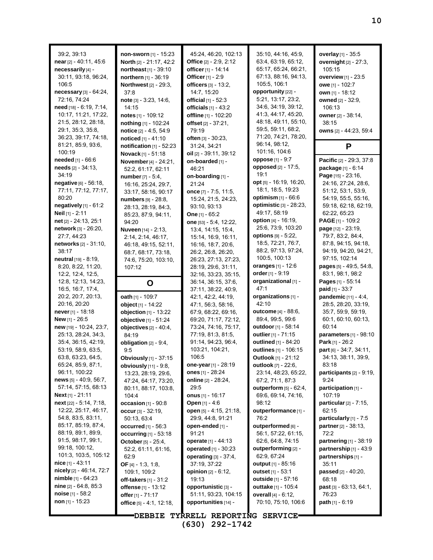| 39:2, 39:13<br>near [2] - 40:11, 45:6<br>necessarily [4] -<br>30:11, 93:18, 96:24,<br>106:5<br>necessary [3] - 64:24,<br>72.16, 74.24<br>need [18] - 6:19, 7:14,<br>10:17, 11:21, 17:22,<br>21:5, 28:12, 28:18, | non-sworn [1] - 15:23<br>North [2] - 21:17, 42:2<br>northeast [1] - 39:10<br>northern [1] - 36:19<br><b>Northwest</b> [2] - 29:3,<br>37:8<br>$note$ [3] - 3:23, 14:6,<br>14:15<br>notes $[1]$ - 109:12<br>nothing [1] - 102:24 | 45:24, 46:20, 102:13<br>Office $[2] - 2.9, 2.12$<br>officer [1] - 14:14<br>Officer [1] - 2:9<br>officers $[3] - 13:2$ ,<br>14:7, 15:20<br>official [1] - 52:3<br>officials $[1]$ - 43:2<br>offline [1] - 102:20<br>offset [2] - 37:21, | 35:10, 44:16, 45:9,<br>63.4, 63.19, 65.12,<br>65:17, 65:24, 66:21,<br>67:13, 88:16, 94:13,<br>105:5, 106:1<br>opportunity [22] -<br>5:21, 13:17, 23:2,<br>34.6, 34.19, 39.12,<br>41.3, 44.17, 45.20,<br>48:18, 49:11, 55:10, | overlay [1] - 35:5<br>overnight [2] - 27:3,<br>105:15<br>overview [1] - 23:5<br>owe [1] - 102:7<br>own [1] - 18:12<br>owned [2] - 32:9,<br>106:13<br>owner [2] - 38:14,<br>38:15 |
|-----------------------------------------------------------------------------------------------------------------------------------------------------------------------------------------------------------------|--------------------------------------------------------------------------------------------------------------------------------------------------------------------------------------------------------------------------------|----------------------------------------------------------------------------------------------------------------------------------------------------------------------------------------------------------------------------------------|------------------------------------------------------------------------------------------------------------------------------------------------------------------------------------------------------------------------------|----------------------------------------------------------------------------------------------------------------------------------------------------------------------------------|
| 29:1, 35:3, 35:8,<br>36:23, 39:17, 74:18,<br>81:21, 85:9, 93:6,                                                                                                                                                 | notice [2] - 4:5, 54:9<br>noticed [1] - 41:10                                                                                                                                                                                  | 79:19<br>often [3] - 30:23,<br>31:24, 34:21                                                                                                                                                                                            | 59:5, 59:11, 68:2,<br>71:20, 74:21, 78:20,<br>96:14, 98:12,                                                                                                                                                                  | owns [2] - 44:23, 59:4                                                                                                                                                           |
| 100:19                                                                                                                                                                                                          | notification [1] - 52:23<br>Novack [1] - 51:18                                                                                                                                                                                 | oil $[2] - 39.11, 39.12$                                                                                                                                                                                                               | 101:16, 104:6                                                                                                                                                                                                                | P                                                                                                                                                                                |
| <b>needed</b> $[1] - 66.6$                                                                                                                                                                                      | November [4] - 24:21,                                                                                                                                                                                                          | on-boarded [1] -                                                                                                                                                                                                                       | oppose [1] - 9.7                                                                                                                                                                                                             | Pacific [2] - 29:3, 37:8                                                                                                                                                         |
| needs [2] - 34:13,<br>34:19                                                                                                                                                                                     | 52:2, 61:17, 62:11<br>number $[7] - 5.4$ ,                                                                                                                                                                                     | 46:21<br>on-boarding [1] -                                                                                                                                                                                                             | opposed [2] - 17:5,<br>19.1                                                                                                                                                                                                  | package [1] - 6:14<br>Page [15] - 23:16,                                                                                                                                         |
| negative [6] - 56:18,                                                                                                                                                                                           | 16:16, 25:24, 29:7,                                                                                                                                                                                                            | 21:24                                                                                                                                                                                                                                  | opt [5] - 16:19, 16:20,                                                                                                                                                                                                      | 24:16, 27:24, 28:6,                                                                                                                                                              |
| 77:11, 77:12, 77:17,                                                                                                                                                                                            | 33:17, 58:16, 90:17                                                                                                                                                                                                            | once $[7] - 7.5, 11.5,$                                                                                                                                                                                                                | 18:1, 18:5, 19:23                                                                                                                                                                                                            | 51:12, 53:1, 53:9,                                                                                                                                                               |
| 80:20                                                                                                                                                                                                           | numbers [9] - 28:8,                                                                                                                                                                                                            | 15:24, 21:5, 24:23,                                                                                                                                                                                                                    | <b>optimism</b> $[1] - 66:6$                                                                                                                                                                                                 | 54:19, 55:5, 55:16,                                                                                                                                                              |
| negatively $[1]$ - $61:2$<br>Neil [1] - 2:11                                                                                                                                                                    | 28:13, 28:19, 84:3,                                                                                                                                                                                                            | 93:10, 93:13<br>One [1] - 65:2                                                                                                                                                                                                         | <b>optimistic</b> [3] - 28:23,<br>49:17, 58:19                                                                                                                                                                               | 59:18, 62:18, 62:19,<br>62.22, 65.23                                                                                                                                             |
| net [2] - 24:13, 25:1                                                                                                                                                                                           | 85:23, 87:9, 94:11,<br>94:20                                                                                                                                                                                                   | one [53] - 5:4, 12:22,                                                                                                                                                                                                                 | <b>option</b> $[4] - 16.19$ ,                                                                                                                                                                                                | <b>PAGE</b> $[1]$ - 109:2                                                                                                                                                        |
| network [3] - 26:20,                                                                                                                                                                                            | <b>Nuveen</b> [14] - 2:13,                                                                                                                                                                                                     | 13:4, 14:15, 15:4,                                                                                                                                                                                                                     | 25:6, 73:9, 103:20                                                                                                                                                                                                           | page [12] - 23:19,                                                                                                                                                               |
| 27:7, 44:23                                                                                                                                                                                                     | 2:14, 2:14, 46:17,                                                                                                                                                                                                             | 15:14, 16:9, 16:11,                                                                                                                                                                                                                    | options [9] - 5:22,                                                                                                                                                                                                          | 79:7, 83:2, 84:4,                                                                                                                                                                |
| networks [2] - 31:10,                                                                                                                                                                                           | 46:18, 49:15, 52:11,                                                                                                                                                                                                           | 16:16, 18:7, 20:6,                                                                                                                                                                                                                     | 18:5, 72:21, 76:7,                                                                                                                                                                                                           | 87:8, 94:15, 94:18,                                                                                                                                                              |
| 38:17                                                                                                                                                                                                           | 68.7, 68.17, 73.18,                                                                                                                                                                                                            | 26:2, 26:8, 26:20,                                                                                                                                                                                                                     | 88:2, 97:13, 97:24,<br>100:5, 100:13                                                                                                                                                                                         | 94:19, 94:20, 94:21,<br>97:15, 102:14                                                                                                                                            |
| neutral [19] - 8:19,<br>8:20, 8:22, 11:20,                                                                                                                                                                      | 74:6, 75:20, 103:10,<br>107:12                                                                                                                                                                                                 | 26:23, 27:13, 27:23,<br>28:19, 29:6, 31:11,                                                                                                                                                                                            | oranges $[1] - 12.6$                                                                                                                                                                                                         | pages [5] - 49:5, 54:8,                                                                                                                                                          |
| 12.2, 12.4, 12.5,                                                                                                                                                                                               |                                                                                                                                                                                                                                | 32:16, 33:23, 35:15,                                                                                                                                                                                                                   | order $[1]$ - $9:19$                                                                                                                                                                                                         | 83.1, 98.1, 98.2                                                                                                                                                                 |
| 12:8, 12:13, 14:23,                                                                                                                                                                                             | O                                                                                                                                                                                                                              | 36:14, 36:15, 37:6,                                                                                                                                                                                                                    | organizational [1] -                                                                                                                                                                                                         | Pages [1] - 55:14                                                                                                                                                                |
| 16.5, 16.7, 17.4,                                                                                                                                                                                               |                                                                                                                                                                                                                                | 37:11, 38:22, 40:9,                                                                                                                                                                                                                    | 47.1                                                                                                                                                                                                                         | <b>paid</b> $[1] - 33:7$                                                                                                                                                         |
| 20:2, 20:7, 20:13,                                                                                                                                                                                              | oath [1] - 109:7                                                                                                                                                                                                               | 42:1, 42:2, 44:19,                                                                                                                                                                                                                     | organizations [1] -                                                                                                                                                                                                          | pandemic [11] - 4:4,                                                                                                                                                             |
| 20:16, 20:20                                                                                                                                                                                                    | object [1] - 14:22                                                                                                                                                                                                             | 47:1, 56:3, 58:16,                                                                                                                                                                                                                     | 42:10<br><b>outcome</b> [4] - 88:6,                                                                                                                                                                                          | 28:5, 28:20, 33:19,                                                                                                                                                              |
| never $[1]$ - 18:18<br>New [1] - 26:5                                                                                                                                                                           | objection $[1] - 13:22$<br>objective [1] - 51:24                                                                                                                                                                               | 67.9, 68.22, 69.16,<br>69:20, 71:17, 72:12,                                                                                                                                                                                            | 89:4, 99:5, 99:6                                                                                                                                                                                                             | 35:7, 59:9, 59:19,<br>60.1, 60.10, 60.13,                                                                                                                                        |
| new [19] - 10:24, 23:7,                                                                                                                                                                                         | objectives $[2] - 40.4$ ,                                                                                                                                                                                                      | 73:24, 74:16, 75:17,                                                                                                                                                                                                                   | outdoor [1] - 58:14                                                                                                                                                                                                          | 60:14                                                                                                                                                                            |
| 25:13, 28:24, 34:3,                                                                                                                                                                                             | 84:19                                                                                                                                                                                                                          | 77:19, 81:3, 81:5,                                                                                                                                                                                                                     | outlier [1] - 71:15                                                                                                                                                                                                          | parameters [1] - 98:10                                                                                                                                                           |
| 35.4, 36.15, 42.19,                                                                                                                                                                                             | obligation $[2] - 9.4$ ,                                                                                                                                                                                                       | 91:14, 94:23, 96:4,                                                                                                                                                                                                                    | outlined [1] - 84:20                                                                                                                                                                                                         | Park [1] - 26:2                                                                                                                                                                  |
| 53:19, 58:9, 63:5,                                                                                                                                                                                              | 9.5                                                                                                                                                                                                                            | 103:21, 104:21,                                                                                                                                                                                                                        | outlines [1] - 106:15                                                                                                                                                                                                        | part [6] - 34:7, 34:11,                                                                                                                                                          |
| 63.8, 63.23, 64.5,                                                                                                                                                                                              | <b>Obviously</b> [1] - 37:15                                                                                                                                                                                                   | 106.5                                                                                                                                                                                                                                  | <b>Outlook</b> [1] - 21:12                                                                                                                                                                                                   | 34:13, 38:11, 39:9,                                                                                                                                                              |
| 65:24, 85:9, 87:1,                                                                                                                                                                                              | obviously [11] - 9:8,                                                                                                                                                                                                          | one-year $[1]$ - 28:19                                                                                                                                                                                                                 | outlook [7] - 22:6,                                                                                                                                                                                                          | 83:18                                                                                                                                                                            |
| 96:11, 100:22<br>news [5] - 40:9, 56:7,                                                                                                                                                                         | 13:23, 28:19, 29:6,<br>47:24, 64:17, 73:20,                                                                                                                                                                                    | ones $[1] - 28.24$<br><b>online</b> $[2] - 28:24$ ,                                                                                                                                                                                    | 23:14, 48:23, 65:22,<br>67:2, 71:1, 87:3                                                                                                                                                                                     | participants $[2]$ - 9:19,<br>9:24                                                                                                                                               |
| 57:14, 57:15, 68:13                                                                                                                                                                                             | 80:11, 88:17, 103:8,                                                                                                                                                                                                           | 29:5                                                                                                                                                                                                                                   | outperform [5] - 62:4,                                                                                                                                                                                                       | participation [1] -                                                                                                                                                              |
| <b>Next</b> [1] - $21:11$                                                                                                                                                                                       | 104:4                                                                                                                                                                                                                          | onus $[1] - 16.17$                                                                                                                                                                                                                     | 69.6, 69.14, 74.16,                                                                                                                                                                                                          | 107:19                                                                                                                                                                           |
| next [22] - 5:14, 7:18,                                                                                                                                                                                         | occasion $[1]$ - $90:8$                                                                                                                                                                                                        | <b>Open</b> [1] - 4:6                                                                                                                                                                                                                  | 98:12                                                                                                                                                                                                                        | particular $[2] - 7:15$ ,                                                                                                                                                        |
| 12:22, 25:17, 46:17,                                                                                                                                                                                            | occur $[3] - 32:19$ ,                                                                                                                                                                                                          | open [5] - 4:15, 21:18,                                                                                                                                                                                                                | outperformance [1] -                                                                                                                                                                                                         | 62:15                                                                                                                                                                            |
| 54.8, 83.5, 83.11,<br>85:17, 85:19, 87:4,                                                                                                                                                                       | 50:13, 63:4                                                                                                                                                                                                                    | 29.9, 44.8, 91.21                                                                                                                                                                                                                      | 76:2                                                                                                                                                                                                                         | particularly [1] - 7:5                                                                                                                                                           |
| 88:19, 89:1, 89:9,                                                                                                                                                                                              | <b>occurred</b> $[1] - 56.3$                                                                                                                                                                                                   | open-ended [1] -<br>91:21                                                                                                                                                                                                              | outperformed [6] -<br>56:1, 57:22, 61:15,                                                                                                                                                                                    | partner [2] - 38:13,<br>72:2                                                                                                                                                     |
| 91.5, 98.17, 99.1,                                                                                                                                                                                              | <b>occurring</b> [1] - 53:18<br>October [5] - 25:4,                                                                                                                                                                            | operate [1] - 44:13                                                                                                                                                                                                                    | 62.6, 64.8, 74.15                                                                                                                                                                                                            | partnering $[1]$ - 38:19                                                                                                                                                         |
| 99:18, 100:12,                                                                                                                                                                                                  | 52.2, 61.11, 61.16,                                                                                                                                                                                                            | <b>operated</b> $[1] - 30:23$                                                                                                                                                                                                          | outperforming [2] -                                                                                                                                                                                                          | partnership $[1] - 43.9$                                                                                                                                                         |
| 101:3, 103:5, 105:12                                                                                                                                                                                            | 62.9                                                                                                                                                                                                                           | operating $[3] - 37.4$ ,                                                                                                                                                                                                               | 62:9, 67:24                                                                                                                                                                                                                  | partnerships [1] -                                                                                                                                                               |
| nice $[1] - 43:11$                                                                                                                                                                                              | <b>OF</b> [4] $- 1:3, 1:8,$                                                                                                                                                                                                    | 37:19, 37:22                                                                                                                                                                                                                           | <b>output</b> $[1] - 85.16$                                                                                                                                                                                                  | 35:11                                                                                                                                                                            |
| nicely $[2]$ - 46:14, 72:7                                                                                                                                                                                      | 109:1, 109:2                                                                                                                                                                                                                   | <b>opinion</b> $[2] - 6:12$ ,                                                                                                                                                                                                          | outset $[1] - 53.1$                                                                                                                                                                                                          | <b>passed</b> $[2] - 40:20$ ,                                                                                                                                                    |
| <b>nimble</b> $[1] - 64:23$<br><b>nine</b> $[2] - 64.8, 85.3$                                                                                                                                                   | <b>off-takers</b> $[1] - 31:2$                                                                                                                                                                                                 | 19:13                                                                                                                                                                                                                                  | outside [1] - 57:16                                                                                                                                                                                                          | 68:18                                                                                                                                                                            |
| <b>noise</b> $[1]$ - 58:2                                                                                                                                                                                       | offense [1] - 13:12<br>offer [1] - 71:17                                                                                                                                                                                       | opportunistic [3] -<br>51:11, 93:23, 104:15                                                                                                                                                                                            | <b>outtake</b> [1] - 105:4<br>overall [4] - 6:12,                                                                                                                                                                            | <b>past</b> $[3] - 63:13, 64:1,$<br>76:23                                                                                                                                        |
| non [1] - 15:23                                                                                                                                                                                                 | office [5] - 4:1, 12:18,                                                                                                                                                                                                       | opportunities [14] -                                                                                                                                                                                                                   | 70:10, 75:10, 106:6                                                                                                                                                                                                          | <b>path</b> [1] - 6:19                                                                                                                                                           |
|                                                                                                                                                                                                                 |                                                                                                                                                                                                                                |                                                                                                                                                                                                                                        |                                                                                                                                                                                                                              |                                                                                                                                                                                  |
|                                                                                                                                                                                                                 | <b>DEBBIE</b>                                                                                                                                                                                                                  | TYRRELL REPORTING SERVICE                                                                                                                                                                                                              |                                                                                                                                                                                                                              |                                                                                                                                                                                  |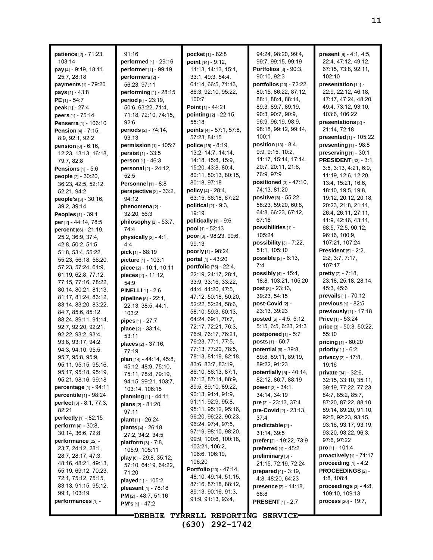| patience [2] - 71:23,<br>103:14                                     | 91:16<br><b>performed</b> [1] - 29:16   | pocket [1] - 82:8<br>point $[14] - 9:12$ ,      | 94:24, 98:20, 99:4,<br>99:7, 99:15, 99:19  | present [9] - 4:1, 4:5,<br>22:4, 47:12, 49:12,   |
|---------------------------------------------------------------------|-----------------------------------------|-------------------------------------------------|--------------------------------------------|--------------------------------------------------|
| pay $[4] - 9.19, 18.11,$                                            | performer <sub>[1]</sub> - 99:19        | 11:13, 14:13, 15:1,                             | Portfolios [3] - 90:3,                     | 67:15, 73:8, 92:11,                              |
| 25:7, 28:18                                                         | performers <sup>[2]</sup> -             | 33:1, 49:3, 54:4,                               | 90:10, 92:3                                | 102:10                                           |
| payments [1] - 79:20                                                | 56:23, 97:11                            | 61:14, 66:5, 71:13,                             | portfolios [20] - 72:22,                   | presentation [11] -                              |
| <b>pays</b> $[1] - 43.8$                                            | performing [1] - 28:15                  | 86:3, 92:10, 95:22,                             | 80:15, 86:22, 87:12,                       | 22.9, 22.12, 46.18,                              |
| <b>PE</b> [1] - 54:7                                                | period [8] - 23:19,                     | 100:7                                           | 88:1, 88:4, 88:14,                         | 47:17, 47:24, 48:20,                             |
| peak [1] - 27:4                                                     | 50.6, 63:22, 71:4,                      | Point [1] - 44:21                               | 89:3, 89:7, 89:19,                         | 49.4, 73:12, 93:10,                              |
| peers [1] - 75:14                                                   | 71:18, 72:10, 74:15,                    | pointing [2] - 22:15,<br>55:18                  | 90:3, 90:7, 90:9,<br>96.9, 96.19, 98.9,    | 103:6, 106:22<br>presentations [2] -             |
| Penserra [1] - 106:10                                               | 92:6<br>periods [2] - 74:14,            | points [4] - 57:1, 57:8,                        | 98:18, 99:12, 99:14,                       | 21:14, 72:18                                     |
| <b>Pension</b> $[4] - 7:15$ ,<br>8.9, 92.1, 92.2                    | 93:13                                   | 57:23, 84:15                                    | 100:1                                      | <b>presented</b> [1] - 105:22                    |
| <b>pension</b> $[6] - 6:16$ ,                                       | permission [1] - 105:7                  | police $[15] - 8:19$ ,                          | <b>position</b> $[13] - 8.4$ ,             | presenting $[1]$ - $98:8$                        |
| 12:23, 13:13, 16:18,                                                | <b>persist</b> $[1] - 33.5$             | 13:2, 14:7, 14:14,                              | 9.9, 9.15, 10.2,                           | preserving $[1]$ - 30:1                          |
| 79:7, 82:8                                                          | person [1] - 46:3                       | 14:18, 15:8, 15:9,                              | 11:17, 15:14, 17:14,                       | <b>PRESIDENT</b> [33] - 3:1,                     |
| <b>Pensions</b> $[1] - 5:6$                                         | personal [2] - 24:12,                   | 15:20, 43:8, 80:4,                              | 20:7, 20:11, 21:6,                         | 3.5, 3.13, 4.21, 6.9,                            |
| people [7] - 30:20,                                                 | 52:5                                    | 80:11, 80:13, 80:15,                            | 76:9, 97:9                                 | 11:19, 12:6, 12:20,                              |
| 36:23, 42:5, 52:12,                                                 | <b>Personnel</b> $[1] - 8:8$            | 80:18, 97:18                                    | positioned $[3] - 47:10$ ,                 | 13:4, 15:21, 16:6,                               |
| 52:21, 94:2                                                         | perspective [2] - 33:2,                 | <b>policy</b> $[4] - 28.4$ ,                    | 74:13, 81:20                               | 18:10, 19:5, 19:8,                               |
| <b>people's</b> $[3] - 30:16$ ,                                     | 94:12                                   | 63:15, 66:18, 87:22                             | positive [8] - 55:22,                      | 19:12, 20:12, 20:18,                             |
| 39:2, 39:14                                                         | phenomena [2] -                         | political $[2] - 9:3$ ,                         | 58:23, 59:20, 60:8,<br>64.8, 66.23, 67.12, | 20:23, 21:8, 21:11,<br>26:4, 26:11, 27:11,       |
| Peoples [1] - 39:1                                                  | 32:20, 56:3                             | 19:19<br>politically $[1]$ - 9:6                | 67:16                                      | 41.9, 42.16, 43.11,                              |
| per [2] - 44:14, 78:5                                               | philosophy [2] - 53:7,                  | pool [1] - 52:13                                | possibilities [1] -                        | 68:5, 72:5, 90:12,                               |
| <b>percent</b> $[66] - 21:19$ ,<br>25:2, 36:9, 37:4,                | 74:4<br>physically $[2] - 4:1$ ,        | poor [3] - 98:23, 99:6,                         | 105:24                                     | 96:16, 100:9,                                    |
| 42:8, 50:2, 51:5,                                                   | 4.4                                     | 99:13                                           | possibility $[3]$ - $7:22$ ,               | 107:21, 107:24                                   |
| 51:8, 53:4, 55:22,                                                  | <b>pick</b> $[1]$ - 68:19               | <b>poorly</b> [1] - 98:24                       | 51:1, 105:10                               | President $[5]$ - 2:2,                           |
| 55:23, 56:18, 56:20,                                                | picture [1] - 103:1                     | portal $[1] - 43:20$                            | <b>possible</b> $[2] - 6:13$ ,             | 2:2, 3:7, 7:17,                                  |
| 57:23, 57:24, 61:9,                                                 | piece [2] - 10:1, 10:11                 | portfolio [75] - 22:4,                          | 7:4                                        | 107:17                                           |
| 61:19, 62:8, 77:12,                                                 | pieces [2] - 11:12,                     | 22:19, 24:17, 28:1,                             | <b>possibly</b> $[4] - 15.4$ ,             | <b>pretty</b> $[7] - 7.18$ ,                     |
| 77:15, 77:16, 78:22,                                                | 54:9                                    | 33.9, 33.16, 33.22,                             | 18:8, 103:21, 105:20                       | 23:18, 25:18, 28:14,                             |
| 80:14, 80:21, 81:13,                                                | <b>PINELLI</b> $[1] - 2:6$              | 44:4, 44:20, 47:5,                              | <b>post</b> $[3] - 23:13$ ,                | 45:3, 45:6                                       |
| 81:17, 81:24, 83:12,                                                | <b>pipeline</b> $[5] - 22:1$ ,          | 47:12, 50:18, 50:20,                            | 39:23, 54:15                               | prevails [1] - 70:12                             |
| 83:14, 83:20, 83:22,                                                | 22:13, 38:5, 44:1,                      | 52:22, 52:24, 58:6,                             | post-Covid [2] -<br>23:13, 39:23           | previous [1] - 82:5<br>previously [1] - 17:18    |
| 84:7, 85:6, 85:12,<br>88:24, 89:11, 91:14,                          | 103:2                                   | 58:10, 59:3, 60:13,<br>64:24, 69:1, 70:7,       | <b>posted</b> [6] $- 4.5, 5.12,$           | Price $[1] - 53:24$                              |
| 92:7, 92:20, 92:21,                                                 | pipes [1] - 27:7                        | 72:17, 72:21, 76:3,                             | 5:15, 6:5, 6:23, 21:3                      | price [3] - 50:3, 50:22,                         |
| 92:22, 93:2, 93:4,                                                  | place [2] - 33:14,<br>53:11             | 76.9, 76.17, 76.21,                             | postponed $[1] - 5:7$                      | 55:10                                            |
| 93.8, 93.17, 94.2,                                                  | places [2] - 37:16,                     | 76:23, 77:1, 77:5,                              | posts [1] - 50:7                           | <b>pricing</b> $[1] - 60:20$                     |
| 94:3, 94:10, 95:5,                                                  | 77:19                                   | 77:13, 77:20, 78:5,                             | potential [6] - 39:8,                      | <b>priority</b> $[1] - 6.2$                      |
| 95:7, 95:8, 95:9,                                                   | plan [14] - 44:14, 45:8,                | 78:13, 81:19, 82:18,                            | 89:8, 89:11, 89:19,                        | privacy [2] - 17:8,                              |
| 95:11, 95:15, 95:16,                                                | 45:12, 48:9, 75:10,                     | 83.6, 83.7, 83.19,                              | 89:22, 91:23                               | 19:16                                            |
| 95:17, 95:18, 95:19,                                                | 75:11, 78:8, 79:19,                     | 86:10, 86:13, 87:1,                             | potentially $[5]$ - 40:14,                 | <b>private</b> [34] - 32:6,                      |
| 95:21, 98:16, 99:18                                                 | 94:15, 99:21, 103:7,                    | 87:12, 87:14, 88:9,                             | 82:12, 86:7, 88:19                         | 32:15, 33:10, 35:11,                             |
| percentage [1] - 94:11                                              | 103:14, 106:15                          | 89:5, 89:10, 89:22,<br>90:13, 91:4, 91:9,       | <b>power</b> [3] - 34:1,                   | 39:19, 77:22, 77:23,                             |
| <b>percentile</b> [1] - 98:24<br><b>perfect</b> $[3] - 8.1, 77.3$ , | <b>planning</b> $[1] - 44:11$           | 91:11, 92:9, 95:8,                              | 34:14, 34:19<br>pre [2] - 23:13, 37:4      | 84.7, 85.2, 85.7,<br>87:20, 87:22, 88:10,        |
| 82:21                                                               | plans [2] - 81:20,                      | 95:11, 95:12, 95:16,                            | pre-Covid [2] - 23:13,                     | 89:14, 89:20, 91:10,                             |
| <b>perfectly</b> $[1]$ - 82:15                                      | 97:11                                   | 96:20, 96:22, 96:23,                            | 37:4                                       | 92.5, 92.23, 93.15,                              |
| perform [4] - 30:8,                                                 | plant [1] - 26:24                       | 96:24, 97:4, 97:5,                              | predictable [2] -                          | 93:16, 93:17, 93:19,                             |
| 30:14, 36:6, 72:8                                                   | plants [4] - 26:18,<br>27:2, 34:2, 34:5 | 97:19, 98:10, 98:20,                            | 31:14, 39:5                                | 93:20, 93:22, 96:3,                              |
| performance [22] -                                                  | platform $[3] - 7:8$ ,                  | 99:9, 100:6, 100:18,                            | prefer [2] - 19:22, 73:9                   | 97:6, 97:22                                      |
| 23:7, 24:12, 28:1,                                                  | 105:9, 105:11                           | 103:21, 106:2,                                  | preferred [1] - 45:2                       | pro [1] - 101:4                                  |
| 28:7, 28:17, 47:3,                                                  | <b>play</b> $[6]$ - 29:8, 35:12,        | 106.6, 106.19,                                  | preliminary [3] -                          | proactively $[1]$ - $71:17$                      |
| 48:16, 48:21, 49:13,                                                | 57:10, 64:19, 64:22,                    | 106:20                                          | 21:15, 72:19, 72:24                        | proceeding $[1] - 4:2$                           |
| 55:19, 69:12, 70:23,                                                | 71:20                                   | Portfolio [20] - 47:14,<br>48:10, 49:14, 51:15, | prepared [4] - 3:19,                       | PROCEEDINGS [2] -                                |
| 72:1, 75:12, 75:15,                                                 | played $[1]$ - 105:2                    | 87:16, 87:18, 88:12,                            | 4:8, 48:20, 64:23                          | 1:8, 108.4                                       |
| 83:13, 91:15, 95:12,<br>99:1, 103:19                                | pleasant [1] - 78:18                    | 89:13, 90:16, 91:3,                             | presence [2] - 14:18,                      | proceedings [3] - 4:8,                           |
| performances [1] -                                                  | <b>PM</b> $[2] - 48:7, 51:16$           | 91.9, 91.13, 93.4,                              | 68.8<br><b>PRESENT</b> [1] - 2:7           | 109:10, 109:13<br><b>process</b> $[20] - 19:7$ , |
|                                                                     | <b>PM's</b> [1] - 47:2                  |                                                 |                                            |                                                  |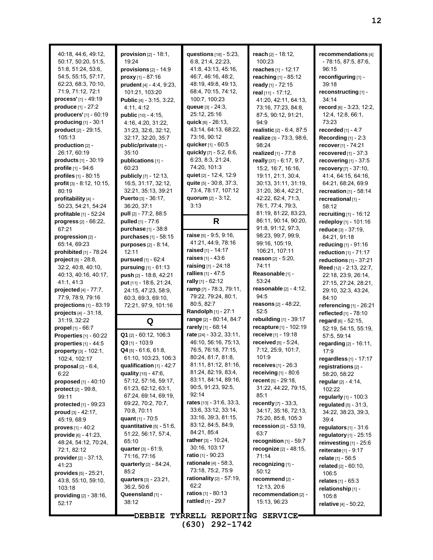| 40:18, 44:6, 49:12,<br>50:17, 50:20, 51:5,<br>51:8, 51:24, 53:6,<br>54:5, 55:15, 57:17,<br>62:23, 68:3, 70:10,<br>71:9, 71:12, 72:1<br>process' [1] - 49:19<br>produce [1] - 27:2<br>producers' [1] - 60:19<br>producing [1] - 30:1<br>product [2] - 29:15.<br>105.13<br>production [2] -<br>26:17, 60:19<br><b>products</b> $[1] - 30:19$<br>profile [1] - 94:6<br>profiles [1] - 80:15<br>profit [3] - 8:12, 10:15,<br>80:19<br>profitability [4] -<br>50:23, 54:21, 54:24<br>profitable [1] - 52:24 | provision $[2] - 18:1$ ,<br>19:24<br>provisions $[2] - 14:9$<br>proxy $[1] - 87:16$<br>prudent [4] - 4:4, 9:23,<br>101:21, 103:20<br>Public [4] - 3:15, 3:22,<br>4:11, 4:12<br><b>public</b> $[10] - 4:15$ ,<br>4:16, 4:20, 31:22,<br>31:23, 32:6, 32:12,<br>32:17, 32:20, 35:7<br>public/private [1] -<br>35:10<br>publications [1] -<br>60:23<br><b>publicly</b> $[7] - 12:13$ ,<br>16.5, 31.17, 32.12,<br>32:21, 35:13, 39:21<br>Puerto [3] - 36:17,<br>36:20, 37:1<br>pull [2] - 77:2, 88:5 | questions [18] - 5:23,<br>6.8, 21.4, 22.23,<br>41.8, 43.13, 45.16,<br>46:7, 46:16, 48:2,<br>48:19, 49:8, 49:13,<br>68:4, 70:15, 74:12,<br>100:7, 100:23<br>queue $[3] - 24:3,$<br>25:12, 25:16<br>quick [6] - 26:13,<br>43:14, 64:13, 68:22,<br>73:16, 90:12<br>quicker [1] - 60:5<br>quickly $[7] - 5.2, 6.6$<br>6:23, 8:3, 21:24,<br>74:20, 101:3<br>quiet [2] - 12:4, 12:9<br>quite [5] - 30:8, 37:3,<br>73:4, 78:17, 107:12<br>quorum $[2] - 3:12$ ,<br>3:13 | reach [2] - 18:12,<br>100:23<br>reaches [1] - 12:17<br>reaching [1] - 85:12<br>ready [1] - 72:15<br>real [11] - 17:12,<br>41:20, 42:11, 64:13,<br>73:16, 77:23, 84:8,<br>87:5, 90:12, 91:21,<br>94:9<br>realistic [2] - 6:4, 87:5<br>realize [3] - 73:3, 98:6,<br>98:24<br>realized $[1]$ - $77:8$<br>really [37] - 6:17, 9:7,<br>15:2, 16:7, 16:16,<br>19:11, 21:1, 30:4,<br>30:13, 31:11, 31:19,<br>31:20, 36:4, 42:21,<br>42.22, 62.4, 71.3,<br>76:1, 77:4, 79:3,<br>81:19, 81:22, 83:23, | recommendations [4]<br>- 78:15, 87:5, 87:6,<br>96:15<br>reconfiguring [1] -<br>39:18<br>reconstructing [1] -<br>34:14<br>record [6] - 3:23, 12:2,<br>12.4, 12.8, 66.1,<br>73:23<br>recorded [1] - 4:7<br>Recording $[1] - 2:3$<br>recover [1] - 74:21<br>recovered $[1]$ - 37:3<br>recovering $[1]$ - 37:5<br>recovery [7] - 37:10,<br>41:4, 64:15, 64:16,<br>64:21, 68:24, 69:9<br>recreation $[1] - 58:14$<br>recreational [1] -<br>58:12<br>recruiting $[1]$ - 16:12 |
|--------------------------------------------------------------------------------------------------------------------------------------------------------------------------------------------------------------------------------------------------------------------------------------------------------------------------------------------------------------------------------------------------------------------------------------------------------------------------------------------------------|-------------------------------------------------------------------------------------------------------------------------------------------------------------------------------------------------------------------------------------------------------------------------------------------------------------------------------------------------------------------------------------------------------------------------------------------------------------------------------------------------|------------------------------------------------------------------------------------------------------------------------------------------------------------------------------------------------------------------------------------------------------------------------------------------------------------------------------------------------------------------------------------------------------------------------------------------------------------------|----------------------------------------------------------------------------------------------------------------------------------------------------------------------------------------------------------------------------------------------------------------------------------------------------------------------------------------------------------------------------------------------------------------------------------------------------------------------------------------------|-------------------------------------------------------------------------------------------------------------------------------------------------------------------------------------------------------------------------------------------------------------------------------------------------------------------------------------------------------------------------------------------------------------------------------------------------------------------------|
| progress [2] - 66:22,                                                                                                                                                                                                                                                                                                                                                                                                                                                                                  | pulled [1] - 77:6                                                                                                                                                                                                                                                                                                                                                                                                                                                                               | R                                                                                                                                                                                                                                                                                                                                                                                                                                                                | 86:11, 90:14, 90:20,                                                                                                                                                                                                                                                                                                                                                                                                                                                                         | redeploy [1] - 101:16                                                                                                                                                                                                                                                                                                                                                                                                                                                   |
| 67.21<br>progression [2] -                                                                                                                                                                                                                                                                                                                                                                                                                                                                             | purchase [1] - 38:8<br>purchases [1] - 58:15                                                                                                                                                                                                                                                                                                                                                                                                                                                    | raise $[5] - 9.5, 9.16$                                                                                                                                                                                                                                                                                                                                                                                                                                          | 91:8, 91:12, 97:3,<br>98:23, 99:7, 99:9,                                                                                                                                                                                                                                                                                                                                                                                                                                                     | reduce [3] - 37:19,<br>84:21, 91:18                                                                                                                                                                                                                                                                                                                                                                                                                                     |
| 65:14, 69:23                                                                                                                                                                                                                                                                                                                                                                                                                                                                                           | purposes [2] - 8:14,                                                                                                                                                                                                                                                                                                                                                                                                                                                                            | 41:21, 44:9, 78:16                                                                                                                                                                                                                                                                                                                                                                                                                                               | 99:16, 105:19,                                                                                                                                                                                                                                                                                                                                                                                                                                                                               | reducing [1] - 91:16                                                                                                                                                                                                                                                                                                                                                                                                                                                    |
| prohibited $[1]$ - 78:24                                                                                                                                                                                                                                                                                                                                                                                                                                                                               | 12:11                                                                                                                                                                                                                                                                                                                                                                                                                                                                                           | raised [1] - 14:17                                                                                                                                                                                                                                                                                                                                                                                                                                               | 106:21, 107:11                                                                                                                                                                                                                                                                                                                                                                                                                                                                               | reduction [1] - 71:17                                                                                                                                                                                                                                                                                                                                                                                                                                                   |
| project [9] - 28:8,                                                                                                                                                                                                                                                                                                                                                                                                                                                                                    | <b>pursued</b> $[1] - 62:4$                                                                                                                                                                                                                                                                                                                                                                                                                                                                     | <b>raises</b> $[1] - 43.6$                                                                                                                                                                                                                                                                                                                                                                                                                                       | reason [2] - 5:20,                                                                                                                                                                                                                                                                                                                                                                                                                                                                           | reductions $[1]$ - 37:21                                                                                                                                                                                                                                                                                                                                                                                                                                                |
| 32:2, 40:8, 40:10,                                                                                                                                                                                                                                                                                                                                                                                                                                                                                     | pursuing [1] - 61:13                                                                                                                                                                                                                                                                                                                                                                                                                                                                            | raising [1] - 24:18                                                                                                                                                                                                                                                                                                                                                                                                                                              | 74:11                                                                                                                                                                                                                                                                                                                                                                                                                                                                                        | Reed [12] - 2:13, 22:7,                                                                                                                                                                                                                                                                                                                                                                                                                                                 |
| 40:13, 40:16, 40:17,                                                                                                                                                                                                                                                                                                                                                                                                                                                                                   | push [2] - 18:8, 42:21                                                                                                                                                                                                                                                                                                                                                                                                                                                                          | rallies [1] - 47:5                                                                                                                                                                                                                                                                                                                                                                                                                                               | Reasonable [1] -                                                                                                                                                                                                                                                                                                                                                                                                                                                                             | 22.18, 23.9, 26.14,                                                                                                                                                                                                                                                                                                                                                                                                                                                     |
| 41.1, 41.3                                                                                                                                                                                                                                                                                                                                                                                                                                                                                             | put [11] - 18:6, 21:24,                                                                                                                                                                                                                                                                                                                                                                                                                                                                         | rally [1] - 62:12<br>ramp [7] - 78:3, 79:11,                                                                                                                                                                                                                                                                                                                                                                                                                     | 53:24<br>reasonable $[2] - 4.12$ ,                                                                                                                                                                                                                                                                                                                                                                                                                                                           | 27:15, 27:24, 28:21,                                                                                                                                                                                                                                                                                                                                                                                                                                                    |
| projected $[4]$ - $77:7$ ,                                                                                                                                                                                                                                                                                                                                                                                                                                                                             | 24:15, 47:23, 58.9,                                                                                                                                                                                                                                                                                                                                                                                                                                                                             | 79:22, 79:24, 80:1,                                                                                                                                                                                                                                                                                                                                                                                                                                              | 94:5                                                                                                                                                                                                                                                                                                                                                                                                                                                                                         | 29:10, 32:3, 43:24,                                                                                                                                                                                                                                                                                                                                                                                                                                                     |
| 77:9, 78:9, 79:16<br>projections $[1]$ - 83:19                                                                                                                                                                                                                                                                                                                                                                                                                                                         | 60:3, 69:3, 69:10,<br>72:21, 97:9, 101:16                                                                                                                                                                                                                                                                                                                                                                                                                                                       | 80:5, 82:7                                                                                                                                                                                                                                                                                                                                                                                                                                                       | <b>reasons</b> $[2] - 48:22$ ,                                                                                                                                                                                                                                                                                                                                                                                                                                                               | 84:10<br>referencing [1] - 26:21                                                                                                                                                                                                                                                                                                                                                                                                                                        |
| <b>projects</b> $[4] - 31:18$ ,                                                                                                                                                                                                                                                                                                                                                                                                                                                                        |                                                                                                                                                                                                                                                                                                                                                                                                                                                                                                 | Randolph [1] - 27:1                                                                                                                                                                                                                                                                                                                                                                                                                                              | 52:5                                                                                                                                                                                                                                                                                                                                                                                                                                                                                         | reflected [1] - 78:10                                                                                                                                                                                                                                                                                                                                                                                                                                                   |
| 31:19, 32:22                                                                                                                                                                                                                                                                                                                                                                                                                                                                                           | Q                                                                                                                                                                                                                                                                                                                                                                                                                                                                                               | range [2] - 80:14, 84:7                                                                                                                                                                                                                                                                                                                                                                                                                                          | rebuilding [1] - 39:17                                                                                                                                                                                                                                                                                                                                                                                                                                                                       | regard [6] - 52:15.                                                                                                                                                                                                                                                                                                                                                                                                                                                     |
| <b>propel</b> $[1] - 66.7$                                                                                                                                                                                                                                                                                                                                                                                                                                                                             |                                                                                                                                                                                                                                                                                                                                                                                                                                                                                                 | rarely [1] - 68:14                                                                                                                                                                                                                                                                                                                                                                                                                                               | recapture [1] - 102:19                                                                                                                                                                                                                                                                                                                                                                                                                                                                       | 52:19, 54:15, 55:19,                                                                                                                                                                                                                                                                                                                                                                                                                                                    |
| <b>Properties</b> [1] - 60:22                                                                                                                                                                                                                                                                                                                                                                                                                                                                          | $Q1$ [2] - 60:12, 106:3                                                                                                                                                                                                                                                                                                                                                                                                                                                                         | rate [24] - 33:2, 33:11,                                                                                                                                                                                                                                                                                                                                                                                                                                         | receive [1] - 19:18                                                                                                                                                                                                                                                                                                                                                                                                                                                                          | 57:5, 59:14                                                                                                                                                                                                                                                                                                                                                                                                                                                             |
| properties $[1] - 44.5$                                                                                                                                                                                                                                                                                                                                                                                                                                                                                | $Q3$ [1] - 103:9                                                                                                                                                                                                                                                                                                                                                                                                                                                                                | 46:10, 56:16, 75:13,                                                                                                                                                                                                                                                                                                                                                                                                                                             | received $[5] - 5:24$ ,                                                                                                                                                                                                                                                                                                                                                                                                                                                                      | regarding [2] - 16:11,                                                                                                                                                                                                                                                                                                                                                                                                                                                  |
| property [3] - 102:1,                                                                                                                                                                                                                                                                                                                                                                                                                                                                                  | Q4 [5] - 61:6, 61:8,                                                                                                                                                                                                                                                                                                                                                                                                                                                                            | 76:5, 76:18, 77:15,                                                                                                                                                                                                                                                                                                                                                                                                                                              | 7:12, 25:9, 101:7,                                                                                                                                                                                                                                                                                                                                                                                                                                                                           | 17.9                                                                                                                                                                                                                                                                                                                                                                                                                                                                    |
| 102:4, 102:17                                                                                                                                                                                                                                                                                                                                                                                                                                                                                          | 61:10, 103:23, 106:3                                                                                                                                                                                                                                                                                                                                                                                                                                                                            | 80:24, 81:7, 81:8,                                                                                                                                                                                                                                                                                                                                                                                                                                               | 101:9                                                                                                                                                                                                                                                                                                                                                                                                                                                                                        | regardless [1] - 17:17                                                                                                                                                                                                                                                                                                                                                                                                                                                  |
| proposal $[2] - 6.4$ ,                                                                                                                                                                                                                                                                                                                                                                                                                                                                                 | qualification $[1] - 42:7$                                                                                                                                                                                                                                                                                                                                                                                                                                                                      | 81:11, 81:12, 81:16,<br>81:24, 82:19, 83:4,                                                                                                                                                                                                                                                                                                                                                                                                                      | <b>receives</b> $[1] - 26.3$<br>receiving [1] - 80:6                                                                                                                                                                                                                                                                                                                                                                                                                                         | registrations [2] -                                                                                                                                                                                                                                                                                                                                                                                                                                                     |
| 6:22                                                                                                                                                                                                                                                                                                                                                                                                                                                                                                   | quality $[15] - 47.6$ ,<br>57:12, 57:16, 59:17,                                                                                                                                                                                                                                                                                                                                                                                                                                                 | 83:11, 84:14, 89:16,                                                                                                                                                                                                                                                                                                                                                                                                                                             | recent $[5]$ - 29:18,                                                                                                                                                                                                                                                                                                                                                                                                                                                                        | 58:20, 58:22                                                                                                                                                                                                                                                                                                                                                                                                                                                            |
| proposed $[1] - 40.10$<br><b>protect</b> $[2] - 99.8$ ,                                                                                                                                                                                                                                                                                                                                                                                                                                                | 61:23, 62:12, 63:1,                                                                                                                                                                                                                                                                                                                                                                                                                                                                             | 90:5, 91:23, 92:5,                                                                                                                                                                                                                                                                                                                                                                                                                                               | 31:22, 44:22, 79:15,                                                                                                                                                                                                                                                                                                                                                                                                                                                                         | regular [2] - 4:14,<br>102:22                                                                                                                                                                                                                                                                                                                                                                                                                                           |
| 99:11                                                                                                                                                                                                                                                                                                                                                                                                                                                                                                  | 67:24, 69:14, 69:19,                                                                                                                                                                                                                                                                                                                                                                                                                                                                            | 92:14                                                                                                                                                                                                                                                                                                                                                                                                                                                            | 85:1                                                                                                                                                                                                                                                                                                                                                                                                                                                                                         | regularly [1] - 100:3                                                                                                                                                                                                                                                                                                                                                                                                                                                   |
| protected $[1]$ - 99:23                                                                                                                                                                                                                                                                                                                                                                                                                                                                                | 69:22, 70:2, 70:7,                                                                                                                                                                                                                                                                                                                                                                                                                                                                              | rates $[13] - 31.6, 33.3,$                                                                                                                                                                                                                                                                                                                                                                                                                                       | recently [7] - 33:3,                                                                                                                                                                                                                                                                                                                                                                                                                                                                         | regulated $[5] - 31.3$ ,                                                                                                                                                                                                                                                                                                                                                                                                                                                |
| proud $[3] - 42:17$ ,                                                                                                                                                                                                                                                                                                                                                                                                                                                                                  | 70:8, 70:11                                                                                                                                                                                                                                                                                                                                                                                                                                                                                     | 33:6, 33:12, 33:14,                                                                                                                                                                                                                                                                                                                                                                                                                                              | 34:17, 35:16, 72:13,                                                                                                                                                                                                                                                                                                                                                                                                                                                                         | 34:22, 38:23, 39:3,                                                                                                                                                                                                                                                                                                                                                                                                                                                     |
| 45:19, 68:9                                                                                                                                                                                                                                                                                                                                                                                                                                                                                            | quant [1] - 70:5                                                                                                                                                                                                                                                                                                                                                                                                                                                                                | 33:16, 39:3, 81:15,                                                                                                                                                                                                                                                                                                                                                                                                                                              | 75:20, 85:8, 105:3                                                                                                                                                                                                                                                                                                                                                                                                                                                                           | 39.4                                                                                                                                                                                                                                                                                                                                                                                                                                                                    |
| <b>proves</b> $[1] - 40.2$                                                                                                                                                                                                                                                                                                                                                                                                                                                                             | quantitative $[5]$ - 51:6,                                                                                                                                                                                                                                                                                                                                                                                                                                                                      | 83:12, 84:5, 84:9,                                                                                                                                                                                                                                                                                                                                                                                                                                               | $recession [2] - 53:19,$                                                                                                                                                                                                                                                                                                                                                                                                                                                                     | regulators $[1]$ - 31:6                                                                                                                                                                                                                                                                                                                                                                                                                                                 |
| provide [6] - 41:23,                                                                                                                                                                                                                                                                                                                                                                                                                                                                                   | 51:22, 56:17, 57:4,                                                                                                                                                                                                                                                                                                                                                                                                                                                                             | 84:21, 85:4                                                                                                                                                                                                                                                                                                                                                                                                                                                      | 63:7                                                                                                                                                                                                                                                                                                                                                                                                                                                                                         | regulatory $[1]$ - 25:15                                                                                                                                                                                                                                                                                                                                                                                                                                                |
| 48:24, 54:12, 70:24,                                                                                                                                                                                                                                                                                                                                                                                                                                                                                   | 65:10                                                                                                                                                                                                                                                                                                                                                                                                                                                                                           | rather $[3] - 10.24$ ,                                                                                                                                                                                                                                                                                                                                                                                                                                           | recognition $[1]$ - 59:7                                                                                                                                                                                                                                                                                                                                                                                                                                                                     | reinvesting $[1]$ - 25:6                                                                                                                                                                                                                                                                                                                                                                                                                                                |
| 72:1, 82:12                                                                                                                                                                                                                                                                                                                                                                                                                                                                                            | <b>quarter</b> $[3] - 61.9$ ,                                                                                                                                                                                                                                                                                                                                                                                                                                                                   | 30:16, 103:17<br><b>ratio</b> $[1]$ - 90:23                                                                                                                                                                                                                                                                                                                                                                                                                      | recognize [2] - 48:15,                                                                                                                                                                                                                                                                                                                                                                                                                                                                       | reiterate $[1] - 9:17$                                                                                                                                                                                                                                                                                                                                                                                                                                                  |
| <b>provider</b> $[2] - 37:13$ ,                                                                                                                                                                                                                                                                                                                                                                                                                                                                        | 71:16, 77:16                                                                                                                                                                                                                                                                                                                                                                                                                                                                                    | <b>rationale</b> $[4] - 58:3$ ,                                                                                                                                                                                                                                                                                                                                                                                                                                  | 71:14<br>recognizing [1] -                                                                                                                                                                                                                                                                                                                                                                                                                                                                   | <b>relate</b> [1] - 56:5                                                                                                                                                                                                                                                                                                                                                                                                                                                |
| 41:23                                                                                                                                                                                                                                                                                                                                                                                                                                                                                                  | quarterly $[2] - 84:24,$<br>85:2                                                                                                                                                                                                                                                                                                                                                                                                                                                                | 73:18, 75:2, 75:9                                                                                                                                                                                                                                                                                                                                                                                                                                                | 50:12                                                                                                                                                                                                                                                                                                                                                                                                                                                                                        | <b>related</b> $[2] - 60:10$ ,                                                                                                                                                                                                                                                                                                                                                                                                                                          |
| <b>provides</b> $[5] - 25:21$ ,<br>43:8, 55:10, 59:10,                                                                                                                                                                                                                                                                                                                                                                                                                                                 | quarters [3] - 23:21,                                                                                                                                                                                                                                                                                                                                                                                                                                                                           | rationality $[2] - 57:19$ ,                                                                                                                                                                                                                                                                                                                                                                                                                                      | recommend [2] -                                                                                                                                                                                                                                                                                                                                                                                                                                                                              | 106:5                                                                                                                                                                                                                                                                                                                                                                                                                                                                   |
| 103:18                                                                                                                                                                                                                                                                                                                                                                                                                                                                                                 | 36:2, 50:6                                                                                                                                                                                                                                                                                                                                                                                                                                                                                      | 62:2                                                                                                                                                                                                                                                                                                                                                                                                                                                             | 12:13, 20:6                                                                                                                                                                                                                                                                                                                                                                                                                                                                                  | <b>relates</b> [1] - 65:3<br>relationship [1] -                                                                                                                                                                                                                                                                                                                                                                                                                         |
| <b>providing</b> $[2] - 38:16$ ,                                                                                                                                                                                                                                                                                                                                                                                                                                                                       | Queensland [1] -                                                                                                                                                                                                                                                                                                                                                                                                                                                                                | <b>ratios</b> $[1] - 80:13$                                                                                                                                                                                                                                                                                                                                                                                                                                      | recommendation [2] -                                                                                                                                                                                                                                                                                                                                                                                                                                                                         | 105:8                                                                                                                                                                                                                                                                                                                                                                                                                                                                   |
| 52:17                                                                                                                                                                                                                                                                                                                                                                                                                                                                                                  | 38:12                                                                                                                                                                                                                                                                                                                                                                                                                                                                                           | <b>rattled</b> $[1] - 29:7$                                                                                                                                                                                                                                                                                                                                                                                                                                      | 15:13, 96:23                                                                                                                                                                                                                                                                                                                                                                                                                                                                                 | <b>relative</b> [4] - 50:22,                                                                                                                                                                                                                                                                                                                                                                                                                                            |
|                                                                                                                                                                                                                                                                                                                                                                                                                                                                                                        |                                                                                                                                                                                                                                                                                                                                                                                                                                                                                                 |                                                                                                                                                                                                                                                                                                                                                                                                                                                                  |                                                                                                                                                                                                                                                                                                                                                                                                                                                                                              |                                                                                                                                                                                                                                                                                                                                                                                                                                                                         |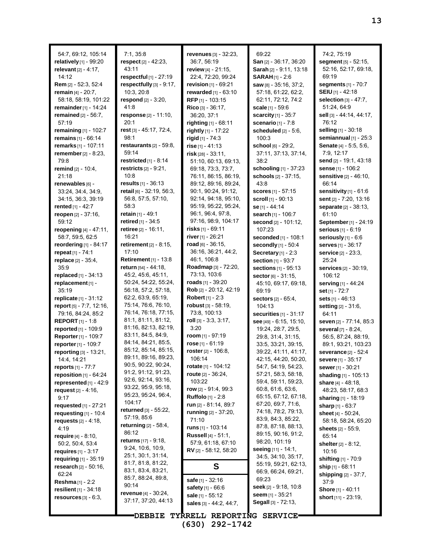| 54:7, 69:12, 105:14                                     | 7:1, 35:8                                 | revenues $[3] - 32.23$ ,                         | 69:22                                      | 74:2, 75:19                          |
|---------------------------------------------------------|-------------------------------------------|--------------------------------------------------|--------------------------------------------|--------------------------------------|
| relatively [1] - 99:20                                  | respect $[2] - 42:23$ ,                   | 36:7, 56:19                                      | <b>San</b> $[2] - 36:17, 36:20$            | segment [5] - 52:15,                 |
| relevant $[2] - 4:17$ ,                                 | 43:11                                     | review [4] - 21:15,                              | Sarah [2] - 9:11, 13:18                    | 52:16, 52:17, 69:18,                 |
| 14:12                                                   | respectful $[1]$ - 27:19                  | 22:4, 72:20, 99:24                               | $SARAH$ [1] - 2:6                          | 69:19                                |
| Rem [2] - 52:3, 52:4                                    | respectfully [3] - 9:17,                  | revision $[1] - 69.21$                           | saw [8] - 35:16, 37:2,                     | segments $[1]$ - 70:7                |
| remain $[4] - 20:7$ ,                                   | 10:3, 20:8                                | rewarded [1] - 63:10                             | 57:18, 61:22, 62:2,                        | SEIU [1] - 42:18                     |
| 58:18, 58:19, 101:22                                    | respond [2] - 3:20,                       | RFP <sub>[1]</sub> - 103:15                      | 62:11, 72:12, 74:2                         | selection [3] - 47:7,                |
| remainder [1] - 14:24                                   | 41:8                                      | Rico [3] - 36:17,                                | scale [1] - 59:6                           | 51:24, 64:9                          |
| remained $[2] - 56:7$ ,                                 | response [2] - 11:10,                     | 36:20, 37:1                                      | scarcity [1] - 35:7                        | sell [3] - 44:14, 44:17,             |
| 57:19                                                   | 20:1                                      | <b>righting</b> [1] - 68:11                      | scenario $[1] - 7.8$                       | 76:12                                |
| remaining [1] - 102:7                                   | rest [3] - 45:17, 72:4,                   | rightly [1] - 17:22                              | scheduled $[2] - 5.6$ ,                    | selling [1] - 30:18                  |
| remains [1] - 66:14                                     | 98:1<br>restaurants $[2] - 59:8$ ,        | rigid $[1] - 74:3$                               | 100:3                                      | semiannual $[1]$ - 25:3              |
| remarks [1] - 107:11<br>remember [2] - 8:23,            | 59:14                                     | rise $[1] - 41:13$<br>$risk$ [28] - 33:11,       | school [6] - 29:2,<br>37:11, 37:13, 37:14, | Senate [4] - 5:5, 5:6,<br>7:9, 12:17 |
| 79.8                                                    | restricted $[1]$ - 8:14                   | 51:10, 60:13, 69:13,                             | 38:2                                       | send [2] - 19:1, 43:18               |
| remind [2] - 10:4,                                      | restricts $[2] - 9.21$ ,                  | 69:18, 73:3, 73:7,                               | schooling [1] - 37:23                      | sense [1] - 106:2                    |
| 21:18                                                   | 10:8                                      | 76:11, 86:15, 86:19,                             | schools [2] - 37:15,                       | sensitive [2] - 46:10,               |
| renewables [6] -                                        | results [1] - 36:13                       | 89:12, 89:16, 89:24,                             | 43:8                                       | 66:14                                |
| 33:24, 34:4, 34:9,                                      | retail [6] - 32.19, 56:3,                 | 90:1, 90:24, 91:12,                              | scores [1] - 57:15                         | sensitivity $[1] - 61.6$             |
| 34:15, 36:3, 39:19                                      | 56:8, 57:5, 57:10,                        | 92:14, 94:18, 95:10,                             | scroll $[1]$ - 90:13                       | sent [2] - 7:20, 13:16               |
| rented $[1] - 42:7$                                     | 58:3                                      | 95:19, 95:22, 95:24,                             | se [1] - 44:14                             | separate [2] - 38:13,                |
| reopen [2] - 37:16,                                     | retain [1] - 49:1                         | 96:1, 96:4, 97:8,                                | search [1] - 106:7                         | 61:10                                |
| 59:12                                                   | retired [1] - 34:5                        | 97:16, 98:9, 104:17                              | second [2] - 101:12,                       | September [1] - 24:19                |
| reopening [4] - 47:11,                                  | retiree $[2] - 16:11$ ,                   | <b>risks</b> [1] - 69:11                         | 107:23                                     | serious [1] - 6:19                   |
| 58:7, 59:5, 62:5                                        | 16:21                                     | river [1] - 26:21                                | seconded [1] - 108:1                       | seriously $[1]$ - $6:6$              |
| reordering $[1]$ - 84:17                                | retirement $[2] - 8:15$ ,                 | $road$ [6] - 36:15,                              | secondly [1] - 50:4                        | serves [1] - 36:17                   |
| repeat [1] - 74:1                                       | 17:10                                     | 36:16, 36:21, 44:2,                              | Secretary $[1]$ - 2:3                      | service [2] - 23:3,                  |
| replace [2] - 35:4,                                     | <b>Retirement</b> [1] - 13:8              | 46:1, 106:8                                      | section [1] - 93:7                         | 25:24                                |
| 35.9                                                    | return [54] - 44:18,                      | Roadmap [3] - 72:20,                             | sections [1] - 95:13                       | <b>services</b> [2] - 30:19,         |
| replaced [1] - 34:13                                    | 45:2, 45:6, 45:11,                        | 73:13, 103:6                                     | sector [6] - 31:15,                        | 106:12                               |
| replacement [1] -                                       | 50:24, 54:22, 55:24,                      | <b>roads</b> [1] - 39:20                         | 45:10, 69:17, 69:18,                       | serving [1] - 44:24                  |
| 35:19                                                   | 56:18, 57:2, 57:18,<br>62.2, 63.9, 65.19, | Rob [2] - 20:12, 42:19<br>Robert [1] - 2:3       | 69:19                                      | set [1] - 72:7                       |
| <b>replicate</b> $[1] - 31:12$                          | 75:14, 76:6, 76:10,                       | <b>robust</b> ទ្រ - 58:19,                       | <b>sectors</b> [2] - 65:4,                 | sets $[1] - 46:13$                   |
| <b>report</b> $[5] - 7.7, 12.16,$<br>79:16, 84:24, 85:2 | 76:14, 76:18, 77:15,                      | 73:8, 100:13                                     | 104:13<br>securities $[1] - 31:17$         | setting [2] - 31:6,<br>64:11         |
| <b>REPORT</b> $[1] - 1.8$                               | 81:1, 81:11, 81:12,                       | roll $[3] - 3:3, 3:17,$                          | see [49] - 6:15, 15:10,                    | seven [2] - 77:14, 85:3              |
| reported [1] - 109:9                                    | 81:16, 82:13, 82:19,                      | 3:20                                             | 19:24, 28:7, 29:5,                         | several [7] - 8:24,                  |
| Reporter [1] - 109:7                                    | 83:11, 84:5, 84:9,                        | room $[1]$ - 97:19                               | 29:8, 31:4, 31:15,                         | 56:5, 87:24, 88:19,                  |
| reporter [1] - 109:7                                    | 84:14, 84:21, 85:5,                       | rose $[1] - 61:19$                               | 33.5, 33.21, 39.15,                        | 89:1, 93:21, 103:23                  |
| reporting [3] - 13:21,                                  | 85:12, 85:14, 85:15,                      | roster [2] - 106:8,                              | 39:22, 41:11, 41:17,                       | severance [2] - 52:4                 |
| 14:4, 14:21                                             | 89:11, 89:16, 89:23,                      | 106:14                                           | 42:15, 44:20, 50:20,                       | severe [1] - 35:17                   |
| <b>reports</b> $[1] - 77:7$                             | 90:5, 90:22, 90:24,                       | <b>rotate</b> [1] - 104:12                       | 54:7, 54:19, 54:23,                        | sewer [1] - 30:21                    |
| reposition $[1]$ - $64:24$                              | 91:2, 91:12, 91:23,                       | route $[2] - 36.24$ ,                            | 57:21, 58:3, 58:18,                        | shading [1] - 105:13                 |
| represented [1] - 42:9                                  | 92:6, 92:14, 93:16,                       | 103:22                                           | 59:4, 59:11, 59:23,                        | share $[4] - 48:18$ ,                |
| request $[2] - 4.16$ ,                                  | 93:22, 95:9, 95:18,                       | row $[2] - 91.4, 99.3$                           | 60.8, 61.6, 63.6,                          | 48:23, 58:17, 68:3                   |
| 9:17                                                    | 95:23, 95:24, 96:4,<br>104:17             | <b>Ruffolo</b> [1] - 2:8                         | 65:15, 67:12, 67:18,                       | <b>sharing</b> $[1]$ - 18:19         |
| requested $[1]$ - 27:21                                 | returned [3] - 55:22,                     | run [2] - 81:14, 89:7                            | 67:20, 69:7, 71:6,                         | sharp [1] - 63:7                     |
| requesting $[1]$ - 10:4                                 | 57:19, 85:6                               | running [2] - 37:20,                             | 74:18, 78:2, 79:13,<br>83.9, 84.3, 85.22,  | sheet [4] - 50:24,                   |
| <b>requests</b> $[2] - 4:18$ ,                          | <b>returning</b> $[2] - 58.4$ ,           | 71:10                                            | 87:8, 87:18, 88:13,                        | 58:18, 58:24, 65:20                  |
| 4:19                                                    | 86:12                                     | runs $[1]$ - 103:14                              | 89:15, 90:16, 91:2,                        | sheets [2] - 55:9,                   |
| <b>require</b> $[4] - 8:10$ ,                           | returns [17] - 9:18,                      | <b>Russell</b> [4] - 51:1,<br>57:9, 61:18, 67:10 | 98:20, 101:19                              | 65:14                                |
| 50:2, 50:4, 53:4<br>requires $[1] - 3:17$               | 9.24, 10.6, 10.9,                         | RV [2] - 58:12, 58:20                            | seeing [11] - 14:1,                        | shelter $[2] - 8:12$ ,<br>10:16      |
| requiring [1] - 35:19                                   | 25.1, 30.1, 31.14,                        |                                                  | 34:5, 34:10, 35:17,                        | shifting [1] - 70:9                  |
| research [2] - 50:16,                                   | 81.7, 81.8, 81.22,                        | S                                                | 55:19, 59:21, 62:13,                       | ship [1] - 68:11                     |
| 62:24                                                   | 83.1, 83.4, 83.21,                        |                                                  | 66:9, 66:24, 69:21,                        | shipping $[2] - 37:7$ ,              |
| <b>Reshma</b> $[1] - 2:2$                               | 85:7, 88:24, 89:8,                        | safe [1] - 32:16                                 | 69:23                                      | 37:9                                 |
| resilient $[1] - 34.18$                                 | 90:14                                     | <b>safety</b> [1] - 66:6                         | seek [2] - 9.18, 10:8                      | <b>Shore</b> [1] - 40:11             |
| resources $[3] - 6.3$ ,                                 | revenue [4] - 30:24,                      | sale [1] - 55:12                                 | seem $[1] - 35:21$                         | short [11] - 23:19,                  |
|                                                         | 37:17, 37:20, 44:13                       | sales [3] - 44:2, 44:7,                          | Segall [3] - 72:13,                        |                                      |
|                                                         | <b>"DEBBIE</b>                            | TYRRELL REPORTING SERVICE.                       |                                            |                                      |
|                                                         |                                           |                                                  |                                            |                                      |

**13**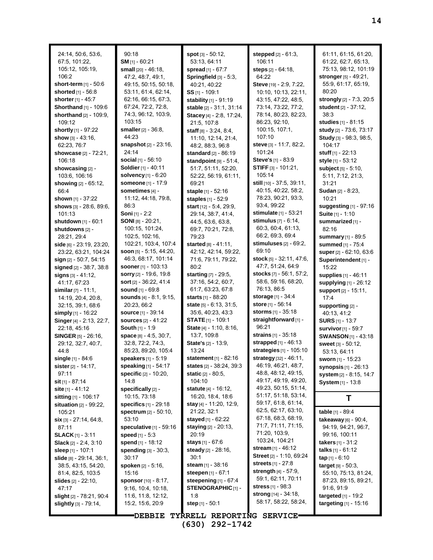| 24:14, 50:6, 53:6,<br>67.5, 101.22,<br>105:12, 105:19,<br>106:2 | 90:18<br>$SM$ <sub>[1]</sub> - 60:21<br>small [20] - 46:18,<br>47:2, 48:7, 49:1, | <b>spot</b> $[3] - 50.12$ ,<br>53:13, 64:11<br>spread $[1] - 67:7$<br>Springfield [3] - 5:3, | stepped $[2] - 61.3$ ,<br>106:11<br>steps [2] - 64:18,<br>64:22 | 61:11, 61:15, 61:20,<br>61:22, 62:7, 65:13,<br>75:13, 98:12, 101:19<br>stronger [5] - 49:21, |
|-----------------------------------------------------------------|----------------------------------------------------------------------------------|----------------------------------------------------------------------------------------------|-----------------------------------------------------------------|----------------------------------------------------------------------------------------------|
| short-term $[1]$ - 50:6                                         | 49:15, 50:15, 50:18,                                                             | 40:21, 40:22                                                                                 | Steve [19] - 2:9, 7:22,                                         | 55:9, 61:17, 65:19,                                                                          |
| <b>shorted</b> $[1] - 56.8$                                     | 53:11, 61:4, 62:14,                                                              | $SS$ <sub>[1]</sub> - 109:1                                                                  | 10:10, 10:13, 22:11,                                            | 80:20                                                                                        |
| <b>shorter</b> $[1] - 45.7$                                     | 62:16, 66:15, 67:3,                                                              | stability [1] - 91:19                                                                        | 43.15, 47:22, 48:5,                                             | strongly [2] - 7:3, 20:5                                                                     |
| Shorthand [1] - 109:6                                           | 67:24, 72:2, 72:8,                                                               | stable [2] - 31:1, 31:14                                                                     | 73:14, 73:22, 77:2,                                             | student [2] - 37:12,                                                                         |
| shorthand $[2] - 109.9$ ,                                       | 74:3, 96:12, 103:9,                                                              | Stacey [4] - 2:8, 17:24,                                                                     | 78:14, 80:23, 82.23,                                            | 38:3                                                                                         |
| 109:12                                                          | 103:15                                                                           | 21:5, 107:8                                                                                  | 86.23, 92:10,                                                   | studies [1] - 81:15                                                                          |
| <b>shortly</b> [1] - 97:22                                      | smaller [2] - 36:8,                                                              | staff $[8] - 3.24, 8.4,$                                                                     | 100:15, 107:1,                                                  | study [2] - 73:6, 73:17                                                                      |
| show $[3] - 43.16$ ,                                            | 44:23                                                                            | 11:10, 12:14, 21:4,                                                                          | 107:10                                                          | Study [3] - 98:3, 98:5,                                                                      |
| 62:23, 76:7                                                     | snapshot [2] - 23:16,<br>24:14                                                   | 48:2, 88:3, 96:8                                                                             | steve [3] - 11:7, 82:2,<br>101:24                               | 104:17<br>stuff $[1] - 22:13$                                                                |
| showcase $[2] - 72:21$ ,<br>106:18                              | social $[1] - 56.10$                                                             | standard [2] - 86:19<br>standpoint $[9] - 51:4$ ,                                            | Steve's [1] - 83:9                                              | style [1] - 53:12                                                                            |
| showcasing [2] -                                                | Soldier [1] - 40:11                                                              | 51:7, 51:11, 52:20,                                                                          | <b>STIFF</b> $[3] - 101:21$ ,                                   | subject [5] - 5:10,                                                                          |
| 103.6, 106.16                                                   | <b>solvency</b> $[1] - 6:20$                                                     | 52:22, 56:19, 61:11,                                                                         | 105:14                                                          | 5:11, 7:12, 21:3,                                                                            |
| showing [2] - 65:12,                                            | someone [1] - 17:9                                                               | 69:21                                                                                        | still [10] - 37:5, 39:11,                                       | 31:21                                                                                        |
| 66:4                                                            | sometimes [4] -                                                                  | staple [1] - 52:16                                                                           | 40:15, 40:22, 58:2,                                             | <b>Sudan [2] - 8:23,</b>                                                                     |
| <b>shown</b> [1] - 37:22                                        | 11:12, 44:18, 79:8,                                                              | staples [1] - 52:9                                                                           | 78:23, 90:21, 93:3,                                             | 10:21                                                                                        |
| shows $[3] - 28.6, 89.6,$                                       | 86:3                                                                             | start [12] - 5:4, 29:9,                                                                      | 93:4, 99:22                                                     | <b>suggesting</b> [1] - 97:16                                                                |
| 101:13                                                          | Soni [1] - 2:2                                                                   | 29:14, 38:7, 41:4,                                                                           | stimulate [1] - 53:21                                           | Suite [1] - 1:10                                                                             |
| <b>shutdown</b> [1] - 60:1                                      | SONI [8] - 20:21,                                                                | 44:5, 63:6, 63:8,                                                                            | <b>stimulus</b> [7] - 6:14,                                     | summarized [1] -                                                                             |
| shutdowns [2] -                                                 | 100:15, 101:24,                                                                  | 69:7, 70:21, 72:8,                                                                           | 60.3, 60.4, 61.13,                                              | 82:16                                                                                        |
| 28:21, 29:4                                                     | 102:5, 102:16,                                                                   | 79:23                                                                                        | 66:2, 69:3, 69:4                                                | summary [1] - 89:5                                                                           |
| side [6] - 23:19, 23:20,                                        | 102:21, 103:4, 107:4                                                             | started [8] - 41:11,                                                                         | stimuluses $[2]$ - $69:2$ ,                                     | summed [1] - 75:4                                                                            |
| 23:22, 63:21, 104:24                                            | soon $[5]$ - 5:15, 44:20,                                                        | 42:12, 42:14, 59:22,                                                                         | 69:10<br>stock [5] - 32:11, 47:6,                               | super [2] - 62:10, 63:6                                                                      |
| sign $[2] - 50.7, 54.15$                                        | 46:3, 68:17, 101:14                                                              | 71:6, 79:11, 79:22,                                                                          | 47:7, 51:24, 64:9                                               | Superintendent [1] -                                                                         |
| signed [2] - 38:7, 38:8                                         | <b>sooner</b> [1] - 103:13<br>sorry [2] - 19:6, 19:8                             | 80:2                                                                                         | stocks [7] - 56:1, 57:2,                                        | 15:22                                                                                        |
| signs [3] - 41:12,<br>41:17, 67:23                              | sort [2] - 36:22, 41:4                                                           | <b>starting</b> [7] - 29:5,<br>37:16, 54:2, 60:7,                                            | 58:6, 59:16, 68:20,                                             | supplies [1] - 46:11                                                                         |
| <b>similar</b> $[7] - 11:1,$                                    | sound [1] - 69:8                                                                 | 61:7, 63:23, 67:8                                                                            | 76:13, 86:5                                                     | supplying [1] - 26:12<br>support [2] - 15:11,                                                |
| 14:19, 20:4, 20:8,                                              | sounds [4] - 8:1, 9:15,                                                          | <b>starts</b> [1] - 88:20                                                                    | <b>storage</b> [1] - 34:4                                       | 17:4                                                                                         |
| 32:15, 39:1, 68:6                                               | 20:23, 66:2                                                                      | state $[5] - 6.13, 31.5,$                                                                    | store [1] - 56:14                                               | supporting [2] -                                                                             |
| simply $[1]$ - 16:22                                            | <b>source</b> $[1] - 39:14$                                                      | 35:6, 40:23, 43:3                                                                            | storms [1] - 35:18                                              | 40:13, 41:2                                                                                  |
| Singer [4] - 2:13, 22:7,                                        | <b>sources</b> $[2] - 41:22$                                                     | <b>STATE</b> $[1]$ - 109:1                                                                   | straightforward [1] -                                           | <b>SURS</b> [1] - 13:7                                                                       |
| 22:18, 45:16                                                    | <b>South [1] - 1:9</b>                                                           | State [4] - 1:10, 8:16,                                                                      | 96:21                                                           | <b>survivor</b> [1] - 59:7                                                                   |
| <b>SINGER</b> $[5]$ - 26:16,                                    | space $[8] - 4.5, 30.7$ ,                                                        | 13:7, 109:8                                                                                  | strains [1] - 35:18                                             | <b>SWANSON [1] - 43:18</b>                                                                   |
| 29:12, 32:7, 40:7,                                              | 32:8, 72:2, 74:3,                                                                | <b>State's</b> [2] - 13:9,                                                                   | strapped [1] - 46:13                                            | Sweet [3] - 50:12,                                                                           |
| 44:8                                                            | 85:23, 89:20, 105:4                                                              | 13:24                                                                                        | strategies [1] - 105:10                                         | 53:13, 64:11                                                                                 |
| single $[1] - 84.6$                                             | speakers [1] - 5:19                                                              | statement $[1] - 82:16$                                                                      | strategy [32] - 46:11,                                          | sworn [1] - 15:23                                                                            |
| <b>sister</b> [2] - 14:17,                                      | <b>speaking</b> $[1]$ - 54:17                                                    | <b>states</b> [2] - 38:24, 39:3                                                              | 46:19, 46:21, 48:7,                                             | synopsis [1] - 26:13                                                                         |
| 97:11                                                           | <b>specific</b> $[2] - 10:20$ ,                                                  | <b>static</b> $[2] - 80:5$ ,                                                                 | 48.8, 48.12, 49.15,<br>49:17, 49:19, 49:20,                     | system [2] - 8:15, 14:7                                                                      |
| sit $[1] - 87:14$                                               | 14:8                                                                             | 104:10                                                                                       | 49:23, 50:15, 51:14,                                            | System [1] - 13:8                                                                            |
| <b>site</b> $[1] - 41:12$<br><b>sitting</b> $[1]$ - 106:17      | specifically $[2]$ -<br>10:15, 73:18                                             | <b>statute</b> $[4] - 16:12$ ,<br>16:20, 18:4, 18:6                                          | 51:17, 51:18, 53:14,                                            |                                                                                              |
| <b>situation</b> $[2] - 99.22$ ,                                | specifics $[1]$ - 29:18                                                          | stay [4] - 11:20, 12:9,                                                                      | 59:17, 61:8, 61:14,                                             | Т                                                                                            |
| 105:21                                                          | spectrum [2] - 50:10,                                                            | 21:22, 32:1                                                                                  | 62:5, 62:17, 63:10,                                             | table [1] - 89:4                                                                             |
| $\sin$ [3] - 27:14, 64:8,                                       | 53:10                                                                            | stayed [1] - 62:22                                                                           | 67:18, 68:3, 68:19,                                             | takeaway [6] - 90:4,                                                                         |
| 87:11                                                           | speculative [1] - 59:16                                                          | staying [2] - 20:13,                                                                         | 71:7, 71:11, 71:15,                                             | 94:19, 94:21, 96:7,                                                                          |
| $SLACK$ [1] - 3:11                                              | speed $[1] - 5:3$                                                                | 20:19                                                                                        | 71:20, 103:9,                                                   | 99:16, 100:11                                                                                |
| <b>Slack</b> $[2] - 2:4, 3:10$                                  | spend [1] - 18:12                                                                | stays [1] - 67:6                                                                             | 103:24, 104:21                                                  | takers $[1] - 31:2$                                                                          |
| sleep [1] - 107:1                                               | spending $[3] - 30.3$ ,                                                          | steady [2] - 28:16,                                                                          | stream $[1] - 46.12$                                            | talks $[1] - 61:12$                                                                          |
| <b>slide</b> $[8] - 29:14, 36:1,$                               | 30:17                                                                            | 30:1                                                                                         | Street [2] - 1:10, 69:24                                        | $tan$ [1] - 6:10                                                                             |
| 38:5, 43:15, 54:20,                                             | spoken $[2] - 5.16$ ,                                                            | steam $[1] - 38:16$                                                                          | <b>streets</b> $[1] - 27:8$                                     | <b>target</b> $[9] - 50.3$ ,                                                                 |
| 81:4, 82:5, 103:5                                               | 15:16                                                                            | steepen [1] - 67:1                                                                           | strength $[4] - 57:9,$                                          | 55:10, 75:13, 81:24,                                                                         |
| <b>slides</b> [2] - 22:10,                                      | sponsor [10] - 8:17,                                                             | steepening $[1] - 67:4$                                                                      | 59:1, 62:11, 70:11                                              | 87:23, 89:15, 89:21,                                                                         |
| 47:17                                                           | 9:16, 10:4, 10:18,                                                               | <b>STENOGRAPHIC [1] -</b>                                                                    | <b>stress</b> $[1]$ - $98:3$<br><b>strong</b> [14] - 34:18,     | 91.6, 91.9                                                                                   |
| slight [2] - 78:21, 90:4                                        | 11:6, 11:8, 12:12,                                                               | 1:8                                                                                          | 58:17, 58:22, 58:24,                                            | targeted $[1]$ - 19:2                                                                        |
| slightly [3] - 79:14,                                           | 15.2, 15.6, 20.9                                                                 | step [1] - 50:1                                                                              |                                                                 | targeting [1] - 15:16                                                                        |
|                                                                 | <b>DEBBIE</b>                                                                    | TYRRELL REPORTING SERVICE                                                                    |                                                                 |                                                                                              |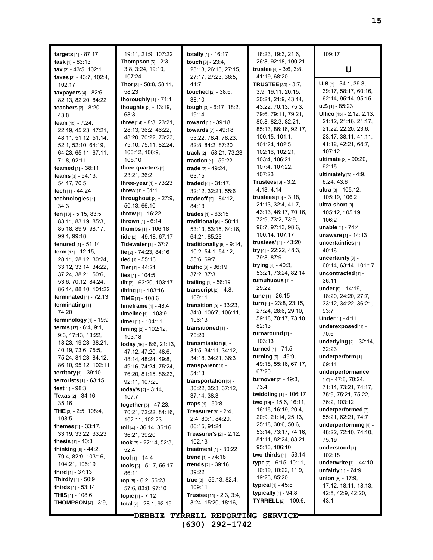| targets $[1] - 87:17$<br>task $[1] - 83:13$         | 19:11, 21:9, 107:22<br>Thompson [5] - 2:3, | totally $[1]$ - 16:17<br>touch [8] - 23:4,        | 18:23, 19:3, 21:6,<br>26:8, 92:18, 100:21         | 109:17                                                     |
|-----------------------------------------------------|--------------------------------------------|---------------------------------------------------|---------------------------------------------------|------------------------------------------------------------|
| tax $[2] - 43.5, 102.1$                             | 3:8, 3:24, 19:10,                          | 23:13, 26:15, 27:15,                              | trustee $[4] - 3.6, 3.8,$                         | U                                                          |
| taxes [3] - 43:7, 102:4,<br>102:17                  | 107:24<br><b>Thor</b> [3] $-58:8, 58:11,$  | 27:17, 27:23, 38:5,<br>41.7                       | 41:19, 68:20<br>TRUSTEE [30] - 3:7,               | $U.S$ <sub>[8]</sub> - 34:1, 39:3,                         |
| taxpayers $[4]$ - 82:6,                             | 58:23                                      | touched [2] - 38:6,                               | 3:9, 19:11, 20:15,                                | 39:17, 58:17, 60:16,                                       |
| 82.13, 82.20, 84.22                                 | thoroughly [1] - 71:1                      | 38:10                                             | 20:21, 21:9, 43:14,                               | 62:14, 95:14, 95:15<br>$\mathbf{u}.\mathbf{S}$ [1] - 85:23 |
| <b>teachers</b> $[2] - 8:20$ ,                      | thoughts [2] - 13:19,<br>68:3              | tough [3] - 6:17, 18:2,<br>19:14                  | 43.22, 70:13, 75:3,<br>79:6, 79:11, 79:21,        | Ullico [15] - 2:12, 2:13,                                  |
| 43.8<br>team [15] - 7:24,                           | three [14] - 8:3, 23:21,                   | toward [1] - 39:18                                | 80:8, 82:3, 82:21,                                | 21:12, 21:16, 21:17,                                       |
| 22:19, 45:23, 47:21,                                | 28.13, 36:2, 46:22,                        | towards [7] - 49:18,                              | 85:13, 86:16, 92:17,                              | 21:22, 22:20, 23:6,                                        |
| 48:11, 51:12, 51:14,                                | 48:20, 70:22, 73:23,                       | 53.22, 78:4, 78:23,                               | 100:15, 101:1,                                    | 23:17, 38:11, 41:11,                                       |
| 52:1, 52:10, 64:19,                                 | 75:10, 75:11, 82:24,                       | 82:8, 84:2, 87:20                                 | 101:24, 102:5,                                    | 41:12, 42:21, 68:7,                                        |
| 64:23, 65:11, 67:11,                                | 103:12, 106:9,                             | track $[2] - 58:21, 73:23$                        | 102:16, 102:21,                                   | 107:12                                                     |
| 71:8, 92:11                                         | 106:10                                     | traction [1] - 59:22                              | 103:4, 106:21,                                    | ultimate [2] - 90:20,                                      |
| teamed [1] - 38:11                                  | three-quarters [2] -                       | trade [2] - 49:24,                                | 107.4, 107.22,                                    | 92:15                                                      |
| teams $[3] - 54:13$ ,                               | 23:21, 36:2                                | 63:15                                             | 107:23                                            | ultimately $[3] - 4:9$ ,                                   |
| 54:17, 70:5                                         | three-year $[1]$ - 73:23                   | traded $[4] - 31:17$ ,                            | Trustees $[3]$ - $3:2$ ,                          | 6:24, 43:6                                                 |
| tech [1] - 44:24                                    | threw $[1] - 61.1$                         | 32:12, 32:21, 55:6                                | 4:13, 4:14<br><b>trustees</b> [15] - 3:18,        | ultra $[3]$ - 105:12,<br>105:19, 106:2                     |
| technologies [1] -                                  | throughout $[3]$ - 27:9,                   | tradeoff $[2] - 84:12$ ,                          | 21:13, 32:4, 41:7,                                | ultra-short [3] -                                          |
| 34:3<br>ten [10] - 5:15, 83:5,                      | 50:13, 66:10<br>throw [1] - 16:22          | 84:13<br>trades [1] - 63:15                       | 43:13, 46:17, 70:16,                              | 105:12, 105:19,                                            |
| 83:11, 83:19, 85:3,                                 | thrown [1] - 6:14                          | traditional $[6]$ - 50:11,                        | 72.9, 73.2, 73.9,                                 | 106:2                                                      |
| 85:18, 89:9, 98:17,                                 | thumbs [1] - 106:18                        | 53:13, 53:15, 64:16,                              | 96:7, 97:13, 98:6,                                | <b>unable</b> $[1] - 74:4$                                 |
| 99:1, 99:18                                         | tide [2] - 49:18, 67:17                    | 64:21, 85:23                                      | 100:14, 107:17                                    | unaware [1] - 14:13                                        |
| tenured [1] - 51:14                                 | Tidewater $[1]$ - 37:7                     | traditionally $[6]$ - 9:14,                       | trustees' [1] - 43:20                             | uncertainties [1] -                                        |
| term [17] - 12:15,                                  | tie [2] - 74:23, 84:16                     | 10:2, 54:1, 54:12,                                | try [4] - 22:22, 48:3,                            | 40:16                                                      |
| 28:11, 28:12, 30:24,                                | tied [1] - 55:16                           | 55:6, 69:7                                        | 79.8, 87.9                                        | uncertainty $[3]$ -                                        |
| 33:12, 33:14, 34:22,                                | Tier $[1] - 44.21$                         | <b>traffic</b> $[3] - 36.19$ ,                    | trying $[4] - 40.3$ ,                             | 60:14, 63:14, 101:17                                       |
| 37:24, 38:21, 50.6,                                 | ties [1] - 104:5                           | 37:2, 37:3                                        | 53.21, 73.24, 82.14                               | uncontracted [1] -                                         |
| 53.6, 70.12, 84.24,                                 | tilt [2] - 63:20, 103:17                   | trailing $[1] - 56:19$                            | tumultuous [1] -<br>29:22                         | 36:11                                                      |
| 86:14, 88:10, 101:22                                | tilting [1] - 103:16                       | transcript $[2] - 4.8$ ,                          | tune [1] - 26:15                                  | under [8] - 14:19,<br>18:20, 24:20, 27:7,                  |
| terminated $[1]$ - 72:13                            | TIME $[1]$ - 108:6                         | 109:11                                            | turn [9] - 23:8, 23:15,                           | 33:12, 34:22, 36:21,                                       |
| terminating [1] -<br>74:20                          | timeframe $[1] - 48.4$                     | transition $[5]$ - 33:23,<br>34:8, 106:7, 106:11, | 27:24, 28:6, 29:10,                               | 93:7                                                       |
| terminology [1] - 19:9                              | timeline [1] - 103:9<br>timer [1] - 104:11 | 106:13                                            | 59:18, 70:17, 73:10,                              | Under [1] - 4:11                                           |
| <b>terms</b> $[17] - 6.4, 9.1,$                     | timing [2] - 102:12,                       | transitioned [1] -                                | 82:13                                             | underexposed [1] -                                         |
| 9.3, 17.13, 18.22,                                  | 103:18                                     | 75:20                                             | turnaround [1] -                                  | 70:6                                                       |
| 18:23, 19:23, 38:21,                                | today [16] - 8.6, 21:13,                   | transmission $[6]$ -                              | 103:13                                            | underlying [2] - 32:14,                                    |
| 40:19, 73:6, 75:5,                                  | 47:12, 47:20, 48:6,                        | 31:5, 34:11, 34:12,                               | turned [1] - 71:5                                 | 32:23                                                      |
| 75:24, 81:23, 84:12,                                | 48:14, 48:24, 49:8,                        | 34:18, 34:21, 36:3                                | turning [5] - 49:9,                               | underperform [1] -                                         |
| 86:10, 95:12, 102:11                                | 49:16, 74:24, 75:24,                       | transparent $[1]$ -                               | 49:18, 55:16, 67:17,<br>67:20                     | 69:14                                                      |
| <b>territory</b> $[1] - 39:10$                      | 76:20, 81:15, 86:23,                       | 54:13                                             | turnover [2] - 49:3,                              | underperformance<br>$[10] - 47:8, 70:24,$                  |
| terrorists $[1]$ - 63:15                            | 92:11, 107:20                              | transportation [5] -                              | 73.4                                              | 71:14, 73:21, 74:17,                                       |
| test $[1]$ - $98.3$<br><b>Texas</b> $[2] - 34:16$ , | <b>today's</b> $[2] - 3.14$ ,<br>107:7     | 30:22, 35:3, 37:12,<br>37:14, 38:3                | twiddling [1] - 106:17                            | 75:9, 75:21, 75:22,                                        |
| 35:16                                               | together [6] - 47:23.                      | <b>traps</b> $[1]$ - 50:8                         | two [19] - 15:6, 16:11,                           | 76:2, 103:12                                               |
| THE [3] - 2:5, 108:4,                               | 70:21, 72:22, 84:16,                       | Treasurer $[6]$ - 2:4,                            | 16:15, 16:19, 20:4,                               | underperformed [3] -                                       |
| 108:5                                               | 102:11, 102:23                             | 2:4, 80:1, 84:20,                                 | 20.9, 21:14, 25:13,                               | 55:21, 62:21, 74:7                                         |
| <b>themes</b> $[4] - 33:17$ ,                       | toll [4] - 36:14, 36:16,                   | 86:15, 91:24                                      | 25:18, 38:6, 50:6,                                | underperforming [4] -                                      |
| 33:19, 33:22, 33:23                                 | 36:21, 39:20                               | <b>Treasurer's <math>[2] - 2:12</math>,</b>       | 53:14, 73:17, 74:16,                              | 48:22, 72:10, 74:10,                                       |
| <b>thesis</b> $[1] - 40.3$                          | took $[3]$ - 22:14, 52:3,                  | 102:13                                            | 81:11, 82:24, 83:21,                              | 75:19                                                      |
| <b>thinking</b> $[6] - 44.2$ ,                      | 52:4                                       | <b>treatment</b> $[1] - 30:22$                    | 95:13, 106:10                                     | understood [1] -                                           |
| 79:4, 82:9, 103:16,                                 | tool [1] - 14:4                            | trend $[1]$ - 74:18                               | two-thirds [1] - 53:14<br>type [7] - 6:15, 10:11, | 102:18<br><b>underwrite</b> $[1] - 44:10$                  |
| 104:21, 106:19                                      | tools $[3] - 51:7, 56:17,$                 | <b>trends</b> $[2] - 39.16$ ,                     | 10:19, 10:22, 11:9,                               | unfairly [1] - 74:9                                        |
| <b>third</b> $[1]$ - 37:13                          | 86:11                                      | 39:22<br>true [3] - 55:13, 82:4,                  | 19:23, 85:20                                      | union [8] - 17:9,                                          |
| <b>Thirdly</b> $[1]$ - 50:9<br>thirds $[1]$ - 53:14 | top $[5]$ - 6:2, 56:23,                    | 109:11                                            | typical [1] - 45:8                                | 17:12, 18:11, 18:13,                                       |
| <b>THIS</b> $[1]$ - 108:6                           | 57:6, 83:8, 97:10<br>topic $[1] - 7:12$    | Trustee [11] - 2:3, 3:4,                          | <b>typically</b> $[1]$ - 94:8                     | 42.8, 42.9, 42.20,                                         |
| <b>THOMPSON</b> [4] - 3:9,                          | total [2] - 28:1, 92:19                    | 3:24, 15:20, 18:16,                               | <b>TYRRELL</b> $[2] - 109.6$                      | 43:1                                                       |
|                                                     |                                            |                                                   |                                                   |                                                            |